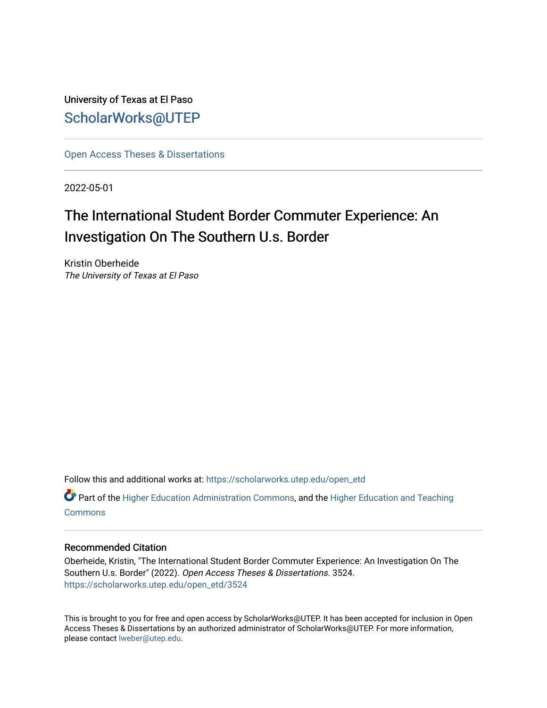University of Texas at El Paso [ScholarWorks@UTEP](https://scholarworks.utep.edu/)

[Open Access Theses & Dissertations](https://scholarworks.utep.edu/open_etd) 

2022-05-01

# The International Student Border Commuter Experience: An Investigation On The Southern U.s. Border

Kristin Oberheide The University of Texas at El Paso

Follow this and additional works at: [https://scholarworks.utep.edu/open\\_etd](https://scholarworks.utep.edu/open_etd?utm_source=scholarworks.utep.edu%2Fopen_etd%2F3524&utm_medium=PDF&utm_campaign=PDFCoverPages)

 $\bullet$  Part of the [Higher Education Administration Commons,](https://network.bepress.com/hgg/discipline/791?utm_source=scholarworks.utep.edu%2Fopen_etd%2F3524&utm_medium=PDF&utm_campaign=PDFCoverPages) and the Higher Education and Teaching **[Commons](https://network.bepress.com/hgg/discipline/806?utm_source=scholarworks.utep.edu%2Fopen_etd%2F3524&utm_medium=PDF&utm_campaign=PDFCoverPages)** 

#### Recommended Citation

Oberheide, Kristin, "The International Student Border Commuter Experience: An Investigation On The Southern U.s. Border" (2022). Open Access Theses & Dissertations. 3524. [https://scholarworks.utep.edu/open\\_etd/3524](https://scholarworks.utep.edu/open_etd/3524?utm_source=scholarworks.utep.edu%2Fopen_etd%2F3524&utm_medium=PDF&utm_campaign=PDFCoverPages) 

This is brought to you for free and open access by ScholarWorks@UTEP. It has been accepted for inclusion in Open Access Theses & Dissertations by an authorized administrator of ScholarWorks@UTEP. For more information, please contact [lweber@utep.edu.](mailto:lweber@utep.edu)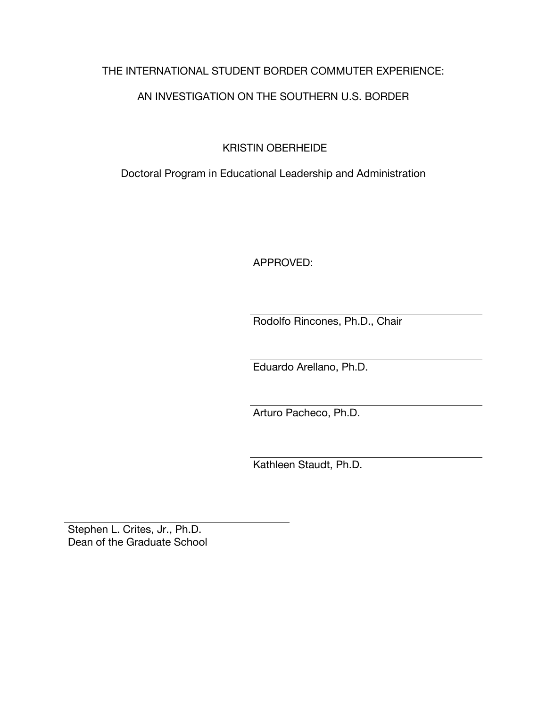# THE INTERNATIONAL STUDENT BORDER COMMUTER EXPERIENCE:

# AN INVESTIGATION ON THE SOUTHERN U.S. BORDER

KRISTIN OBERHEIDE

Doctoral Program in Educational Leadership and Administration

APPROVED:

Rodolfo Rincones, Ph.D., Chair

Eduardo Arellano, Ph.D.

Arturo Pacheco, Ph.D.

Kathleen Staudt, Ph.D.

Stephen L. Crites, Jr., Ph.D. Dean of the Graduate School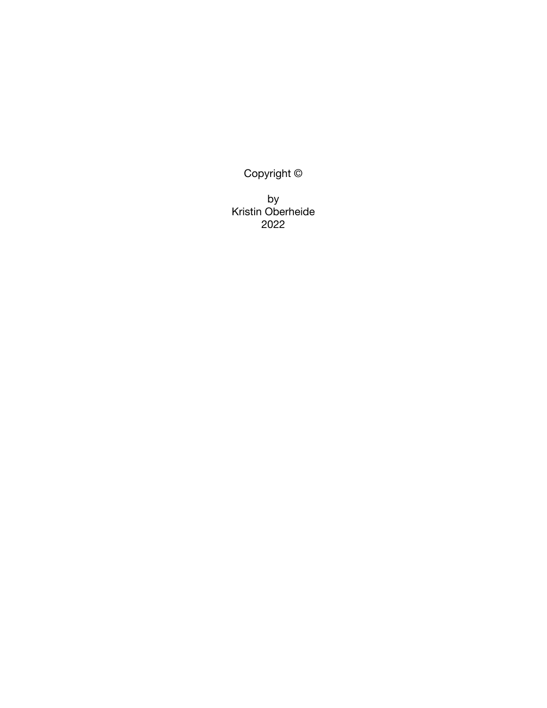Copyright ©

by Kristin Oberheide 2022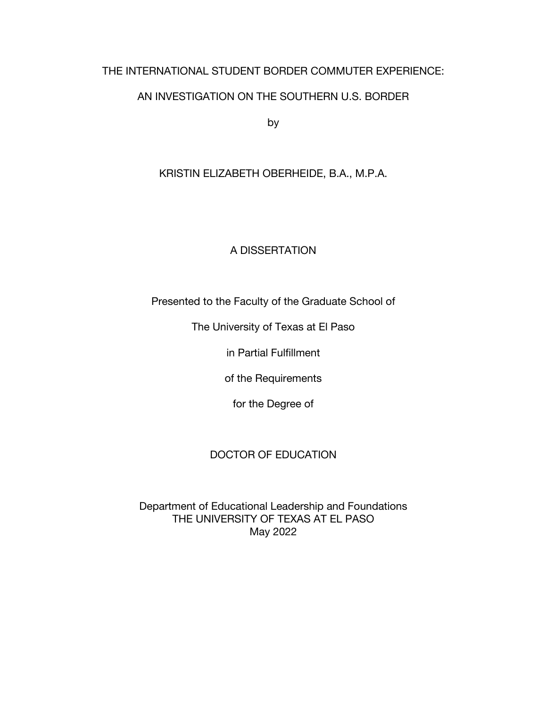# THE INTERNATIONAL STUDENT BORDER COMMUTER EXPERIENCE:

# AN INVESTIGATION ON THE SOUTHERN U.S. BORDER

by

# KRISTIN ELIZABETH OBERHEIDE, B.A., M.P.A.

# A DISSERTATION

Presented to the Faculty of the Graduate School of

The University of Texas at El Paso

in Partial Fulfillment

of the Requirements

for the Degree of

# DOCTOR OF EDUCATION

Department of Educational Leadership and Foundations THE UNIVERSITY OF TEXAS AT EL PASO May 2022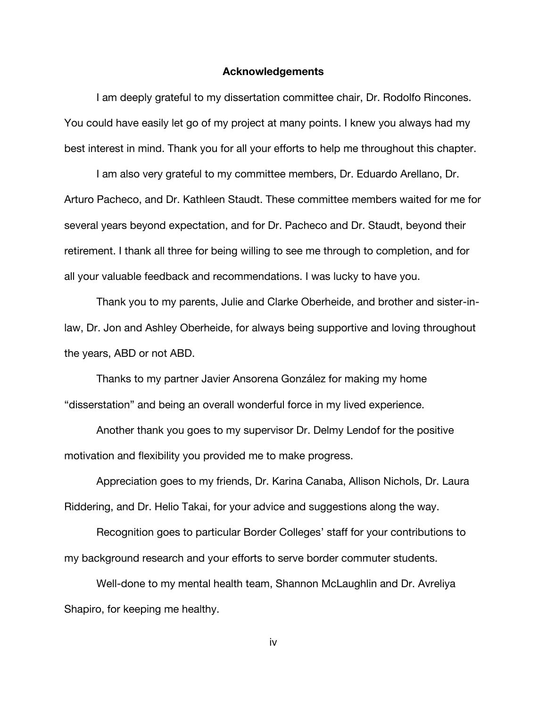#### **Acknowledgements**

I am deeply grateful to my dissertation committee chair, Dr. Rodolfo Rincones. You could have easily let go of my project at many points. I knew you always had my best interest in mind. Thank you for all your efforts to help me throughout this chapter.

I am also very grateful to my committee members, Dr. Eduardo Arellano, Dr. Arturo Pacheco, and Dr. Kathleen Staudt. These committee members waited for me for several years beyond expectation, and for Dr. Pacheco and Dr. Staudt, beyond their retirement. I thank all three for being willing to see me through to completion, and for all your valuable feedback and recommendations. I was lucky to have you.

Thank you to my parents, Julie and Clarke Oberheide, and brother and sister-inlaw, Dr. Jon and Ashley Oberheide, for always being supportive and loving throughout the years, ABD or not ABD.

Thanks to my partner Javier Ansorena González for making my home "disserstation" and being an overall wonderful force in my lived experience.

Another thank you goes to my supervisor Dr. Delmy Lendof for the positive motivation and flexibility you provided me to make progress.

Appreciation goes to my friends, Dr. Karina Canaba, Allison Nichols, Dr. Laura Riddering, and Dr. Helio Takai, for your advice and suggestions along the way.

Recognition goes to particular Border Colleges' staff for your contributions to my background research and your efforts to serve border commuter students.

Well-done to my mental health team, Shannon McLaughlin and Dr. Avreliya Shapiro, for keeping me healthy.

iv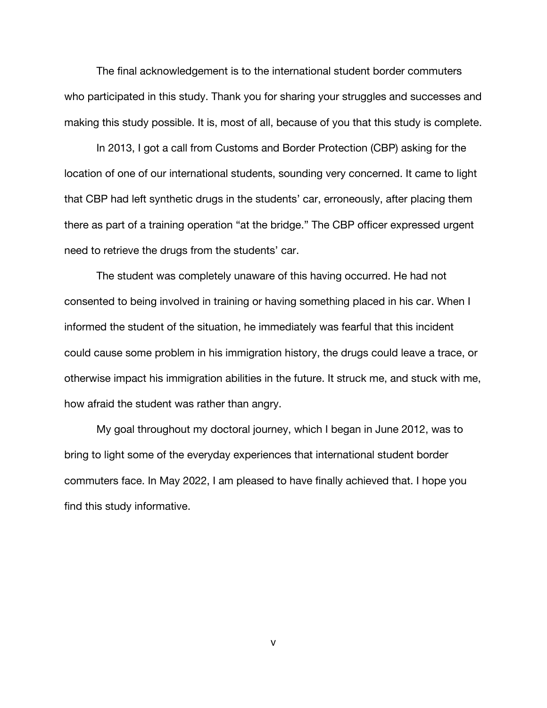The final acknowledgement is to the international student border commuters who participated in this study. Thank you for sharing your struggles and successes and making this study possible. It is, most of all, because of you that this study is complete.

In 2013, I got a call from Customs and Border Protection (CBP) asking for the location of one of our international students, sounding very concerned. It came to light that CBP had left synthetic drugs in the students' car, erroneously, after placing them there as part of a training operation "at the bridge." The CBP officer expressed urgent need to retrieve the drugs from the students' car.

The student was completely unaware of this having occurred. He had not consented to being involved in training or having something placed in his car. When I informed the student of the situation, he immediately was fearful that this incident could cause some problem in his immigration history, the drugs could leave a trace, or otherwise impact his immigration abilities in the future. It struck me, and stuck with me, how afraid the student was rather than angry.

My goal throughout my doctoral journey, which I began in June 2012, was to bring to light some of the everyday experiences that international student border commuters face. In May 2022, I am pleased to have finally achieved that. I hope you find this study informative.

v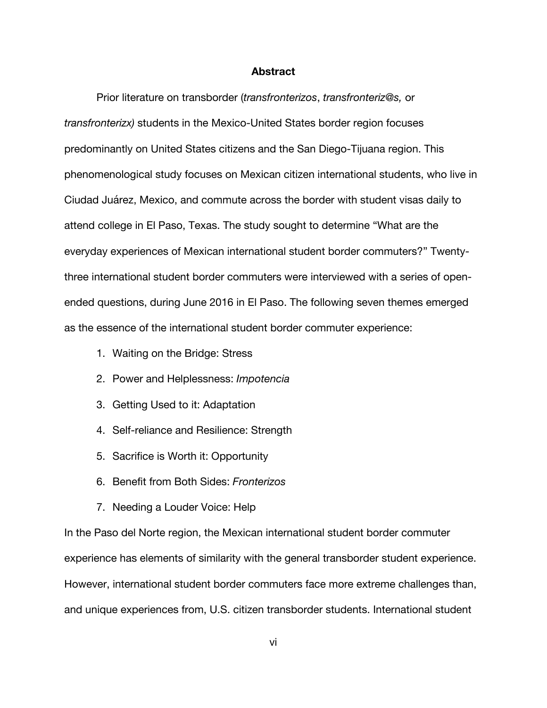#### **Abstract**

Prior literature on transborder (*transfronterizos*, *transfronteriz@s,* or *transfronterizx)* students in the Mexico-United States border region focuses predominantly on United States citizens and the San Diego-Tijuana region. This phenomenological study focuses on Mexican citizen international students, who live in Ciudad Juárez, Mexico, and commute across the border with student visas daily to attend college in El Paso, Texas. The study sought to determine "What are the everyday experiences of Mexican international student border commuters?" Twentythree international student border commuters were interviewed with a series of openended questions, during June 2016 in El Paso. The following seven themes emerged as the essence of the international student border commuter experience:

- 1. Waiting on the Bridge: Stress
- 2. Power and Helplessness: *Impotencia*
- 3. Getting Used to it: Adaptation
- 4. Self-reliance and Resilience: Strength
- 5. Sacrifice is Worth it: Opportunity
- 6. Benefit from Both Sides: *Fronterizos*
- 7. Needing a Louder Voice: Help

In the Paso del Norte region, the Mexican international student border commuter experience has elements of similarity with the general transborder student experience. However, international student border commuters face more extreme challenges than, and unique experiences from, U.S. citizen transborder students. International student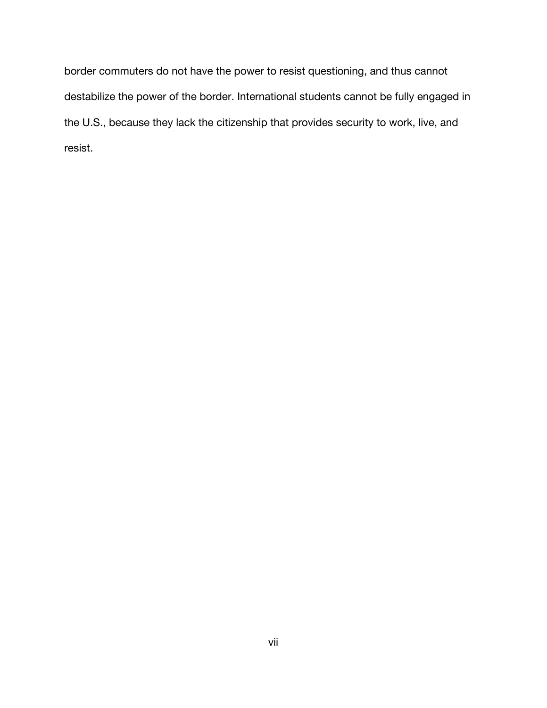border commuters do not have the power to resist questioning, and thus cannot destabilize the power of the border. International students cannot be fully engaged in the U.S., because they lack the citizenship that provides security to work, live, and resist.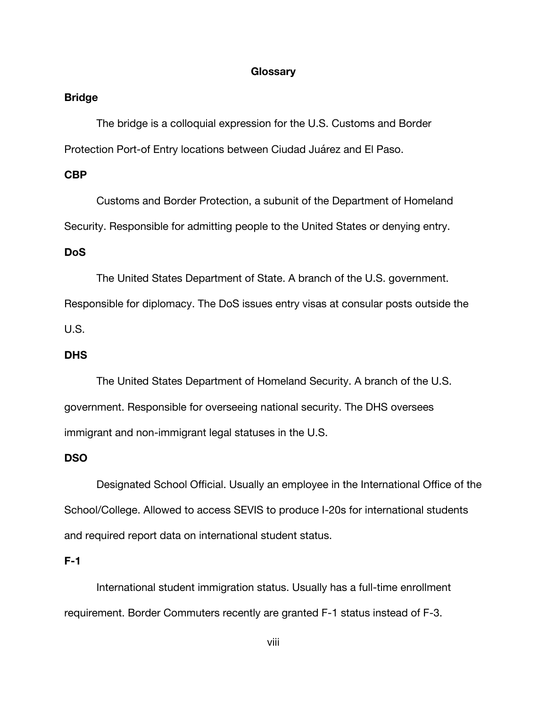#### **Glossary**

#### **Bridge**

The bridge is a colloquial expression for the U.S. Customs and Border Protection Port-of Entry locations between Ciudad Juárez and El Paso.

### **CBP**

Customs and Border Protection, a subunit of the Department of Homeland Security. Responsible for admitting people to the United States or denying entry.

#### **DoS**

The United States Department of State. A branch of the U.S. government.

Responsible for diplomacy. The DoS issues entry visas at consular posts outside the

U.S.

# **DHS**

The United States Department of Homeland Security. A branch of the U.S. government. Responsible for overseeing national security. The DHS oversees immigrant and non-immigrant legal statuses in the U.S.

# **DSO**

Designated School Official. Usually an employee in the International Office of the School/College. Allowed to access SEVIS to produce I-20s for international students and required report data on international student status.

# **F-1**

International student immigration status. Usually has a full-time enrollment requirement. Border Commuters recently are granted F-1 status instead of F-3.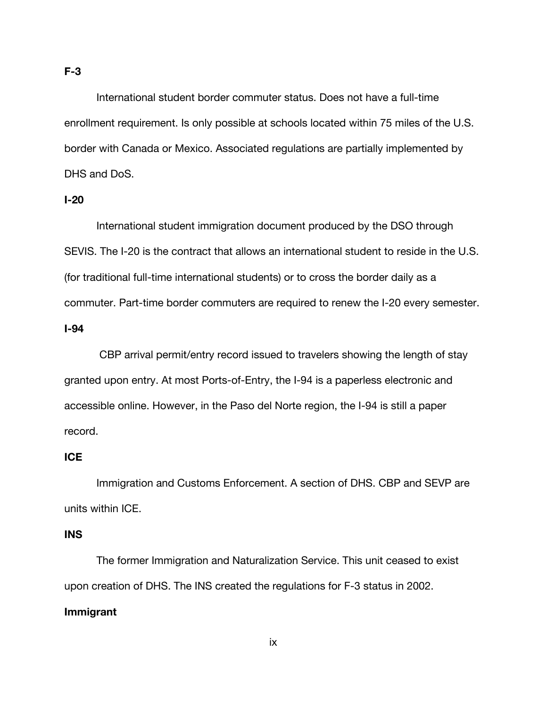International student border commuter status. Does not have a full-time enrollment requirement. Is only possible at schools located within 75 miles of the U.S. border with Canada or Mexico. Associated regulations are partially implemented by DHS and DoS.

### **I-20**

International student immigration document produced by the DSO through SEVIS. The I-20 is the contract that allows an international student to reside in the U.S. (for traditional full-time international students) or to cross the border daily as a commuter. Part-time border commuters are required to renew the I-20 every semester.

### **I-94**

CBP arrival permit/entry record issued to travelers showing the length of stay granted upon entry. At most Ports-of-Entry, the I-94 is a paperless electronic and accessible online. However, in the Paso del Norte region, the I-94 is still a paper record.

# **ICE**

Immigration and Customs Enforcement. A section of DHS. CBP and SEVP are units within ICE.

# **INS**

The former Immigration and Naturalization Service. This unit ceased to exist upon creation of DHS. The INS created the regulations for F-3 status in 2002. **Immigrant**

#### ix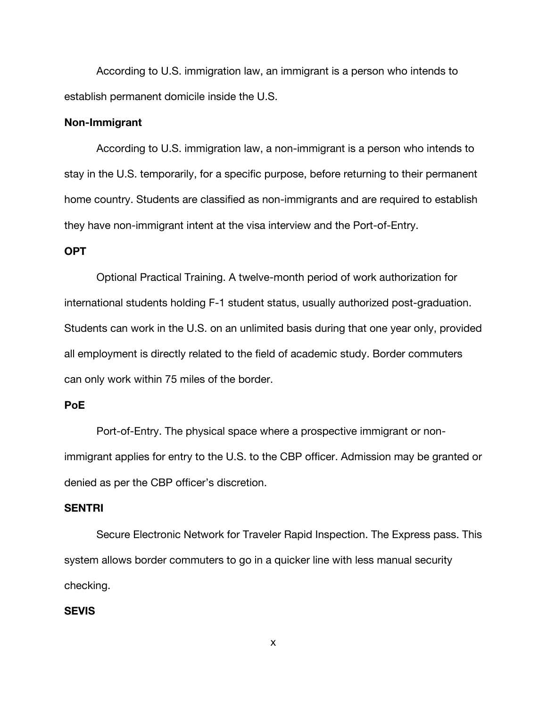According to U.S. immigration law, an immigrant is a person who intends to establish permanent domicile inside the U.S.

#### **Non-Immigrant**

According to U.S. immigration law, a non-immigrant is a person who intends to stay in the U.S. temporarily, for a specific purpose, before returning to their permanent home country. Students are classified as non-immigrants and are required to establish they have non-immigrant intent at the visa interview and the Port-of-Entry.

#### **OPT**

Optional Practical Training. A twelve-month period of work authorization for international students holding F-1 student status, usually authorized post-graduation. Students can work in the U.S. on an unlimited basis during that one year only, provided all employment is directly related to the field of academic study. Border commuters can only work within 75 miles of the border.

# **PoE**

Port-of-Entry. The physical space where a prospective immigrant or nonimmigrant applies for entry to the U.S. to the CBP officer. Admission may be granted or denied as per the CBP officer's discretion.

### **SENTRI**

Secure Electronic Network for Traveler Rapid Inspection. The Express pass. This system allows border commuters to go in a quicker line with less manual security checking.

# **SEVIS**

x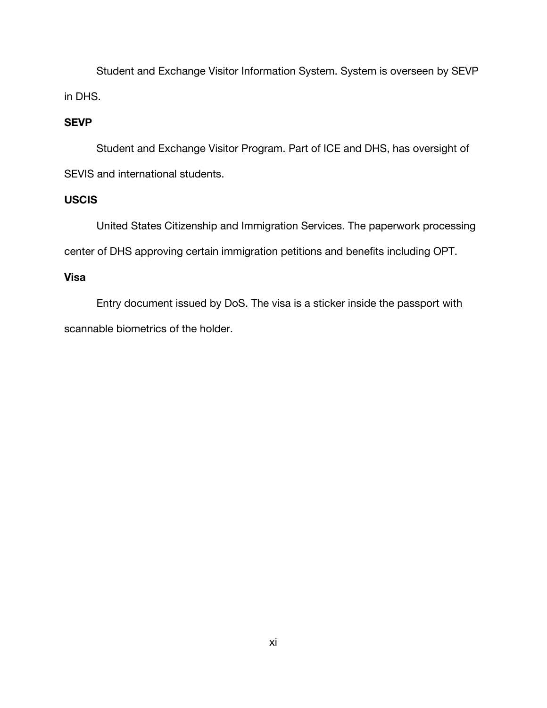Student and Exchange Visitor Information System. System is overseen by SEVP in DHS.

# **SEVP**

Student and Exchange Visitor Program. Part of ICE and DHS, has oversight of SEVIS and international students.

# **USCIS**

United States Citizenship and Immigration Services. The paperwork processing center of DHS approving certain immigration petitions and benefits including OPT.

# **Visa**

Entry document issued by DoS. The visa is a sticker inside the passport with scannable biometrics of the holder.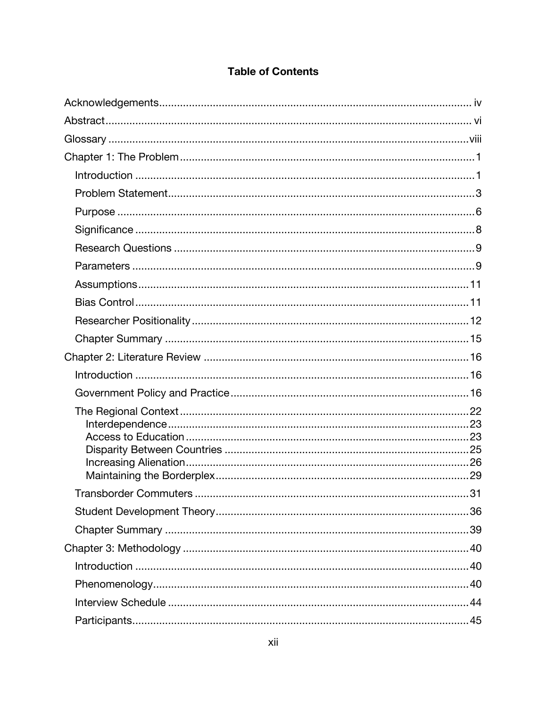# **Table of Contents**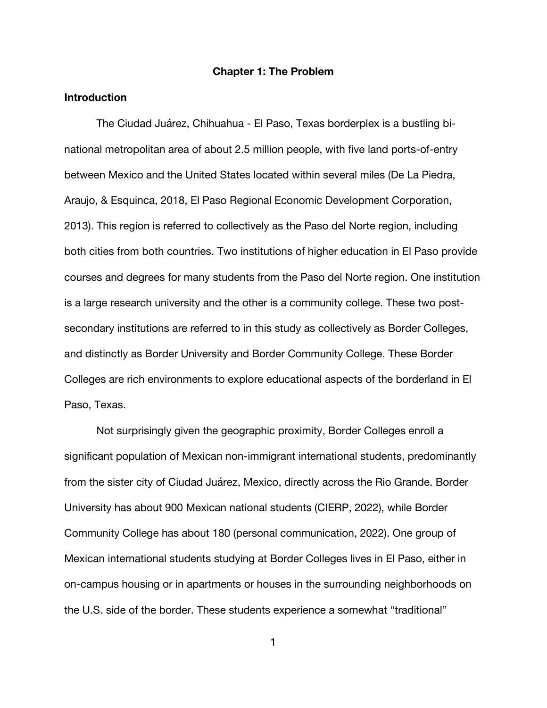#### **Chapter 1: The Problem**

#### **Introduction**

The Ciudad Juárez, Chihuahua - El Paso, Texas borderplex is a bustling binational metropolitan area of about 2.5 million people, with five land ports-of-entry between Mexico and the United States located within several miles (De La Piedra, Araujo, & Esquinca, 2018, El Paso Regional Economic Development Corporation, 2013). This region is referred to collectively as the Paso del Norte region, including both cities from both countries. Two institutions of higher education in El Paso provide courses and degrees for many students from the Paso del Norte region. One institution is a large research university and the other is a community college. These two postsecondary institutions are referred to in this study as collectively as Border Colleges, and distinctly as Border University and Border Community College. These Border Colleges are rich environments to explore educational aspects of the borderland in El Paso, Texas.

Not surprisingly given the geographic proximity, Border Colleges enroll a significant population of Mexican non-immigrant international students, predominantly from the sister city of Ciudad Juárez, Mexico, directly across the Rio Grande. Border University has about 900 Mexican national students (CIERP, 2022), while Border Community College has about 180 (personal communication, 2022). One group of Mexican international students studying at Border Colleges lives in El Paso, either in on-campus housing or in apartments or houses in the surrounding neighborhoods on the U.S. side of the border. These students experience a somewhat "traditional"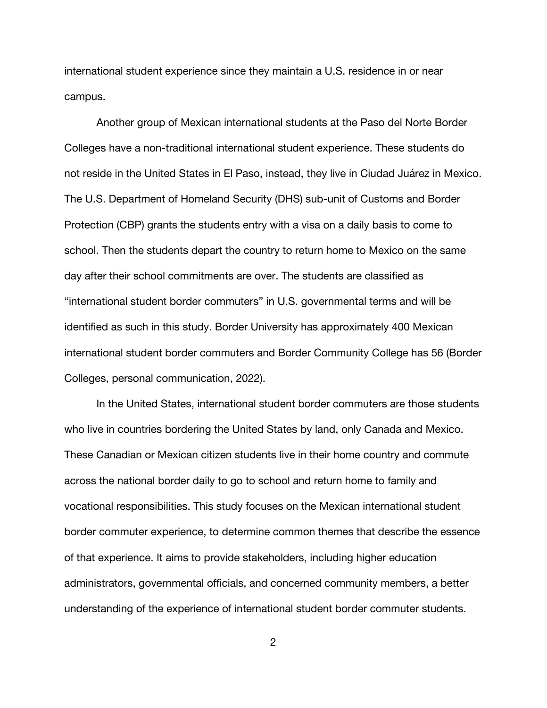international student experience since they maintain a U.S. residence in or near campus.

Another group of Mexican international students at the Paso del Norte Border Colleges have a non-traditional international student experience. These students do not reside in the United States in El Paso, instead, they live in Ciudad Juárez in Mexico. The U.S. Department of Homeland Security (DHS) sub-unit of Customs and Border Protection (CBP) grants the students entry with a visa on a daily basis to come to school. Then the students depart the country to return home to Mexico on the same day after their school commitments are over. The students are classified as "international student border commuters" in U.S. governmental terms and will be identified as such in this study. Border University has approximately 400 Mexican international student border commuters and Border Community College has 56 (Border Colleges, personal communication, 2022).

In the United States, international student border commuters are those students who live in countries bordering the United States by land, only Canada and Mexico. These Canadian or Mexican citizen students live in their home country and commute across the national border daily to go to school and return home to family and vocational responsibilities. This study focuses on the Mexican international student border commuter experience, to determine common themes that describe the essence of that experience. It aims to provide stakeholders, including higher education administrators, governmental officials, and concerned community members, a better understanding of the experience of international student border commuter students.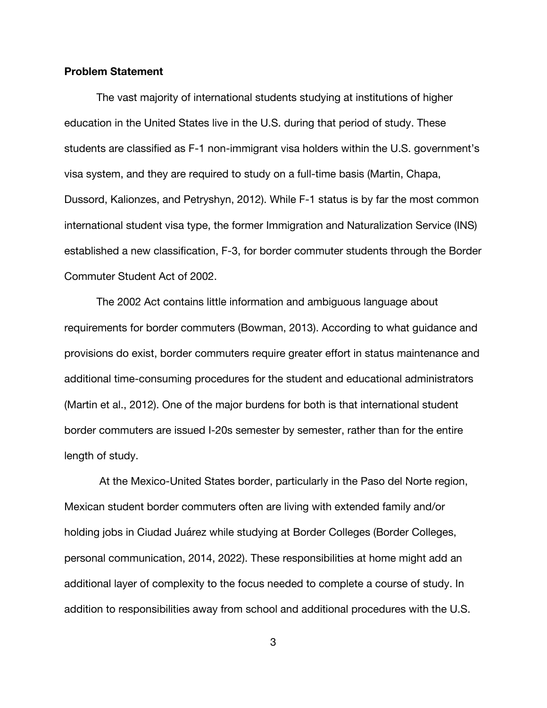#### **Problem Statement**

The vast majority of international students studying at institutions of higher education in the United States live in the U.S. during that period of study. These students are classified as F-1 non-immigrant visa holders within the U.S. government's visa system, and they are required to study on a full-time basis (Martin, Chapa, Dussord, Kalionzes, and Petryshyn, 2012). While F-1 status is by far the most common international student visa type, the former Immigration and Naturalization Service (INS) established a new classification, F-3, for border commuter students through the Border Commuter Student Act of 2002.

The 2002 Act contains little information and ambiguous language about requirements for border commuters (Bowman, 2013). According to what guidance and provisions do exist, border commuters require greater effort in status maintenance and additional time-consuming procedures for the student and educational administrators (Martin et al., 2012). One of the major burdens for both is that international student border commuters are issued I-20s semester by semester, rather than for the entire length of study.

At the Mexico-United States border, particularly in the Paso del Norte region, Mexican student border commuters often are living with extended family and/or holding jobs in Ciudad Juárez while studying at Border Colleges (Border Colleges, personal communication, 2014, 2022). These responsibilities at home might add an additional layer of complexity to the focus needed to complete a course of study. In addition to responsibilities away from school and additional procedures with the U.S.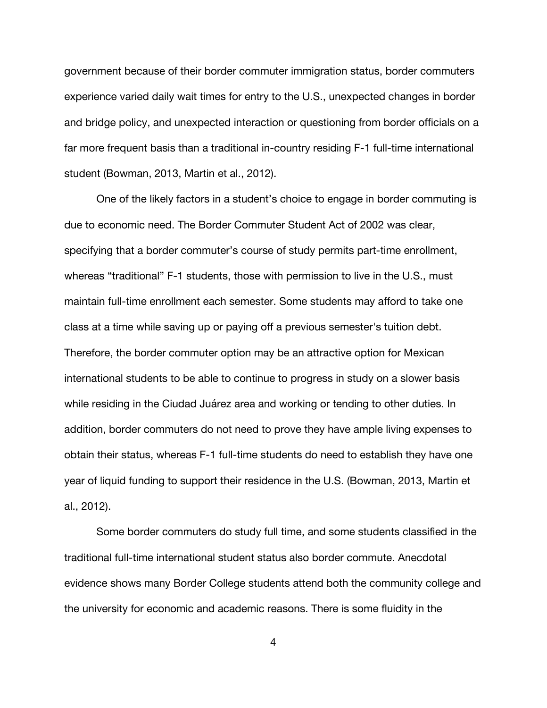government because of their border commuter immigration status, border commuters experience varied daily wait times for entry to the U.S., unexpected changes in border and bridge policy, and unexpected interaction or questioning from border officials on a far more frequent basis than a traditional in-country residing F-1 full-time international student (Bowman, 2013, Martin et al., 2012).

One of the likely factors in a student's choice to engage in border commuting is due to economic need. The Border Commuter Student Act of 2002 was clear, specifying that a border commuter's course of study permits part-time enrollment, whereas "traditional" F-1 students, those with permission to live in the U.S., must maintain full-time enrollment each semester. Some students may afford to take one class at a time while saving up or paying off a previous semester's tuition debt. Therefore, the border commuter option may be an attractive option for Mexican international students to be able to continue to progress in study on a slower basis while residing in the Ciudad Juárez area and working or tending to other duties. In addition, border commuters do not need to prove they have ample living expenses to obtain their status, whereas F-1 full-time students do need to establish they have one year of liquid funding to support their residence in the U.S. (Bowman, 2013, Martin et al., 2012).

Some border commuters do study full time, and some students classified in the traditional full-time international student status also border commute. Anecdotal evidence shows many Border College students attend both the community college and the university for economic and academic reasons. There is some fluidity in the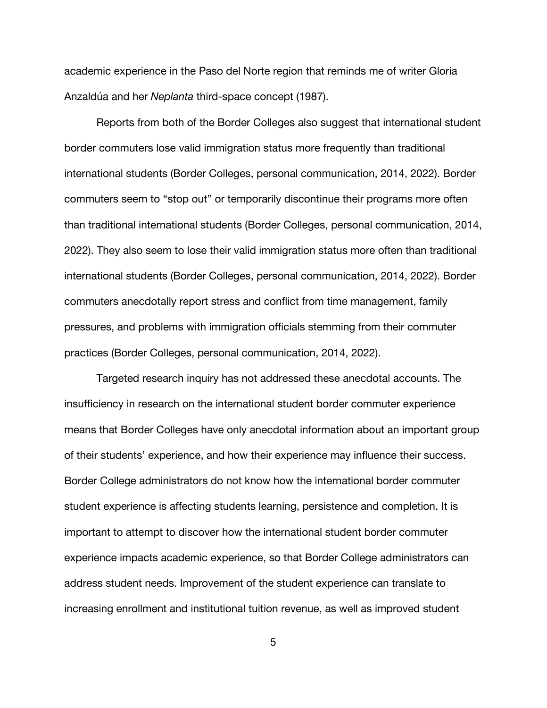academic experience in the Paso del Norte region that reminds me of writer Gloria Anzaldúa and her *Neplanta* third-space concept (1987).

Reports from both of the Border Colleges also suggest that international student border commuters lose valid immigration status more frequently than traditional international students (Border Colleges, personal communication, 2014, 2022). Border commuters seem to "stop out" or temporarily discontinue their programs more often than traditional international students (Border Colleges, personal communication, 2014, 2022). They also seem to lose their valid immigration status more often than traditional international students (Border Colleges, personal communication, 2014, 2022). Border commuters anecdotally report stress and conflict from time management, family pressures, and problems with immigration officials stemming from their commuter practices (Border Colleges, personal communication, 2014, 2022).

Targeted research inquiry has not addressed these anecdotal accounts. The insufficiency in research on the international student border commuter experience means that Border Colleges have only anecdotal information about an important group of their students' experience, and how their experience may influence their success. Border College administrators do not know how the international border commuter student experience is affecting students learning, persistence and completion. It is important to attempt to discover how the international student border commuter experience impacts academic experience, so that Border College administrators can address student needs. Improvement of the student experience can translate to increasing enrollment and institutional tuition revenue, as well as improved student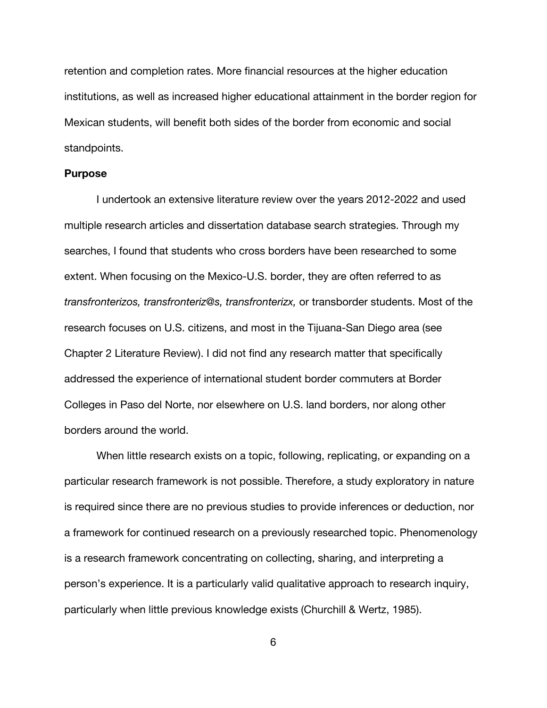retention and completion rates. More financial resources at the higher education institutions, as well as increased higher educational attainment in the border region for Mexican students, will benefit both sides of the border from economic and social standpoints.

#### **Purpose**

I undertook an extensive literature review over the years 2012-2022 and used multiple research articles and dissertation database search strategies. Through my searches, I found that students who cross borders have been researched to some extent. When focusing on the Mexico-U.S. border, they are often referred to as *transfronterizos, transfronteriz@s, transfronterizx,* or transborder students. Most of the research focuses on U.S. citizens, and most in the Tijuana-San Diego area (see Chapter 2 Literature Review). I did not find any research matter that specifically addressed the experience of international student border commuters at Border Colleges in Paso del Norte, nor elsewhere on U.S. land borders, nor along other borders around the world.

When little research exists on a topic, following, replicating, or expanding on a particular research framework is not possible. Therefore, a study exploratory in nature is required since there are no previous studies to provide inferences or deduction, nor a framework for continued research on a previously researched topic. Phenomenology is a research framework concentrating on collecting, sharing, and interpreting a person's experience. It is a particularly valid qualitative approach to research inquiry, particularly when little previous knowledge exists (Churchill & Wertz, 1985).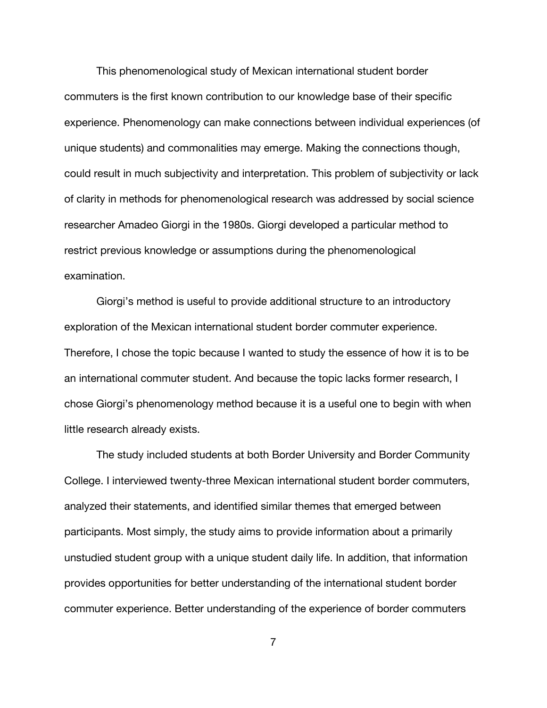This phenomenological study of Mexican international student border commuters is the first known contribution to our knowledge base of their specific experience. Phenomenology can make connections between individual experiences (of unique students) and commonalities may emerge. Making the connections though, could result in much subjectivity and interpretation. This problem of subjectivity or lack of clarity in methods for phenomenological research was addressed by social science researcher Amadeo Giorgi in the 1980s. Giorgi developed a particular method to restrict previous knowledge or assumptions during the phenomenological examination.

Giorgi's method is useful to provide additional structure to an introductory exploration of the Mexican international student border commuter experience. Therefore, I chose the topic because I wanted to study the essence of how it is to be an international commuter student. And because the topic lacks former research, I chose Giorgi's phenomenology method because it is a useful one to begin with when little research already exists.

The study included students at both Border University and Border Community College. I interviewed twenty-three Mexican international student border commuters, analyzed their statements, and identified similar themes that emerged between participants. Most simply, the study aims to provide information about a primarily unstudied student group with a unique student daily life. In addition, that information provides opportunities for better understanding of the international student border commuter experience. Better understanding of the experience of border commuters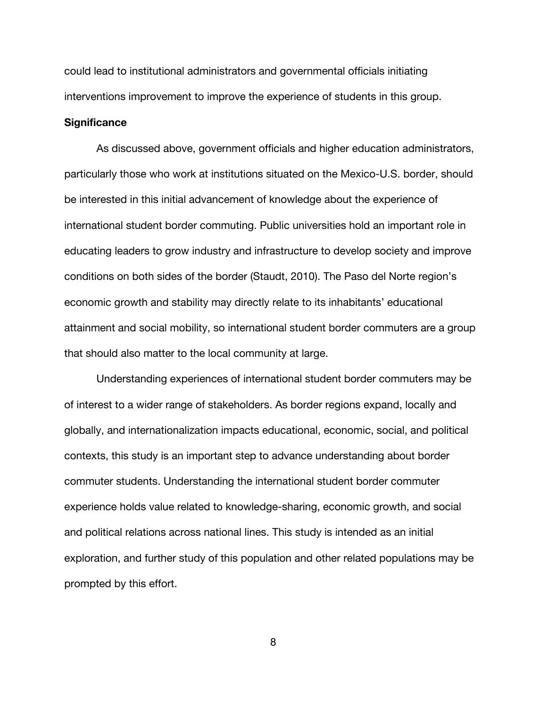could lead to institutional administrators and governmental officials initiating interventions improvement to improve the experience of students in this group.

#### **Significance**

As discussed above, government officials and higher education administrators, particularly those who work at institutions situated on the Mexico-U.S. border, should be interested in this initial advancement of knowledge about the experience of international student border commuting. Public universities hold an important role in educating leaders to grow industry and infrastructure to develop society and improve conditions on both sides of the border (Staudt, 2010). The Paso del Norte region's economic growth and stability may directly relate to its inhabitants' educational attainment and social mobility, so international student border commuters are a group that should also matter to the local community at large.

Understanding experiences of international student border commuters may be of interest to a wider range of stakeholders. As border regions expand, locally and globally, and internationalization impacts educational, economic, social, and political contexts, this study is an important step to advance understanding about border commuter students. Understanding the international student border commuter experience holds value related to knowledge-sharing, economic growth, and social and political relations across national lines. This study is intended as an initial exploration, and further study of this population and other related populations may be prompted by this effort.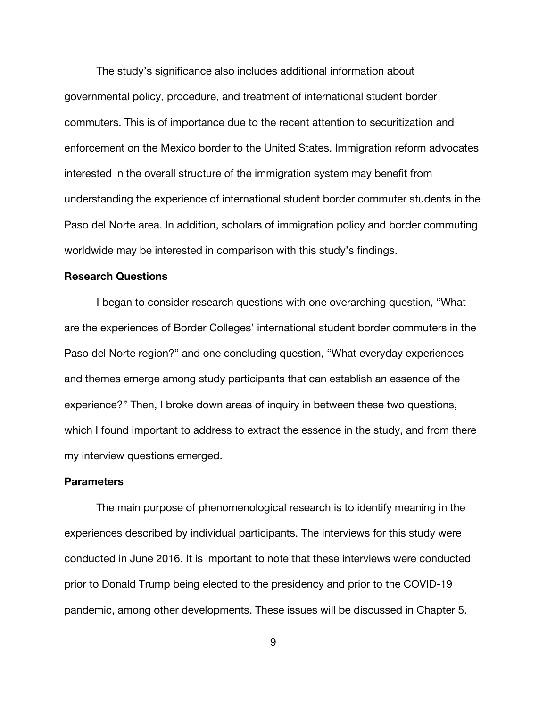The study's significance also includes additional information about governmental policy, procedure, and treatment of international student border commuters. This is of importance due to the recent attention to securitization and enforcement on the Mexico border to the United States. Immigration reform advocates interested in the overall structure of the immigration system may benefit from understanding the experience of international student border commuter students in the Paso del Norte area. In addition, scholars of immigration policy and border commuting worldwide may be interested in comparison with this study's findings.

### **Research Questions**

I began to consider research questions with one overarching question, "What are the experiences of Border Colleges' international student border commuters in the Paso del Norte region?" and one concluding question, "What everyday experiences and themes emerge among study participants that can establish an essence of the experience?" Then, I broke down areas of inquiry in between these two questions, which I found important to address to extract the essence in the study, and from there my interview questions emerged.

### **Parameters**

The main purpose of phenomenological research is to identify meaning in the experiences described by individual participants. The interviews for this study were conducted in June 2016. It is important to note that these interviews were conducted prior to Donald Trump being elected to the presidency and prior to the COVID-19 pandemic, among other developments. These issues will be discussed in Chapter 5.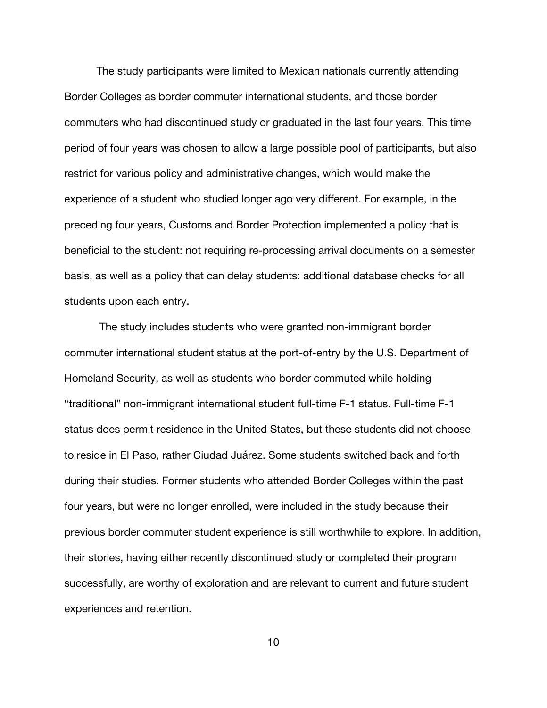The study participants were limited to Mexican nationals currently attending Border Colleges as border commuter international students, and those border commuters who had discontinued study or graduated in the last four years. This time period of four years was chosen to allow a large possible pool of participants, but also restrict for various policy and administrative changes, which would make the experience of a student who studied longer ago very different. For example, in the preceding four years, Customs and Border Protection implemented a policy that is beneficial to the student: not requiring re-processing arrival documents on a semester basis, as well as a policy that can delay students: additional database checks for all students upon each entry.

The study includes students who were granted non-immigrant border commuter international student status at the port-of-entry by the U.S. Department of Homeland Security, as well as students who border commuted while holding "traditional" non-immigrant international student full-time F-1 status. Full-time F-1 status does permit residence in the United States, but these students did not choose to reside in El Paso, rather Ciudad Juárez. Some students switched back and forth during their studies. Former students who attended Border Colleges within the past four years, but were no longer enrolled, were included in the study because their previous border commuter student experience is still worthwhile to explore. In addition, their stories, having either recently discontinued study or completed their program successfully, are worthy of exploration and are relevant to current and future student experiences and retention.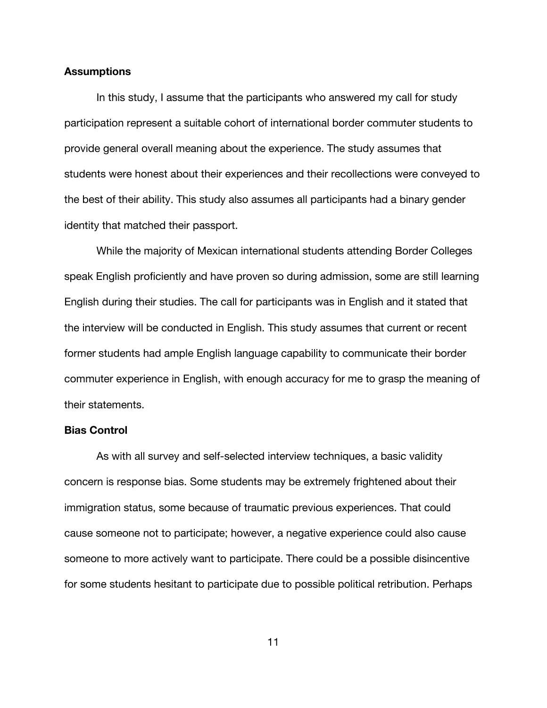#### **Assumptions**

In this study, I assume that the participants who answered my call for study participation represent a suitable cohort of international border commuter students to provide general overall meaning about the experience. The study assumes that students were honest about their experiences and their recollections were conveyed to the best of their ability. This study also assumes all participants had a binary gender identity that matched their passport.

While the majority of Mexican international students attending Border Colleges speak English proficiently and have proven so during admission, some are still learning English during their studies. The call for participants was in English and it stated that the interview will be conducted in English. This study assumes that current or recent former students had ample English language capability to communicate their border commuter experience in English, with enough accuracy for me to grasp the meaning of their statements.

#### **Bias Control**

As with all survey and self-selected interview techniques, a basic validity concern is response bias. Some students may be extremely frightened about their immigration status, some because of traumatic previous experiences. That could cause someone not to participate; however, a negative experience could also cause someone to more actively want to participate. There could be a possible disincentive for some students hesitant to participate due to possible political retribution. Perhaps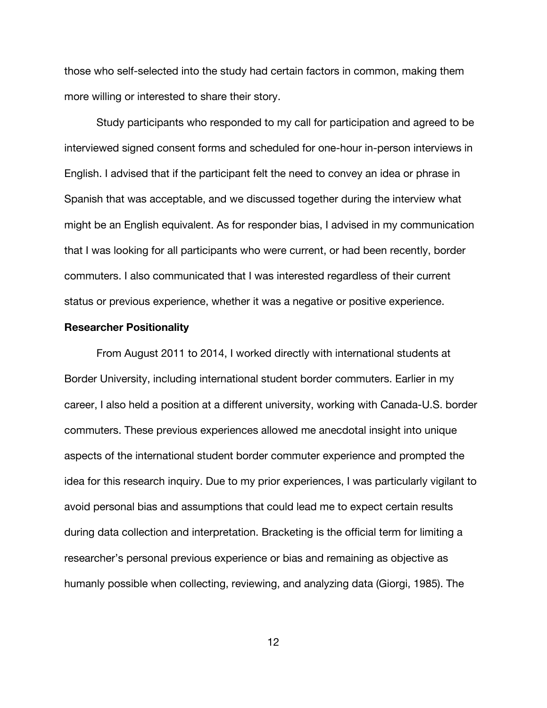those who self-selected into the study had certain factors in common, making them more willing or interested to share their story.

Study participants who responded to my call for participation and agreed to be interviewed signed consent forms and scheduled for one-hour in-person interviews in English. I advised that if the participant felt the need to convey an idea or phrase in Spanish that was acceptable, and we discussed together during the interview what might be an English equivalent. As for responder bias, I advised in my communication that I was looking for all participants who were current, or had been recently, border commuters. I also communicated that I was interested regardless of their current status or previous experience, whether it was a negative or positive experience.

### **Researcher Positionality**

From August 2011 to 2014, I worked directly with international students at Border University, including international student border commuters. Earlier in my career, I also held a position at a different university, working with Canada-U.S. border commuters. These previous experiences allowed me anecdotal insight into unique aspects of the international student border commuter experience and prompted the idea for this research inquiry. Due to my prior experiences, I was particularly vigilant to avoid personal bias and assumptions that could lead me to expect certain results during data collection and interpretation. Bracketing is the official term for limiting a researcher's personal previous experience or bias and remaining as objective as humanly possible when collecting, reviewing, and analyzing data (Giorgi, 1985). The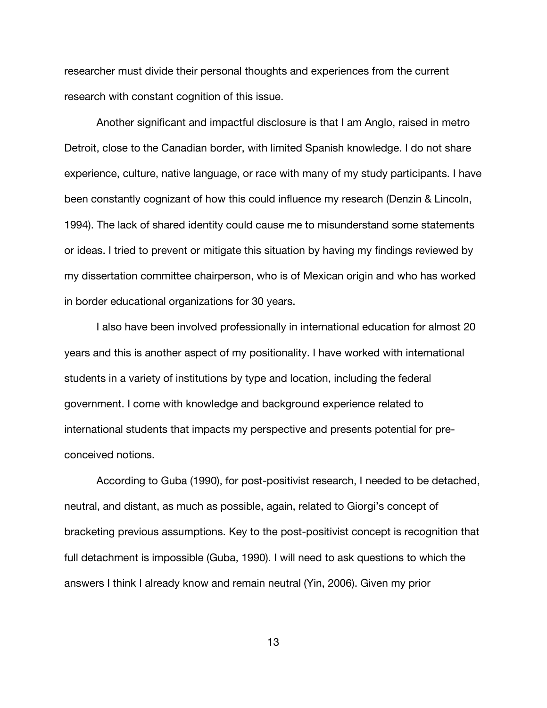researcher must divide their personal thoughts and experiences from the current research with constant cognition of this issue.

Another significant and impactful disclosure is that I am Anglo, raised in metro Detroit, close to the Canadian border, with limited Spanish knowledge. I do not share experience, culture, native language, or race with many of my study participants. I have been constantly cognizant of how this could influence my research (Denzin & Lincoln, 1994). The lack of shared identity could cause me to misunderstand some statements or ideas. I tried to prevent or mitigate this situation by having my findings reviewed by my dissertation committee chairperson, who is of Mexican origin and who has worked in border educational organizations for 30 years.

I also have been involved professionally in international education for almost 20 years and this is another aspect of my positionality. I have worked with international students in a variety of institutions by type and location, including the federal government. I come with knowledge and background experience related to international students that impacts my perspective and presents potential for preconceived notions.

According to Guba (1990), for post-positivist research, I needed to be detached, neutral, and distant, as much as possible, again, related to Giorgi's concept of bracketing previous assumptions. Key to the post-positivist concept is recognition that full detachment is impossible (Guba, 1990). I will need to ask questions to which the answers I think I already know and remain neutral (Yin, 2006). Given my prior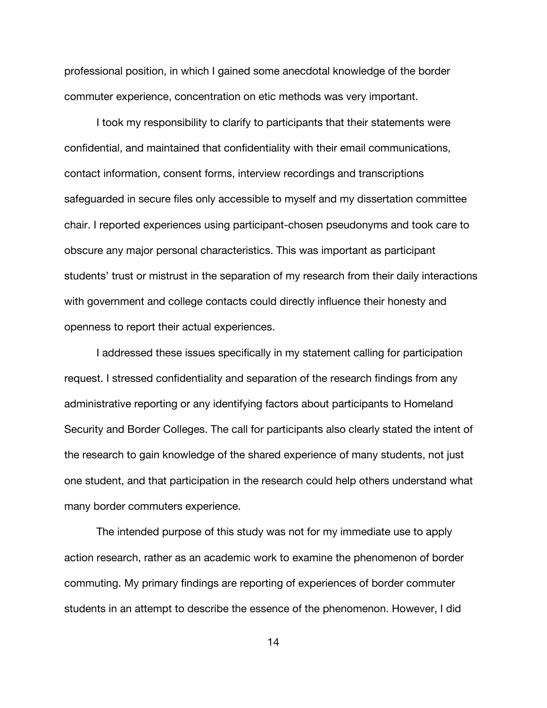professional position, in which I gained some anecdotal knowledge of the border commuter experience, concentration on etic methods was very important.

I took my responsibility to clarify to participants that their statements were confidential, and maintained that confidentiality with their email communications, contact information, consent forms, interview recordings and transcriptions safeguarded in secure files only accessible to myself and my dissertation committee chair. I reported experiences using participant-chosen pseudonyms and took care to obscure any major personal characteristics. This was important as participant students' trust or mistrust in the separation of my research from their daily interactions with government and college contacts could directly influence their honesty and openness to report their actual experiences.

I addressed these issues specifically in my statement calling for participation request. I stressed confidentiality and separation of the research findings from any administrative reporting or any identifying factors about participants to Homeland Security and Border Colleges. The call for participants also clearly stated the intent of the research to gain knowledge of the shared experience of many students, not just one student, and that participation in the research could help others understand what many border commuters experience.

The intended purpose of this study was not for my immediate use to apply action research, rather as an academic work to examine the phenomenon of border commuting. My primary findings are reporting of experiences of border commuter students in an attempt to describe the essence of the phenomenon. However, I did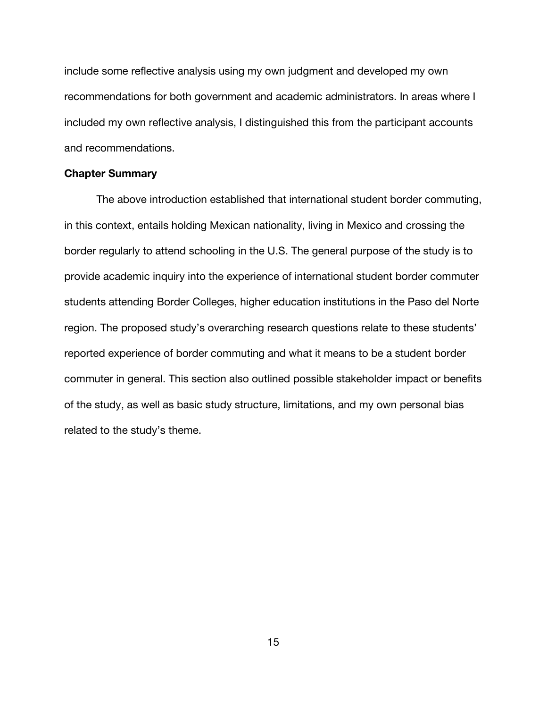include some reflective analysis using my own judgment and developed my own recommendations for both government and academic administrators. In areas where I included my own reflective analysis, I distinguished this from the participant accounts and recommendations.

### **Chapter Summary**

The above introduction established that international student border commuting, in this context, entails holding Mexican nationality, living in Mexico and crossing the border regularly to attend schooling in the U.S. The general purpose of the study is to provide academic inquiry into the experience of international student border commuter students attending Border Colleges, higher education institutions in the Paso del Norte region. The proposed study's overarching research questions relate to these students' reported experience of border commuting and what it means to be a student border commuter in general. This section also outlined possible stakeholder impact or benefits of the study, as well as basic study structure, limitations, and my own personal bias related to the study's theme.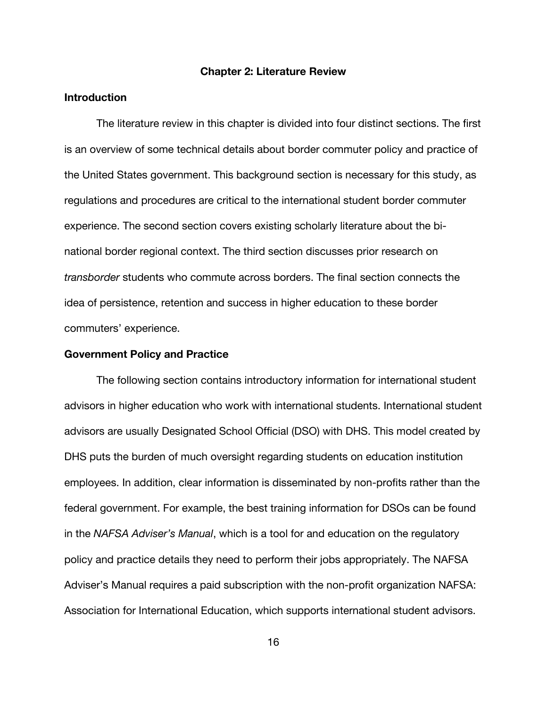#### **Chapter 2: Literature Review**

#### **Introduction**

The literature review in this chapter is divided into four distinct sections. The first is an overview of some technical details about border commuter policy and practice of the United States government. This background section is necessary for this study, as regulations and procedures are critical to the international student border commuter experience. The second section covers existing scholarly literature about the binational border regional context. The third section discusses prior research on *transborder* students who commute across borders. The final section connects the idea of persistence, retention and success in higher education to these border commuters' experience.

# **Government Policy and Practice**

The following section contains introductory information for international student advisors in higher education who work with international students. International student advisors are usually Designated School Official (DSO) with DHS. This model created by DHS puts the burden of much oversight regarding students on education institution employees. In addition, clear information is disseminated by non-profits rather than the federal government. For example, the best training information for DSOs can be found in the *NAFSA Adviser's Manual*, which is a tool for and education on the regulatory policy and practice details they need to perform their jobs appropriately. The NAFSA Adviser's Manual requires a paid subscription with the non-profit organization NAFSA: Association for International Education, which supports international student advisors.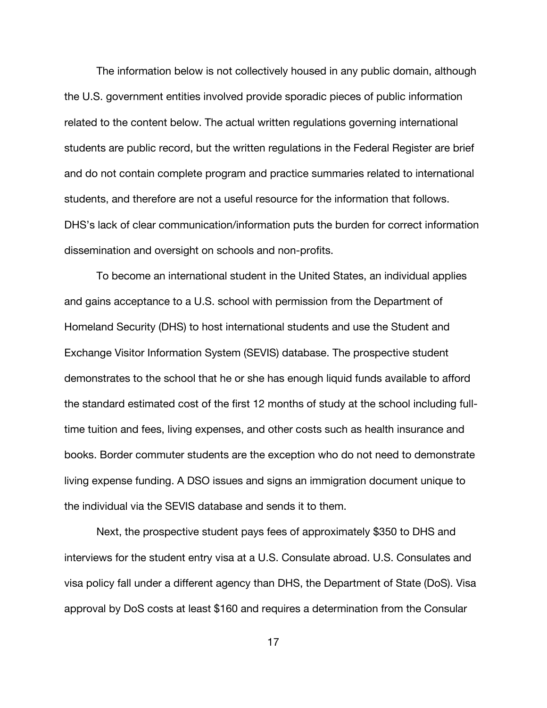The information below is not collectively housed in any public domain, although the U.S. government entities involved provide sporadic pieces of public information related to the content below. The actual written regulations governing international students are public record, but the written regulations in the Federal Register are brief and do not contain complete program and practice summaries related to international students, and therefore are not a useful resource for the information that follows. DHS's lack of clear communication/information puts the burden for correct information dissemination and oversight on schools and non-profits.

To become an international student in the United States, an individual applies and gains acceptance to a U.S. school with permission from the Department of Homeland Security (DHS) to host international students and use the Student and Exchange Visitor Information System (SEVIS) database. The prospective student demonstrates to the school that he or she has enough liquid funds available to afford the standard estimated cost of the first 12 months of study at the school including fulltime tuition and fees, living expenses, and other costs such as health insurance and books. Border commuter students are the exception who do not need to demonstrate living expense funding. A DSO issues and signs an immigration document unique to the individual via the SEVIS database and sends it to them.

Next, the prospective student pays fees of approximately \$350 to DHS and interviews for the student entry visa at a U.S. Consulate abroad. U.S. Consulates and visa policy fall under a different agency than DHS, the Department of State (DoS). Visa approval by DoS costs at least \$160 and requires a determination from the Consular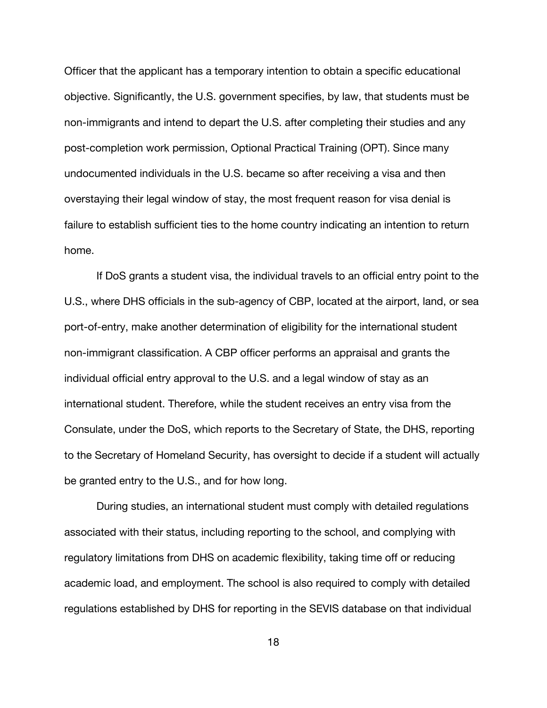Officer that the applicant has a temporary intention to obtain a specific educational objective. Significantly, the U.S. government specifies, by law, that students must be non-immigrants and intend to depart the U.S. after completing their studies and any post-completion work permission, Optional Practical Training (OPT). Since many undocumented individuals in the U.S. became so after receiving a visa and then overstaying their legal window of stay, the most frequent reason for visa denial is failure to establish sufficient ties to the home country indicating an intention to return home.

If DoS grants a student visa, the individual travels to an official entry point to the U.S., where DHS officials in the sub-agency of CBP, located at the airport, land, or sea port-of-entry, make another determination of eligibility for the international student non-immigrant classification. A CBP officer performs an appraisal and grants the individual official entry approval to the U.S. and a legal window of stay as an international student. Therefore, while the student receives an entry visa from the Consulate, under the DoS, which reports to the Secretary of State, the DHS, reporting to the Secretary of Homeland Security, has oversight to decide if a student will actually be granted entry to the U.S., and for how long.

During studies, an international student must comply with detailed regulations associated with their status, including reporting to the school, and complying with regulatory limitations from DHS on academic flexibility, taking time off or reducing academic load, and employment. The school is also required to comply with detailed regulations established by DHS for reporting in the SEVIS database on that individual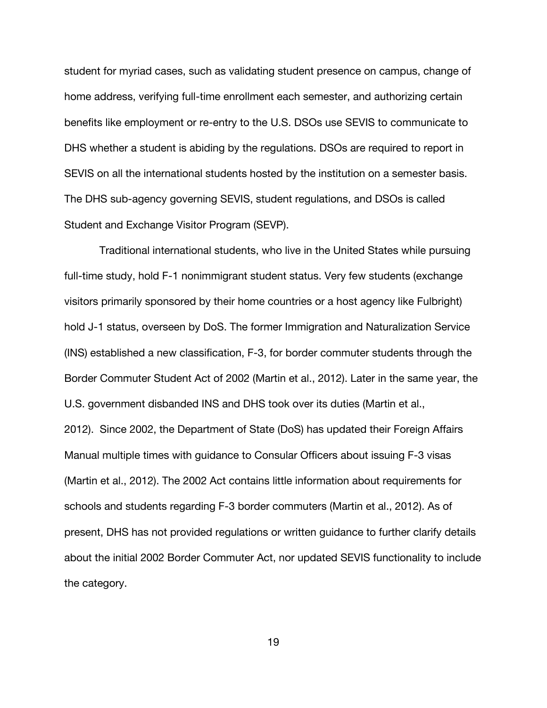student for myriad cases, such as validating student presence on campus, change of home address, verifying full-time enrollment each semester, and authorizing certain benefits like employment or re-entry to the U.S. DSOs use SEVIS to communicate to DHS whether a student is abiding by the regulations. DSOs are required to report in SEVIS on all the international students hosted by the institution on a semester basis. The DHS sub-agency governing SEVIS, student regulations, and DSOs is called Student and Exchange Visitor Program (SEVP).

Traditional international students, who live in the United States while pursuing full-time study, hold F-1 nonimmigrant student status. Very few students (exchange visitors primarily sponsored by their home countries or a host agency like Fulbright) hold J-1 status, overseen by DoS. The former Immigration and Naturalization Service (INS) established a new classification, F-3, for border commuter students through the Border Commuter Student Act of 2002 (Martin et al., 2012). Later in the same year, the U.S. government disbanded INS and DHS took over its duties (Martin et al., 2012). Since 2002, the Department of State (DoS) has updated their Foreign Affairs Manual multiple times with guidance to Consular Officers about issuing F-3 visas (Martin et al., 2012). The 2002 Act contains little information about requirements for schools and students regarding F-3 border commuters (Martin et al., 2012). As of present, DHS has not provided regulations or written guidance to further clarify details about the initial 2002 Border Commuter Act, nor updated SEVIS functionality to include the category.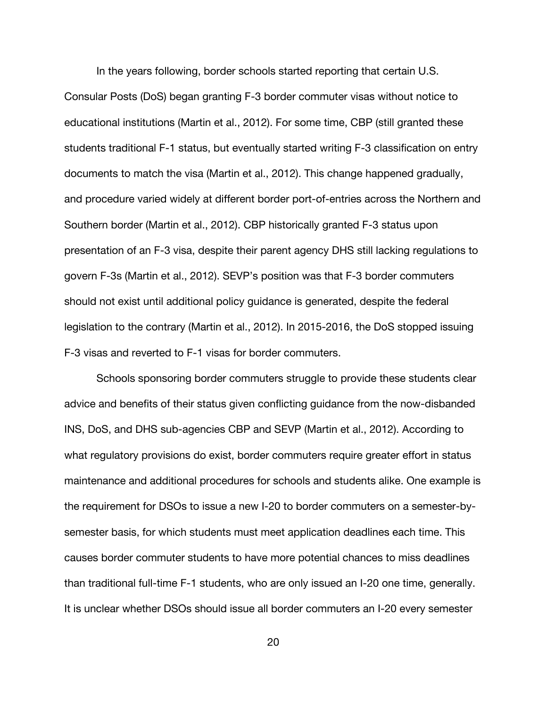In the years following, border schools started reporting that certain U.S. Consular Posts (DoS) began granting F-3 border commuter visas without notice to educational institutions (Martin et al., 2012). For some time, CBP (still granted these students traditional F-1 status, but eventually started writing F-3 classification on entry documents to match the visa (Martin et al., 2012). This change happened gradually, and procedure varied widely at different border port-of-entries across the Northern and Southern border (Martin et al., 2012). CBP historically granted F-3 status upon presentation of an F-3 visa, despite their parent agency DHS still lacking regulations to govern F-3s (Martin et al., 2012). SEVP's position was that F-3 border commuters should not exist until additional policy guidance is generated, despite the federal legislation to the contrary (Martin et al., 2012). In 2015-2016, the DoS stopped issuing F-3 visas and reverted to F-1 visas for border commuters.

Schools sponsoring border commuters struggle to provide these students clear advice and benefits of their status given conflicting guidance from the now-disbanded INS, DoS, and DHS sub-agencies CBP and SEVP (Martin et al., 2012). According to what regulatory provisions do exist, border commuters require greater effort in status maintenance and additional procedures for schools and students alike. One example is the requirement for DSOs to issue a new I-20 to border commuters on a semester-bysemester basis, for which students must meet application deadlines each time. This causes border commuter students to have more potential chances to miss deadlines than traditional full-time F-1 students, who are only issued an I-20 one time, generally. It is unclear whether DSOs should issue all border commuters an I-20 every semester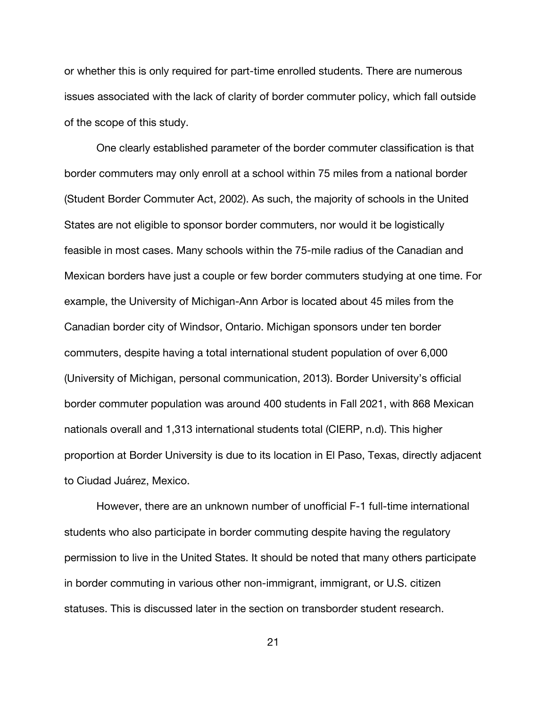or whether this is only required for part-time enrolled students. There are numerous issues associated with the lack of clarity of border commuter policy, which fall outside of the scope of this study.

One clearly established parameter of the border commuter classification is that border commuters may only enroll at a school within 75 miles from a national border (Student Border Commuter Act, 2002). As such, the majority of schools in the United States are not eligible to sponsor border commuters, nor would it be logistically feasible in most cases. Many schools within the 75-mile radius of the Canadian and Mexican borders have just a couple or few border commuters studying at one time. For example, the University of Michigan-Ann Arbor is located about 45 miles from the Canadian border city of Windsor, Ontario. Michigan sponsors under ten border commuters, despite having a total international student population of over 6,000 (University of Michigan, personal communication, 2013). Border University's official border commuter population was around 400 students in Fall 2021, with 868 Mexican nationals overall and 1,313 international students total (CIERP, n.d). This higher proportion at Border University is due to its location in El Paso, Texas, directly adjacent to Ciudad Juárez, Mexico.

However, there are an unknown number of unofficial F-1 full-time international students who also participate in border commuting despite having the regulatory permission to live in the United States. It should be noted that many others participate in border commuting in various other non-immigrant, immigrant, or U.S. citizen statuses. This is discussed later in the section on transborder student research.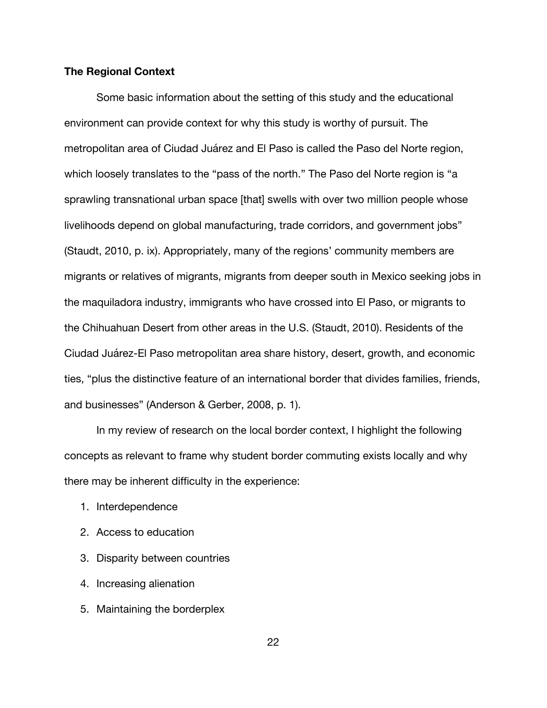### **The Regional Context**

Some basic information about the setting of this study and the educational environment can provide context for why this study is worthy of pursuit. The metropolitan area of Ciudad Juárez and El Paso is called the Paso del Norte region, which loosely translates to the "pass of the north." The Paso del Norte region is "a sprawling transnational urban space [that] swells with over two million people whose livelihoods depend on global manufacturing, trade corridors, and government jobs" (Staudt, 2010, p. ix). Appropriately, many of the regions' community members are migrants or relatives of migrants, migrants from deeper south in Mexico seeking jobs in the maquiladora industry, immigrants who have crossed into El Paso, or migrants to the Chihuahuan Desert from other areas in the U.S. (Staudt, 2010). Residents of the Ciudad Juárez-El Paso metropolitan area share history, desert, growth, and economic ties, "plus the distinctive feature of an international border that divides families, friends, and businesses" (Anderson & Gerber, 2008, p. 1).

In my review of research on the local border context, I highlight the following concepts as relevant to frame why student border commuting exists locally and why there may be inherent difficulty in the experience:

- 1. Interdependence
- 2. Access to education
- 3. Disparity between countries
- 4. Increasing alienation
- 5. Maintaining the borderplex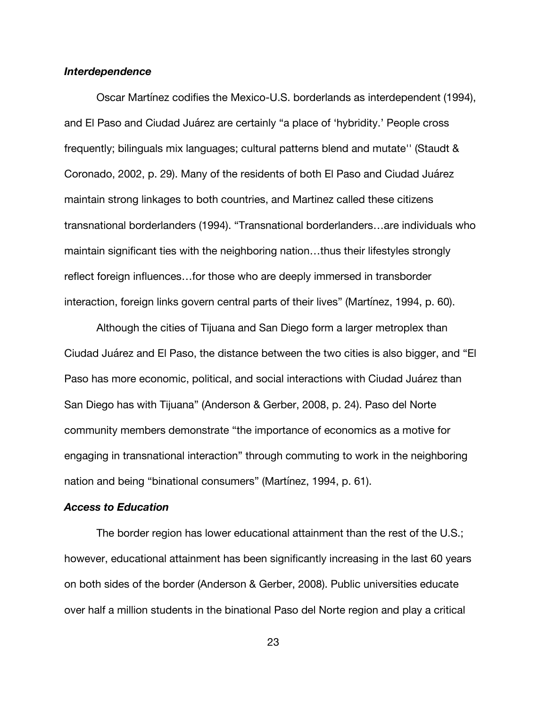### *Interdependence*

Oscar Martínez codifies the Mexico-U.S. borderlands as interdependent (1994), and El Paso and Ciudad Juárez are certainly "a place of 'hybridity.' People cross frequently; bilinguals mix languages; cultural patterns blend and mutate'' (Staudt & Coronado, 2002, p. 29). Many of the residents of both El Paso and Ciudad Juárez maintain strong linkages to both countries, and Martinez called these citizens transnational borderlanders (1994). "Transnational borderlanders…are individuals who maintain significant ties with the neighboring nation…thus their lifestyles strongly reflect foreign influences…for those who are deeply immersed in transborder interaction, foreign links govern central parts of their lives" (Martínez, 1994, p. 60).

Although the cities of Tijuana and San Diego form a larger metroplex than Ciudad Juárez and El Paso, the distance between the two cities is also bigger, and "El Paso has more economic, political, and social interactions with Ciudad Juárez than San Diego has with Tijuana" (Anderson & Gerber, 2008, p. 24). Paso del Norte community members demonstrate "the importance of economics as a motive for engaging in transnational interaction" through commuting to work in the neighboring nation and being "binational consumers" (Martínez, 1994, p. 61).

# *Access to Education*

The border region has lower educational attainment than the rest of the U.S.; however, educational attainment has been significantly increasing in the last 60 years on both sides of the border (Anderson & Gerber, 2008). Public universities educate over half a million students in the binational Paso del Norte region and play a critical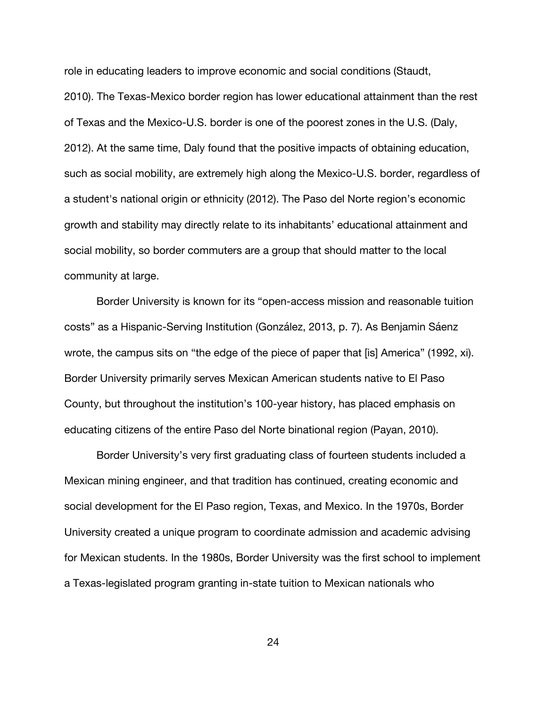role in educating leaders to improve economic and social conditions (Staudt, 2010). The Texas-Mexico border region has lower educational attainment than the rest of Texas and the Mexico-U.S. border is one of the poorest zones in the U.S. (Daly, 2012). At the same time, Daly found that the positive impacts of obtaining education, such as social mobility, are extremely high along the Mexico-U.S. border, regardless of a student's national origin or ethnicity (2012). The Paso del Norte region's economic growth and stability may directly relate to its inhabitants' educational attainment and social mobility, so border commuters are a group that should matter to the local community at large.

Border University is known for its "open-access mission and reasonable tuition costs" as a Hispanic-Serving Institution (González, 2013, p. 7). As Benjamin Sáenz wrote, the campus sits on "the edge of the piece of paper that [is] America" (1992, xi). Border University primarily serves Mexican American students native to El Paso County, but throughout the institution's 100-year history, has placed emphasis on educating citizens of the entire Paso del Norte binational region (Payan, 2010).

Border University's very first graduating class of fourteen students included a Mexican mining engineer, and that tradition has continued, creating economic and social development for the El Paso region, Texas, and Mexico. In the 1970s, Border University created a unique program to coordinate admission and academic advising for Mexican students. In the 1980s, Border University was the first school to implement a Texas-legislated program granting in-state tuition to Mexican nationals who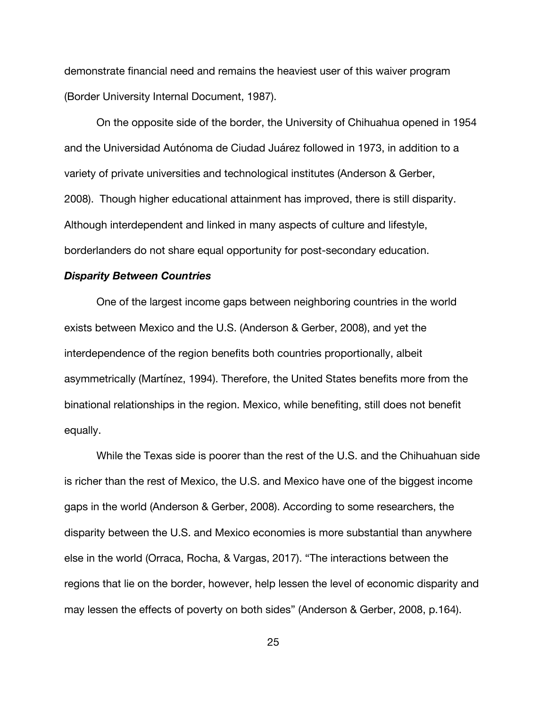demonstrate financial need and remains the heaviest user of this waiver program (Border University Internal Document, 1987).

On the opposite side of the border, the University of Chihuahua opened in 1954 and the Universidad Autónoma de Ciudad Juárez followed in 1973, in addition to a variety of private universities and technological institutes (Anderson & Gerber, 2008). Though higher educational attainment has improved, there is still disparity. Although interdependent and linked in many aspects of culture and lifestyle, borderlanders do not share equal opportunity for post-secondary education.

### *Disparity Between Countries*

One of the largest income gaps between neighboring countries in the world exists between Mexico and the U.S. (Anderson & Gerber, 2008), and yet the interdependence of the region benefits both countries proportionally, albeit asymmetrically (Martínez, 1994). Therefore, the United States benefits more from the binational relationships in the region. Mexico, while benefiting, still does not benefit equally.

While the Texas side is poorer than the rest of the U.S. and the Chihuahuan side is richer than the rest of Mexico, the U.S. and Mexico have one of the biggest income gaps in the world (Anderson & Gerber, 2008). According to some researchers, the disparity between the U.S. and Mexico economies is more substantial than anywhere else in the world (Orraca, Rocha, & Vargas, 2017). "The interactions between the regions that lie on the border, however, help lessen the level of economic disparity and may lessen the effects of poverty on both sides" (Anderson & Gerber, 2008, p.164).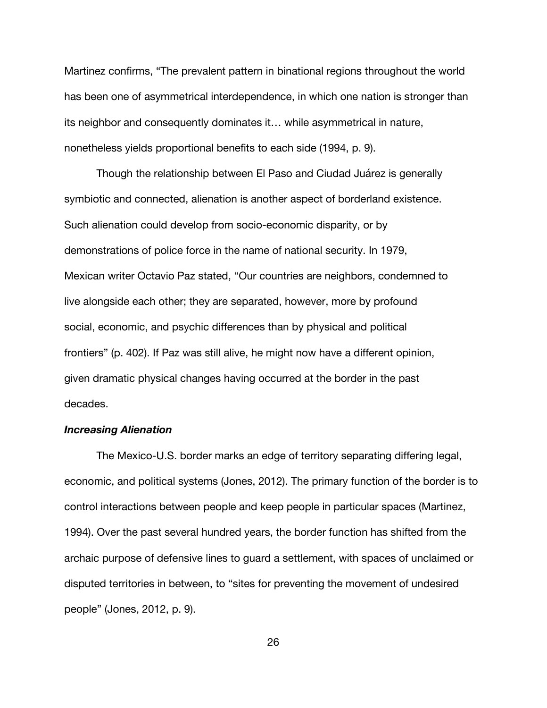Martinez confirms, "The prevalent pattern in binational regions throughout the world has been one of asymmetrical interdependence, in which one nation is stronger than its neighbor and consequently dominates it… while asymmetrical in nature, nonetheless yields proportional benefits to each side (1994, p. 9).

Though the relationship between El Paso and Ciudad Juárez is generally symbiotic and connected, alienation is another aspect of borderland existence. Such alienation could develop from socio-economic disparity, or by demonstrations of police force in the name of national security. In 1979, Mexican writer Octavio Paz stated, "Our countries are neighbors, condemned to live alongside each other; they are separated, however, more by profound social, economic, and psychic differences than by physical and political frontiers" (p. 402). If Paz was still alive, he might now have a different opinion, given dramatic physical changes having occurred at the border in the past decades.

### *Increasing Alienation*

The Mexico-U.S. border marks an edge of territory separating differing legal, economic, and political systems (Jones, 2012). The primary function of the border is to control interactions between people and keep people in particular spaces (Martinez, 1994). Over the past several hundred years, the border function has shifted from the archaic purpose of defensive lines to guard a settlement, with spaces of unclaimed or disputed territories in between, to "sites for preventing the movement of undesired people" (Jones, 2012, p. 9).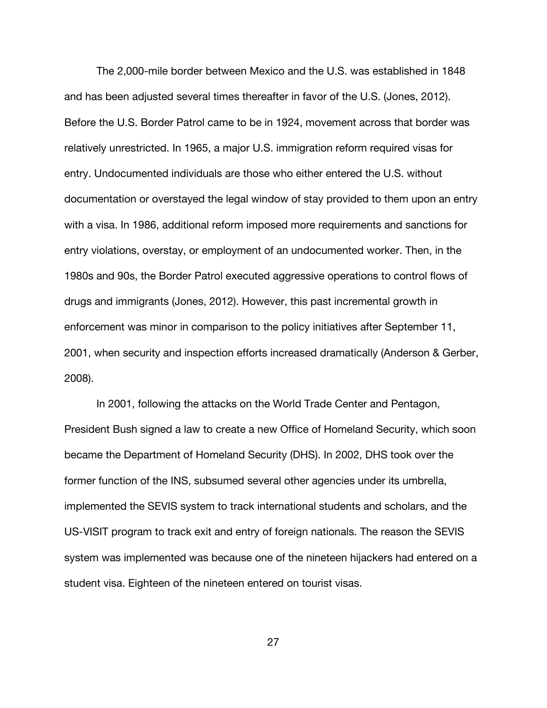The 2,000-mile border between Mexico and the U.S. was established in 1848 and has been adjusted several times thereafter in favor of the U.S. (Jones, 2012). Before the U.S. Border Patrol came to be in 1924, movement across that border was relatively unrestricted. In 1965, a major U.S. immigration reform required visas for entry. Undocumented individuals are those who either entered the U.S. without documentation or overstayed the legal window of stay provided to them upon an entry with a visa. In 1986, additional reform imposed more requirements and sanctions for entry violations, overstay, or employment of an undocumented worker. Then, in the 1980s and 90s, the Border Patrol executed aggressive operations to control flows of drugs and immigrants (Jones, 2012). However, this past incremental growth in enforcement was minor in comparison to the policy initiatives after September 11, 2001, when security and inspection efforts increased dramatically (Anderson & Gerber, 2008).

In 2001, following the attacks on the World Trade Center and Pentagon, President Bush signed a law to create a new Office of Homeland Security, which soon became the Department of Homeland Security (DHS). In 2002, DHS took over the former function of the INS, subsumed several other agencies under its umbrella, implemented the SEVIS system to track international students and scholars, and the US-VISIT program to track exit and entry of foreign nationals. The reason the SEVIS system was implemented was because one of the nineteen hijackers had entered on a student visa. Eighteen of the nineteen entered on tourist visas.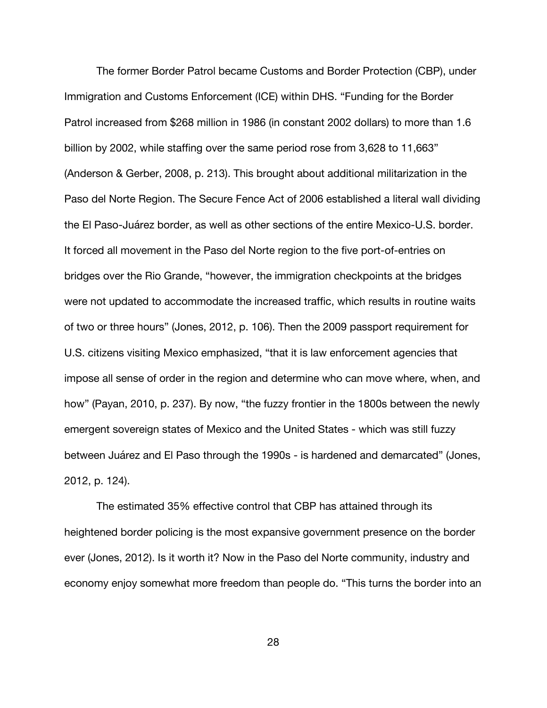The former Border Patrol became Customs and Border Protection (CBP), under Immigration and Customs Enforcement (ICE) within DHS. "Funding for the Border Patrol increased from \$268 million in 1986 (in constant 2002 dollars) to more than 1.6 billion by 2002, while staffing over the same period rose from 3,628 to 11,663" (Anderson & Gerber, 2008, p. 213). This brought about additional militarization in the Paso del Norte Region. The Secure Fence Act of 2006 established a literal wall dividing the El Paso-Juárez border, as well as other sections of the entire Mexico-U.S. border. It forced all movement in the Paso del Norte region to the five port-of-entries on bridges over the Rio Grande, "however, the immigration checkpoints at the bridges were not updated to accommodate the increased traffic, which results in routine waits of two or three hours" (Jones, 2012, p. 106). Then the 2009 passport requirement for U.S. citizens visiting Mexico emphasized, "that it is law enforcement agencies that impose all sense of order in the region and determine who can move where, when, and how" (Payan, 2010, p. 237). By now, "the fuzzy frontier in the 1800s between the newly emergent sovereign states of Mexico and the United States - which was still fuzzy between Juárez and El Paso through the 1990s - is hardened and demarcated" (Jones, 2012, p. 124).

The estimated 35% effective control that CBP has attained through its heightened border policing is the most expansive government presence on the border ever (Jones, 2012). Is it worth it? Now in the Paso del Norte community, industry and economy enjoy somewhat more freedom than people do. "This turns the border into an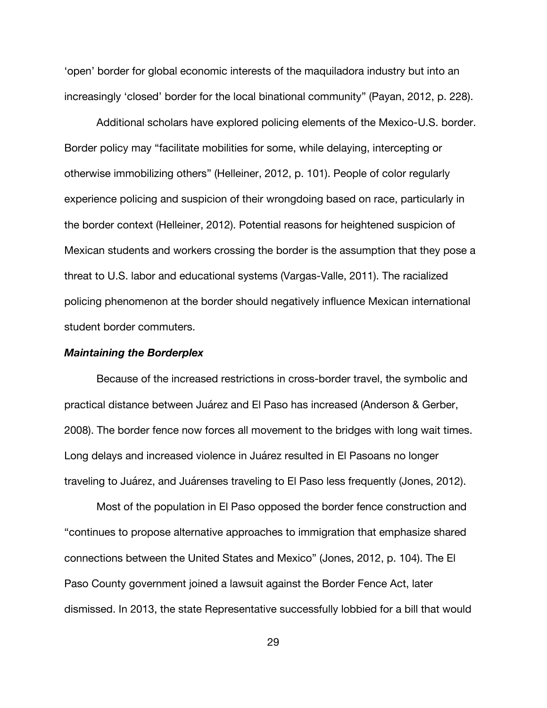'open' border for global economic interests of the maquiladora industry but into an increasingly 'closed' border for the local binational community" (Payan, 2012, p. 228).

Additional scholars have explored policing elements of the Mexico-U.S. border. Border policy may "facilitate mobilities for some, while delaying, intercepting or otherwise immobilizing others" (Helleiner, 2012, p. 101). People of color regularly experience policing and suspicion of their wrongdoing based on race, particularly in the border context (Helleiner, 2012). Potential reasons for heightened suspicion of Mexican students and workers crossing the border is the assumption that they pose a threat to U.S. labor and educational systems (Vargas-Valle, 2011). The racialized policing phenomenon at the border should negatively influence Mexican international student border commuters.

#### *Maintaining the Borderplex*

Because of the increased restrictions in cross-border travel, the symbolic and practical distance between Juárez and El Paso has increased (Anderson & Gerber, 2008). The border fence now forces all movement to the bridges with long wait times. Long delays and increased violence in Juárez resulted in El Pasoans no longer traveling to Juárez, and Juárenses traveling to El Paso less frequently (Jones, 2012).

Most of the population in El Paso opposed the border fence construction and "continues to propose alternative approaches to immigration that emphasize shared connections between the United States and Mexico" (Jones, 2012, p. 104). The El Paso County government joined a lawsuit against the Border Fence Act, later dismissed. In 2013, the state Representative successfully lobbied for a bill that would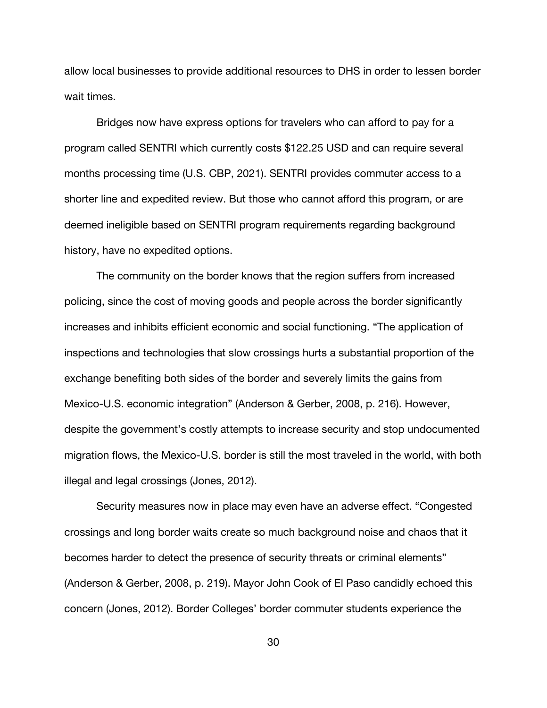allow local businesses to provide additional resources to DHS in order to lessen border wait times.

Bridges now have express options for travelers who can afford to pay for a program called SENTRI which currently costs \$122.25 USD and can require several months processing time (U.S. CBP, 2021). SENTRI provides commuter access to a shorter line and expedited review. But those who cannot afford this program, or are deemed ineligible based on SENTRI program requirements regarding background history, have no expedited options.

The community on the border knows that the region suffers from increased policing, since the cost of moving goods and people across the border significantly increases and inhibits efficient economic and social functioning. "The application of inspections and technologies that slow crossings hurts a substantial proportion of the exchange benefiting both sides of the border and severely limits the gains from Mexico-U.S. economic integration" (Anderson & Gerber, 2008, p. 216). However, despite the government's costly attempts to increase security and stop undocumented migration flows, the Mexico-U.S. border is still the most traveled in the world, with both illegal and legal crossings (Jones, 2012).

Security measures now in place may even have an adverse effect. "Congested crossings and long border waits create so much background noise and chaos that it becomes harder to detect the presence of security threats or criminal elements" (Anderson & Gerber, 2008, p. 219). Mayor John Cook of El Paso candidly echoed this concern (Jones, 2012). Border Colleges' border commuter students experience the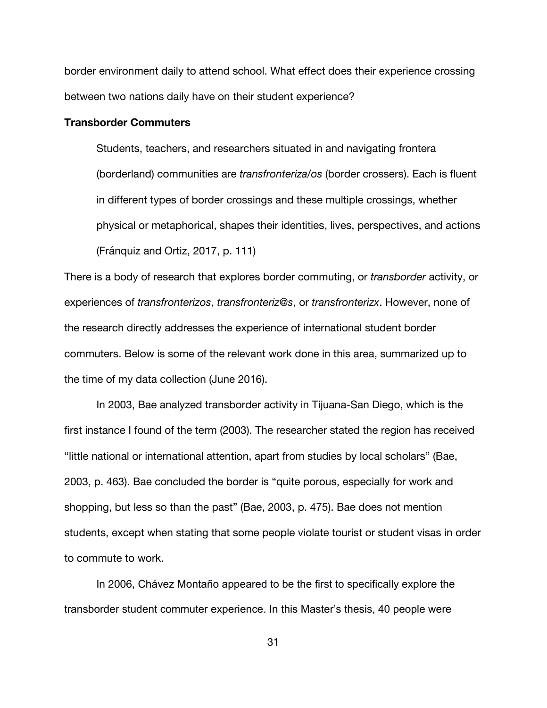border environment daily to attend school. What effect does their experience crossing between two nations daily have on their student experience?

#### **Transborder Commuters**

Students, teachers, and researchers situated in and navigating frontera (borderland) communities are *transfronteriza/os* (border crossers). Each is fluent in different types of border crossings and these multiple crossings, whether physical or metaphorical, shapes their identities, lives, perspectives, and actions (Fránquiz and Ortiz, 2017, p. 111)

There is a body of research that explores border commuting, or *transborder* activity, or experiences of *transfronterizos*, *transfronteriz@s*, or *transfronterizx*. However, none of the research directly addresses the experience of international student border commuters. Below is some of the relevant work done in this area, summarized up to the time of my data collection (June 2016).

In 2003, Bae analyzed transborder activity in Tijuana-San Diego, which is the first instance I found of the term (2003). The researcher stated the region has received "little national or international attention, apart from studies by local scholars" (Bae, 2003, p. 463). Bae concluded the border is "quite porous, especially for work and shopping, but less so than the past" (Bae, 2003, p. 475). Bae does not mention students, except when stating that some people violate tourist or student visas in order to commute to work.

In 2006, Chávez Montaño appeared to be the first to specifically explore the transborder student commuter experience. In this Master's thesis, 40 people were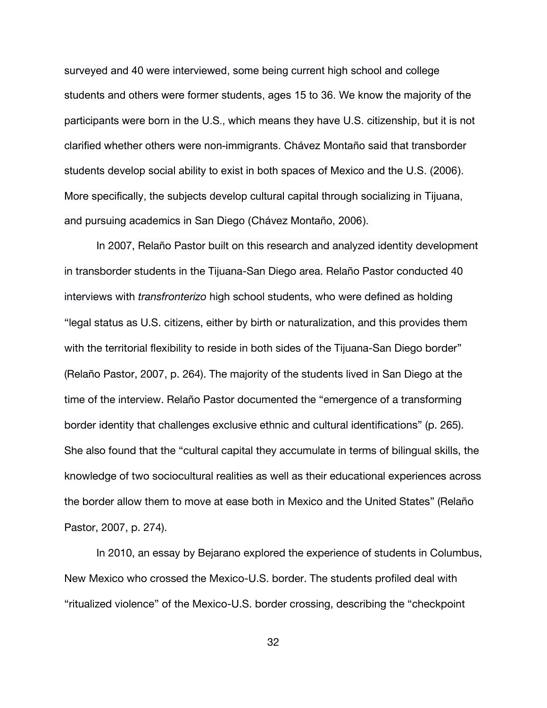surveyed and 40 were interviewed, some being current high school and college students and others were former students, ages 15 to 36. We know the majority of the participants were born in the U.S., which means they have U.S. citizenship, but it is not clarified whether others were non-immigrants. Chávez Montaño said that transborder students develop social ability to exist in both spaces of Mexico and the U.S. (2006). More specifically, the subjects develop cultural capital through socializing in Tijuana, and pursuing academics in San Diego (Chávez Montaño, 2006).

In 2007, Relaño Pastor built on this research and analyzed identity development in transborder students in the Tijuana-San Diego area. Relaño Pastor conducted 40 interviews with *transfronterizo* high school students, who were defined as holding "legal status as U.S. citizens, either by birth or naturalization, and this provides them with the territorial flexibility to reside in both sides of the Tijuana-San Diego border" (Relaño Pastor, 2007, p. 264). The majority of the students lived in San Diego at the time of the interview. Relaño Pastor documented the "emergence of a transforming border identity that challenges exclusive ethnic and cultural identifications" (p. 265). She also found that the "cultural capital they accumulate in terms of bilingual skills, the knowledge of two sociocultural realities as well as their educational experiences across the border allow them to move at ease both in Mexico and the United States" (Relaño Pastor, 2007, p. 274).

In 2010, an essay by Bejarano explored the experience of students in Columbus, New Mexico who crossed the Mexico-U.S. border. The students profiled deal with "ritualized violence" of the Mexico-U.S. border crossing, describing the "checkpoint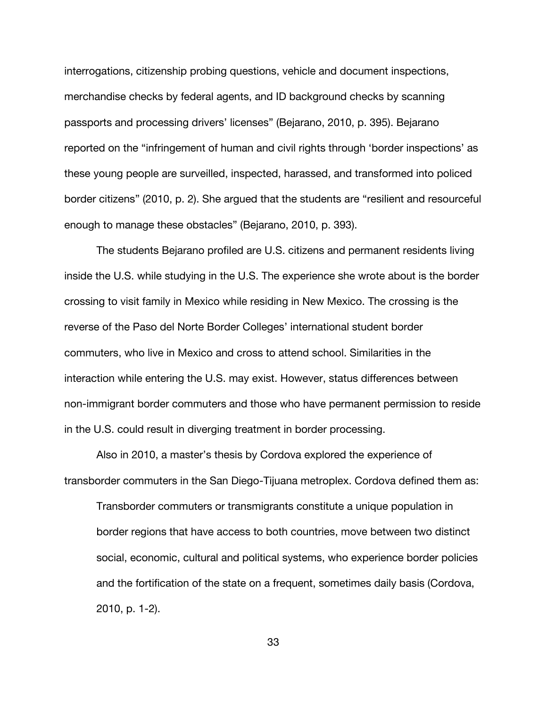interrogations, citizenship probing questions, vehicle and document inspections, merchandise checks by federal agents, and ID background checks by scanning passports and processing drivers' licenses" (Bejarano, 2010, p. 395). Bejarano reported on the "infringement of human and civil rights through 'border inspections' as these young people are surveilled, inspected, harassed, and transformed into policed border citizens" (2010, p. 2). She argued that the students are "resilient and resourceful enough to manage these obstacles" (Bejarano, 2010, p. 393).

The students Bejarano profiled are U.S. citizens and permanent residents living inside the U.S. while studying in the U.S. The experience she wrote about is the border crossing to visit family in Mexico while residing in New Mexico. The crossing is the reverse of the Paso del Norte Border Colleges' international student border commuters, who live in Mexico and cross to attend school. Similarities in the interaction while entering the U.S. may exist. However, status differences between non-immigrant border commuters and those who have permanent permission to reside in the U.S. could result in diverging treatment in border processing.

Also in 2010, a master's thesis by Cordova explored the experience of transborder commuters in the San Diego-Tijuana metroplex. Cordova defined them as:

Transborder commuters or transmigrants constitute a unique population in border regions that have access to both countries, move between two distinct social, economic, cultural and political systems, who experience border policies and the fortification of the state on a frequent, sometimes daily basis (Cordova, 2010, p. 1-2).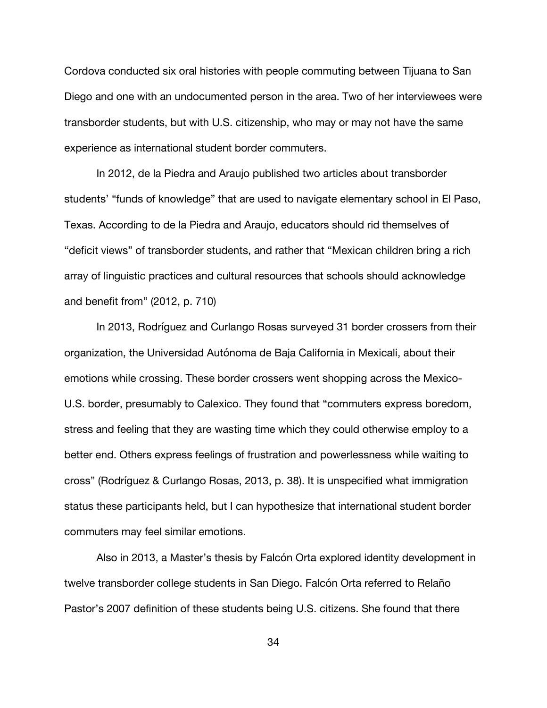Cordova conducted six oral histories with people commuting between Tijuana to San Diego and one with an undocumented person in the area. Two of her interviewees were transborder students, but with U.S. citizenship, who may or may not have the same experience as international student border commuters.

In 2012, de la Piedra and Araujo published two articles about transborder students' "funds of knowledge" that are used to navigate elementary school in El Paso, Texas. According to de la Piedra and Araujo, educators should rid themselves of "deficit views" of transborder students, and rather that "Mexican children bring a rich array of linguistic practices and cultural resources that schools should acknowledge and benefit from" (2012, p. 710)

In 2013, Rodríguez and Curlango Rosas surveyed 31 border crossers from their organization, the Universidad Autónoma de Baja California in Mexicali, about their emotions while crossing. These border crossers went shopping across the Mexico-U.S. border, presumably to Calexico. They found that "commuters express boredom, stress and feeling that they are wasting time which they could otherwise employ to a better end. Others express feelings of frustration and powerlessness while waiting to cross" (Rodríguez & Curlango Rosas, 2013, p. 38). It is unspecified what immigration status these participants held, but I can hypothesize that international student border commuters may feel similar emotions.

Also in 2013, a Master's thesis by Falcón Orta explored identity development in twelve transborder college students in San Diego. Falcón Orta referred to Relaño Pastor's 2007 definition of these students being U.S. citizens. She found that there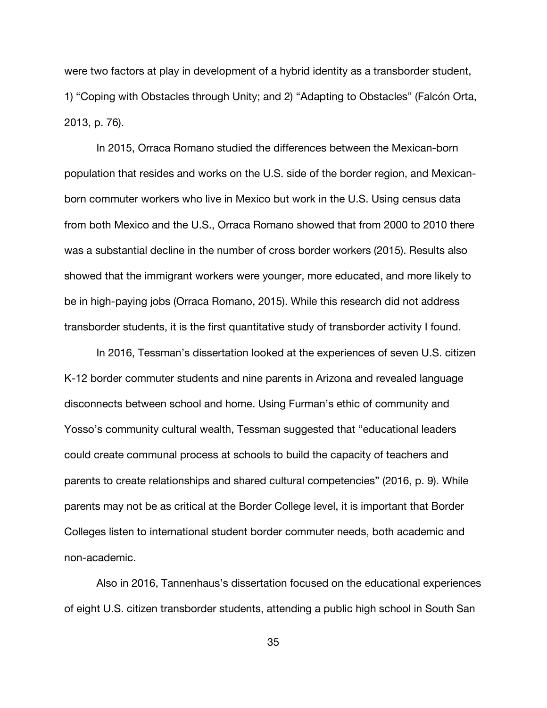were two factors at play in development of a hybrid identity as a transborder student, 1) "Coping with Obstacles through Unity; and 2) "Adapting to Obstacles" (Falcón Orta, 2013, p. 76).

In 2015, Orraca Romano studied the differences between the Mexican-born population that resides and works on the U.S. side of the border region, and Mexicanborn commuter workers who live in Mexico but work in the U.S. Using census data from both Mexico and the U.S., Orraca Romano showed that from 2000 to 2010 there was a substantial decline in the number of cross border workers (2015). Results also showed that the immigrant workers were younger, more educated, and more likely to be in high-paying jobs (Orraca Romano, 2015). While this research did not address transborder students, it is the first quantitative study of transborder activity I found.

In 2016, Tessman's dissertation looked at the experiences of seven U.S. citizen K-12 border commuter students and nine parents in Arizona and revealed language disconnects between school and home. Using Furman's ethic of community and Yosso's community cultural wealth, Tessman suggested that "educational leaders could create communal process at schools to build the capacity of teachers and parents to create relationships and shared cultural competencies" (2016, p. 9). While parents may not be as critical at the Border College level, it is important that Border Colleges listen to international student border commuter needs, both academic and non-academic.

Also in 2016, Tannenhaus's dissertation focused on the educational experiences of eight U.S. citizen transborder students, attending a public high school in South San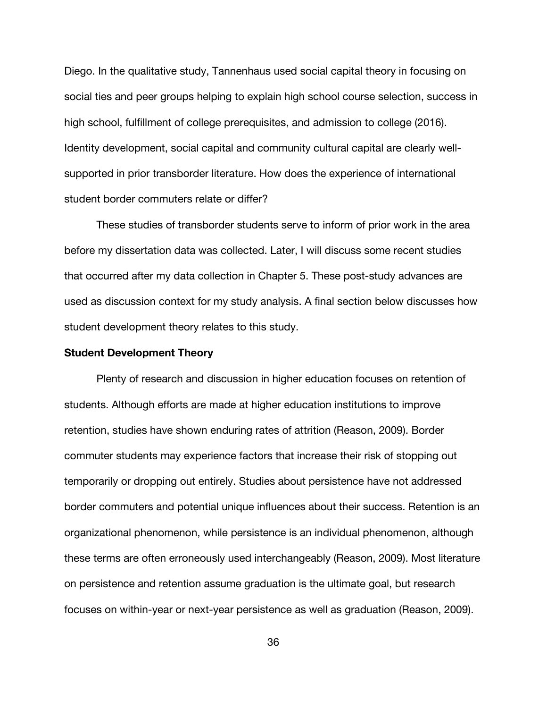Diego. In the qualitative study, Tannenhaus used social capital theory in focusing on social ties and peer groups helping to explain high school course selection, success in high school, fulfillment of college prerequisites, and admission to college (2016). Identity development, social capital and community cultural capital are clearly wellsupported in prior transborder literature. How does the experience of international student border commuters relate or differ?

These studies of transborder students serve to inform of prior work in the area before my dissertation data was collected. Later, I will discuss some recent studies that occurred after my data collection in Chapter 5. These post-study advances are used as discussion context for my study analysis. A final section below discusses how student development theory relates to this study.

### **Student Development Theory**

Plenty of research and discussion in higher education focuses on retention of students. Although efforts are made at higher education institutions to improve retention, studies have shown enduring rates of attrition (Reason, 2009). Border commuter students may experience factors that increase their risk of stopping out temporarily or dropping out entirely. Studies about persistence have not addressed border commuters and potential unique influences about their success. Retention is an organizational phenomenon, while persistence is an individual phenomenon, although these terms are often erroneously used interchangeably (Reason, 2009). Most literature on persistence and retention assume graduation is the ultimate goal, but research focuses on within-year or next-year persistence as well as graduation (Reason, 2009).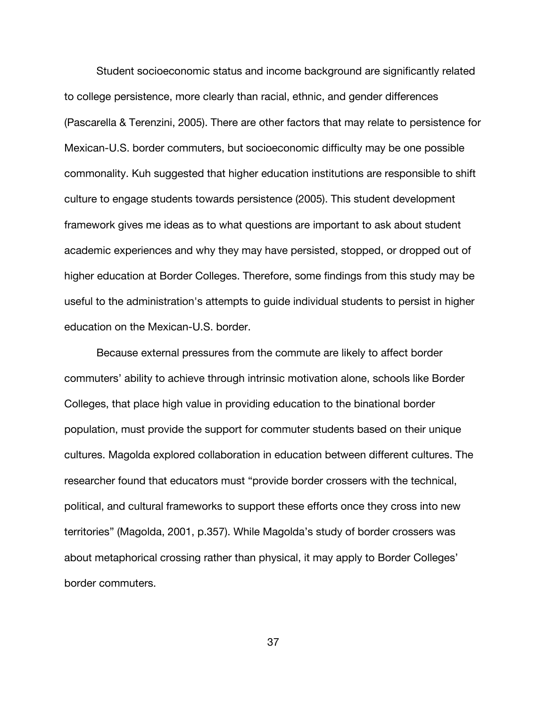Student socioeconomic status and income background are significantly related to college persistence, more clearly than racial, ethnic, and gender differences (Pascarella & Terenzini, 2005). There are other factors that may relate to persistence for Mexican-U.S. border commuters, but socioeconomic difficulty may be one possible commonality. Kuh suggested that higher education institutions are responsible to shift culture to engage students towards persistence (2005). This student development framework gives me ideas as to what questions are important to ask about student academic experiences and why they may have persisted, stopped, or dropped out of higher education at Border Colleges. Therefore, some findings from this study may be useful to the administration's attempts to guide individual students to persist in higher education on the Mexican-U.S. border.

Because external pressures from the commute are likely to affect border commuters' ability to achieve through intrinsic motivation alone, schools like Border Colleges, that place high value in providing education to the binational border population, must provide the support for commuter students based on their unique cultures. Magolda explored collaboration in education between different cultures. The researcher found that educators must "provide border crossers with the technical, political, and cultural frameworks to support these efforts once they cross into new territories" (Magolda, 2001, p.357). While Magolda's study of border crossers was about metaphorical crossing rather than physical, it may apply to Border Colleges' border commuters.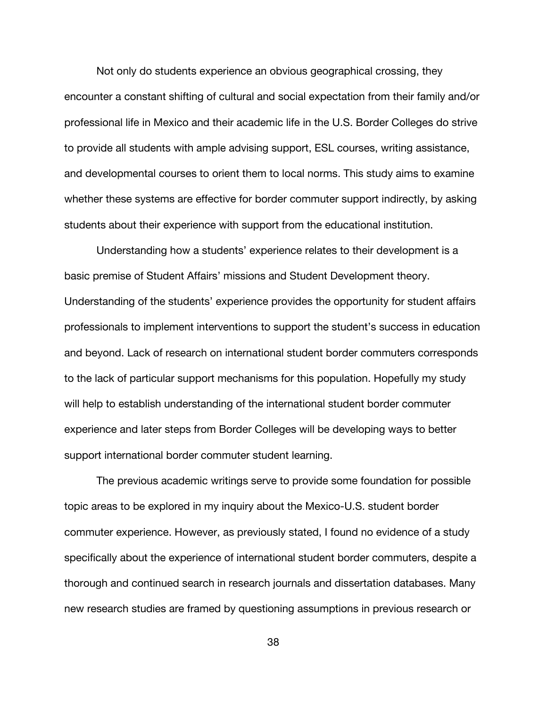Not only do students experience an obvious geographical crossing, they encounter a constant shifting of cultural and social expectation from their family and/or professional life in Mexico and their academic life in the U.S. Border Colleges do strive to provide all students with ample advising support, ESL courses, writing assistance, and developmental courses to orient them to local norms. This study aims to examine whether these systems are effective for border commuter support indirectly, by asking students about their experience with support from the educational institution.

Understanding how a students' experience relates to their development is a basic premise of Student Affairs' missions and Student Development theory. Understanding of the students' experience provides the opportunity for student affairs professionals to implement interventions to support the student's success in education and beyond. Lack of research on international student border commuters corresponds to the lack of particular support mechanisms for this population. Hopefully my study will help to establish understanding of the international student border commuter experience and later steps from Border Colleges will be developing ways to better support international border commuter student learning.

The previous academic writings serve to provide some foundation for possible topic areas to be explored in my inquiry about the Mexico-U.S. student border commuter experience. However, as previously stated, I found no evidence of a study specifically about the experience of international student border commuters, despite a thorough and continued search in research journals and dissertation databases. Many new research studies are framed by questioning assumptions in previous research or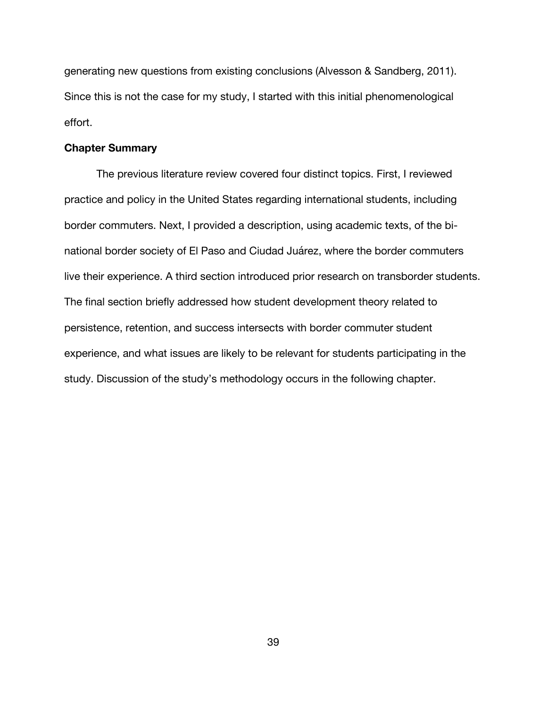generating new questions from existing conclusions (Alvesson & Sandberg, 2011). Since this is not the case for my study, I started with this initial phenomenological effort.

### **Chapter Summary**

The previous literature review covered four distinct topics. First, I reviewed practice and policy in the United States regarding international students, including border commuters. Next, I provided a description, using academic texts, of the binational border society of El Paso and Ciudad Juárez, where the border commuters live their experience. A third section introduced prior research on transborder students. The final section briefly addressed how student development theory related to persistence, retention, and success intersects with border commuter student experience, and what issues are likely to be relevant for students participating in the study. Discussion of the study's methodology occurs in the following chapter.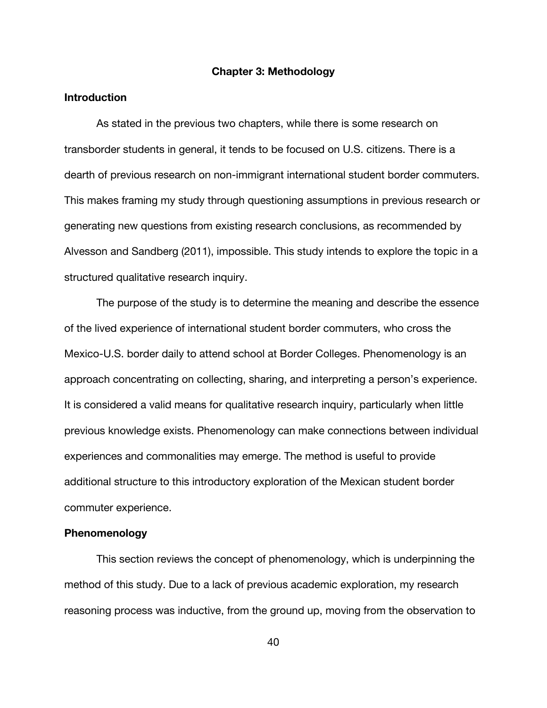#### **Chapter 3: Methodology**

### **Introduction**

As stated in the previous two chapters, while there is some research on transborder students in general, it tends to be focused on U.S. citizens. There is a dearth of previous research on non-immigrant international student border commuters. This makes framing my study through questioning assumptions in previous research or generating new questions from existing research conclusions, as recommended by Alvesson and Sandberg (2011), impossible. This study intends to explore the topic in a structured qualitative research inquiry.

The purpose of the study is to determine the meaning and describe the essence of the lived experience of international student border commuters, who cross the Mexico-U.S. border daily to attend school at Border Colleges. Phenomenology is an approach concentrating on collecting, sharing, and interpreting a person's experience. It is considered a valid means for qualitative research inquiry, particularly when little previous knowledge exists. Phenomenology can make connections between individual experiences and commonalities may emerge. The method is useful to provide additional structure to this introductory exploration of the Mexican student border commuter experience.

### **Phenomenology**

This section reviews the concept of phenomenology, which is underpinning the method of this study. Due to a lack of previous academic exploration, my research reasoning process was inductive, from the ground up, moving from the observation to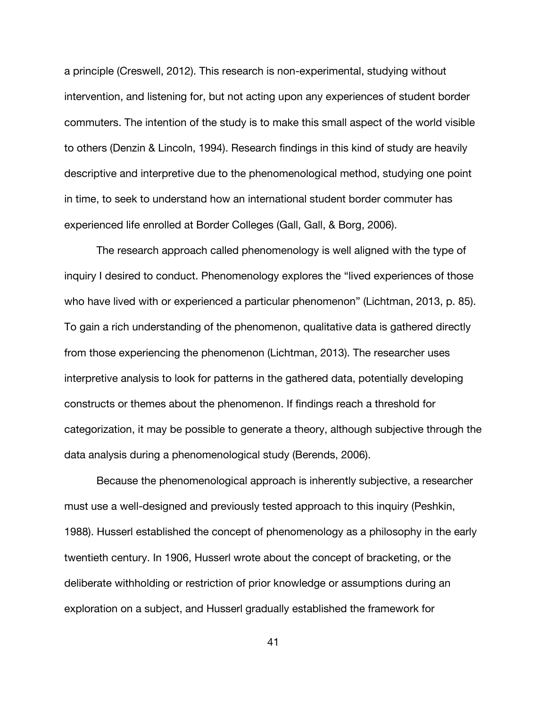a principle (Creswell, 2012). This research is non-experimental, studying without intervention, and listening for, but not acting upon any experiences of student border commuters. The intention of the study is to make this small aspect of the world visible to others (Denzin & Lincoln, 1994). Research findings in this kind of study are heavily descriptive and interpretive due to the phenomenological method, studying one point in time, to seek to understand how an international student border commuter has experienced life enrolled at Border Colleges (Gall, Gall, & Borg, 2006).

The research approach called phenomenology is well aligned with the type of inquiry I desired to conduct. Phenomenology explores the "lived experiences of those who have lived with or experienced a particular phenomenon" (Lichtman, 2013, p. 85). To gain a rich understanding of the phenomenon, qualitative data is gathered directly from those experiencing the phenomenon (Lichtman, 2013). The researcher uses interpretive analysis to look for patterns in the gathered data, potentially developing constructs or themes about the phenomenon. If findings reach a threshold for categorization, it may be possible to generate a theory, although subjective through the data analysis during a phenomenological study (Berends, 2006).

Because the phenomenological approach is inherently subjective, a researcher must use a well-designed and previously tested approach to this inquiry (Peshkin, 1988). Husserl established the concept of phenomenology as a philosophy in the early twentieth century. In 1906, Husserl wrote about the concept of bracketing, or the deliberate withholding or restriction of prior knowledge or assumptions during an exploration on a subject, and Husserl gradually established the framework for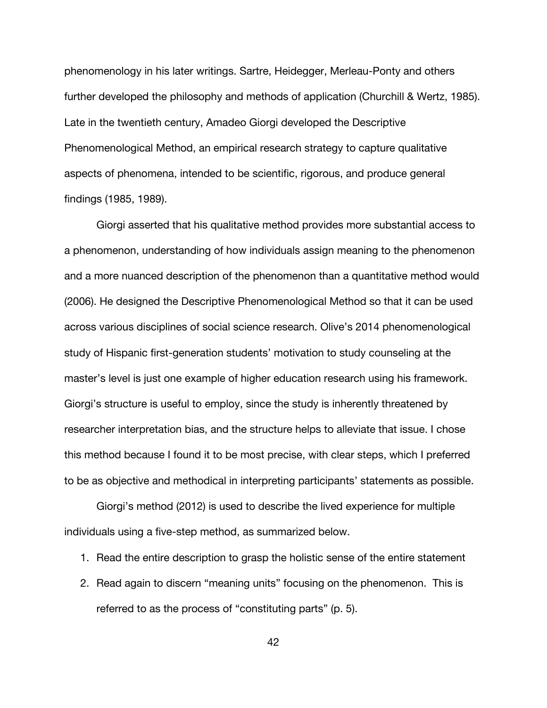phenomenology in his later writings. Sartre, Heidegger, Merleau-Ponty and others further developed the philosophy and methods of application (Churchill & Wertz, 1985). Late in the twentieth century, Amadeo Giorgi developed the Descriptive Phenomenological Method, an empirical research strategy to capture qualitative aspects of phenomena, intended to be scientific, rigorous, and produce general findings (1985, 1989).

Giorgi asserted that his qualitative method provides more substantial access to a phenomenon, understanding of how individuals assign meaning to the phenomenon and a more nuanced description of the phenomenon than a quantitative method would (2006). He designed the Descriptive Phenomenological Method so that it can be used across various disciplines of social science research. Olive's 2014 phenomenological study of Hispanic first-generation students' motivation to study counseling at the master's level is just one example of higher education research using his framework. Giorgi's structure is useful to employ, since the study is inherently threatened by researcher interpretation bias, and the structure helps to alleviate that issue. I chose this method because I found it to be most precise, with clear steps, which I preferred to be as objective and methodical in interpreting participants' statements as possible.

Giorgi's method (2012) is used to describe the lived experience for multiple individuals using a five-step method, as summarized below.

- 1. Read the entire description to grasp the holistic sense of the entire statement
- 2. Read again to discern "meaning units" focusing on the phenomenon. This is referred to as the process of "constituting parts" (p. 5).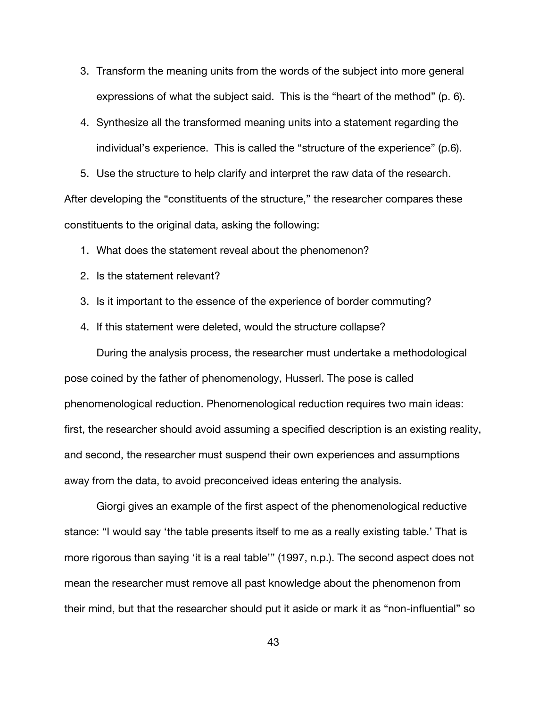- 3. Transform the meaning units from the words of the subject into more general expressions of what the subject said. This is the "heart of the method" (p. 6).
- 4. Synthesize all the transformed meaning units into a statement regarding the individual's experience. This is called the "structure of the experience" (p.6).

5. Use the structure to help clarify and interpret the raw data of the research. After developing the "constituents of the structure," the researcher compares these constituents to the original data, asking the following:

- 1. What does the statement reveal about the phenomenon?
- 2. Is the statement relevant?
- 3. Is it important to the essence of the experience of border commuting?
- 4. If this statement were deleted, would the structure collapse?

During the analysis process, the researcher must undertake a methodological pose coined by the father of phenomenology, Husserl. The pose is called phenomenological reduction. Phenomenological reduction requires two main ideas: first, the researcher should avoid assuming a specified description is an existing reality, and second, the researcher must suspend their own experiences and assumptions away from the data, to avoid preconceived ideas entering the analysis.

Giorgi gives an example of the first aspect of the phenomenological reductive stance: "I would say 'the table presents itself to me as a really existing table.' That is more rigorous than saying 'it is a real table'" (1997, n.p.). The second aspect does not mean the researcher must remove all past knowledge about the phenomenon from their mind, but that the researcher should put it aside or mark it as "non-influential" so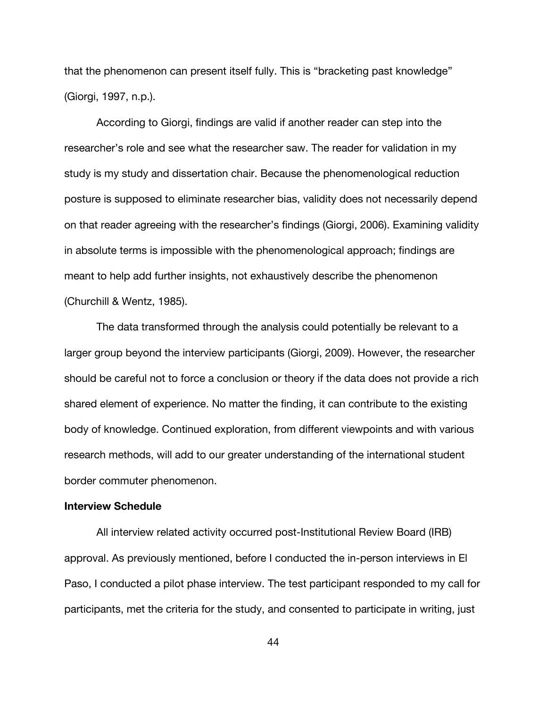that the phenomenon can present itself fully. This is "bracketing past knowledge" (Giorgi, 1997, n.p.).

According to Giorgi, findings are valid if another reader can step into the researcher's role and see what the researcher saw. The reader for validation in my study is my study and dissertation chair. Because the phenomenological reduction posture is supposed to eliminate researcher bias, validity does not necessarily depend on that reader agreeing with the researcher's findings (Giorgi, 2006). Examining validity in absolute terms is impossible with the phenomenological approach; findings are meant to help add further insights, not exhaustively describe the phenomenon (Churchill & Wentz, 1985).

The data transformed through the analysis could potentially be relevant to a larger group beyond the interview participants (Giorgi, 2009). However, the researcher should be careful not to force a conclusion or theory if the data does not provide a rich shared element of experience. No matter the finding, it can contribute to the existing body of knowledge. Continued exploration, from different viewpoints and with various research methods, will add to our greater understanding of the international student border commuter phenomenon.

# **Interview Schedule**

All interview related activity occurred post-Institutional Review Board (IRB) approval. As previously mentioned, before I conducted the in-person interviews in El Paso, I conducted a pilot phase interview. The test participant responded to my call for participants, met the criteria for the study, and consented to participate in writing, just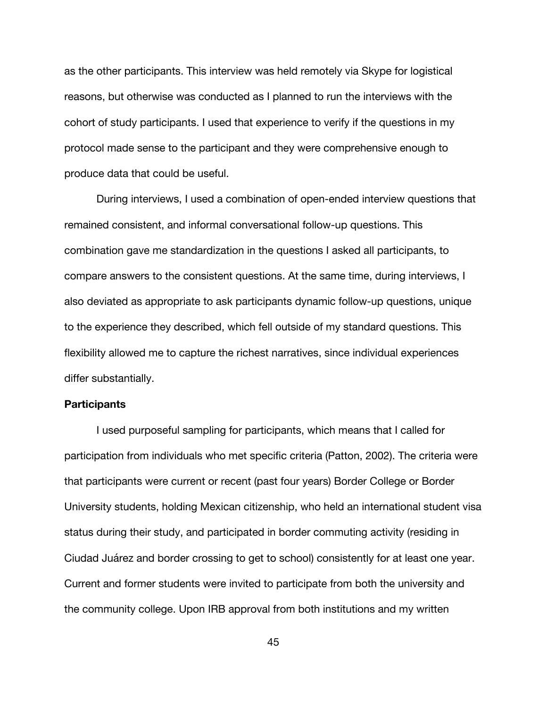as the other participants. This interview was held remotely via Skype for logistical reasons, but otherwise was conducted as I planned to run the interviews with the cohort of study participants. I used that experience to verify if the questions in my protocol made sense to the participant and they were comprehensive enough to produce data that could be useful.

During interviews, I used a combination of open-ended interview questions that remained consistent, and informal conversational follow-up questions. This combination gave me standardization in the questions I asked all participants, to compare answers to the consistent questions. At the same time, during interviews, I also deviated as appropriate to ask participants dynamic follow-up questions, unique to the experience they described, which fell outside of my standard questions. This flexibility allowed me to capture the richest narratives, since individual experiences differ substantially.

### **Participants**

I used purposeful sampling for participants, which means that I called for participation from individuals who met specific criteria (Patton, 2002). The criteria were that participants were current or recent (past four years) Border College or Border University students, holding Mexican citizenship, who held an international student visa status during their study, and participated in border commuting activity (residing in Ciudad Juárez and border crossing to get to school) consistently for at least one year. Current and former students were invited to participate from both the university and the community college. Upon IRB approval from both institutions and my written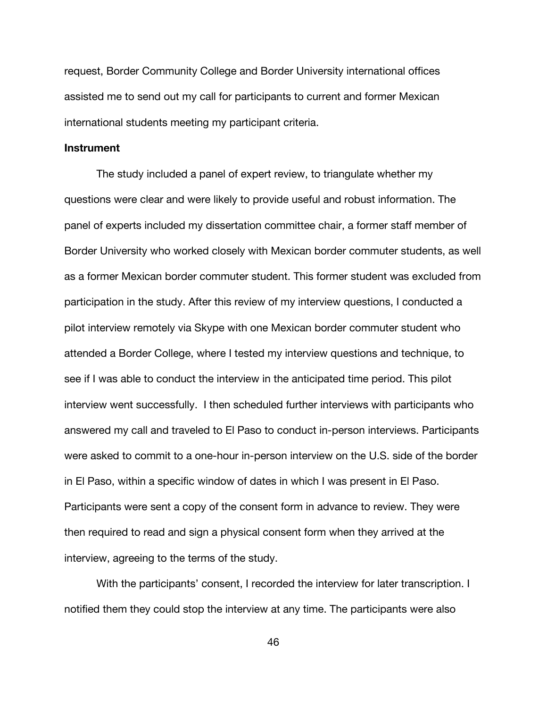request, Border Community College and Border University international offices assisted me to send out my call for participants to current and former Mexican international students meeting my participant criteria.

#### **Instrument**

The study included a panel of expert review, to triangulate whether my questions were clear and were likely to provide useful and robust information. The panel of experts included my dissertation committee chair, a former staff member of Border University who worked closely with Mexican border commuter students, as well as a former Mexican border commuter student. This former student was excluded from participation in the study. After this review of my interview questions, I conducted a pilot interview remotely via Skype with one Mexican border commuter student who attended a Border College, where I tested my interview questions and technique, to see if I was able to conduct the interview in the anticipated time period. This pilot interview went successfully. I then scheduled further interviews with participants who answered my call and traveled to El Paso to conduct in-person interviews. Participants were asked to commit to a one-hour in-person interview on the U.S. side of the border in El Paso, within a specific window of dates in which I was present in El Paso. Participants were sent a copy of the consent form in advance to review. They were then required to read and sign a physical consent form when they arrived at the interview, agreeing to the terms of the study.

With the participants' consent, I recorded the interview for later transcription. I notified them they could stop the interview at any time. The participants were also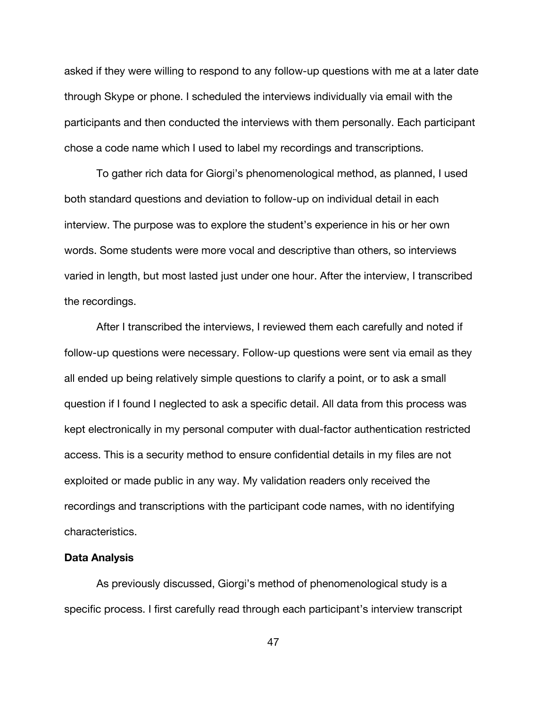asked if they were willing to respond to any follow-up questions with me at a later date through Skype or phone. I scheduled the interviews individually via email with the participants and then conducted the interviews with them personally. Each participant chose a code name which I used to label my recordings and transcriptions.

To gather rich data for Giorgi's phenomenological method, as planned, I used both standard questions and deviation to follow-up on individual detail in each interview. The purpose was to explore the student's experience in his or her own words. Some students were more vocal and descriptive than others, so interviews varied in length, but most lasted just under one hour. After the interview, I transcribed the recordings.

After I transcribed the interviews, I reviewed them each carefully and noted if follow-up questions were necessary. Follow-up questions were sent via email as they all ended up being relatively simple questions to clarify a point, or to ask a small question if I found I neglected to ask a specific detail. All data from this process was kept electronically in my personal computer with dual-factor authentication restricted access. This is a security method to ensure confidential details in my files are not exploited or made public in any way. My validation readers only received the recordings and transcriptions with the participant code names, with no identifying characteristics.

### **Data Analysis**

As previously discussed, Giorgi's method of phenomenological study is a specific process. I first carefully read through each participant's interview transcript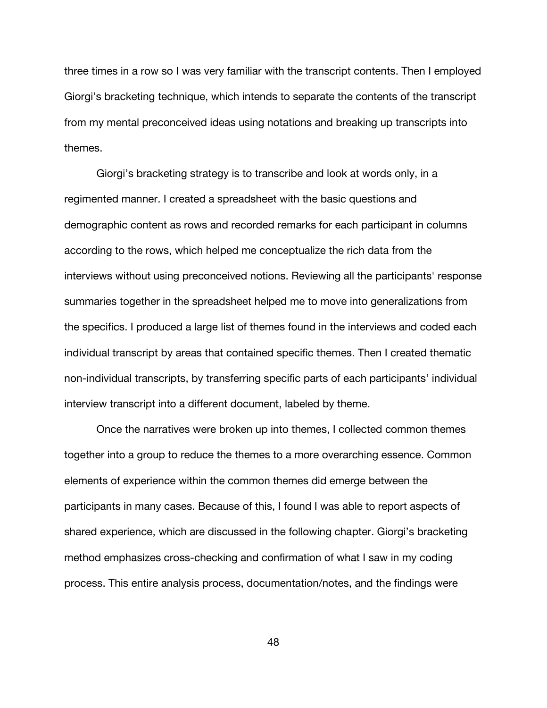three times in a row so I was very familiar with the transcript contents. Then I employed Giorgi's bracketing technique, which intends to separate the contents of the transcript from my mental preconceived ideas using notations and breaking up transcripts into themes.

Giorgi's bracketing strategy is to transcribe and look at words only, in a regimented manner. I created a spreadsheet with the basic questions and demographic content as rows and recorded remarks for each participant in columns according to the rows, which helped me conceptualize the rich data from the interviews without using preconceived notions. Reviewing all the participants' response summaries together in the spreadsheet helped me to move into generalizations from the specifics. I produced a large list of themes found in the interviews and coded each individual transcript by areas that contained specific themes. Then I created thematic non-individual transcripts, by transferring specific parts of each participants' individual interview transcript into a different document, labeled by theme.

Once the narratives were broken up into themes, I collected common themes together into a group to reduce the themes to a more overarching essence. Common elements of experience within the common themes did emerge between the participants in many cases. Because of this, I found I was able to report aspects of shared experience, which are discussed in the following chapter. Giorgi's bracketing method emphasizes cross-checking and confirmation of what I saw in my coding process. This entire analysis process, documentation/notes, and the findings were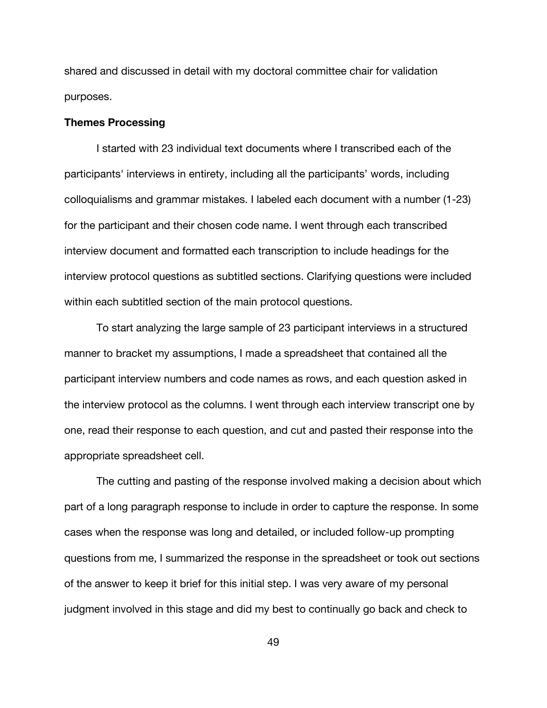shared and discussed in detail with my doctoral committee chair for validation purposes.

### **Themes Processing**

I started with 23 individual text documents where I transcribed each of the participants' interviews in entirety, including all the participants' words, including colloquialisms and grammar mistakes. I labeled each document with a number (1-23) for the participant and their chosen code name. I went through each transcribed interview document and formatted each transcription to include headings for the interview protocol questions as subtitled sections. Clarifying questions were included within each subtitled section of the main protocol questions.

To start analyzing the large sample of 23 participant interviews in a structured manner to bracket my assumptions, I made a spreadsheet that contained all the participant interview numbers and code names as rows, and each question asked in the interview protocol as the columns. I went through each interview transcript one by one, read their response to each question, and cut and pasted their response into the appropriate spreadsheet cell.

The cutting and pasting of the response involved making a decision about which part of a long paragraph response to include in order to capture the response. In some cases when the response was long and detailed, or included follow-up prompting questions from me, I summarized the response in the spreadsheet or took out sections of the answer to keep it brief for this initial step. I was very aware of my personal judgment involved in this stage and did my best to continually go back and check to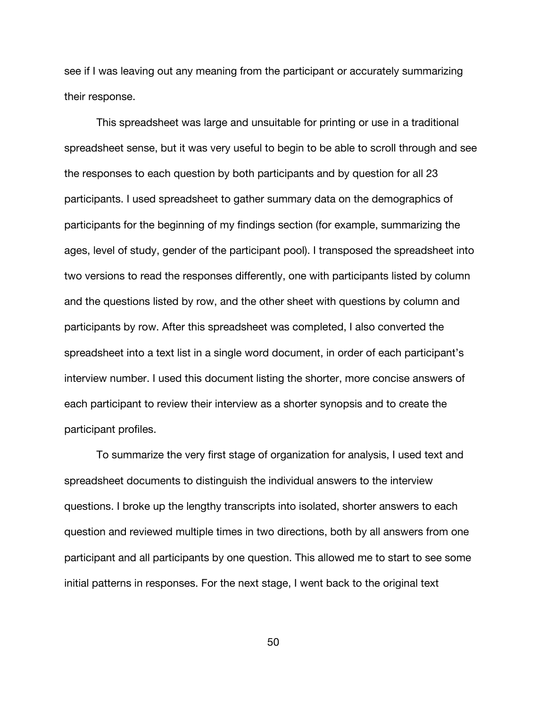see if I was leaving out any meaning from the participant or accurately summarizing their response.

This spreadsheet was large and unsuitable for printing or use in a traditional spreadsheet sense, but it was very useful to begin to be able to scroll through and see the responses to each question by both participants and by question for all 23 participants. I used spreadsheet to gather summary data on the demographics of participants for the beginning of my findings section (for example, summarizing the ages, level of study, gender of the participant pool). I transposed the spreadsheet into two versions to read the responses differently, one with participants listed by column and the questions listed by row, and the other sheet with questions by column and participants by row. After this spreadsheet was completed, I also converted the spreadsheet into a text list in a single word document, in order of each participant's interview number. I used this document listing the shorter, more concise answers of each participant to review their interview as a shorter synopsis and to create the participant profiles.

To summarize the very first stage of organization for analysis, I used text and spreadsheet documents to distinguish the individual answers to the interview questions. I broke up the lengthy transcripts into isolated, shorter answers to each question and reviewed multiple times in two directions, both by all answers from one participant and all participants by one question. This allowed me to start to see some initial patterns in responses. For the next stage, I went back to the original text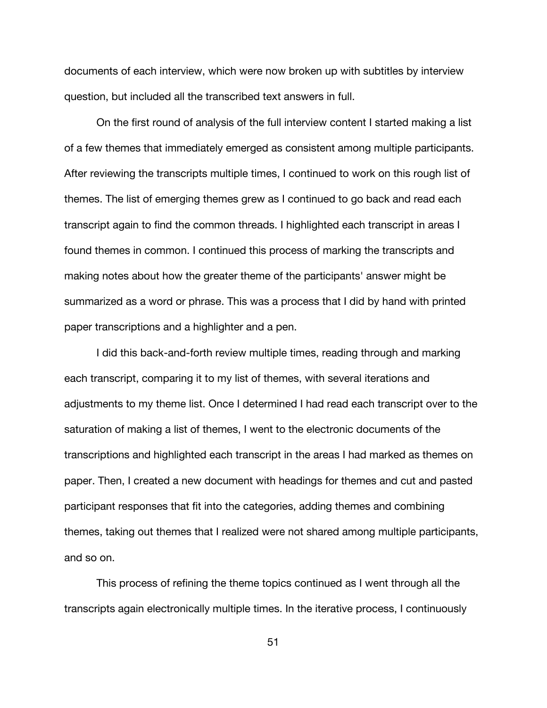documents of each interview, which were now broken up with subtitles by interview question, but included all the transcribed text answers in full.

On the first round of analysis of the full interview content I started making a list of a few themes that immediately emerged as consistent among multiple participants. After reviewing the transcripts multiple times, I continued to work on this rough list of themes. The list of emerging themes grew as I continued to go back and read each transcript again to find the common threads. I highlighted each transcript in areas I found themes in common. I continued this process of marking the transcripts and making notes about how the greater theme of the participants' answer might be summarized as a word or phrase. This was a process that I did by hand with printed paper transcriptions and a highlighter and a pen.

I did this back-and-forth review multiple times, reading through and marking each transcript, comparing it to my list of themes, with several iterations and adjustments to my theme list. Once I determined I had read each transcript over to the saturation of making a list of themes, I went to the electronic documents of the transcriptions and highlighted each transcript in the areas I had marked as themes on paper. Then, I created a new document with headings for themes and cut and pasted participant responses that fit into the categories, adding themes and combining themes, taking out themes that I realized were not shared among multiple participants, and so on.

This process of refining the theme topics continued as I went through all the transcripts again electronically multiple times. In the iterative process, I continuously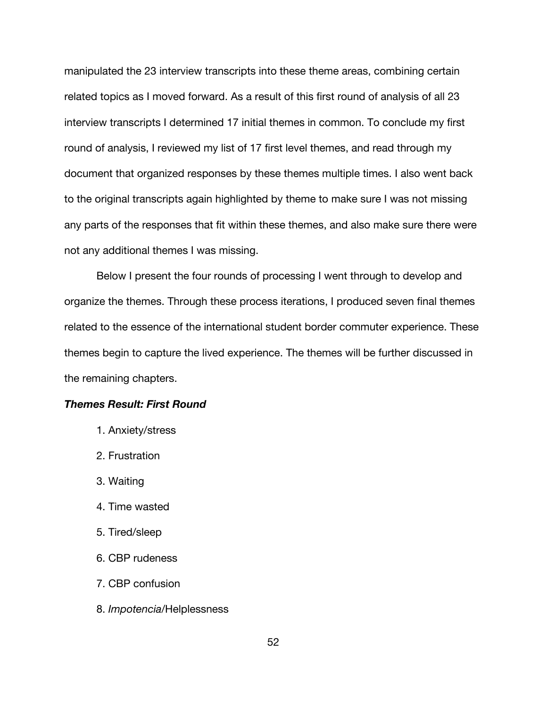manipulated the 23 interview transcripts into these theme areas, combining certain related topics as I moved forward. As a result of this first round of analysis of all 23 interview transcripts I determined 17 initial themes in common. To conclude my first round of analysis, I reviewed my list of 17 first level themes, and read through my document that organized responses by these themes multiple times. I also went back to the original transcripts again highlighted by theme to make sure I was not missing any parts of the responses that fit within these themes, and also make sure there were not any additional themes I was missing.

Below I present the four rounds of processing I went through to develop and organize the themes. Through these process iterations, I produced seven final themes related to the essence of the international student border commuter experience. These themes begin to capture the lived experience. The themes will be further discussed in the remaining chapters.

# *Themes Result: First Round*

- 1. Anxiety/stress
- 2. Frustration
- 3. Waiting
- 4. Time wasted
- 5. Tired/sleep
- 6. CBP rudeness
- 7. CBP confusion
- 8. *Impotencia*/Helplessness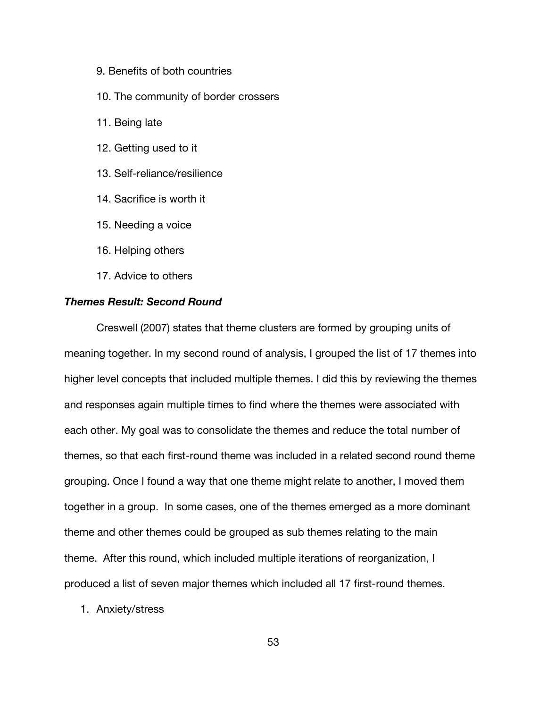- 9. Benefits of both countries
- 10. The community of border crossers
- 11. Being late
- 12. Getting used to it
- 13. Self-reliance/resilience
- 14. Sacrifice is worth it
- 15. Needing a voice
- 16. Helping others
- 17. Advice to others

# *Themes Result: Second Round*

Creswell (2007) states that theme clusters are formed by grouping units of meaning together. In my second round of analysis, I grouped the list of 17 themes into higher level concepts that included multiple themes. I did this by reviewing the themes and responses again multiple times to find where the themes were associated with each other. My goal was to consolidate the themes and reduce the total number of themes, so that each first-round theme was included in a related second round theme grouping. Once I found a way that one theme might relate to another, I moved them together in a group. In some cases, one of the themes emerged as a more dominant theme and other themes could be grouped as sub themes relating to the main theme. After this round, which included multiple iterations of reorganization, I produced a list of seven major themes which included all 17 first-round themes.

1. Anxiety/stress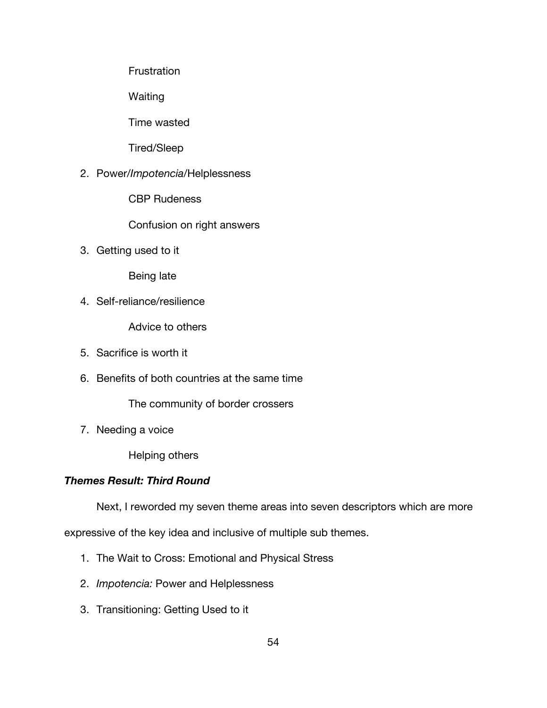**Frustration** 

Waiting

Time wasted

Tired/Sleep

2. Power/*Impotencia*/Helplessness

CBP Rudeness

Confusion on right answers

3. Getting used to it

Being late

4. Self-reliance/resilience

Advice to others

- 5. Sacrifice is worth it
- 6. Benefits of both countries at the same time

The community of border crossers

7. Needing a voice

Helping others

# *Themes Result: Third Round*

Next, I reworded my seven theme areas into seven descriptors which are more

expressive of the key idea and inclusive of multiple sub themes.

- 1. The Wait to Cross: Emotional and Physical Stress
- 2. *Impotencia:* Power and Helplessness
- 3. Transitioning: Getting Used to it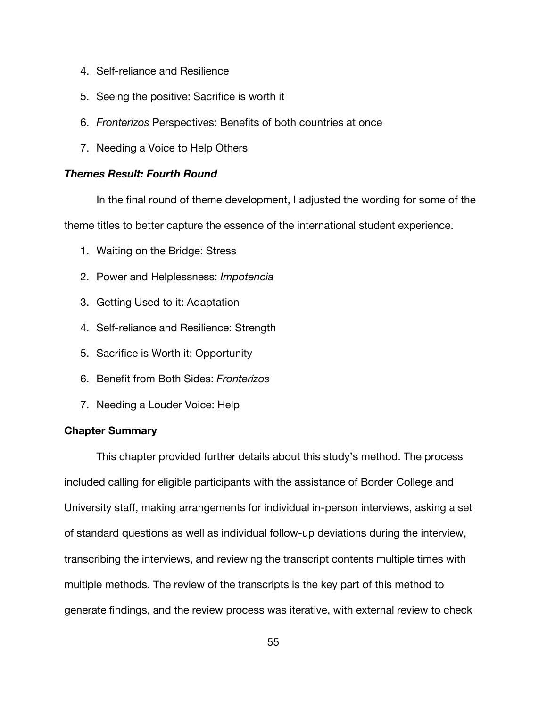- 4. Self-reliance and Resilience
- 5. Seeing the positive: Sacrifice is worth it
- 6. *Fronterizos* Perspectives: Benefits of both countries at once
- 7. Needing a Voice to Help Others

# *Themes Result: Fourth Round*

In the final round of theme development, I adjusted the wording for some of the

theme titles to better capture the essence of the international student experience.

- 1. Waiting on the Bridge: Stress
- 2. Power and Helplessness: *Impotencia*
- 3. Getting Used to it: Adaptation
- 4. Self-reliance and Resilience: Strength
- 5. Sacrifice is Worth it: Opportunity
- 6. Benefit from Both Sides: *Fronterizos*
- 7. Needing a Louder Voice: Help

# **Chapter Summary**

This chapter provided further details about this study's method. The process included calling for eligible participants with the assistance of Border College and University staff, making arrangements for individual in-person interviews, asking a set of standard questions as well as individual follow-up deviations during the interview, transcribing the interviews, and reviewing the transcript contents multiple times with multiple methods. The review of the transcripts is the key part of this method to generate findings, and the review process was iterative, with external review to check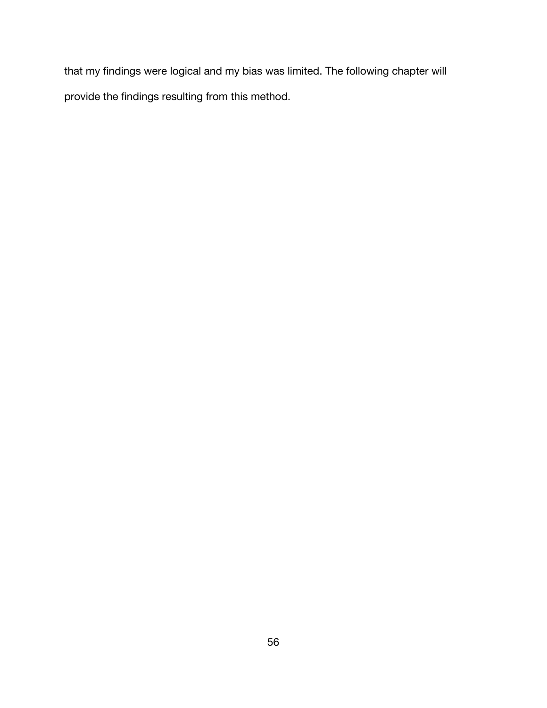that my findings were logical and my bias was limited. The following chapter will provide the findings resulting from this method.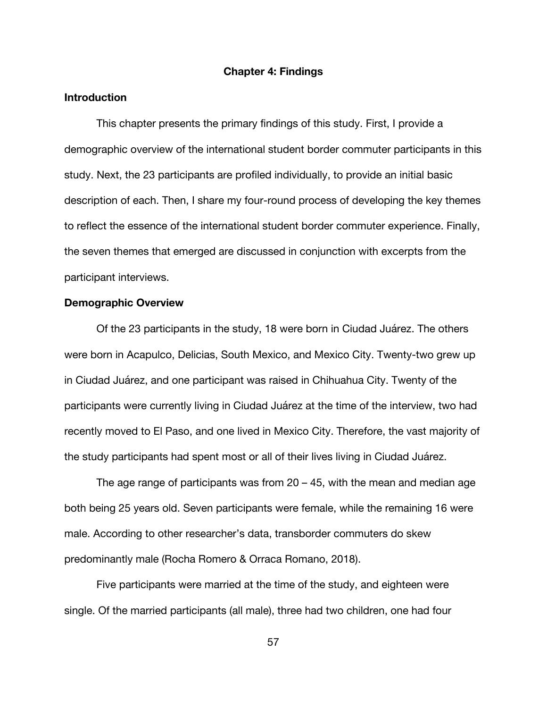#### **Chapter 4: Findings**

### **Introduction**

This chapter presents the primary findings of this study. First, I provide a demographic overview of the international student border commuter participants in this study. Next, the 23 participants are profiled individually, to provide an initial basic description of each. Then, I share my four-round process of developing the key themes to reflect the essence of the international student border commuter experience. Finally, the seven themes that emerged are discussed in conjunction with excerpts from the participant interviews.

#### **Demographic Overview**

Of the 23 participants in the study, 18 were born in Ciudad Juárez. The others were born in Acapulco, Delicias, South Mexico, and Mexico City. Twenty-two grew up in Ciudad Juárez, and one participant was raised in Chihuahua City. Twenty of the participants were currently living in Ciudad Juárez at the time of the interview, two had recently moved to El Paso, and one lived in Mexico City. Therefore, the vast majority of the study participants had spent most or all of their lives living in Ciudad Juárez.

The age range of participants was from  $20 - 45$ , with the mean and median age both being 25 years old. Seven participants were female, while the remaining 16 were male. According to other researcher's data, transborder commuters do skew predominantly male (Rocha Romero & Orraca Romano, 2018).

Five participants were married at the time of the study, and eighteen were single. Of the married participants (all male), three had two children, one had four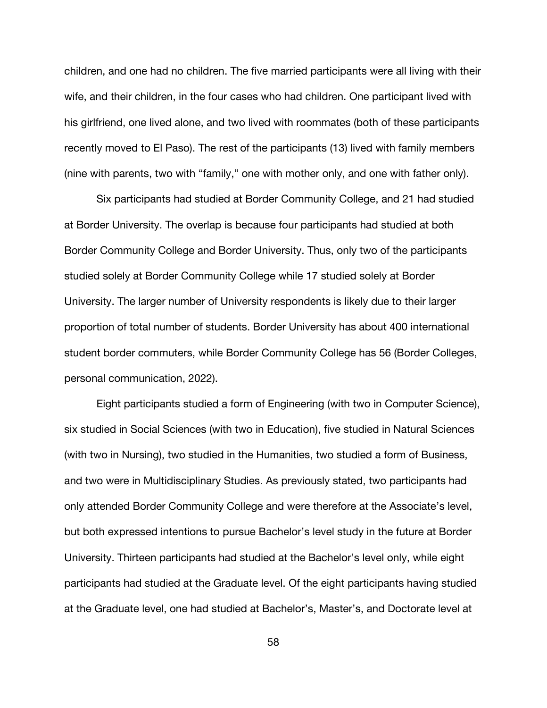children, and one had no children. The five married participants were all living with their wife, and their children, in the four cases who had children. One participant lived with his girlfriend, one lived alone, and two lived with roommates (both of these participants recently moved to El Paso). The rest of the participants (13) lived with family members (nine with parents, two with "family," one with mother only, and one with father only).

Six participants had studied at Border Community College, and 21 had studied at Border University. The overlap is because four participants had studied at both Border Community College and Border University. Thus, only two of the participants studied solely at Border Community College while 17 studied solely at Border University. The larger number of University respondents is likely due to their larger proportion of total number of students. Border University has about 400 international student border commuters, while Border Community College has 56 (Border Colleges, personal communication, 2022).

Eight participants studied a form of Engineering (with two in Computer Science), six studied in Social Sciences (with two in Education), five studied in Natural Sciences (with two in Nursing), two studied in the Humanities, two studied a form of Business, and two were in Multidisciplinary Studies. As previously stated, two participants had only attended Border Community College and were therefore at the Associate's level, but both expressed intentions to pursue Bachelor's level study in the future at Border University. Thirteen participants had studied at the Bachelor's level only, while eight participants had studied at the Graduate level. Of the eight participants having studied at the Graduate level, one had studied at Bachelor's, Master's, and Doctorate level at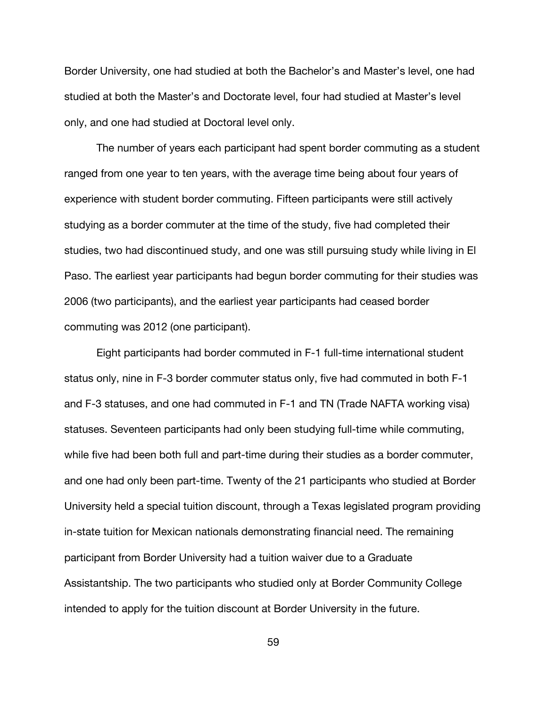Border University, one had studied at both the Bachelor's and Master's level, one had studied at both the Master's and Doctorate level, four had studied at Master's level only, and one had studied at Doctoral level only.

The number of years each participant had spent border commuting as a student ranged from one year to ten years, with the average time being about four years of experience with student border commuting. Fifteen participants were still actively studying as a border commuter at the time of the study, five had completed their studies, two had discontinued study, and one was still pursuing study while living in El Paso. The earliest year participants had begun border commuting for their studies was 2006 (two participants), and the earliest year participants had ceased border commuting was 2012 (one participant).

Eight participants had border commuted in F-1 full-time international student status only, nine in F-3 border commuter status only, five had commuted in both F-1 and F-3 statuses, and one had commuted in F-1 and TN (Trade NAFTA working visa) statuses. Seventeen participants had only been studying full-time while commuting, while five had been both full and part-time during their studies as a border commuter, and one had only been part-time. Twenty of the 21 participants who studied at Border University held a special tuition discount, through a Texas legislated program providing in-state tuition for Mexican nationals demonstrating financial need. The remaining participant from Border University had a tuition waiver due to a Graduate Assistantship. The two participants who studied only at Border Community College intended to apply for the tuition discount at Border University in the future.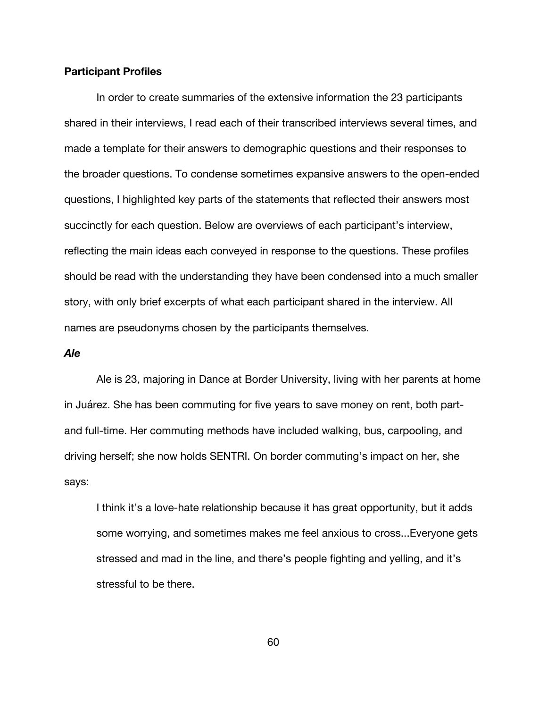#### **Participant Profiles**

In order to create summaries of the extensive information the 23 participants shared in their interviews, I read each of their transcribed interviews several times, and made a template for their answers to demographic questions and their responses to the broader questions. To condense sometimes expansive answers to the open-ended questions, I highlighted key parts of the statements that reflected their answers most succinctly for each question. Below are overviews of each participant's interview, reflecting the main ideas each conveyed in response to the questions. These profiles should be read with the understanding they have been condensed into a much smaller story, with only brief excerpts of what each participant shared in the interview. All names are pseudonyms chosen by the participants themselves.

# *Ale*

Ale is 23, majoring in Dance at Border University, living with her parents at home in Juárez. She has been commuting for five years to save money on rent, both partand full-time. Her commuting methods have included walking, bus, carpooling, and driving herself; she now holds SENTRI. On border commuting's impact on her, she says:

I think it's a love-hate relationship because it has great opportunity, but it adds some worrying, and sometimes makes me feel anxious to cross...Everyone gets stressed and mad in the line, and there's people fighting and yelling, and it's stressful to be there.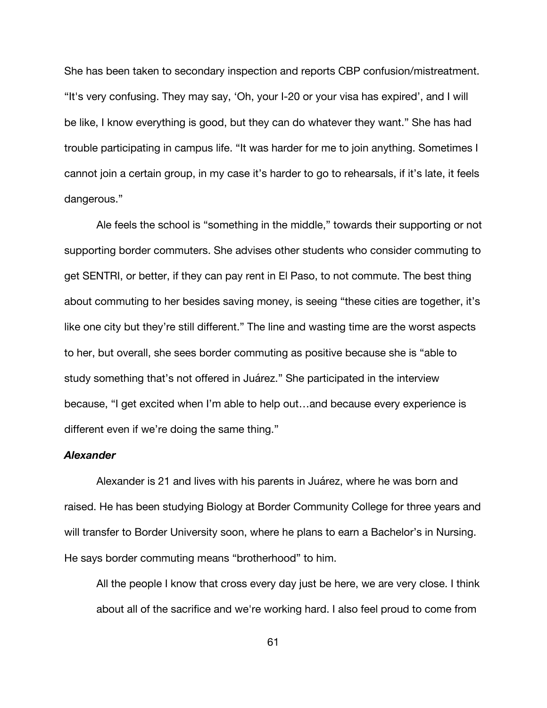She has been taken to secondary inspection and reports CBP confusion/mistreatment. "It's very confusing. They may say, 'Oh, your I-20 or your visa has expired', and I will be like, I know everything is good, but they can do whatever they want." She has had trouble participating in campus life. "It was harder for me to join anything. Sometimes I cannot join a certain group, in my case it's harder to go to rehearsals, if it's late, it feels dangerous."

Ale feels the school is "something in the middle," towards their supporting or not supporting border commuters. She advises other students who consider commuting to get SENTRI, or better, if they can pay rent in El Paso, to not commute. The best thing about commuting to her besides saving money, is seeing "these cities are together, it's like one city but they're still different." The line and wasting time are the worst aspects to her, but overall, she sees border commuting as positive because she is "able to study something that's not offered in Juárez." She participated in the interview because, "I get excited when I'm able to help out…and because every experience is different even if we're doing the same thing."

# *Alexander*

Alexander is 21 and lives with his parents in Juárez, where he was born and raised. He has been studying Biology at Border Community College for three years and will transfer to Border University soon, where he plans to earn a Bachelor's in Nursing. He says border commuting means "brotherhood" to him.

All the people I know that cross every day just be here, we are very close. I think about all of the sacrifice and we're working hard. I also feel proud to come from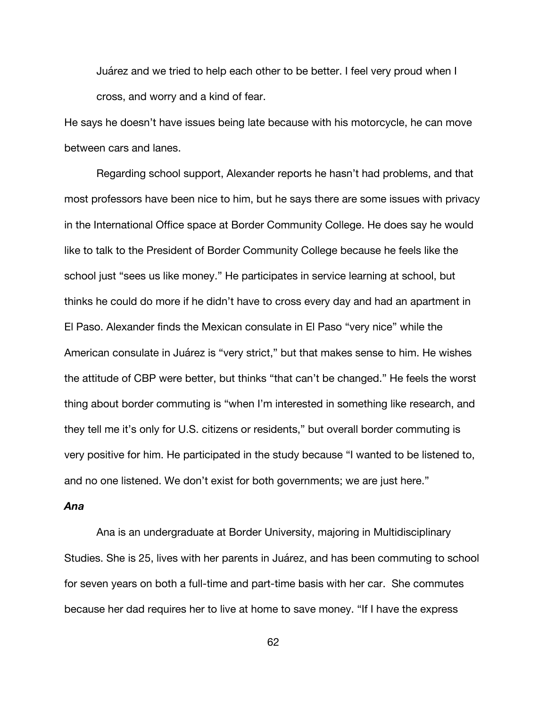Juárez and we tried to help each other to be better. I feel very proud when I cross, and worry and a kind of fear.

He says he doesn't have issues being late because with his motorcycle, he can move between cars and lanes.

Regarding school support, Alexander reports he hasn't had problems, and that most professors have been nice to him, but he says there are some issues with privacy in the International Office space at Border Community College. He does say he would like to talk to the President of Border Community College because he feels like the school just "sees us like money." He participates in service learning at school, but thinks he could do more if he didn't have to cross every day and had an apartment in El Paso. Alexander finds the Mexican consulate in El Paso "very nice" while the American consulate in Juárez is "very strict," but that makes sense to him. He wishes the attitude of CBP were better, but thinks "that can't be changed." He feels the worst thing about border commuting is "when I'm interested in something like research, and they tell me it's only for U.S. citizens or residents," but overall border commuting is very positive for him. He participated in the study because "I wanted to be listened to, and no one listened. We don't exist for both governments; we are just here."

# *Ana*

Ana is an undergraduate at Border University, majoring in Multidisciplinary Studies. She is 25, lives with her parents in Juárez, and has been commuting to school for seven years on both a full-time and part-time basis with her car. She commutes because her dad requires her to live at home to save money. "If I have the express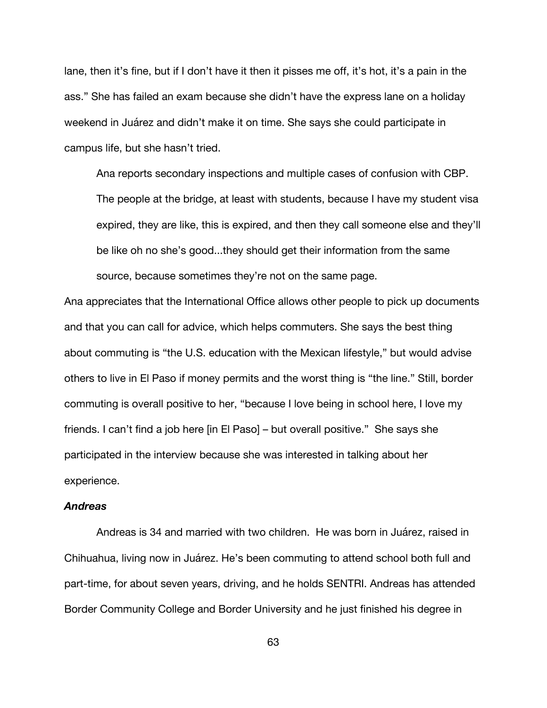lane, then it's fine, but if I don't have it then it pisses me off, it's hot, it's a pain in the ass." She has failed an exam because she didn't have the express lane on a holiday weekend in Juárez and didn't make it on time. She says she could participate in campus life, but she hasn't tried.

Ana reports secondary inspections and multiple cases of confusion with CBP. The people at the bridge, at least with students, because I have my student visa expired, they are like, this is expired, and then they call someone else and they'll be like oh no she's good...they should get their information from the same source, because sometimes they're not on the same page.

Ana appreciates that the International Office allows other people to pick up documents and that you can call for advice, which helps commuters. She says the best thing about commuting is "the U.S. education with the Mexican lifestyle," but would advise others to live in El Paso if money permits and the worst thing is "the line." Still, border commuting is overall positive to her, "because I love being in school here, I love my friends. I can't find a job here [in El Paso] – but overall positive." She says she participated in the interview because she was interested in talking about her experience.

### *Andreas*

Andreas is 34 and married with two children. He was born in Juárez, raised in Chihuahua, living now in Juárez. He's been commuting to attend school both full and part-time, for about seven years, driving, and he holds SENTRI. Andreas has attended Border Community College and Border University and he just finished his degree in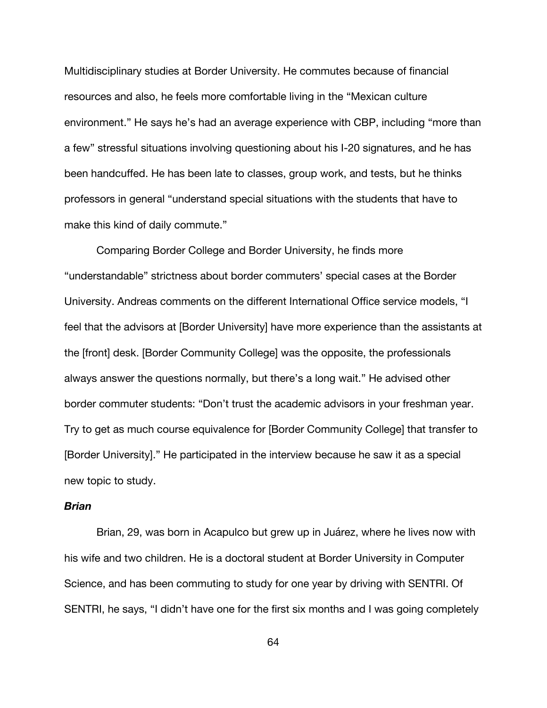Multidisciplinary studies at Border University. He commutes because of financial resources and also, he feels more comfortable living in the "Mexican culture environment." He says he's had an average experience with CBP, including "more than a few" stressful situations involving questioning about his I-20 signatures, and he has been handcuffed. He has been late to classes, group work, and tests, but he thinks professors in general "understand special situations with the students that have to make this kind of daily commute."

Comparing Border College and Border University, he finds more "understandable" strictness about border commuters' special cases at the Border University. Andreas comments on the different International Office service models, "I feel that the advisors at [Border University] have more experience than the assistants at the [front] desk. [Border Community College] was the opposite, the professionals always answer the questions normally, but there's a long wait." He advised other border commuter students: "Don't trust the academic advisors in your freshman year. Try to get as much course equivalence for [Border Community College] that transfer to [Border University]." He participated in the interview because he saw it as a special new topic to study.

# *Brian*

Brian, 29, was born in Acapulco but grew up in Juárez, where he lives now with his wife and two children. He is a doctoral student at Border University in Computer Science, and has been commuting to study for one year by driving with SENTRI. Of SENTRI, he says, "I didn't have one for the first six months and I was going completely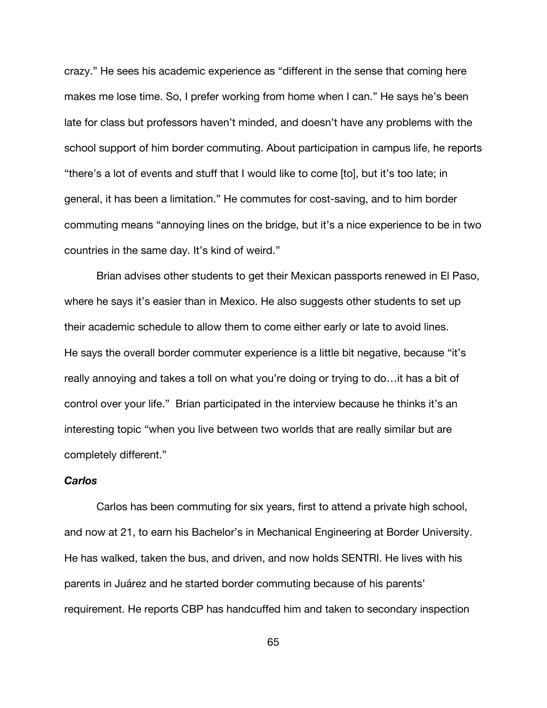crazy." He sees his academic experience as "different in the sense that coming here makes me lose time. So, I prefer working from home when I can." He says he's been late for class but professors haven't minded, and doesn't have any problems with the school support of him border commuting. About participation in campus life, he reports "there's a lot of events and stuff that I would like to come [to], but it's too late; in general, it has been a limitation." He commutes for cost-saving, and to him border commuting means "annoying lines on the bridge, but it's a nice experience to be in two countries in the same day. It's kind of weird."

Brian advises other students to get their Mexican passports renewed in El Paso, where he says it's easier than in Mexico. He also suggests other students to set up their academic schedule to allow them to come either early or late to avoid lines. He says the overall border commuter experience is a little bit negative, because "it's really annoying and takes a toll on what you're doing or trying to do…it has a bit of control over your life." Brian participated in the interview because he thinks it's an interesting topic "when you live between two worlds that are really similar but are completely different."

# *Carlos*

Carlos has been commuting for six years, first to attend a private high school, and now at 21, to earn his Bachelor's in Mechanical Engineering at Border University. He has walked, taken the bus, and driven, and now holds SENTRI. He lives with his parents in Juárez and he started border commuting because of his parents' requirement. He reports CBP has handcuffed him and taken to secondary inspection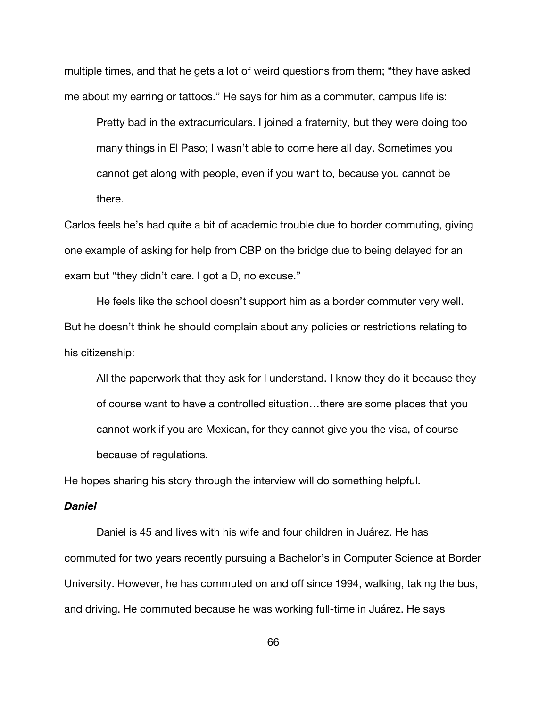multiple times, and that he gets a lot of weird questions from them; "they have asked me about my earring or tattoos." He says for him as a commuter, campus life is:

Pretty bad in the extracurriculars. I joined a fraternity, but they were doing too many things in El Paso; I wasn't able to come here all day. Sometimes you cannot get along with people, even if you want to, because you cannot be there.

Carlos feels he's had quite a bit of academic trouble due to border commuting, giving one example of asking for help from CBP on the bridge due to being delayed for an exam but "they didn't care. I got a D, no excuse."

He feels like the school doesn't support him as a border commuter very well. But he doesn't think he should complain about any policies or restrictions relating to his citizenship:

All the paperwork that they ask for I understand. I know they do it because they of course want to have a controlled situation…there are some places that you cannot work if you are Mexican, for they cannot give you the visa, of course because of regulations.

He hopes sharing his story through the interview will do something helpful.

# *Daniel*

Daniel is 45 and lives with his wife and four children in Juárez. He has commuted for two years recently pursuing a Bachelor's in Computer Science at Border University. However, he has commuted on and off since 1994, walking, taking the bus, and driving. He commuted because he was working full-time in Juárez. He says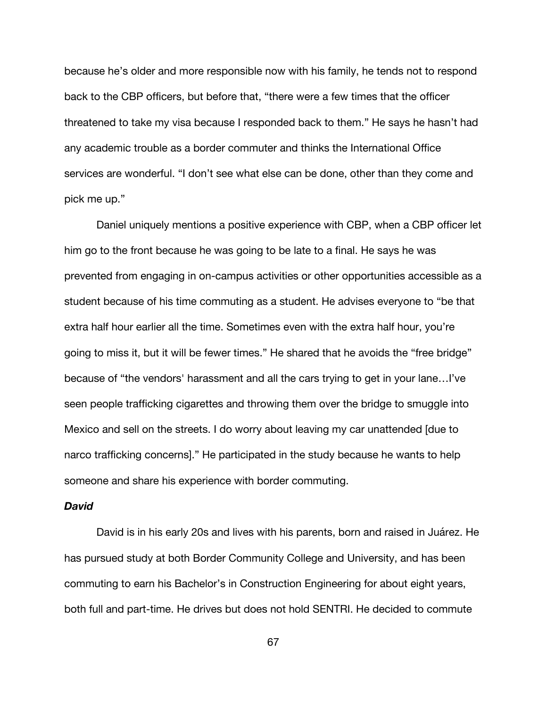because he's older and more responsible now with his family, he tends not to respond back to the CBP officers, but before that, "there were a few times that the officer threatened to take my visa because I responded back to them." He says he hasn't had any academic trouble as a border commuter and thinks the International Office services are wonderful. "I don't see what else can be done, other than they come and pick me up."

Daniel uniquely mentions a positive experience with CBP, when a CBP officer let him go to the front because he was going to be late to a final. He says he was prevented from engaging in on-campus activities or other opportunities accessible as a student because of his time commuting as a student. He advises everyone to "be that extra half hour earlier all the time. Sometimes even with the extra half hour, you're going to miss it, but it will be fewer times." He shared that he avoids the "free bridge" because of "the vendors' harassment and all the cars trying to get in your lane…I've seen people trafficking cigarettes and throwing them over the bridge to smuggle into Mexico and sell on the streets. I do worry about leaving my car unattended [due to narco trafficking concerns]." He participated in the study because he wants to help someone and share his experience with border commuting.

# *David*

David is in his early 20s and lives with his parents, born and raised in Juárez. He has pursued study at both Border Community College and University, and has been commuting to earn his Bachelor's in Construction Engineering for about eight years, both full and part-time. He drives but does not hold SENTRI. He decided to commute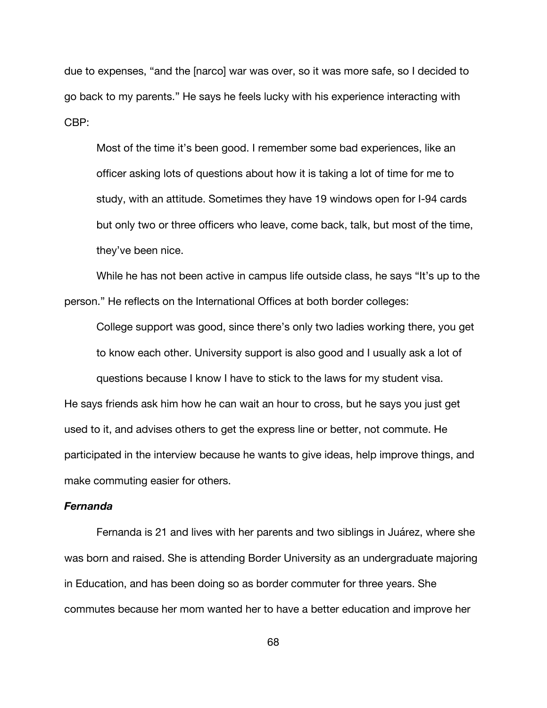due to expenses, "and the [narco] war was over, so it was more safe, so I decided to go back to my parents." He says he feels lucky with his experience interacting with CBP:

Most of the time it's been good. I remember some bad experiences, like an officer asking lots of questions about how it is taking a lot of time for me to study, with an attitude. Sometimes they have 19 windows open for I-94 cards but only two or three officers who leave, come back, talk, but most of the time, they've been nice.

While he has not been active in campus life outside class, he says "It's up to the person." He reflects on the International Offices at both border colleges:

College support was good, since there's only two ladies working there, you get to know each other. University support is also good and I usually ask a lot of questions because I know I have to stick to the laws for my student visa. He says friends ask him how he can wait an hour to cross, but he says you just get used to it, and advises others to get the express line or better, not commute. He participated in the interview because he wants to give ideas, help improve things, and make commuting easier for others.

# *Fernanda*

Fernanda is 21 and lives with her parents and two siblings in Juárez, where she was born and raised. She is attending Border University as an undergraduate majoring in Education, and has been doing so as border commuter for three years. She commutes because her mom wanted her to have a better education and improve her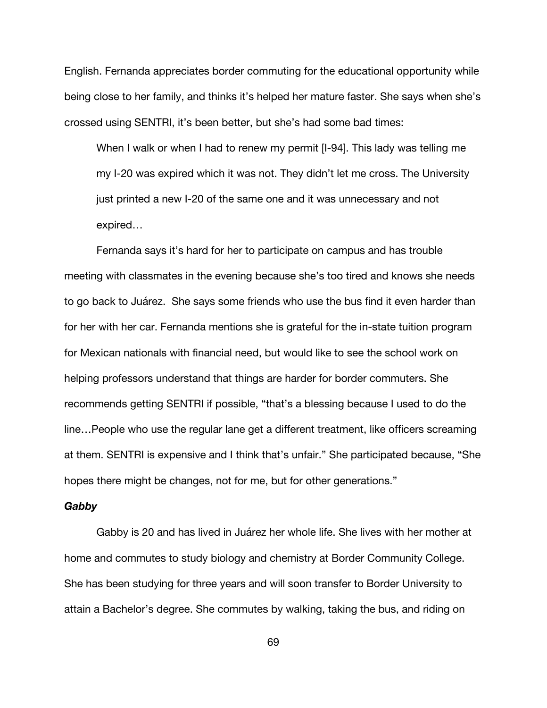English. Fernanda appreciates border commuting for the educational opportunity while being close to her family, and thinks it's helped her mature faster. She says when she's crossed using SENTRI, it's been better, but she's had some bad times:

When I walk or when I had to renew my permit [I-94]. This lady was telling me my I-20 was expired which it was not. They didn't let me cross. The University just printed a new I-20 of the same one and it was unnecessary and not expired…

Fernanda says it's hard for her to participate on campus and has trouble meeting with classmates in the evening because she's too tired and knows she needs to go back to Juárez. She says some friends who use the bus find it even harder than for her with her car. Fernanda mentions she is grateful for the in-state tuition program for Mexican nationals with financial need, but would like to see the school work on helping professors understand that things are harder for border commuters. She recommends getting SENTRI if possible, "that's a blessing because I used to do the line…People who use the regular lane get a different treatment, like officers screaming at them. SENTRI is expensive and I think that's unfair." She participated because, "She hopes there might be changes, not for me, but for other generations."

#### *Gabby*

Gabby is 20 and has lived in Juárez her whole life. She lives with her mother at home and commutes to study biology and chemistry at Border Community College. She has been studying for three years and will soon transfer to Border University to attain a Bachelor's degree. She commutes by walking, taking the bus, and riding on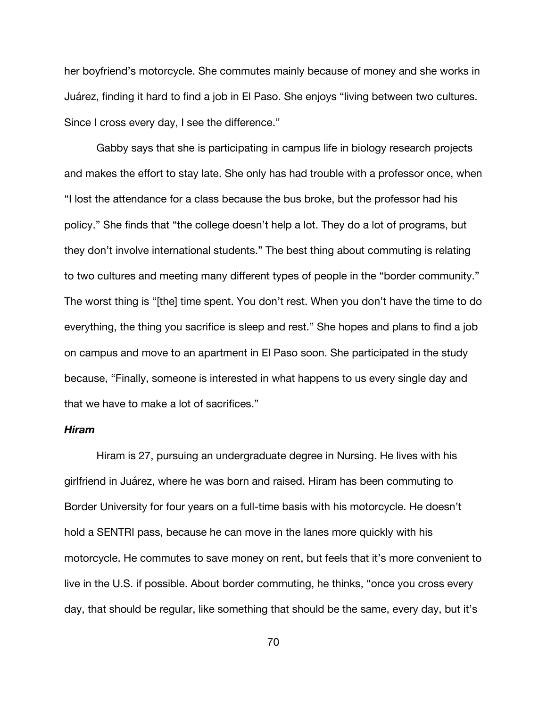her boyfriend's motorcycle. She commutes mainly because of money and she works in Juárez, finding it hard to find a job in El Paso. She enjoys "living between two cultures. Since I cross every day, I see the difference."

Gabby says that she is participating in campus life in biology research projects and makes the effort to stay late. She only has had trouble with a professor once, when "I lost the attendance for a class because the bus broke, but the professor had his policy." She finds that "the college doesn't help a lot. They do a lot of programs, but they don't involve international students." The best thing about commuting is relating to two cultures and meeting many different types of people in the "border community." The worst thing is "[the] time spent. You don't rest. When you don't have the time to do everything, the thing you sacrifice is sleep and rest." She hopes and plans to find a job on campus and move to an apartment in El Paso soon. She participated in the study because, "Finally, someone is interested in what happens to us every single day and that we have to make a lot of sacrifices."

### *Hiram*

Hiram is 27, pursuing an undergraduate degree in Nursing. He lives with his girlfriend in Juárez, where he was born and raised. Hiram has been commuting to Border University for four years on a full-time basis with his motorcycle. He doesn't hold a SENTRI pass, because he can move in the lanes more quickly with his motorcycle. He commutes to save money on rent, but feels that it's more convenient to live in the U.S. if possible. About border commuting, he thinks, "once you cross every day, that should be regular, like something that should be the same, every day, but it's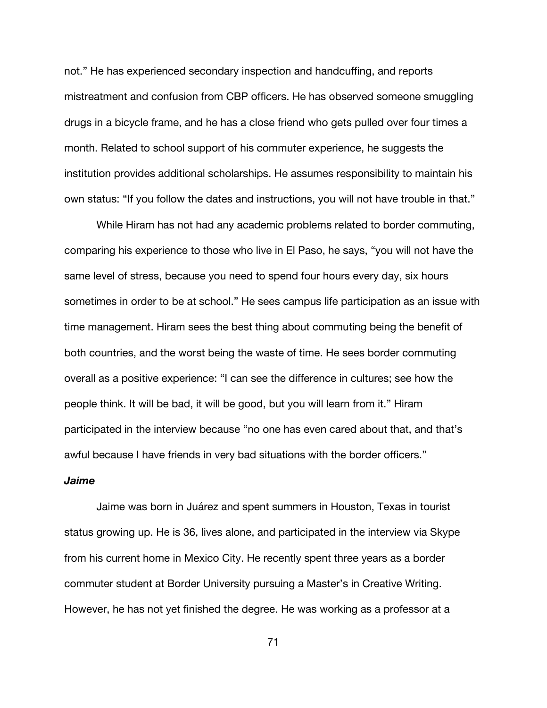not." He has experienced secondary inspection and handcuffing, and reports mistreatment and confusion from CBP officers. He has observed someone smuggling drugs in a bicycle frame, and he has a close friend who gets pulled over four times a month. Related to school support of his commuter experience, he suggests the institution provides additional scholarships. He assumes responsibility to maintain his own status: "If you follow the dates and instructions, you will not have trouble in that."

While Hiram has not had any academic problems related to border commuting, comparing his experience to those who live in El Paso, he says, "you will not have the same level of stress, because you need to spend four hours every day, six hours sometimes in order to be at school." He sees campus life participation as an issue with time management. Hiram sees the best thing about commuting being the benefit of both countries, and the worst being the waste of time. He sees border commuting overall as a positive experience: "I can see the difference in cultures; see how the people think. It will be bad, it will be good, but you will learn from it." Hiram participated in the interview because "no one has even cared about that, and that's awful because I have friends in very bad situations with the border officers."

### *Jaime*

Jaime was born in Juárez and spent summers in Houston, Texas in tourist status growing up. He is 36, lives alone, and participated in the interview via Skype from his current home in Mexico City. He recently spent three years as a border commuter student at Border University pursuing a Master's in Creative Writing. However, he has not yet finished the degree. He was working as a professor at a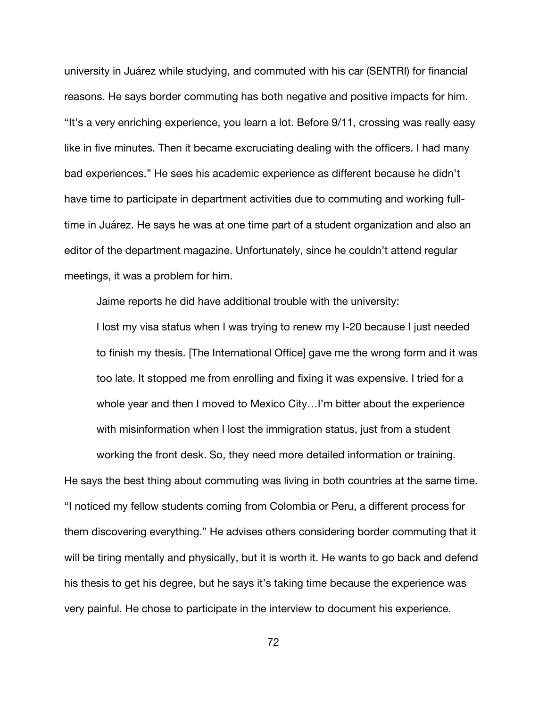university in Juárez while studying, and commuted with his car (SENTRI) for financial reasons. He says border commuting has both negative and positive impacts for him. "It's a very enriching experience, you learn a lot. Before 9/11, crossing was really easy like in five minutes. Then it became excruciating dealing with the officers. I had many bad experiences." He sees his academic experience as different because he didn't have time to participate in department activities due to commuting and working fulltime in Juárez. He says he was at one time part of a student organization and also an editor of the department magazine. Unfortunately, since he couldn't attend regular meetings, it was a problem for him.

Jaime reports he did have additional trouble with the university:

I lost my visa status when I was trying to renew my I-20 because I just needed to finish my thesis. [The International Office] gave me the wrong form and it was too late. It stopped me from enrolling and fixing it was expensive. I tried for a whole year and then I moved to Mexico City…I'm bitter about the experience with misinformation when I lost the immigration status, just from a student working the front desk. So, they need more detailed information or training.

He says the best thing about commuting was living in both countries at the same time. "I noticed my fellow students coming from Colombia or Peru, a different process for them discovering everything." He advises others considering border commuting that it will be tiring mentally and physically, but it is worth it. He wants to go back and defend his thesis to get his degree, but he says it's taking time because the experience was very painful. He chose to participate in the interview to document his experience.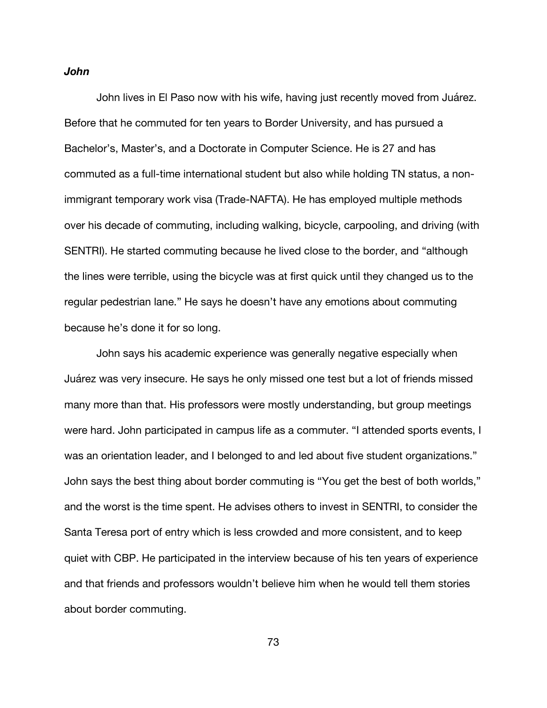### *John*

John lives in El Paso now with his wife, having just recently moved from Juárez. Before that he commuted for ten years to Border University, and has pursued a Bachelor's, Master's, and a Doctorate in Computer Science. He is 27 and has commuted as a full-time international student but also while holding TN status, a nonimmigrant temporary work visa (Trade-NAFTA). He has employed multiple methods over his decade of commuting, including walking, bicycle, carpooling, and driving (with SENTRI). He started commuting because he lived close to the border, and "although the lines were terrible, using the bicycle was at first quick until they changed us to the regular pedestrian lane." He says he doesn't have any emotions about commuting because he's done it for so long.

John says his academic experience was generally negative especially when Juárez was very insecure. He says he only missed one test but a lot of friends missed many more than that. His professors were mostly understanding, but group meetings were hard. John participated in campus life as a commuter. "I attended sports events, I was an orientation leader, and I belonged to and led about five student organizations." John says the best thing about border commuting is "You get the best of both worlds," and the worst is the time spent. He advises others to invest in SENTRI, to consider the Santa Teresa port of entry which is less crowded and more consistent, and to keep quiet with CBP. He participated in the interview because of his ten years of experience and that friends and professors wouldn't believe him when he would tell them stories about border commuting.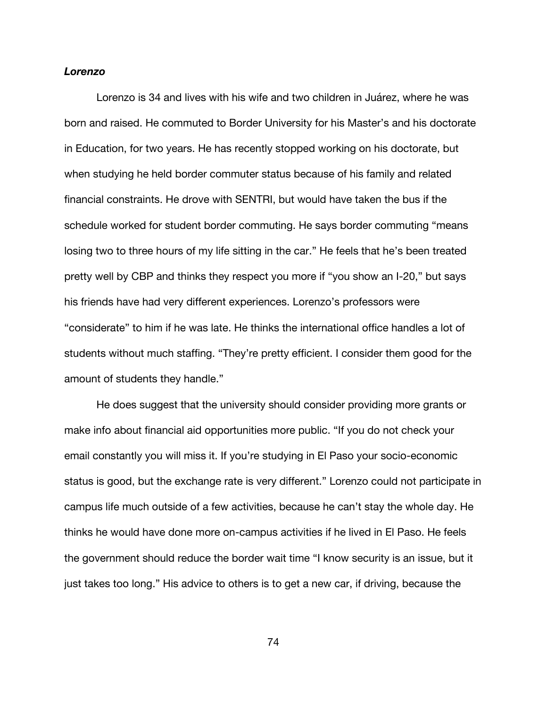### *Lorenzo*

Lorenzo is 34 and lives with his wife and two children in Juárez, where he was born and raised. He commuted to Border University for his Master's and his doctorate in Education, for two years. He has recently stopped working on his doctorate, but when studying he held border commuter status because of his family and related financial constraints. He drove with SENTRI, but would have taken the bus if the schedule worked for student border commuting. He says border commuting "means losing two to three hours of my life sitting in the car." He feels that he's been treated pretty well by CBP and thinks they respect you more if "you show an I-20," but says his friends have had very different experiences. Lorenzo's professors were "considerate" to him if he was late. He thinks the international office handles a lot of students without much staffing. "They're pretty efficient. I consider them good for the amount of students they handle."

He does suggest that the university should consider providing more grants or make info about financial aid opportunities more public. "If you do not check your email constantly you will miss it. If you're studying in El Paso your socio-economic status is good, but the exchange rate is very different." Lorenzo could not participate in campus life much outside of a few activities, because he can't stay the whole day. He thinks he would have done more on-campus activities if he lived in El Paso. He feels the government should reduce the border wait time "I know security is an issue, but it just takes too long." His advice to others is to get a new car, if driving, because the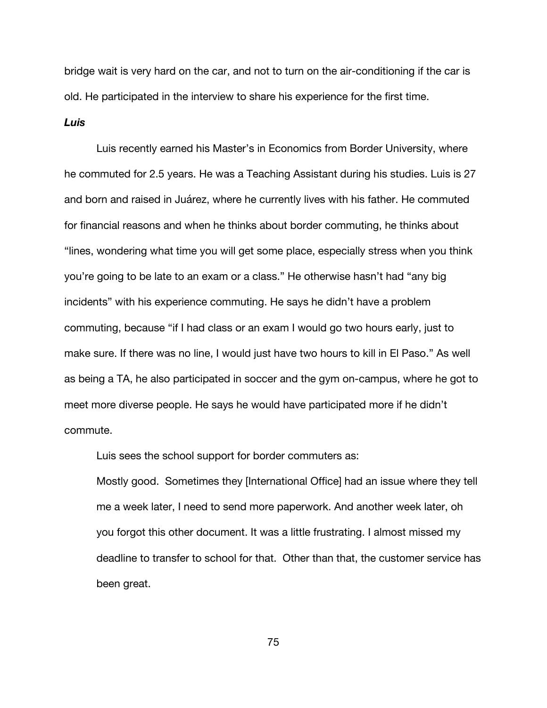bridge wait is very hard on the car, and not to turn on the air-conditioning if the car is old. He participated in the interview to share his experience for the first time.

### *Luis*

Luis recently earned his Master's in Economics from Border University, where he commuted for 2.5 years. He was a Teaching Assistant during his studies. Luis is 27 and born and raised in Juárez, where he currently lives with his father. He commuted for financial reasons and when he thinks about border commuting, he thinks about "lines, wondering what time you will get some place, especially stress when you think you're going to be late to an exam or a class." He otherwise hasn't had "any big incidents" with his experience commuting. He says he didn't have a problem commuting, because "if I had class or an exam I would go two hours early, just to make sure. If there was no line, I would just have two hours to kill in El Paso." As well as being a TA, he also participated in soccer and the gym on-campus, where he got to meet more diverse people. He says he would have participated more if he didn't commute.

Luis sees the school support for border commuters as:

Mostly good. Sometimes they [International Office] had an issue where they tell me a week later, I need to send more paperwork. And another week later, oh you forgot this other document. It was a little frustrating. I almost missed my deadline to transfer to school for that. Other than that, the customer service has been great.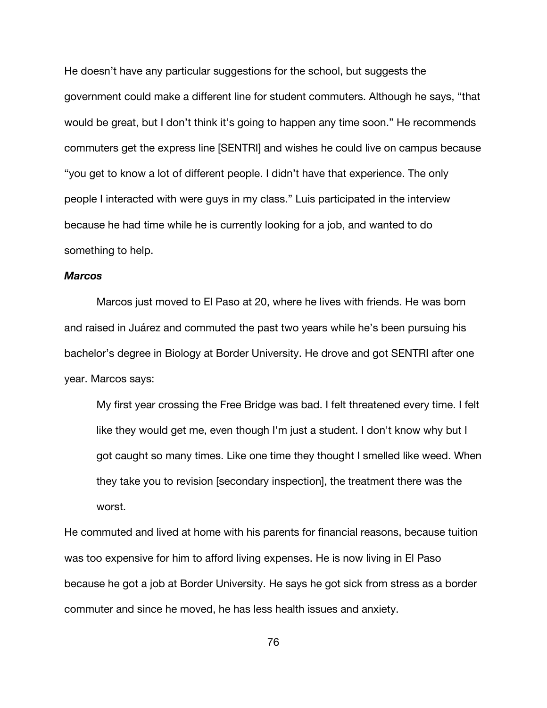He doesn't have any particular suggestions for the school, but suggests the government could make a different line for student commuters. Although he says, "that would be great, but I don't think it's going to happen any time soon." He recommends commuters get the express line [SENTRI] and wishes he could live on campus because "you get to know a lot of different people. I didn't have that experience. The only people I interacted with were guys in my class." Luis participated in the interview because he had time while he is currently looking for a job, and wanted to do something to help.

### *Marcos*

Marcos just moved to El Paso at 20, where he lives with friends. He was born and raised in Juárez and commuted the past two years while he's been pursuing his bachelor's degree in Biology at Border University. He drove and got SENTRI after one year. Marcos says:

My first year crossing the Free Bridge was bad. I felt threatened every time. I felt like they would get me, even though I'm just a student. I don't know why but I got caught so many times. Like one time they thought I smelled like weed. When they take you to revision [secondary inspection], the treatment there was the worst.

He commuted and lived at home with his parents for financial reasons, because tuition was too expensive for him to afford living expenses. He is now living in El Paso because he got a job at Border University. He says he got sick from stress as a border commuter and since he moved, he has less health issues and anxiety.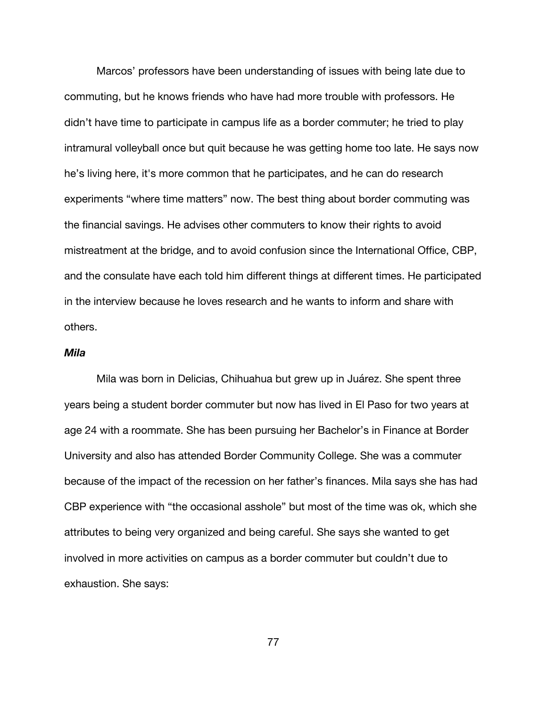Marcos' professors have been understanding of issues with being late due to commuting, but he knows friends who have had more trouble with professors. He didn't have time to participate in campus life as a border commuter; he tried to play intramural volleyball once but quit because he was getting home too late. He says now he's living here, it's more common that he participates, and he can do research experiments "where time matters" now. The best thing about border commuting was the financial savings. He advises other commuters to know their rights to avoid mistreatment at the bridge, and to avoid confusion since the International Office, CBP, and the consulate have each told him different things at different times. He participated in the interview because he loves research and he wants to inform and share with others.

# *Mila*

Mila was born in Delicias, Chihuahua but grew up in Juárez. She spent three years being a student border commuter but now has lived in El Paso for two years at age 24 with a roommate. She has been pursuing her Bachelor's in Finance at Border University and also has attended Border Community College. She was a commuter because of the impact of the recession on her father's finances. Mila says she has had CBP experience with "the occasional asshole" but most of the time was ok, which she attributes to being very organized and being careful. She says she wanted to get involved in more activities on campus as a border commuter but couldn't due to exhaustion. She says: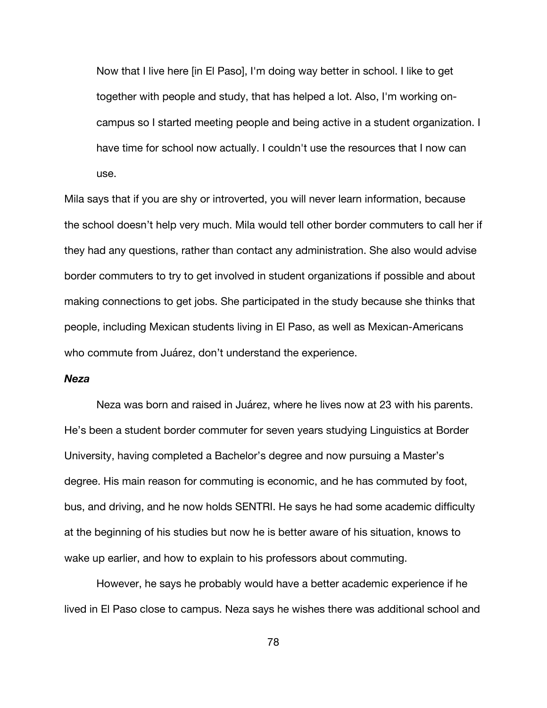Now that I live here [in El Paso], I'm doing way better in school. I like to get together with people and study, that has helped a lot. Also, I'm working oncampus so I started meeting people and being active in a student organization. I have time for school now actually. I couldn't use the resources that I now can use.

Mila says that if you are shy or introverted, you will never learn information, because the school doesn't help very much. Mila would tell other border commuters to call her if they had any questions, rather than contact any administration. She also would advise border commuters to try to get involved in student organizations if possible and about making connections to get jobs. She participated in the study because she thinks that people, including Mexican students living in El Paso, as well as Mexican-Americans who commute from Juárez, don't understand the experience.

## *Neza*

Neza was born and raised in Juárez, where he lives now at 23 with his parents. He's been a student border commuter for seven years studying Linguistics at Border University, having completed a Bachelor's degree and now pursuing a Master's degree. His main reason for commuting is economic, and he has commuted by foot, bus, and driving, and he now holds SENTRI. He says he had some academic difficulty at the beginning of his studies but now he is better aware of his situation, knows to wake up earlier, and how to explain to his professors about commuting.

However, he says he probably would have a better academic experience if he lived in El Paso close to campus. Neza says he wishes there was additional school and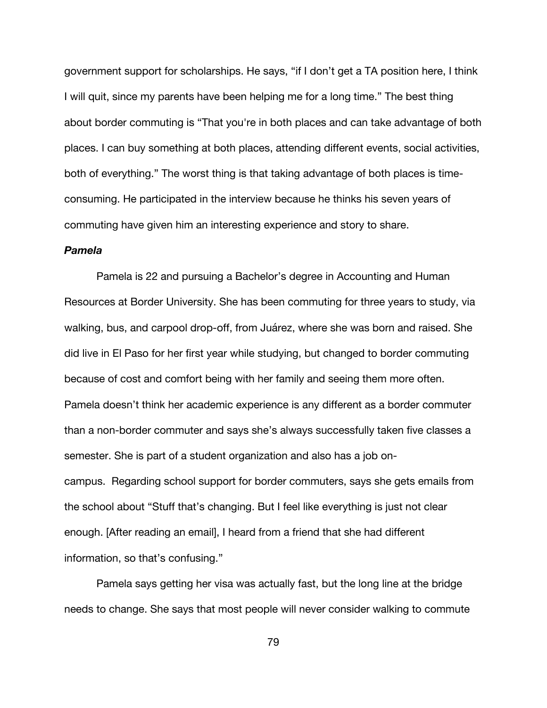government support for scholarships. He says, "if I don't get a TA position here, I think I will quit, since my parents have been helping me for a long time." The best thing about border commuting is "That you're in both places and can take advantage of both places. I can buy something at both places, attending different events, social activities, both of everything." The worst thing is that taking advantage of both places is timeconsuming. He participated in the interview because he thinks his seven years of commuting have given him an interesting experience and story to share.

## *Pamela*

Pamela is 22 and pursuing a Bachelor's degree in Accounting and Human Resources at Border University. She has been commuting for three years to study, via walking, bus, and carpool drop-off, from Juárez, where she was born and raised. She did live in El Paso for her first year while studying, but changed to border commuting because of cost and comfort being with her family and seeing them more often. Pamela doesn't think her academic experience is any different as a border commuter than a non-border commuter and says she's always successfully taken five classes a semester. She is part of a student organization and also has a job oncampus. Regarding school support for border commuters, says she gets emails from the school about "Stuff that's changing. But I feel like everything is just not clear enough. [After reading an email], I heard from a friend that she had different information, so that's confusing."

Pamela says getting her visa was actually fast, but the long line at the bridge needs to change. She says that most people will never consider walking to commute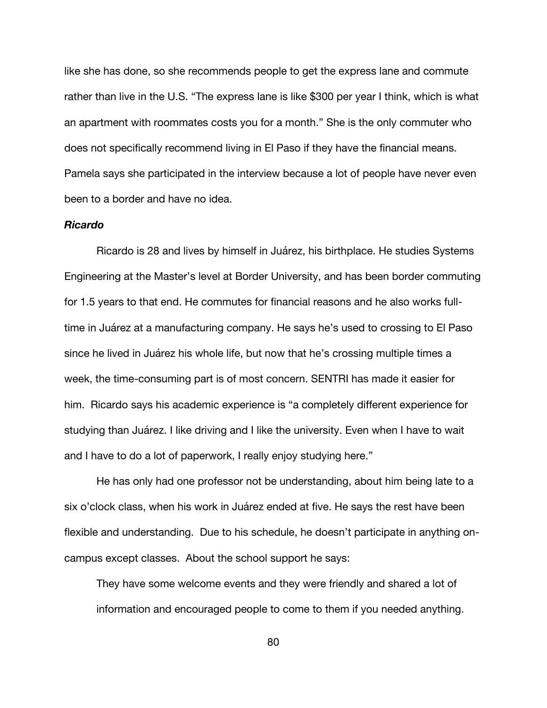like she has done, so she recommends people to get the express lane and commute rather than live in the U.S. "The express lane is like \$300 per year I think, which is what an apartment with roommates costs you for a month." She is the only commuter who does not specifically recommend living in El Paso if they have the financial means. Pamela says she participated in the interview because a lot of people have never even been to a border and have no idea.

#### *Ricardo*

Ricardo is 28 and lives by himself in Juárez, his birthplace. He studies Systems Engineering at the Master's level at Border University, and has been border commuting for 1.5 years to that end. He commutes for financial reasons and he also works fulltime in Juárez at a manufacturing company. He says he's used to crossing to El Paso since he lived in Juárez his whole life, but now that he's crossing multiple times a week, the time-consuming part is of most concern. SENTRI has made it easier for him. Ricardo says his academic experience is "a completely different experience for studying than Juárez. I like driving and I like the university. Even when I have to wait and I have to do a lot of paperwork, I really enjoy studying here."

He has only had one professor not be understanding, about him being late to a six o'clock class, when his work in Juárez ended at five. He says the rest have been flexible and understanding. Due to his schedule, he doesn't participate in anything oncampus except classes. About the school support he says:

They have some welcome events and they were friendly and shared a lot of information and encouraged people to come to them if you needed anything.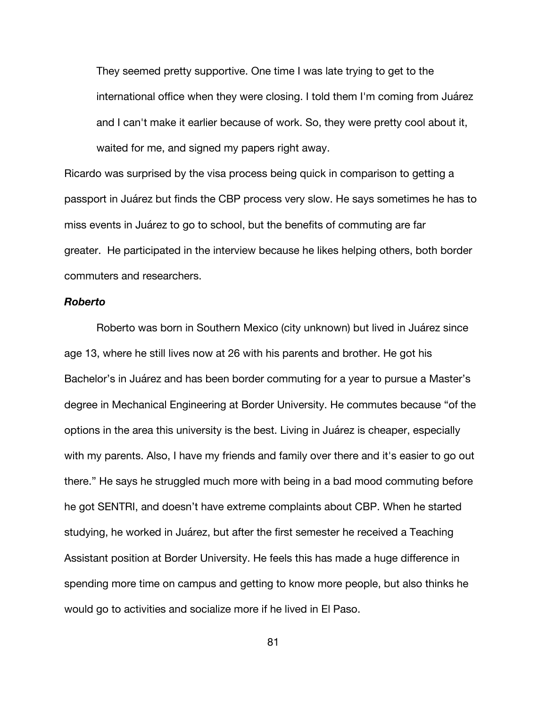They seemed pretty supportive. One time I was late trying to get to the international office when they were closing. I told them I'm coming from Juárez and I can't make it earlier because of work. So, they were pretty cool about it, waited for me, and signed my papers right away.

Ricardo was surprised by the visa process being quick in comparison to getting a passport in Juárez but finds the CBP process very slow. He says sometimes he has to miss events in Juárez to go to school, but the benefits of commuting are far greater. He participated in the interview because he likes helping others, both border commuters and researchers.

### *Roberto*

Roberto was born in Southern Mexico (city unknown) but lived in Juárez since age 13, where he still lives now at 26 with his parents and brother. He got his Bachelor's in Juárez and has been border commuting for a year to pursue a Master's degree in Mechanical Engineering at Border University. He commutes because "of the options in the area this university is the best. Living in Juárez is cheaper, especially with my parents. Also, I have my friends and family over there and it's easier to go out there." He says he struggled much more with being in a bad mood commuting before he got SENTRI, and doesn't have extreme complaints about CBP. When he started studying, he worked in Juárez, but after the first semester he received a Teaching Assistant position at Border University. He feels this has made a huge difference in spending more time on campus and getting to know more people, but also thinks he would go to activities and socialize more if he lived in El Paso.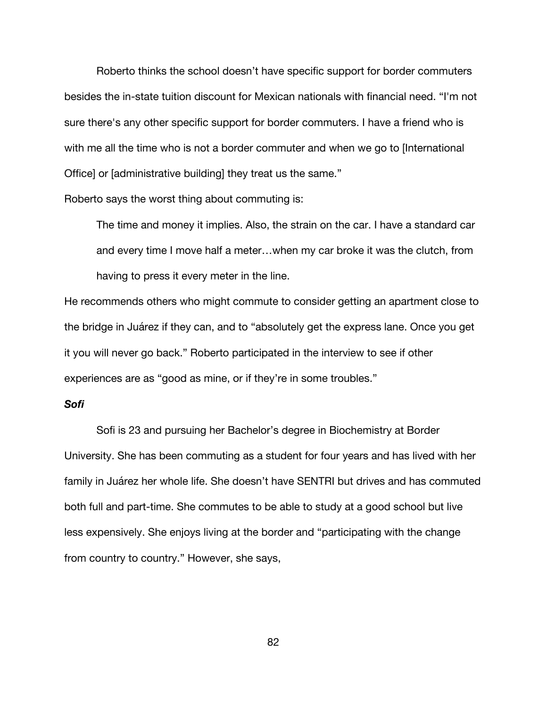Roberto thinks the school doesn't have specific support for border commuters besides the in-state tuition discount for Mexican nationals with financial need. "I'm not sure there's any other specific support for border commuters. I have a friend who is with me all the time who is not a border commuter and when we go to [International Office] or [administrative building] they treat us the same."

Roberto says the worst thing about commuting is:

The time and money it implies. Also, the strain on the car. I have a standard car and every time I move half a meter…when my car broke it was the clutch, from having to press it every meter in the line.

He recommends others who might commute to consider getting an apartment close to the bridge in Juárez if they can, and to "absolutely get the express lane. Once you get it you will never go back." Roberto participated in the interview to see if other experiences are as "good as mine, or if they're in some troubles."

# *Sofi*

Sofi is 23 and pursuing her Bachelor's degree in Biochemistry at Border University. She has been commuting as a student for four years and has lived with her family in Juárez her whole life. She doesn't have SENTRI but drives and has commuted both full and part-time. She commutes to be able to study at a good school but live less expensively. She enjoys living at the border and "participating with the change from country to country." However, she says,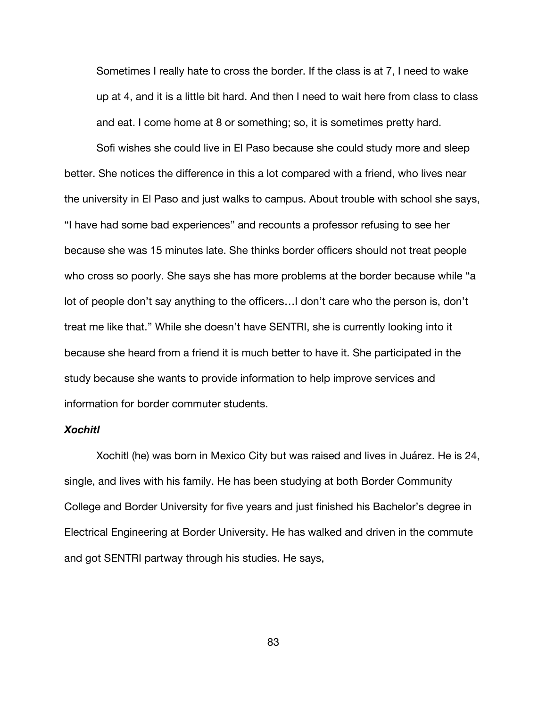Sometimes I really hate to cross the border. If the class is at 7, I need to wake up at 4, and it is a little bit hard. And then I need to wait here from class to class and eat. I come home at 8 or something; so, it is sometimes pretty hard.

Sofi wishes she could live in El Paso because she could study more and sleep better. She notices the difference in this a lot compared with a friend, who lives near the university in El Paso and just walks to campus. About trouble with school she says, "I have had some bad experiences" and recounts a professor refusing to see her because she was 15 minutes late. She thinks border officers should not treat people who cross so poorly. She says she has more problems at the border because while "a lot of people don't say anything to the officers…I don't care who the person is, don't treat me like that." While she doesn't have SENTRI, she is currently looking into it because she heard from a friend it is much better to have it. She participated in the study because she wants to provide information to help improve services and information for border commuter students.

# *Xochitl*

Xochitl (he) was born in Mexico City but was raised and lives in Juárez. He is 24, single, and lives with his family. He has been studying at both Border Community College and Border University for five years and just finished his Bachelor's degree in Electrical Engineering at Border University. He has walked and driven in the commute and got SENTRI partway through his studies. He says,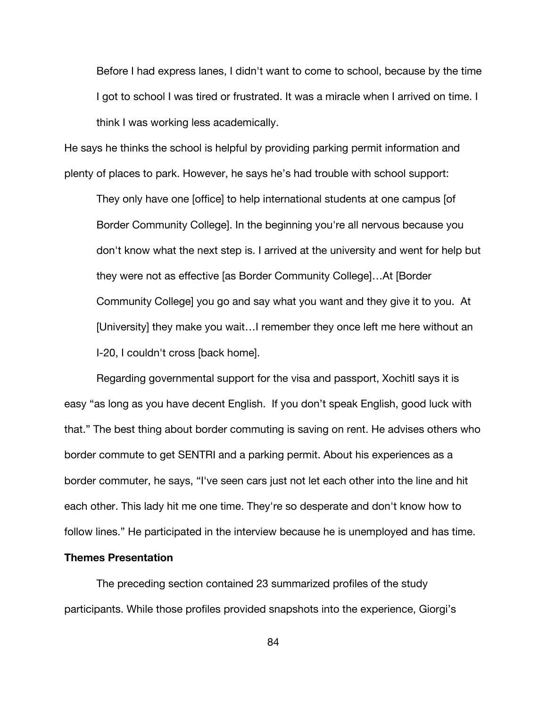Before I had express lanes, I didn't want to come to school, because by the time I got to school I was tired or frustrated. It was a miracle when I arrived on time. I think I was working less academically.

He says he thinks the school is helpful by providing parking permit information and plenty of places to park. However, he says he's had trouble with school support:

They only have one [office] to help international students at one campus [of Border Community College]. In the beginning you're all nervous because you don't know what the next step is. I arrived at the university and went for help but they were not as effective [as Border Community College]…At [Border Community College] you go and say what you want and they give it to you. At [University] they make you wait…I remember they once left me here without an I-20, I couldn't cross [back home].

Regarding governmental support for the visa and passport, Xochitl says it is easy "as long as you have decent English. If you don't speak English, good luck with that." The best thing about border commuting is saving on rent. He advises others who border commute to get SENTRI and a parking permit. About his experiences as a border commuter, he says, "I've seen cars just not let each other into the line and hit each other. This lady hit me one time. They're so desperate and don't know how to follow lines." He participated in the interview because he is unemployed and has time.

## **Themes Presentation**

The preceding section contained 23 summarized profiles of the study participants. While those profiles provided snapshots into the experience, Giorgi's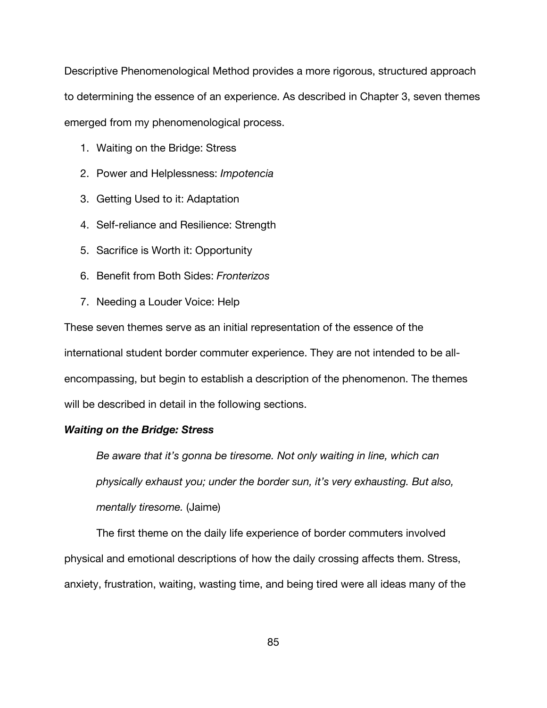Descriptive Phenomenological Method provides a more rigorous, structured approach to determining the essence of an experience. As described in Chapter 3, seven themes emerged from my phenomenological process.

- 1. Waiting on the Bridge: Stress
- 2. Power and Helplessness: *Impotencia*
- 3. Getting Used to it: Adaptation
- 4. Self-reliance and Resilience: Strength
- 5. Sacrifice is Worth it: Opportunity
- 6. Benefit from Both Sides: *Fronterizos*
- 7. Needing a Louder Voice: Help

These seven themes serve as an initial representation of the essence of the international student border commuter experience. They are not intended to be allencompassing, but begin to establish a description of the phenomenon. The themes will be described in detail in the following sections.

### *Waiting on the Bridge: Stress*

*Be aware that it's gonna be tiresome. Not only waiting in line, which can physically exhaust you; under the border sun, it's very exhausting. But also, mentally tiresome.* (Jaime)

The first theme on the daily life experience of border commuters involved physical and emotional descriptions of how the daily crossing affects them. Stress, anxiety, frustration, waiting, wasting time, and being tired were all ideas many of the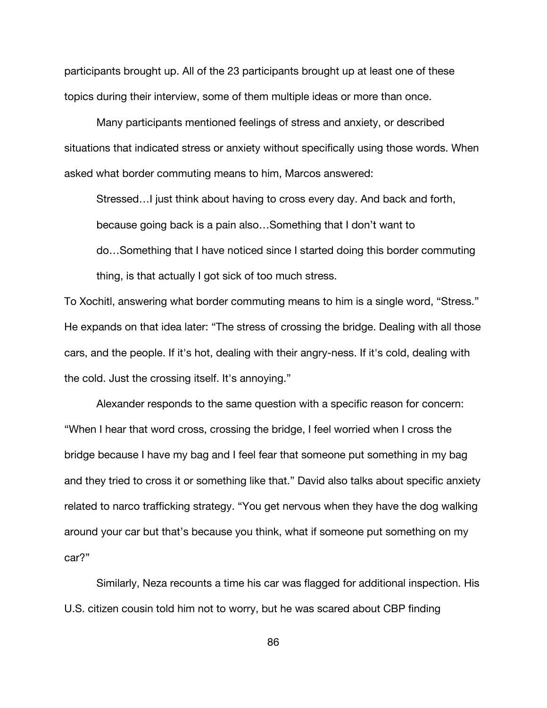participants brought up. All of the 23 participants brought up at least one of these topics during their interview, some of them multiple ideas or more than once.

Many participants mentioned feelings of stress and anxiety, or described situations that indicated stress or anxiety without specifically using those words. When asked what border commuting means to him, Marcos answered:

Stressed…I just think about having to cross every day. And back and forth, because going back is a pain also…Something that I don't want to do…Something that I have noticed since I started doing this border commuting thing, is that actually I got sick of too much stress.

To Xochitl, answering what border commuting means to him is a single word, "Stress." He expands on that idea later: "The stress of crossing the bridge. Dealing with all those cars, and the people. If it's hot, dealing with their angry-ness. If it's cold, dealing with the cold. Just the crossing itself. It's annoying."

Alexander responds to the same question with a specific reason for concern: "When I hear that word cross, crossing the bridge, I feel worried when I cross the bridge because I have my bag and I feel fear that someone put something in my bag and they tried to cross it or something like that." David also talks about specific anxiety related to narco trafficking strategy. "You get nervous when they have the dog walking around your car but that's because you think, what if someone put something on my car?"

Similarly, Neza recounts a time his car was flagged for additional inspection. His U.S. citizen cousin told him not to worry, but he was scared about CBP finding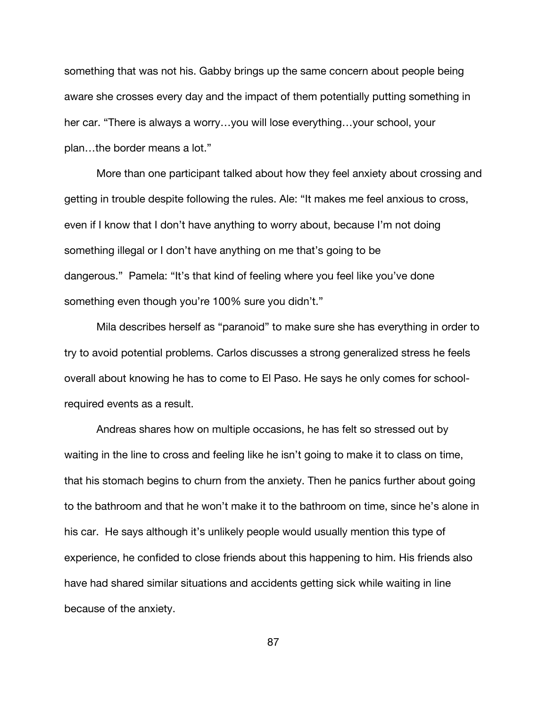something that was not his. Gabby brings up the same concern about people being aware she crosses every day and the impact of them potentially putting something in her car. "There is always a worry…you will lose everything…your school, your plan…the border means a lot."

More than one participant talked about how they feel anxiety about crossing and getting in trouble despite following the rules. Ale: "It makes me feel anxious to cross, even if I know that I don't have anything to worry about, because I'm not doing something illegal or I don't have anything on me that's going to be dangerous." Pamela: "It's that kind of feeling where you feel like you've done something even though you're 100% sure you didn't."

Mila describes herself as "paranoid" to make sure she has everything in order to try to avoid potential problems. Carlos discusses a strong generalized stress he feels overall about knowing he has to come to El Paso. He says he only comes for schoolrequired events as a result.

Andreas shares how on multiple occasions, he has felt so stressed out by waiting in the line to cross and feeling like he isn't going to make it to class on time, that his stomach begins to churn from the anxiety. Then he panics further about going to the bathroom and that he won't make it to the bathroom on time, since he's alone in his car. He says although it's unlikely people would usually mention this type of experience, he confided to close friends about this happening to him. His friends also have had shared similar situations and accidents getting sick while waiting in line because of the anxiety.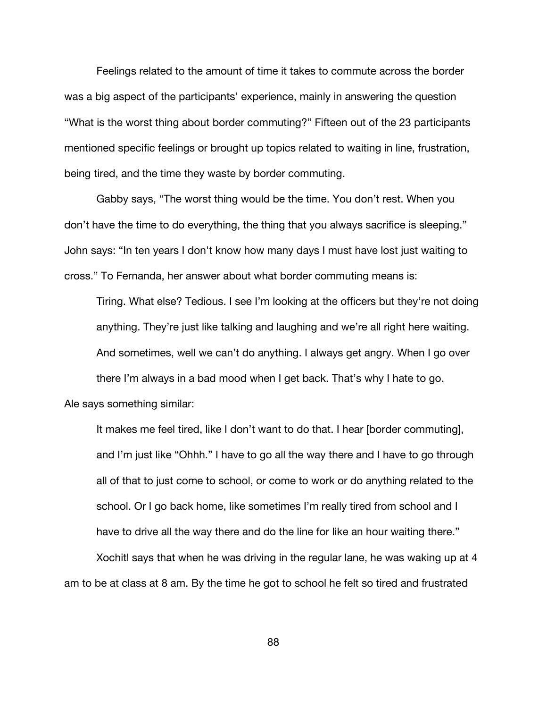Feelings related to the amount of time it takes to commute across the border was a big aspect of the participants' experience, mainly in answering the question "What is the worst thing about border commuting?" Fifteen out of the 23 participants mentioned specific feelings or brought up topics related to waiting in line, frustration, being tired, and the time they waste by border commuting.

Gabby says, "The worst thing would be the time. You don't rest. When you don't have the time to do everything, the thing that you always sacrifice is sleeping." John says: "In ten years I don't know how many days I must have lost just waiting to cross." To Fernanda, her answer about what border commuting means is:

Tiring. What else? Tedious. I see I'm looking at the officers but they're not doing anything. They're just like talking and laughing and we're all right here waiting. And sometimes, well we can't do anything. I always get angry. When I go over there I'm always in a bad mood when I get back. That's why I hate to go. Ale says something similar:

It makes me feel tired, like I don't want to do that. I hear [border commuting], and I'm just like "Ohhh." I have to go all the way there and I have to go through all of that to just come to school, or come to work or do anything related to the school. Or I go back home, like sometimes I'm really tired from school and I have to drive all the way there and do the line for like an hour waiting there."

Xochitl says that when he was driving in the regular lane, he was waking up at 4 am to be at class at 8 am. By the time he got to school he felt so tired and frustrated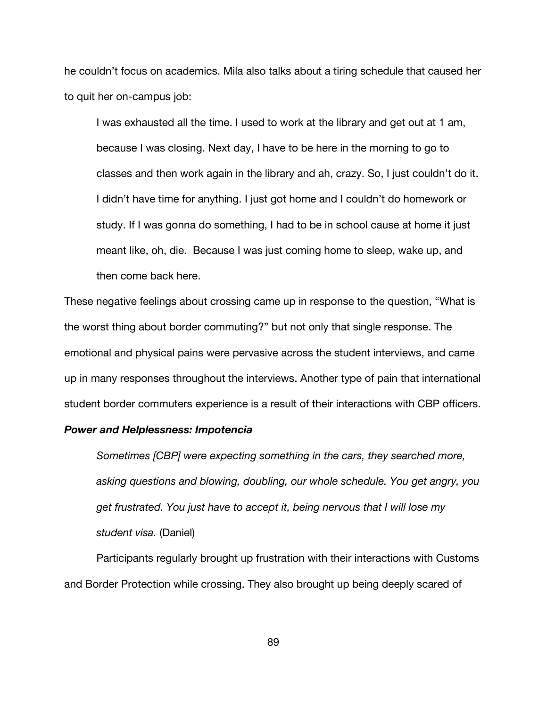he couldn't focus on academics. Mila also talks about a tiring schedule that caused her to quit her on-campus job:

I was exhausted all the time. I used to work at the library and get out at 1 am, because I was closing. Next day, I have to be here in the morning to go to classes and then work again in the library and ah, crazy. So, I just couldn't do it. I didn't have time for anything. I just got home and I couldn't do homework or study. If I was gonna do something, I had to be in school cause at home it just meant like, oh, die. Because I was just coming home to sleep, wake up, and then come back here.

These negative feelings about crossing came up in response to the question, "What is the worst thing about border commuting?" but not only that single response. The emotional and physical pains were pervasive across the student interviews, and came up in many responses throughout the interviews. Another type of pain that international student border commuters experience is a result of their interactions with CBP officers.

#### *Power and Helplessness: Impotencia*

*Sometimes [CBP] were expecting something in the cars, they searched more, asking questions and blowing, doubling, our whole schedule. You get angry, you get frustrated. You just have to accept it, being nervous that I will lose my student visa.* (Daniel)

Participants regularly brought up frustration with their interactions with Customs and Border Protection while crossing. They also brought up being deeply scared of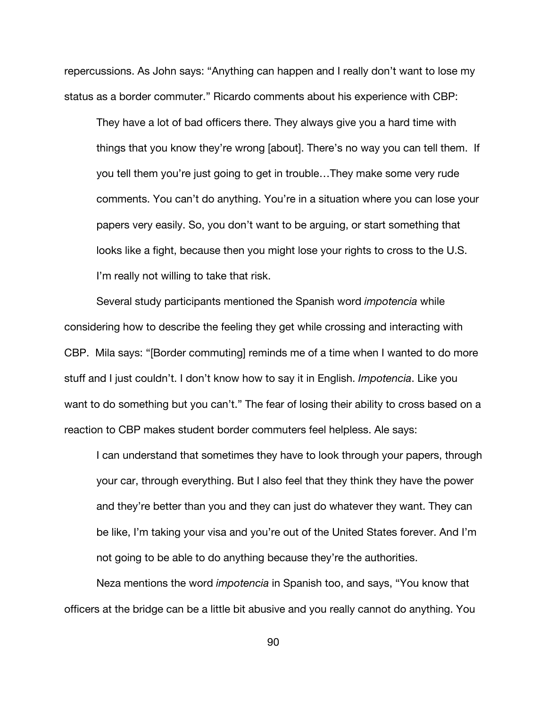repercussions. As John says: "Anything can happen and I really don't want to lose my status as a border commuter." Ricardo comments about his experience with CBP:

They have a lot of bad officers there. They always give you a hard time with things that you know they're wrong [about]. There's no way you can tell them. If you tell them you're just going to get in trouble…They make some very rude comments. You can't do anything. You're in a situation where you can lose your papers very easily. So, you don't want to be arguing, or start something that looks like a fight, because then you might lose your rights to cross to the U.S. I'm really not willing to take that risk.

Several study participants mentioned the Spanish word *impotencia* while considering how to describe the feeling they get while crossing and interacting with CBP. Mila says: "[Border commuting] reminds me of a time when I wanted to do more stuff and I just couldn't. I don't know how to say it in English. *Impotencia*. Like you want to do something but you can't." The fear of losing their ability to cross based on a reaction to CBP makes student border commuters feel helpless. Ale says:

I can understand that sometimes they have to look through your papers, through your car, through everything. But I also feel that they think they have the power and they're better than you and they can just do whatever they want. They can be like, I'm taking your visa and you're out of the United States forever. And I'm not going to be able to do anything because they're the authorities.

Neza mentions the word *impotencia* in Spanish too, and says, "You know that officers at the bridge can be a little bit abusive and you really cannot do anything. You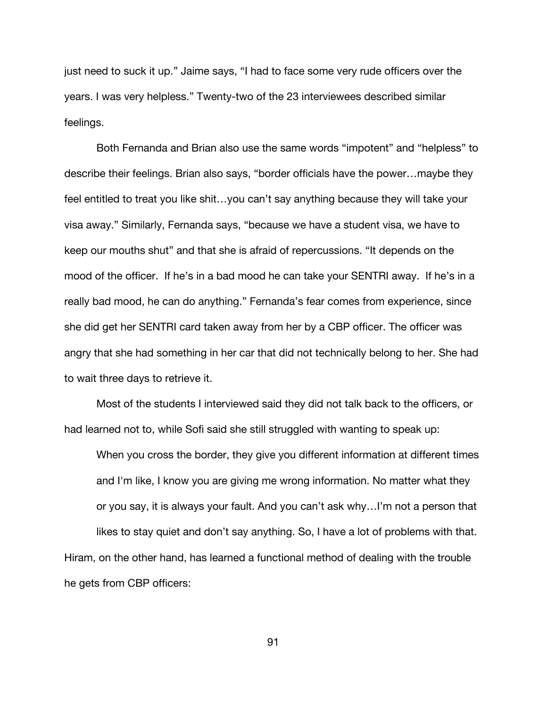just need to suck it up." Jaime says, "I had to face some very rude officers over the years. I was very helpless." Twenty-two of the 23 interviewees described similar feelings.

Both Fernanda and Brian also use the same words "impotent" and "helpless" to describe their feelings. Brian also says, "border officials have the power…maybe they feel entitled to treat you like shit…you can't say anything because they will take your visa away." Similarly, Fernanda says, "because we have a student visa, we have to keep our mouths shut" and that she is afraid of repercussions. "It depends on the mood of the officer. If he's in a bad mood he can take your SENTRI away. If he's in a really bad mood, he can do anything." Fernanda's fear comes from experience, since she did get her SENTRI card taken away from her by a CBP officer. The officer was angry that she had something in her car that did not technically belong to her. She had to wait three days to retrieve it.

Most of the students I interviewed said they did not talk back to the officers, or had learned not to, while Sofi said she still struggled with wanting to speak up:

When you cross the border, they give you different information at different times and I'm like, I know you are giving me wrong information. No matter what they or you say, it is always your fault. And you can't ask why…I'm not a person that likes to stay quiet and don't say anything. So, I have a lot of problems with that. Hiram, on the other hand, has learned a functional method of dealing with the trouble

he gets from CBP officers: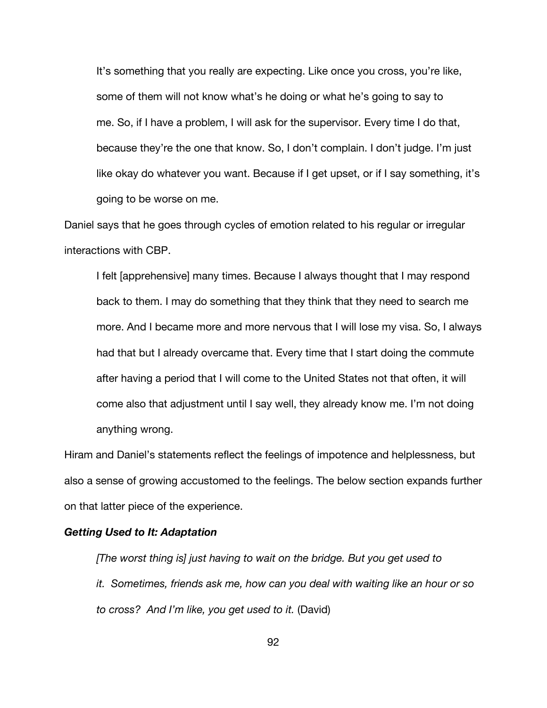It's something that you really are expecting. Like once you cross, you're like, some of them will not know what's he doing or what he's going to say to me. So, if I have a problem, I will ask for the supervisor. Every time I do that, because they're the one that know. So, I don't complain. I don't judge. I'm just like okay do whatever you want. Because if I get upset, or if I say something, it's going to be worse on me.

Daniel says that he goes through cycles of emotion related to his regular or irregular interactions with CBP.

I felt [apprehensive] many times. Because I always thought that I may respond back to them. I may do something that they think that they need to search me more. And I became more and more nervous that I will lose my visa. So, I always had that but I already overcame that. Every time that I start doing the commute after having a period that I will come to the United States not that often, it will come also that adjustment until I say well, they already know me. I'm not doing anything wrong.

Hiram and Daniel's statements reflect the feelings of impotence and helplessness, but also a sense of growing accustomed to the feelings. The below section expands further on that latter piece of the experience.

#### *Getting Used to It: Adaptation*

*[The worst thing is] just having to wait on the bridge. But you get used to it. Sometimes, friends ask me, how can you deal with waiting like an hour or so to cross? And I'm like, you get used to it.* (David)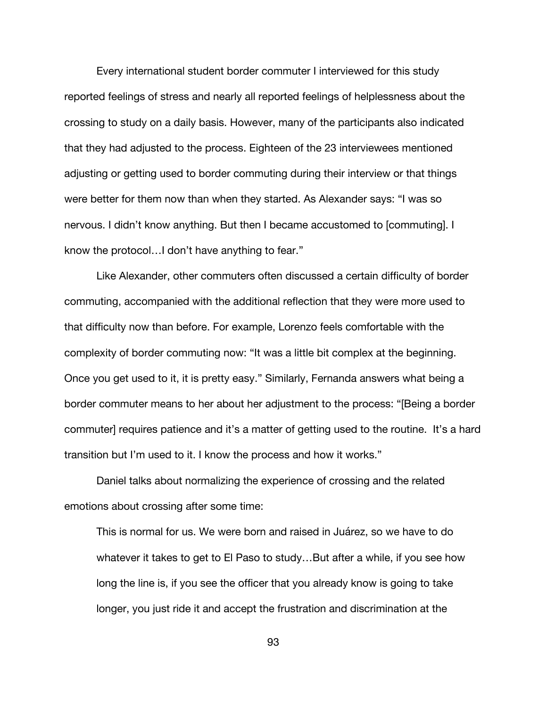Every international student border commuter I interviewed for this study reported feelings of stress and nearly all reported feelings of helplessness about the crossing to study on a daily basis. However, many of the participants also indicated that they had adjusted to the process. Eighteen of the 23 interviewees mentioned adjusting or getting used to border commuting during their interview or that things were better for them now than when they started. As Alexander says: "I was so nervous. I didn't know anything. But then I became accustomed to [commuting]. I know the protocol…I don't have anything to fear."

Like Alexander, other commuters often discussed a certain difficulty of border commuting, accompanied with the additional reflection that they were more used to that difficulty now than before. For example, Lorenzo feels comfortable with the complexity of border commuting now: "It was a little bit complex at the beginning. Once you get used to it, it is pretty easy." Similarly, Fernanda answers what being a border commuter means to her about her adjustment to the process: "[Being a border commuter] requires patience and it's a matter of getting used to the routine. It's a hard transition but I'm used to it. I know the process and how it works."

Daniel talks about normalizing the experience of crossing and the related emotions about crossing after some time:

This is normal for us. We were born and raised in Juárez, so we have to do whatever it takes to get to El Paso to study…But after a while, if you see how long the line is, if you see the officer that you already know is going to take longer, you just ride it and accept the frustration and discrimination at the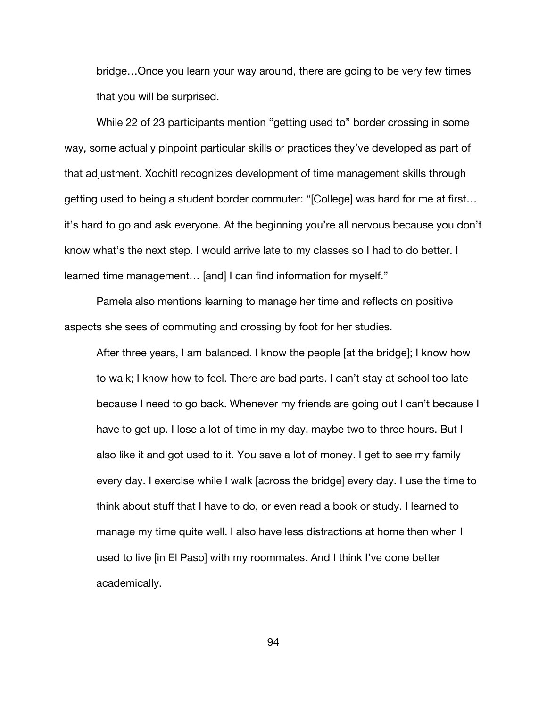bridge…Once you learn your way around, there are going to be very few times that you will be surprised.

While 22 of 23 participants mention "getting used to" border crossing in some way, some actually pinpoint particular skills or practices they've developed as part of that adjustment. Xochitl recognizes development of time management skills through getting used to being a student border commuter: "[College] was hard for me at first… it's hard to go and ask everyone. At the beginning you're all nervous because you don't know what's the next step. I would arrive late to my classes so I had to do better. I learned time management… [and] I can find information for myself."

Pamela also mentions learning to manage her time and reflects on positive aspects she sees of commuting and crossing by foot for her studies.

After three years, I am balanced. I know the people [at the bridge]; I know how to walk; I know how to feel. There are bad parts. I can't stay at school too late because I need to go back. Whenever my friends are going out I can't because I have to get up. I lose a lot of time in my day, maybe two to three hours. But I also like it and got used to it. You save a lot of money. I get to see my family every day. I exercise while I walk [across the bridge] every day. I use the time to think about stuff that I have to do, or even read a book or study. I learned to manage my time quite well. I also have less distractions at home then when I used to live [in El Paso] with my roommates. And I think I've done better academically.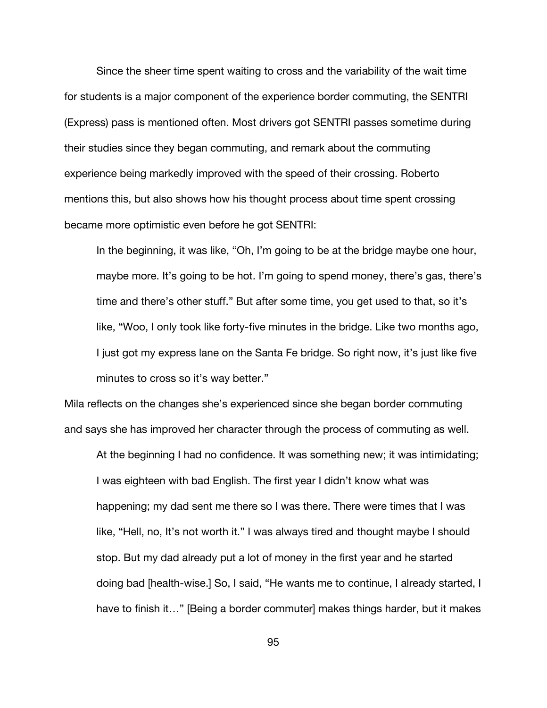Since the sheer time spent waiting to cross and the variability of the wait time for students is a major component of the experience border commuting, the SENTRI (Express) pass is mentioned often. Most drivers got SENTRI passes sometime during their studies since they began commuting, and remark about the commuting experience being markedly improved with the speed of their crossing. Roberto mentions this, but also shows how his thought process about time spent crossing became more optimistic even before he got SENTRI:

In the beginning, it was like, "Oh, I'm going to be at the bridge maybe one hour, maybe more. It's going to be hot. I'm going to spend money, there's gas, there's time and there's other stuff." But after some time, you get used to that, so it's like, "Woo, I only took like forty-five minutes in the bridge. Like two months ago, I just got my express lane on the Santa Fe bridge. So right now, it's just like five minutes to cross so it's way better."

Mila reflects on the changes she's experienced since she began border commuting and says she has improved her character through the process of commuting as well.

At the beginning I had no confidence. It was something new; it was intimidating; I was eighteen with bad English. The first year I didn't know what was happening; my dad sent me there so I was there. There were times that I was like, "Hell, no, It's not worth it." I was always tired and thought maybe I should stop. But my dad already put a lot of money in the first year and he started doing bad [health-wise.] So, I said, "He wants me to continue, I already started, I have to finish it…" [Being a border commuter] makes things harder, but it makes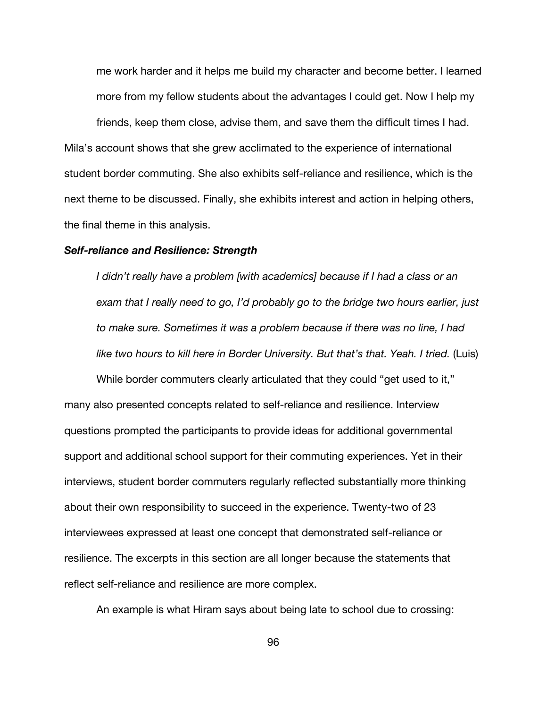me work harder and it helps me build my character and become better. I learned more from my fellow students about the advantages I could get. Now I help my

friends, keep them close, advise them, and save them the difficult times I had. Mila's account shows that she grew acclimated to the experience of international student border commuting. She also exhibits self-reliance and resilience, which is the next theme to be discussed. Finally, she exhibits interest and action in helping others, the final theme in this analysis.

#### *Self-reliance and Resilience: Strength*

*I didn't really have a problem [with academics] because if I had a class or an exam that I really need to go, I'd probably go to the bridge two hours earlier, just to make sure. Sometimes it was a problem because if there was no line, I had*  like two hours to kill here in Border University. But that's that. Yeah. I tried. (Luis)

While border commuters clearly articulated that they could "get used to it," many also presented concepts related to self-reliance and resilience. Interview questions prompted the participants to provide ideas for additional governmental support and additional school support for their commuting experiences. Yet in their interviews, student border commuters regularly reflected substantially more thinking about their own responsibility to succeed in the experience. Twenty-two of 23 interviewees expressed at least one concept that demonstrated self-reliance or resilience. The excerpts in this section are all longer because the statements that reflect self-reliance and resilience are more complex.

An example is what Hiram says about being late to school due to crossing: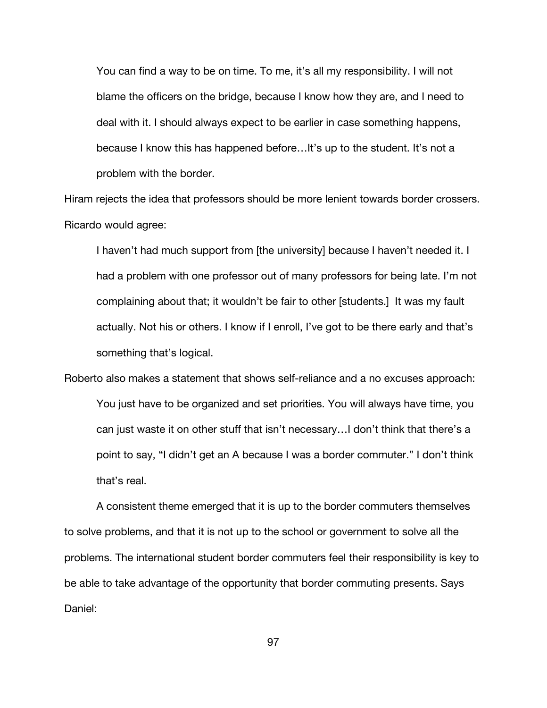You can find a way to be on time. To me, it's all my responsibility. I will not blame the officers on the bridge, because I know how they are, and I need to deal with it. I should always expect to be earlier in case something happens, because I know this has happened before…It's up to the student. It's not a problem with the border.

Hiram rejects the idea that professors should be more lenient towards border crossers. Ricardo would agree:

I haven't had much support from [the university] because I haven't needed it. I had a problem with one professor out of many professors for being late. I'm not complaining about that; it wouldn't be fair to other [students.] It was my fault actually. Not his or others. I know if I enroll, I've got to be there early and that's something that's logical.

Roberto also makes a statement that shows self-reliance and a no excuses approach: You just have to be organized and set priorities. You will always have time, you can just waste it on other stuff that isn't necessary…I don't think that there's a point to say, "I didn't get an A because I was a border commuter." I don't think that's real.

A consistent theme emerged that it is up to the border commuters themselves to solve problems, and that it is not up to the school or government to solve all the problems. The international student border commuters feel their responsibility is key to be able to take advantage of the opportunity that border commuting presents. Says Daniel: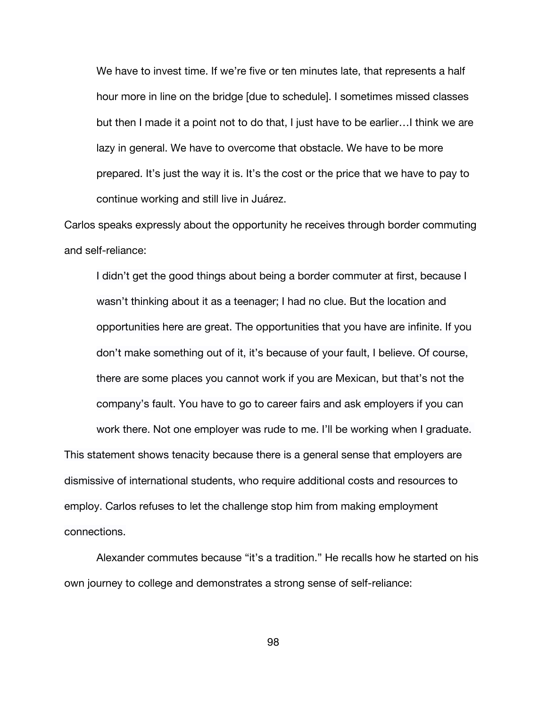We have to invest time. If we're five or ten minutes late, that represents a half hour more in line on the bridge [due to schedule]. I sometimes missed classes but then I made it a point not to do that, I just have to be earlier…I think we are lazy in general. We have to overcome that obstacle. We have to be more prepared. It's just the way it is. It's the cost or the price that we have to pay to continue working and still live in Juárez.

Carlos speaks expressly about the opportunity he receives through border commuting and self-reliance:

I didn't get the good things about being a border commuter at first, because I wasn't thinking about it as a teenager; I had no clue. But the location and opportunities here are great. The opportunities that you have are infinite. If you don't make something out of it, it's because of your fault, I believe. Of course, there are some places you cannot work if you are Mexican, but that's not the company's fault. You have to go to career fairs and ask employers if you can

work there. Not one employer was rude to me. I'll be working when I graduate. This statement shows tenacity because there is a general sense that employers are dismissive of international students, who require additional costs and resources to employ. Carlos refuses to let the challenge stop him from making employment connections.

Alexander commutes because "it's a tradition." He recalls how he started on his own journey to college and demonstrates a strong sense of self-reliance: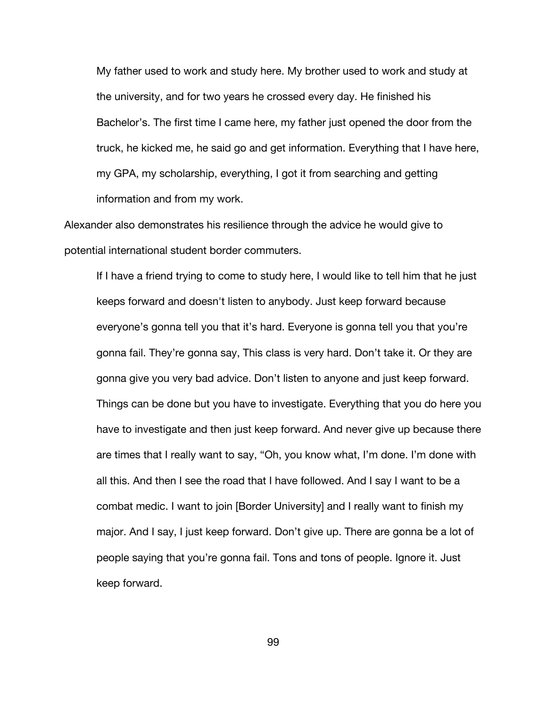My father used to work and study here. My brother used to work and study at the university, and for two years he crossed every day. He finished his Bachelor's. The first time I came here, my father just opened the door from the truck, he kicked me, he said go and get information. Everything that I have here, my GPA, my scholarship, everything, I got it from searching and getting information and from my work.

Alexander also demonstrates his resilience through the advice he would give to potential international student border commuters.

If I have a friend trying to come to study here, I would like to tell him that he just keeps forward and doesn't listen to anybody. Just keep forward because everyone's gonna tell you that it's hard. Everyone is gonna tell you that you're gonna fail. They're gonna say, This class is very hard. Don't take it. Or they are gonna give you very bad advice. Don't listen to anyone and just keep forward. Things can be done but you have to investigate. Everything that you do here you have to investigate and then just keep forward. And never give up because there are times that I really want to say, "Oh, you know what, I'm done. I'm done with all this. And then I see the road that I have followed. And I say I want to be a combat medic. I want to join [Border University] and I really want to finish my major. And I say, I just keep forward. Don't give up. There are gonna be a lot of people saying that you're gonna fail. Tons and tons of people. Ignore it. Just keep forward.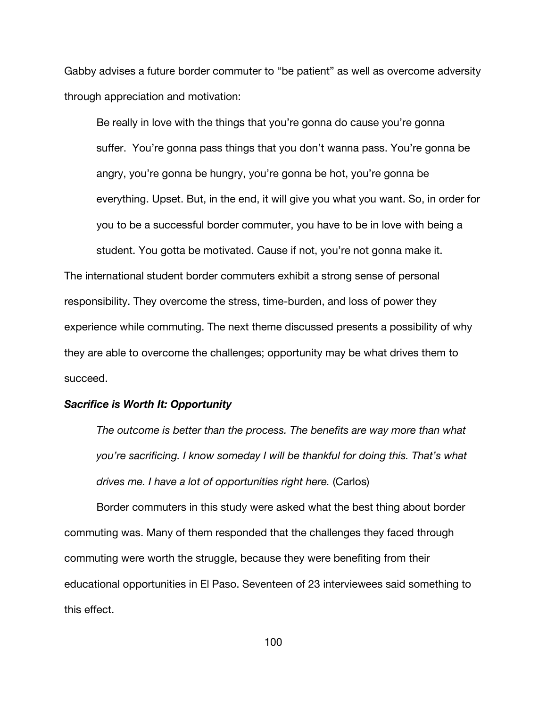Gabby advises a future border commuter to "be patient" as well as overcome adversity through appreciation and motivation:

Be really in love with the things that you're gonna do cause you're gonna suffer. You're gonna pass things that you don't wanna pass. You're gonna be angry, you're gonna be hungry, you're gonna be hot, you're gonna be everything. Upset. But, in the end, it will give you what you want. So, in order for you to be a successful border commuter, you have to be in love with being a student. You gotta be motivated. Cause if not, you're not gonna make it.

The international student border commuters exhibit a strong sense of personal responsibility. They overcome the stress, time-burden, and loss of power they experience while commuting. The next theme discussed presents a possibility of why they are able to overcome the challenges; opportunity may be what drives them to succeed.

## *Sacrifice is Worth It: Opportunity*

*The outcome is better than the process. The benefits are way more than what you're sacrificing. I know someday I will be thankful for doing this. That's what drives me. I have a lot of opportunities right here.* (Carlos)

Border commuters in this study were asked what the best thing about border commuting was. Many of them responded that the challenges they faced through commuting were worth the struggle, because they were benefiting from their educational opportunities in El Paso. Seventeen of 23 interviewees said something to this effect.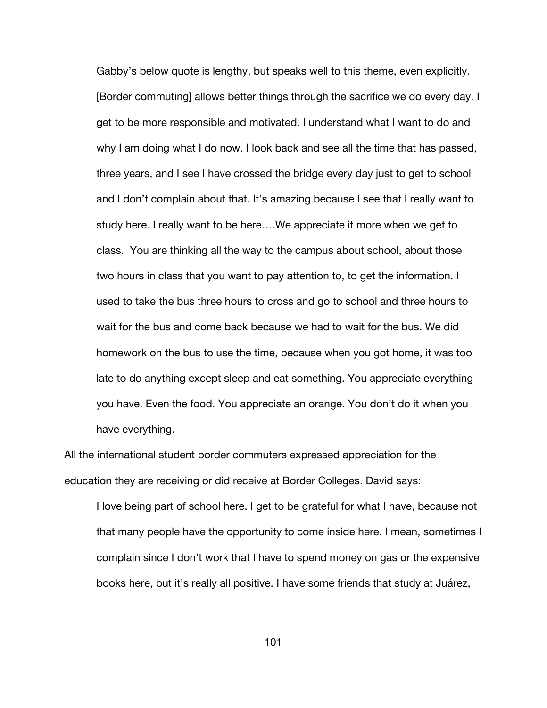Gabby's below quote is lengthy, but speaks well to this theme, even explicitly. [Border commuting] allows better things through the sacrifice we do every day. I get to be more responsible and motivated. I understand what I want to do and why I am doing what I do now. I look back and see all the time that has passed, three years, and I see I have crossed the bridge every day just to get to school and I don't complain about that. It's amazing because I see that I really want to study here. I really want to be here….We appreciate it more when we get to class. You are thinking all the way to the campus about school, about those two hours in class that you want to pay attention to, to get the information. I used to take the bus three hours to cross and go to school and three hours to wait for the bus and come back because we had to wait for the bus. We did homework on the bus to use the time, because when you got home, it was too late to do anything except sleep and eat something. You appreciate everything you have. Even the food. You appreciate an orange. You don't do it when you have everything.

All the international student border commuters expressed appreciation for the education they are receiving or did receive at Border Colleges. David says:

I love being part of school here. I get to be grateful for what I have, because not that many people have the opportunity to come inside here. I mean, sometimes I complain since I don't work that I have to spend money on gas or the expensive books here, but it's really all positive. I have some friends that study at Juárez,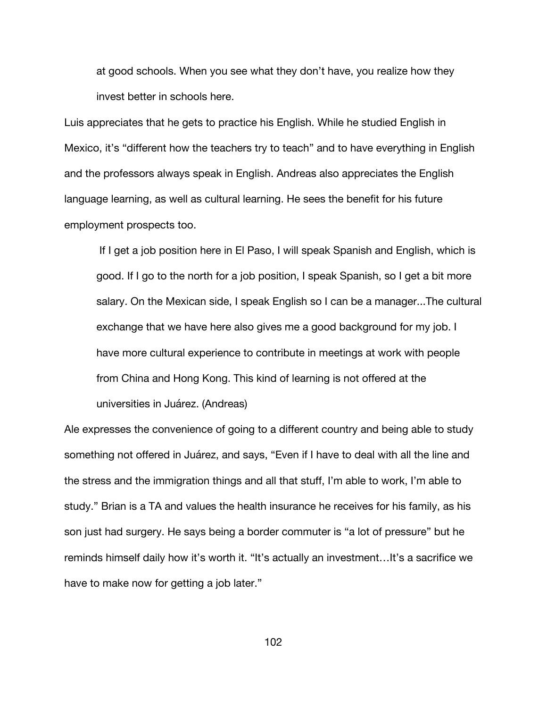at good schools. When you see what they don't have, you realize how they invest better in schools here.

Luis appreciates that he gets to practice his English. While he studied English in Mexico, it's "different how the teachers try to teach" and to have everything in English and the professors always speak in English. Andreas also appreciates the English language learning, as well as cultural learning. He sees the benefit for his future employment prospects too.

If I get a job position here in El Paso, I will speak Spanish and English, which is good. If I go to the north for a job position, I speak Spanish, so I get a bit more salary. On the Mexican side, I speak English so I can be a manager...The cultural exchange that we have here also gives me a good background for my job. I have more cultural experience to contribute in meetings at work with people from China and Hong Kong. This kind of learning is not offered at the universities in Juárez. (Andreas)

Ale expresses the convenience of going to a different country and being able to study something not offered in Juárez, and says, "Even if I have to deal with all the line and the stress and the immigration things and all that stuff, I'm able to work, I'm able to study." Brian is a TA and values the health insurance he receives for his family, as his son just had surgery. He says being a border commuter is "a lot of pressure" but he reminds himself daily how it's worth it. "It's actually an investment…It's a sacrifice we have to make now for getting a job later."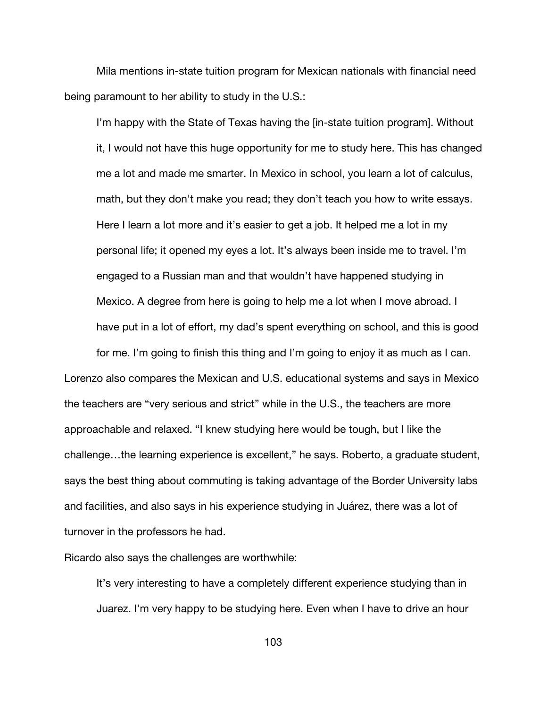Mila mentions in-state tuition program for Mexican nationals with financial need being paramount to her ability to study in the U.S.:

I'm happy with the State of Texas having the [in-state tuition program]. Without it, I would not have this huge opportunity for me to study here. This has changed me a lot and made me smarter. In Mexico in school, you learn a lot of calculus, math, but they don't make you read; they don't teach you how to write essays. Here I learn a lot more and it's easier to get a job. It helped me a lot in my personal life; it opened my eyes a lot. It's always been inside me to travel. I'm engaged to a Russian man and that wouldn't have happened studying in Mexico. A degree from here is going to help me a lot when I move abroad. I have put in a lot of effort, my dad's spent everything on school, and this is good

for me. I'm going to finish this thing and I'm going to enjoy it as much as I can. Lorenzo also compares the Mexican and U.S. educational systems and says in Mexico the teachers are "very serious and strict" while in the U.S., the teachers are more approachable and relaxed. "I knew studying here would be tough, but I like the challenge…the learning experience is excellent," he says. Roberto, a graduate student, says the best thing about commuting is taking advantage of the Border University labs and facilities, and also says in his experience studying in Juárez, there was a lot of turnover in the professors he had.

Ricardo also says the challenges are worthwhile:

It's very interesting to have a completely different experience studying than in Juarez. I'm very happy to be studying here. Even when I have to drive an hour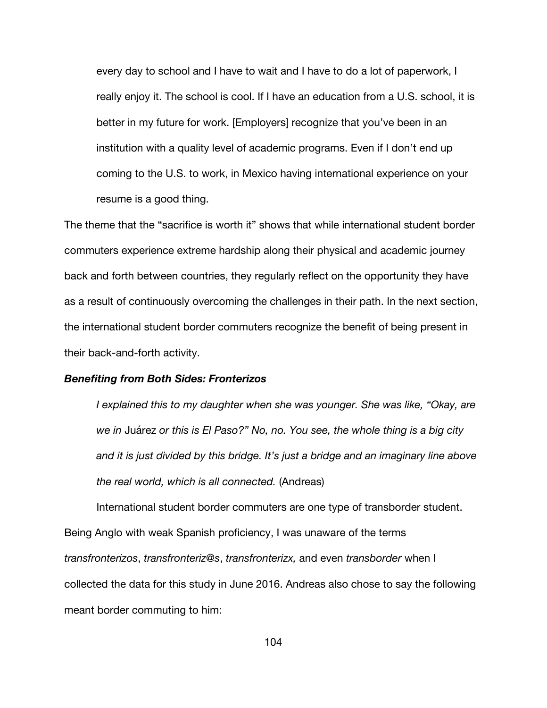every day to school and I have to wait and I have to do a lot of paperwork, I really enjoy it. The school is cool. If I have an education from a U.S. school, it is better in my future for work. [Employers] recognize that you've been in an institution with a quality level of academic programs. Even if I don't end up coming to the U.S. to work, in Mexico having international experience on your resume is a good thing.

The theme that the "sacrifice is worth it" shows that while international student border commuters experience extreme hardship along their physical and academic journey back and forth between countries, they regularly reflect on the opportunity they have as a result of continuously overcoming the challenges in their path. In the next section, the international student border commuters recognize the benefit of being present in their back-and-forth activity.

#### *Benefiting from Both Sides: Fronterizos*

*I explained this to my daughter when she was younger. She was like, "Okay, are we in* Juárez *or this is El Paso?" No, no. You see, the whole thing is a big city and it is just divided by this bridge. It's just a bridge and an imaginary line above the real world, which is all connected.* (Andreas)

International student border commuters are one type of transborder student. Being Anglo with weak Spanish proficiency, I was unaware of the terms *transfronterizos*, *transfronteriz@s*, *transfronterizx,* and even *transborder* when I collected the data for this study in June 2016. Andreas also chose to say the following meant border commuting to him: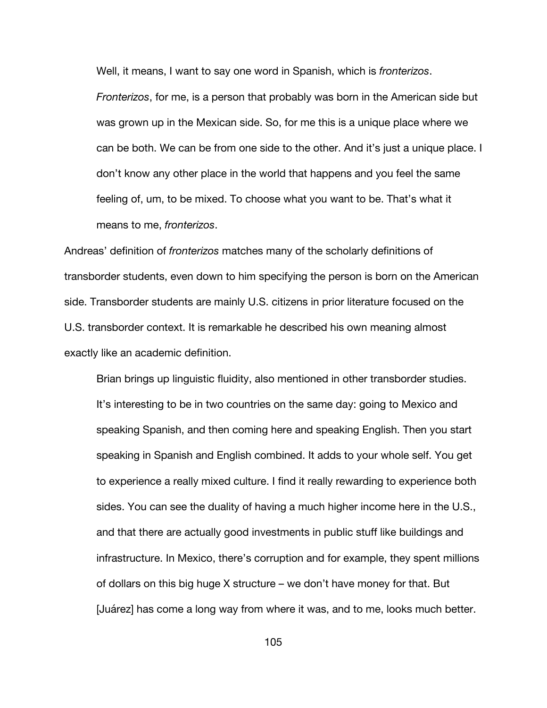Well, it means, I want to say one word in Spanish, which is *fronterizos*.

*Fronterizos*, for me, is a person that probably was born in the American side but was grown up in the Mexican side. So, for me this is a unique place where we can be both. We can be from one side to the other. And it's just a unique place. I don't know any other place in the world that happens and you feel the same feeling of, um, to be mixed. To choose what you want to be. That's what it means to me, *fronterizos*.

Andreas' definition of *fronterizos* matches many of the scholarly definitions of transborder students, even down to him specifying the person is born on the American side. Transborder students are mainly U.S. citizens in prior literature focused on the U.S. transborder context. It is remarkable he described his own meaning almost exactly like an academic definition.

Brian brings up linguistic fluidity, also mentioned in other transborder studies. It's interesting to be in two countries on the same day: going to Mexico and speaking Spanish, and then coming here and speaking English. Then you start speaking in Spanish and English combined. It adds to your whole self. You get to experience a really mixed culture. I find it really rewarding to experience both sides. You can see the duality of having a much higher income here in the U.S., and that there are actually good investments in public stuff like buildings and infrastructure. In Mexico, there's corruption and for example, they spent millions of dollars on this big huge X structure – we don't have money for that. But [Juárez] has come a long way from where it was, and to me, looks much better.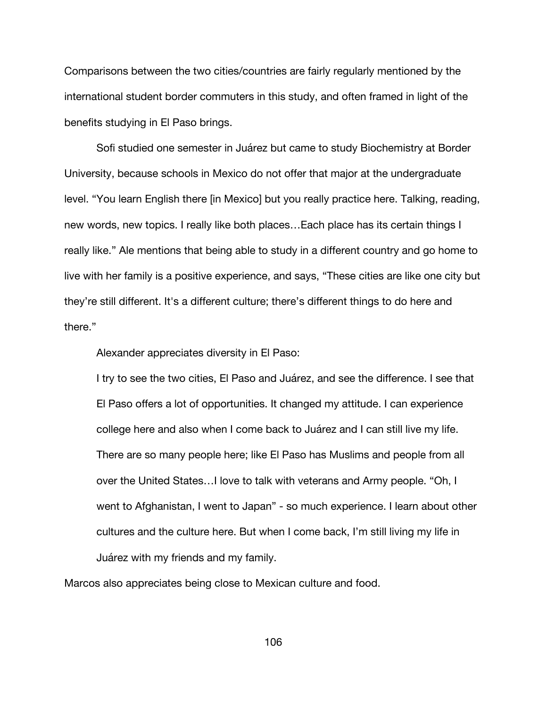Comparisons between the two cities/countries are fairly regularly mentioned by the international student border commuters in this study, and often framed in light of the benefits studying in El Paso brings.

Sofi studied one semester in Juárez but came to study Biochemistry at Border University, because schools in Mexico do not offer that major at the undergraduate level. "You learn English there [in Mexico] but you really practice here. Talking, reading, new words, new topics. I really like both places…Each place has its certain things I really like." Ale mentions that being able to study in a different country and go home to live with her family is a positive experience, and says, "These cities are like one city but they're still different. It's a different culture; there's different things to do here and there."

Alexander appreciates diversity in El Paso:

I try to see the two cities, El Paso and Juárez, and see the difference. I see that El Paso offers a lot of opportunities. It changed my attitude. I can experience college here and also when I come back to Juárez and I can still live my life. There are so many people here; like El Paso has Muslims and people from all over the United States…I love to talk with veterans and Army people. "Oh, I went to Afghanistan, I went to Japan" - so much experience. I learn about other cultures and the culture here. But when I come back, I'm still living my life in Juárez with my friends and my family.

Marcos also appreciates being close to Mexican culture and food.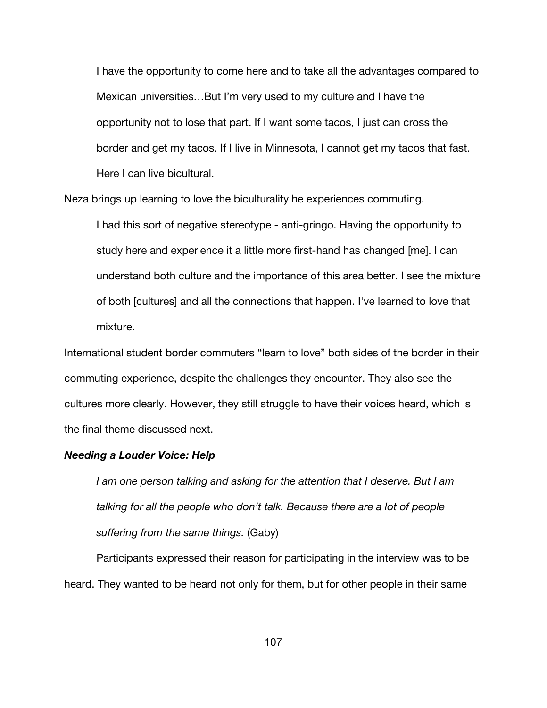I have the opportunity to come here and to take all the advantages compared to Mexican universities…But I'm very used to my culture and I have the opportunity not to lose that part. If I want some tacos, I just can cross the border and get my tacos. If I live in Minnesota, I cannot get my tacos that fast. Here I can live bicultural.

Neza brings up learning to love the biculturality he experiences commuting.

I had this sort of negative stereotype - anti-gringo. Having the opportunity to study here and experience it a little more first-hand has changed [me]. I can understand both culture and the importance of this area better. I see the mixture of both [cultures] and all the connections that happen. I've learned to love that mixture.

International student border commuters "learn to love" both sides of the border in their commuting experience, despite the challenges they encounter. They also see the cultures more clearly. However, they still struggle to have their voices heard, which is the final theme discussed next.

### *Needing a Louder Voice: Help*

*I am one person talking and asking for the attention that I deserve. But I am talking for all the people who don't talk. Because there are a lot of people suffering from the same things.* (Gaby)

Participants expressed their reason for participating in the interview was to be heard. They wanted to be heard not only for them, but for other people in their same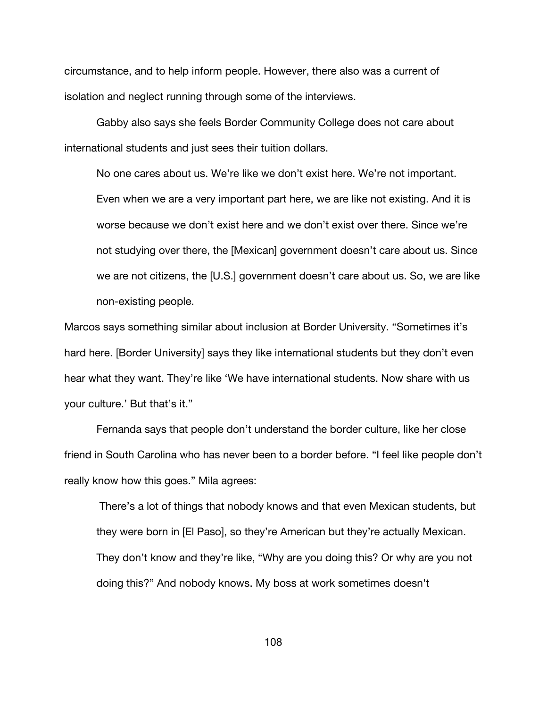circumstance, and to help inform people. However, there also was a current of isolation and neglect running through some of the interviews.

Gabby also says she feels Border Community College does not care about international students and just sees their tuition dollars.

No one cares about us. We're like we don't exist here. We're not important. Even when we are a very important part here, we are like not existing. And it is worse because we don't exist here and we don't exist over there. Since we're not studying over there, the [Mexican] government doesn't care about us. Since we are not citizens, the [U.S.] government doesn't care about us. So, we are like non-existing people.

Marcos says something similar about inclusion at Border University. "Sometimes it's hard here. [Border University] says they like international students but they don't even hear what they want. They're like 'We have international students. Now share with us your culture.' But that's it."

Fernanda says that people don't understand the border culture, like her close friend in South Carolina who has never been to a border before. "I feel like people don't really know how this goes." Mila agrees:

There's a lot of things that nobody knows and that even Mexican students, but they were born in [El Paso], so they're American but they're actually Mexican. They don't know and they're like, "Why are you doing this? Or why are you not doing this?" And nobody knows. My boss at work sometimes doesn't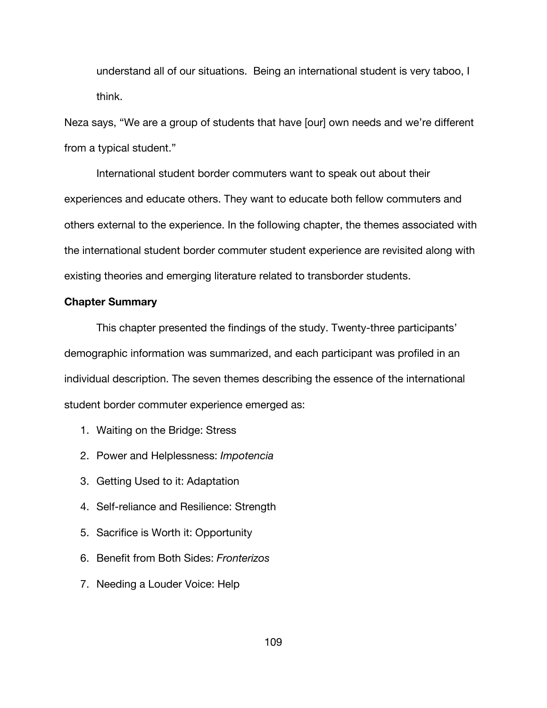understand all of our situations. Being an international student is very taboo, I think.

Neza says, "We are a group of students that have [our] own needs and we're different from a typical student."

International student border commuters want to speak out about their experiences and educate others. They want to educate both fellow commuters and others external to the experience. In the following chapter, the themes associated with the international student border commuter student experience are revisited along with existing theories and emerging literature related to transborder students.

# **Chapter Summary**

This chapter presented the findings of the study. Twenty-three participants' demographic information was summarized, and each participant was profiled in an individual description. The seven themes describing the essence of the international student border commuter experience emerged as:

- 1. Waiting on the Bridge: Stress
- 2. Power and Helplessness: *Impotencia*
- 3. Getting Used to it: Adaptation
- 4. Self-reliance and Resilience: Strength
- 5. Sacrifice is Worth it: Opportunity
- 6. Benefit from Both Sides: *Fronterizos*
- 7. Needing a Louder Voice: Help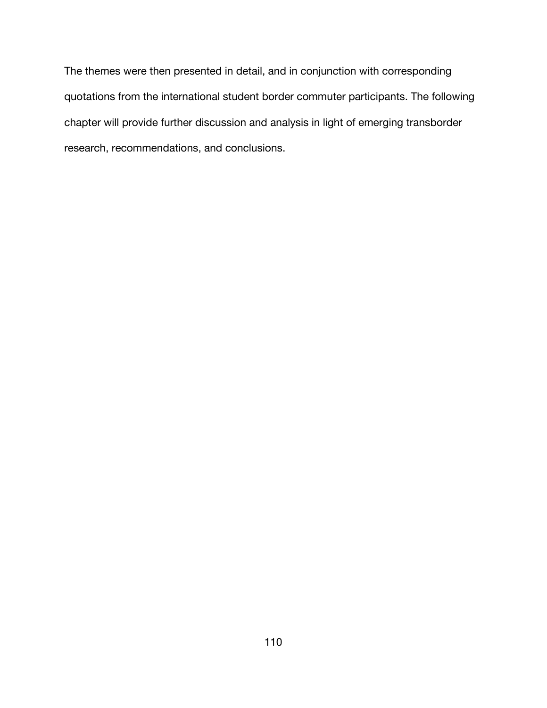The themes were then presented in detail, and in conjunction with corresponding quotations from the international student border commuter participants. The following chapter will provide further discussion and analysis in light of emerging transborder research, recommendations, and conclusions.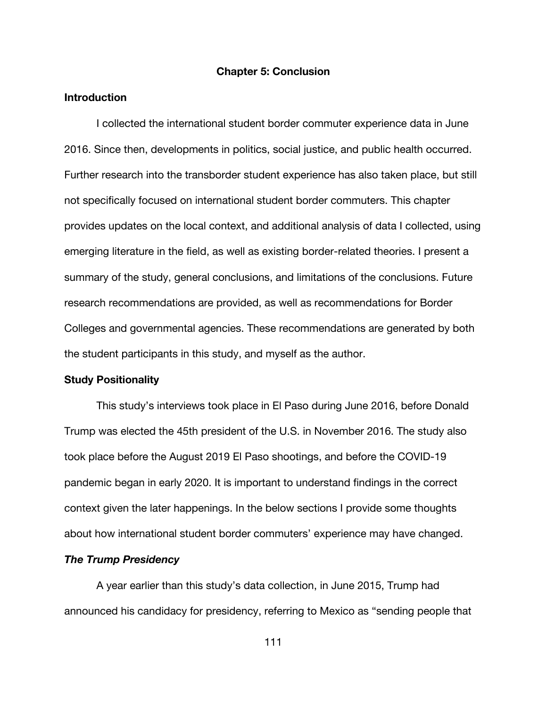#### **Chapter 5: Conclusion**

### **Introduction**

I collected the international student border commuter experience data in June 2016. Since then, developments in politics, social justice, and public health occurred. Further research into the transborder student experience has also taken place, but still not specifically focused on international student border commuters. This chapter provides updates on the local context, and additional analysis of data I collected, using emerging literature in the field, as well as existing border-related theories. I present a summary of the study, general conclusions, and limitations of the conclusions. Future research recommendations are provided, as well as recommendations for Border Colleges and governmental agencies. These recommendations are generated by both the student participants in this study, and myself as the author.

# **Study Positionality**

This study's interviews took place in El Paso during June 2016, before Donald Trump was elected the 45th president of the U.S. in November 2016. The study also took place before the August 2019 El Paso shootings, and before the COVID-19 pandemic began in early 2020. It is important to understand findings in the correct context given the later happenings. In the below sections I provide some thoughts about how international student border commuters' experience may have changed.

## *The Trump Presidency*

A year earlier than this study's data collection, in June 2015, Trump had announced his candidacy for presidency, referring to Mexico as "sending people that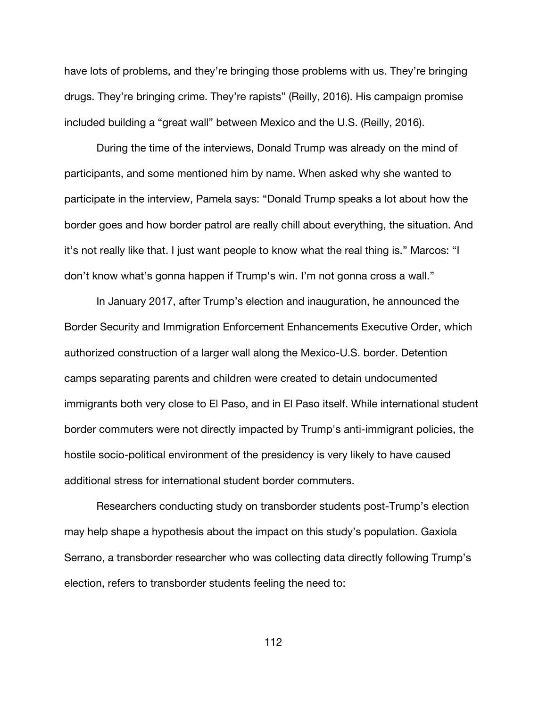have lots of problems, and they're bringing those problems with us. They're bringing drugs. They're bringing crime. They're rapists" (Reilly, 2016). His campaign promise included building a "great wall" between Mexico and the U.S. (Reilly, 2016).

During the time of the interviews, Donald Trump was already on the mind of participants, and some mentioned him by name. When asked why she wanted to participate in the interview, Pamela says: "Donald Trump speaks a lot about how the border goes and how border patrol are really chill about everything, the situation. And it's not really like that. I just want people to know what the real thing is." Marcos: "I don't know what's gonna happen if Trump's win. I'm not gonna cross a wall."

In January 2017, after Trump's election and inauguration, he announced the Border Security and Immigration Enforcement Enhancements Executive Order, which authorized construction of a larger wall along the Mexico-U.S. border. Detention camps separating parents and children were created to detain undocumented immigrants both very close to El Paso, and in El Paso itself. While international student border commuters were not directly impacted by Trump's anti-immigrant policies, the hostile socio-political environment of the presidency is very likely to have caused additional stress for international student border commuters.

Researchers conducting study on transborder students post-Trump's election may help shape a hypothesis about the impact on this study's population. Gaxiola Serrano, a transborder researcher who was collecting data directly following Trump's election, refers to transborder students feeling the need to: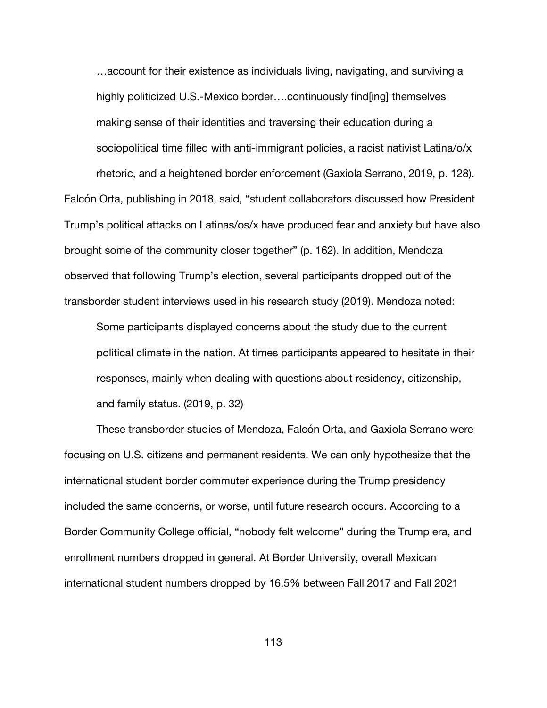…account for their existence as individuals living, navigating, and surviving a highly politicized U.S.-Mexico border….continuously find[ing] themselves making sense of their identities and traversing their education during a sociopolitical time filled with anti-immigrant policies, a racist nativist Latina/o/x rhetoric, and a heightened border enforcement (Gaxiola Serrano, 2019, p. 128). Falcón Orta, publishing in 2018, said, "student collaborators discussed how President Trump's political attacks on Latinas/os/x have produced fear and anxiety but have also brought some of the community closer together" (p. 162). In addition, Mendoza observed that following Trump's election, several participants dropped out of the

transborder student interviews used in his research study (2019). Mendoza noted:

Some participants displayed concerns about the study due to the current political climate in the nation. At times participants appeared to hesitate in their responses, mainly when dealing with questions about residency, citizenship, and family status. (2019, p. 32)

These transborder studies of Mendoza, Falcón Orta, and Gaxiola Serrano were focusing on U.S. citizens and permanent residents. We can only hypothesize that the international student border commuter experience during the Trump presidency included the same concerns, or worse, until future research occurs. According to a Border Community College official, "nobody felt welcome" during the Trump era, and enrollment numbers dropped in general. At Border University, overall Mexican international student numbers dropped by 16.5% between Fall 2017 and Fall 2021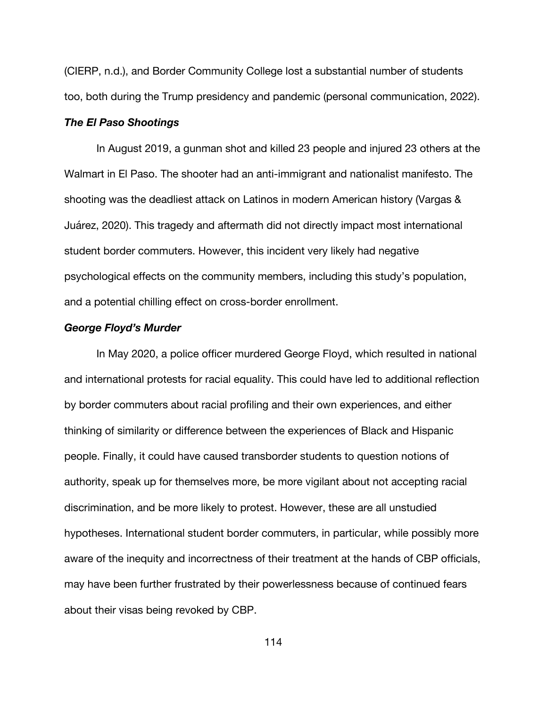(CIERP, n.d.), and Border Community College lost a substantial number of students too, both during the Trump presidency and pandemic (personal communication, 2022).

### *The El Paso Shootings*

In August 2019, a gunman shot and killed 23 people and injured 23 others at the Walmart in El Paso. The shooter had an anti-immigrant and nationalist manifesto. The shooting was the deadliest attack on Latinos in modern American history (Vargas & Juárez, 2020). This tragedy and aftermath did not directly impact most international student border commuters. However, this incident very likely had negative psychological effects on the community members, including this study's population, and a potential chilling effect on cross-border enrollment.

### *George Floyd's Murder*

In May 2020, a police officer murdered George Floyd, which resulted in national and international protests for racial equality. This could have led to additional reflection by border commuters about racial profiling and their own experiences, and either thinking of similarity or difference between the experiences of Black and Hispanic people. Finally, it could have caused transborder students to question notions of authority, speak up for themselves more, be more vigilant about not accepting racial discrimination, and be more likely to protest. However, these are all unstudied hypotheses. International student border commuters, in particular, while possibly more aware of the inequity and incorrectness of their treatment at the hands of CBP officials, may have been further frustrated by their powerlessness because of continued fears about their visas being revoked by CBP.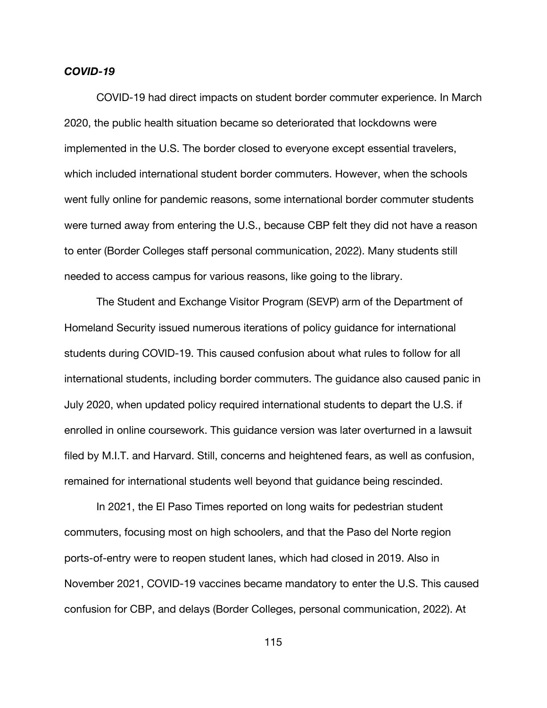#### *COVID-19*

COVID-19 had direct impacts on student border commuter experience. In March 2020, the public health situation became so deteriorated that lockdowns were implemented in the U.S. The border closed to everyone except essential travelers, which included international student border commuters. However, when the schools went fully online for pandemic reasons, some international border commuter students were turned away from entering the U.S., because CBP felt they did not have a reason to enter (Border Colleges staff personal communication, 2022). Many students still needed to access campus for various reasons, like going to the library.

The Student and Exchange Visitor Program (SEVP) arm of the Department of Homeland Security issued numerous iterations of policy guidance for international students during COVID-19. This caused confusion about what rules to follow for all international students, including border commuters. The guidance also caused panic in July 2020, when updated policy required international students to depart the U.S. if enrolled in online coursework. This guidance version was later overturned in a lawsuit filed by M.I.T. and Harvard. Still, concerns and heightened fears, as well as confusion, remained for international students well beyond that guidance being rescinded.

In 2021, the El Paso Times reported on long waits for pedestrian student commuters, focusing most on high schoolers, and that the Paso del Norte region ports-of-entry were to reopen student lanes, which had closed in 2019. Also in November 2021, COVID-19 vaccines became mandatory to enter the U.S. This caused confusion for CBP, and delays (Border Colleges, personal communication, 2022). At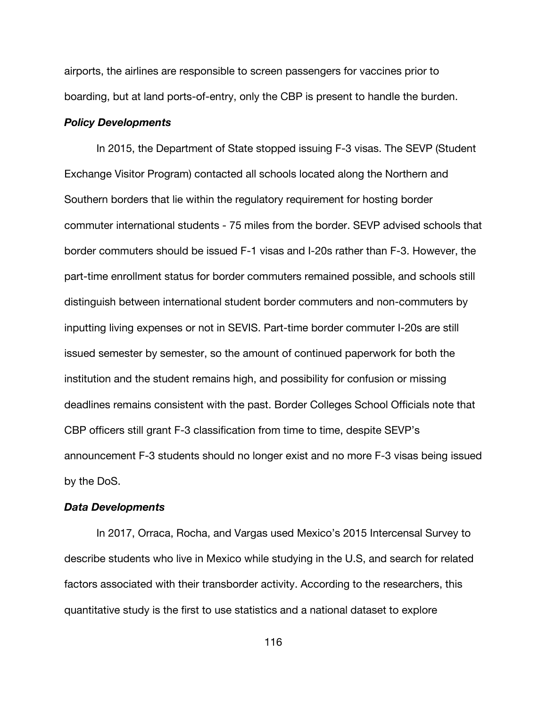airports, the airlines are responsible to screen passengers for vaccines prior to boarding, but at land ports-of-entry, only the CBP is present to handle the burden.

#### *Policy Developments*

In 2015, the Department of State stopped issuing F-3 visas. The SEVP (Student Exchange Visitor Program) contacted all schools located along the Northern and Southern borders that lie within the regulatory requirement for hosting border commuter international students - 75 miles from the border. SEVP advised schools that border commuters should be issued F-1 visas and I-20s rather than F-3. However, the part-time enrollment status for border commuters remained possible, and schools still distinguish between international student border commuters and non-commuters by inputting living expenses or not in SEVIS. Part-time border commuter I-20s are still issued semester by semester, so the amount of continued paperwork for both the institution and the student remains high, and possibility for confusion or missing deadlines remains consistent with the past. Border Colleges School Officials note that CBP officers still grant F-3 classification from time to time, despite SEVP's announcement F-3 students should no longer exist and no more F-3 visas being issued by the DoS.

#### *Data Developments*

In 2017, Orraca, Rocha, and Vargas used Mexico's 2015 Intercensal Survey to describe students who live in Mexico while studying in the U.S, and search for related factors associated with their transborder activity. According to the researchers, this quantitative study is the first to use statistics and a national dataset to explore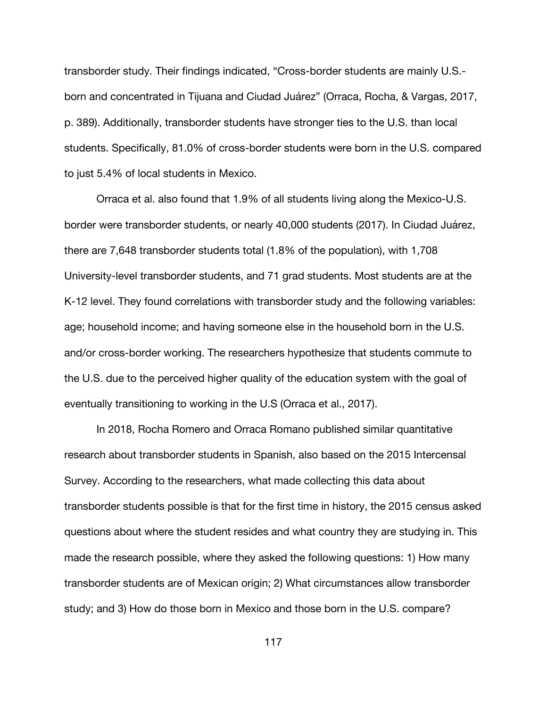transborder study. Their findings indicated, "Cross-border students are mainly U.S. born and concentrated in Tijuana and Ciudad Juárez" (Orraca, Rocha, & Vargas, 2017, p. 389). Additionally, transborder students have stronger ties to the U.S. than local students. Specifically, 81.0% of cross-border students were born in the U.S. compared to just 5.4% of local students in Mexico.

Orraca et al. also found that 1.9% of all students living along the Mexico-U.S. border were transborder students, or nearly 40,000 students (2017). In Ciudad Juárez, there are 7,648 transborder students total (1.8% of the population), with 1,708 University-level transborder students, and 71 grad students. Most students are at the K-12 level. They found correlations with transborder study and the following variables: age; household income; and having someone else in the household born in the U.S. and/or cross-border working. The researchers hypothesize that students commute to the U.S. due to the perceived higher quality of the education system with the goal of eventually transitioning to working in the U.S (Orraca et al., 2017).

In 2018, Rocha Romero and Orraca Romano published similar quantitative research about transborder students in Spanish, also based on the 2015 Intercensal Survey. According to the researchers, what made collecting this data about transborder students possible is that for the first time in history, the 2015 census asked questions about where the student resides and what country they are studying in. This made the research possible, where they asked the following questions: 1) How many transborder students are of Mexican origin; 2) What circumstances allow transborder study; and 3) How do those born in Mexico and those born in the U.S. compare?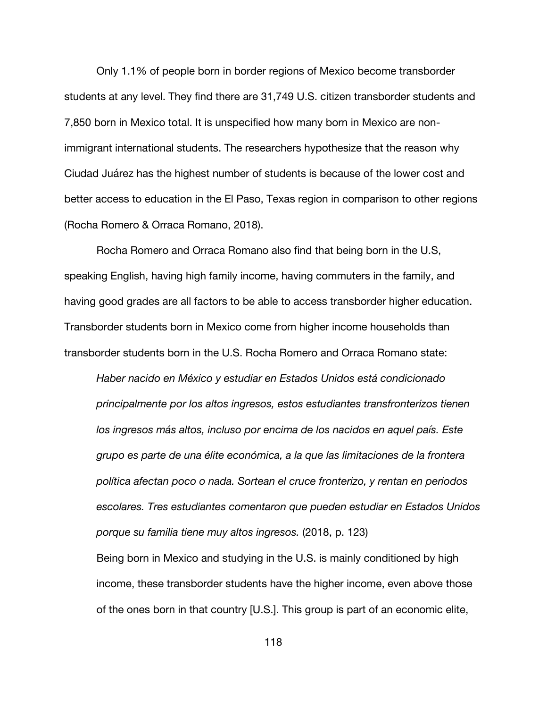Only 1.1% of people born in border regions of Mexico become transborder students at any level. They find there are 31,749 U.S. citizen transborder students and 7,850 born in Mexico total. It is unspecified how many born in Mexico are nonimmigrant international students. The researchers hypothesize that the reason why Ciudad Juárez has the highest number of students is because of the lower cost and better access to education in the El Paso, Texas region in comparison to other regions (Rocha Romero & Orraca Romano, 2018).

Rocha Romero and Orraca Romano also find that being born in the U.S, speaking English, having high family income, having commuters in the family, and having good grades are all factors to be able to access transborder higher education. Transborder students born in Mexico come from higher income households than transborder students born in the U.S. Rocha Romero and Orraca Romano state:

*Haber nacido en México y estudiar en Estados Unidos está condicionado principalmente por los altos ingresos, estos estudiantes transfronterizos tienen los ingresos más altos, incluso por encima de los nacidos en aquel país. Este grupo es parte de una élite económica, a la que las limitaciones de la frontera política afectan poco o nada. Sortean el cruce fronterizo, y rentan en periodos escolares. Tres estudiantes comentaron que pueden estudiar en Estados Unidos porque su familia tiene muy altos ingresos.* (2018, p. 123)

Being born in Mexico and studying in the U.S. is mainly conditioned by high income, these transborder students have the higher income, even above those of the ones born in that country [U.S.]. This group is part of an economic elite,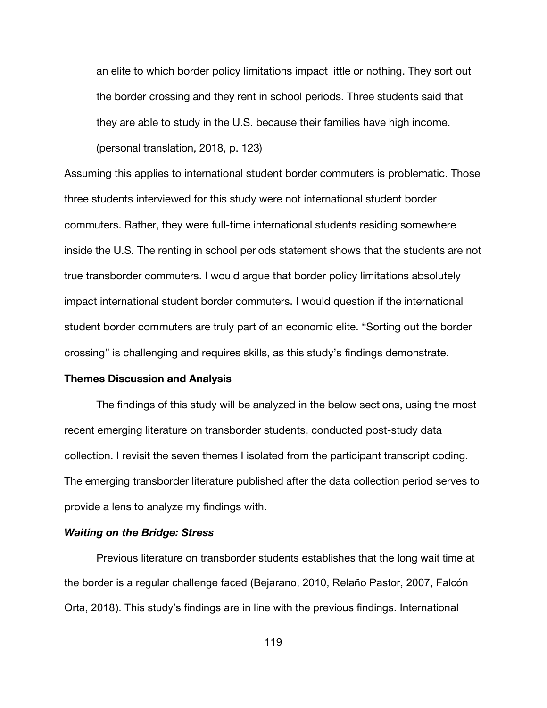an elite to which border policy limitations impact little or nothing. They sort out the border crossing and they rent in school periods. Three students said that they are able to study in the U.S. because their families have high income. (personal translation, 2018, p. 123)

Assuming this applies to international student border commuters is problematic. Those three students interviewed for this study were not international student border commuters. Rather, they were full-time international students residing somewhere inside the U.S. The renting in school periods statement shows that the students are not true transborder commuters. I would argue that border policy limitations absolutely impact international student border commuters. I would question if the international student border commuters are truly part of an economic elite. "Sorting out the border crossing" is challenging and requires skills, as this study's findings demonstrate.

# **Themes Discussion and Analysis**

The findings of this study will be analyzed in the below sections, using the most recent emerging literature on transborder students, conducted post-study data collection. I revisit the seven themes I isolated from the participant transcript coding. The emerging transborder literature published after the data collection period serves to provide a lens to analyze my findings with.

# *Waiting on the Bridge: Stress*

Previous literature on transborder students establishes that the long wait time at the border is a regular challenge faced (Bejarano, 2010, Relaño Pastor, 2007, Falcón Orta, 2018). This study's findings are in line with the previous findings. International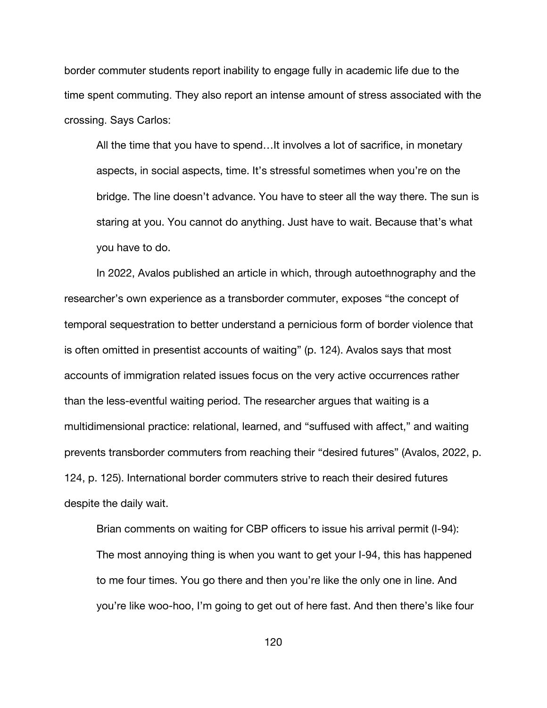border commuter students report inability to engage fully in academic life due to the time spent commuting. They also report an intense amount of stress associated with the crossing. Says Carlos:

All the time that you have to spend…It involves a lot of sacrifice, in monetary aspects, in social aspects, time. It's stressful sometimes when you're on the bridge. The line doesn't advance. You have to steer all the way there. The sun is staring at you. You cannot do anything. Just have to wait. Because that's what you have to do.

In 2022, Avalos published an article in which, through autoethnography and the researcher's own experience as a transborder commuter, exposes "the concept of temporal sequestration to better understand a pernicious form of border violence that is often omitted in presentist accounts of waiting" (p. 124). Avalos says that most accounts of immigration related issues focus on the very active occurrences rather than the less-eventful waiting period. The researcher argues that waiting is a multidimensional practice: relational, learned, and "suffused with affect," and waiting prevents transborder commuters from reaching their "desired futures" (Avalos, 2022, p. 124, p. 125). International border commuters strive to reach their desired futures despite the daily wait.

Brian comments on waiting for CBP officers to issue his arrival permit (I-94): The most annoying thing is when you want to get your I-94, this has happened to me four times. You go there and then you're like the only one in line. And you're like woo-hoo, I'm going to get out of here fast. And then there's like four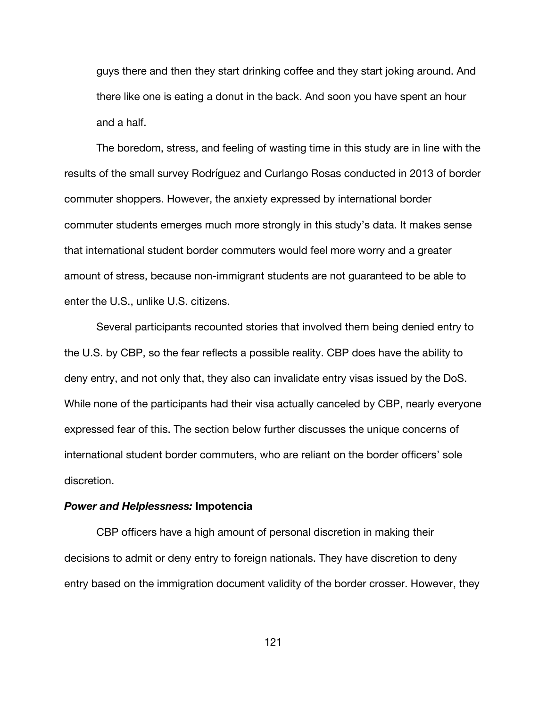guys there and then they start drinking coffee and they start joking around. And there like one is eating a donut in the back. And soon you have spent an hour and a half.

The boredom, stress, and feeling of wasting time in this study are in line with the results of the small survey Rodríguez and Curlango Rosas conducted in 2013 of border commuter shoppers. However, the anxiety expressed by international border commuter students emerges much more strongly in this study's data. It makes sense that international student border commuters would feel more worry and a greater amount of stress, because non-immigrant students are not guaranteed to be able to enter the U.S., unlike U.S. citizens.

Several participants recounted stories that involved them being denied entry to the U.S. by CBP, so the fear reflects a possible reality. CBP does have the ability to deny entry, and not only that, they also can invalidate entry visas issued by the DoS. While none of the participants had their visa actually canceled by CBP, nearly everyone expressed fear of this. The section below further discusses the unique concerns of international student border commuters, who are reliant on the border officers' sole discretion.

#### *Power and Helplessness:* **Impotencia**

CBP officers have a high amount of personal discretion in making their decisions to admit or deny entry to foreign nationals. They have discretion to deny entry based on the immigration document validity of the border crosser. However, they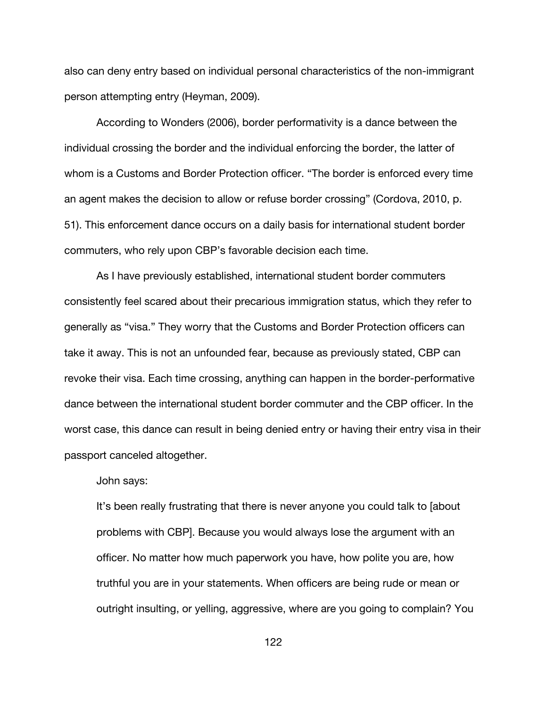also can deny entry based on individual personal characteristics of the non-immigrant person attempting entry (Heyman, 2009).

According to Wonders (2006), border performativity is a dance between the individual crossing the border and the individual enforcing the border, the latter of whom is a Customs and Border Protection officer. "The border is enforced every time an agent makes the decision to allow or refuse border crossing" (Cordova, 2010, p. 51). This enforcement dance occurs on a daily basis for international student border commuters, who rely upon CBP's favorable decision each time.

As I have previously established, international student border commuters consistently feel scared about their precarious immigration status, which they refer to generally as "visa." They worry that the Customs and Border Protection officers can take it away. This is not an unfounded fear, because as previously stated, CBP can revoke their visa. Each time crossing, anything can happen in the border-performative dance between the international student border commuter and the CBP officer. In the worst case, this dance can result in being denied entry or having their entry visa in their passport canceled altogether.

# John says:

It's been really frustrating that there is never anyone you could talk to [about problems with CBP]. Because you would always lose the argument with an officer. No matter how much paperwork you have, how polite you are, how truthful you are in your statements. When officers are being rude or mean or outright insulting, or yelling, aggressive, where are you going to complain? You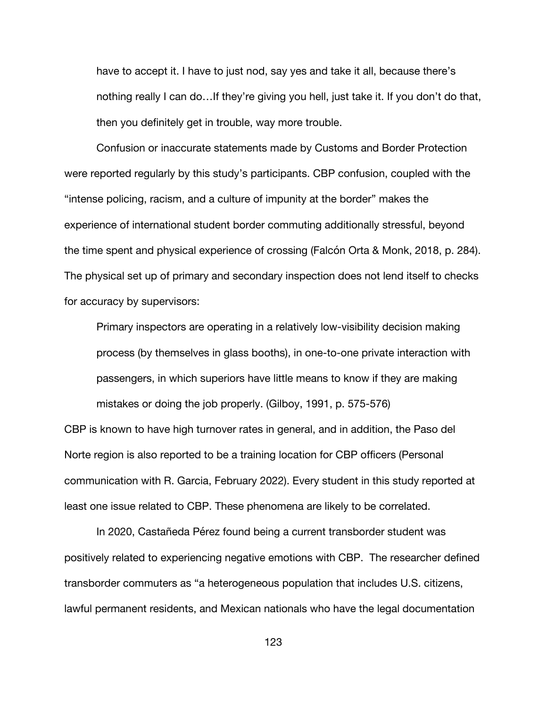have to accept it. I have to just nod, say yes and take it all, because there's nothing really I can do…If they're giving you hell, just take it. If you don't do that, then you definitely get in trouble, way more trouble.

Confusion or inaccurate statements made by Customs and Border Protection were reported regularly by this study's participants. CBP confusion, coupled with the "intense policing, racism, and a culture of impunity at the border" makes the experience of international student border commuting additionally stressful, beyond the time spent and physical experience of crossing (Falcón Orta & Monk, 2018, p. 284). The physical set up of primary and secondary inspection does not lend itself to checks for accuracy by supervisors:

Primary inspectors are operating in a relatively low-visibility decision making process (by themselves in glass booths), in one-to-one private interaction with passengers, in which superiors have little means to know if they are making mistakes or doing the job properly. (Gilboy, 1991, p. 575-576)

CBP is known to have high turnover rates in general, and in addition, the Paso del Norte region is also reported to be a training location for CBP officers (Personal communication with R. Garcia, February 2022). Every student in this study reported at least one issue related to CBP. These phenomena are likely to be correlated.

In 2020, Castañeda Pérez found being a current transborder student was positively related to experiencing negative emotions with CBP. The researcher defined transborder commuters as "a heterogeneous population that includes U.S. citizens, lawful permanent residents, and Mexican nationals who have the legal documentation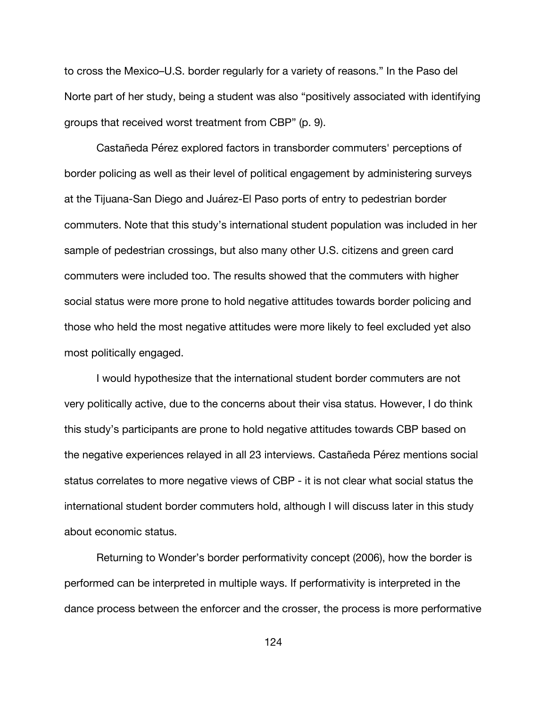to cross the Mexico–U.S. border regularly for a variety of reasons." In the Paso del Norte part of her study, being a student was also "positively associated with identifying groups that received worst treatment from CBP" (p. 9).

Castañeda Pérez explored factors in transborder commuters' perceptions of border policing as well as their level of political engagement by administering surveys at the Tijuana-San Diego and Juárez-El Paso ports of entry to pedestrian border commuters. Note that this study's international student population was included in her sample of pedestrian crossings, but also many other U.S. citizens and green card commuters were included too. The results showed that the commuters with higher social status were more prone to hold negative attitudes towards border policing and those who held the most negative attitudes were more likely to feel excluded yet also most politically engaged.

I would hypothesize that the international student border commuters are not very politically active, due to the concerns about their visa status. However, I do think this study's participants are prone to hold negative attitudes towards CBP based on the negative experiences relayed in all 23 interviews. Castañeda Pérez mentions social status correlates to more negative views of CBP - it is not clear what social status the international student border commuters hold, although I will discuss later in this study about economic status.

Returning to Wonder's border performativity concept (2006), how the border is performed can be interpreted in multiple ways. If performativity is interpreted in the dance process between the enforcer and the crosser, the process is more performative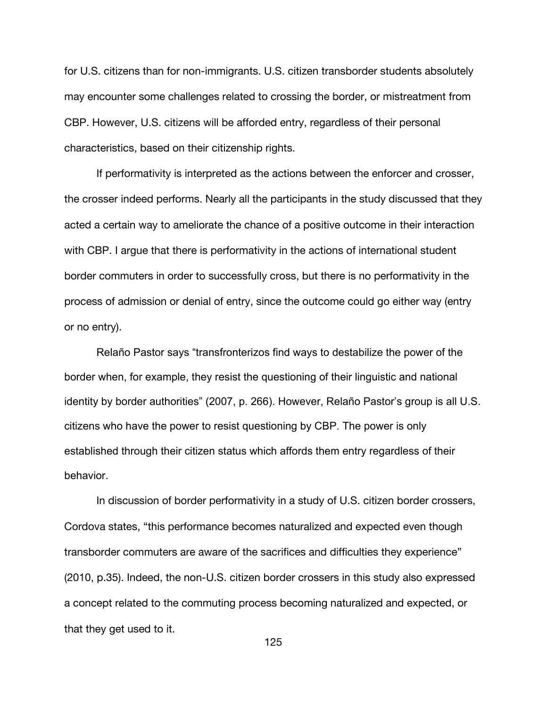for U.S. citizens than for non-immigrants. U.S. citizen transborder students absolutely may encounter some challenges related to crossing the border, or mistreatment from CBP. However, U.S. citizens will be afforded entry, regardless of their personal characteristics, based on their citizenship rights.

If performativity is interpreted as the actions between the enforcer and crosser, the crosser indeed performs. Nearly all the participants in the study discussed that they acted a certain way to ameliorate the chance of a positive outcome in their interaction with CBP. I argue that there is performativity in the actions of international student border commuters in order to successfully cross, but there is no performativity in the process of admission or denial of entry, since the outcome could go either way (entry or no entry).

Relaño Pastor says "transfronterizos find ways to destabilize the power of the border when, for example, they resist the questioning of their linguistic and national identity by border authorities" (2007, p. 266). However, Relaño Pastor's group is all U.S. citizens who have the power to resist questioning by CBP. The power is only established through their citizen status which affords them entry regardless of their behavior.

In discussion of border performativity in a study of U.S. citizen border crossers, Cordova states, "this performance becomes naturalized and expected even though transborder commuters are aware of the sacrifices and difficulties they experience" (2010, p.35). Indeed, the non-U.S. citizen border crossers in this study also expressed a concept related to the commuting process becoming naturalized and expected, or that they get used to it.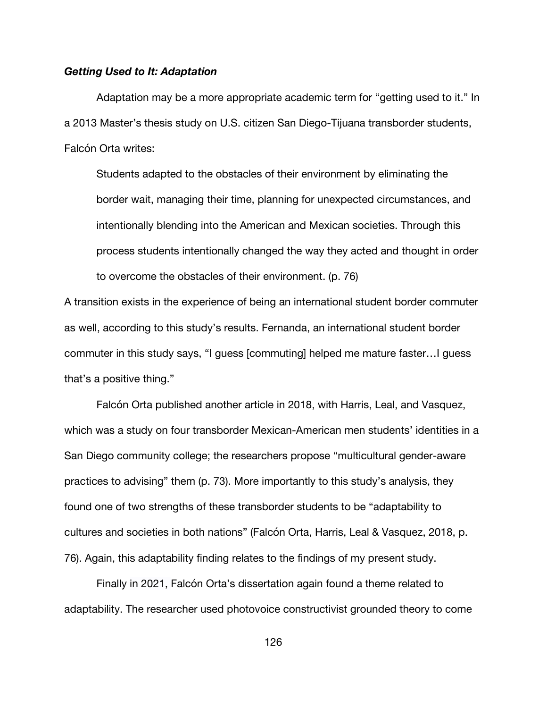## *Getting Used to It: Adaptation*

Adaptation may be a more appropriate academic term for "getting used to it." In a 2013 Master's thesis study on U.S. citizen San Diego-Tijuana transborder students, Falcón Orta writes:

Students adapted to the obstacles of their environment by eliminating the border wait, managing their time, planning for unexpected circumstances, and intentionally blending into the American and Mexican societies. Through this process students intentionally changed the way they acted and thought in order to overcome the obstacles of their environment. (p. 76)

A transition exists in the experience of being an international student border commuter as well, according to this study's results. Fernanda, an international student border commuter in this study says, "I guess [commuting] helped me mature faster…I guess that's a positive thing."

Falcón Orta published another article in 2018, with Harris, Leal, and Vasquez, which was a study on four transborder Mexican-American men students' identities in a San Diego community college; the researchers propose "multicultural gender-aware practices to advising" them (p. 73). More importantly to this study's analysis, they found one of two strengths of these transborder students to be "adaptability to cultures and societies in both nations" (Falcón Orta, Harris, Leal & Vasquez, 2018, p. 76). Again, this adaptability finding relates to the findings of my present study.

Finally in 2021, Falcón Orta's dissertation again found a theme related to adaptability. The researcher used photovoice constructivist grounded theory to come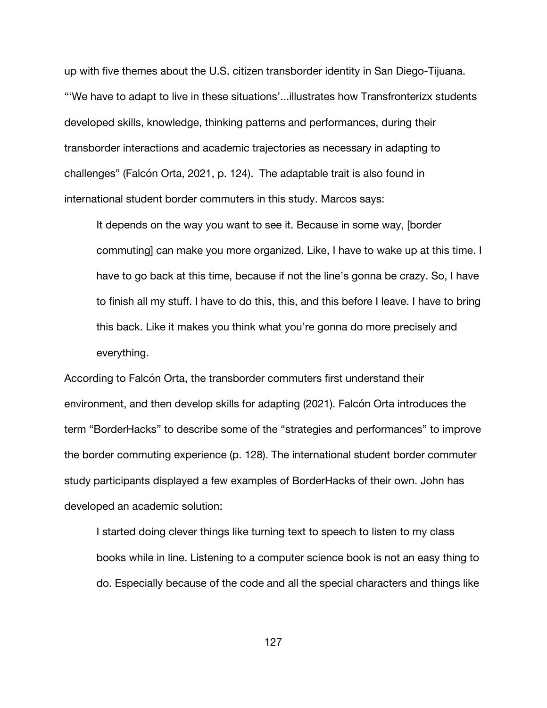up with five themes about the U.S. citizen transborder identity in San Diego-Tijuana. "'We have to adapt to live in these situations'...illustrates how Transfronterizx students developed skills, knowledge, thinking patterns and performances, during their transborder interactions and academic trajectories as necessary in adapting to challenges" (Falcón Orta, 2021, p. 124). The adaptable trait is also found in international student border commuters in this study. Marcos says:

It depends on the way you want to see it. Because in some way, [border commuting] can make you more organized. Like, I have to wake up at this time. I have to go back at this time, because if not the line's gonna be crazy. So, I have to finish all my stuff. I have to do this, this, and this before I leave. I have to bring this back. Like it makes you think what you're gonna do more precisely and everything.

According to Falcón Orta, the transborder commuters first understand their environment, and then develop skills for adapting (2021). Falcón Orta introduces the term "BorderHacks" to describe some of the "strategies and performances" to improve the border commuting experience (p. 128). The international student border commuter study participants displayed a few examples of BorderHacks of their own. John has developed an academic solution:

I started doing clever things like turning text to speech to listen to my class books while in line. Listening to a computer science book is not an easy thing to do. Especially because of the code and all the special characters and things like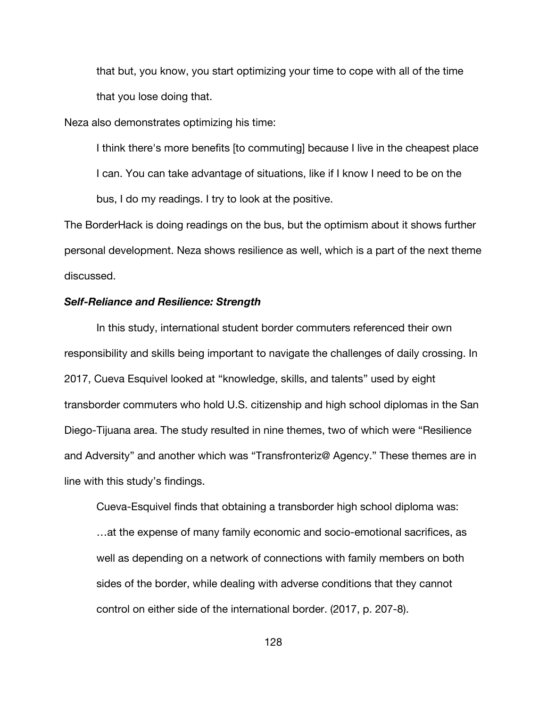that but, you know, you start optimizing your time to cope with all of the time that you lose doing that.

Neza also demonstrates optimizing his time:

I think there's more benefits [to commuting] because I live in the cheapest place I can. You can take advantage of situations, like if I know I need to be on the bus, I do my readings. I try to look at the positive.

The BorderHack is doing readings on the bus, but the optimism about it shows further personal development. Neza shows resilience as well, which is a part of the next theme discussed.

## *Self-Reliance and Resilience: Strength*

In this study, international student border commuters referenced their own responsibility and skills being important to navigate the challenges of daily crossing. In 2017, Cueva Esquivel looked at "knowledge, skills, and talents" used by eight transborder commuters who hold U.S. citizenship and high school diplomas in the San Diego-Tijuana area. The study resulted in nine themes, two of which were "Resilience and Adversity" and another which was "Transfronteriz@ Agency." These themes are in line with this study's findings.

Cueva-Esquivel finds that obtaining a transborder high school diploma was: …at the expense of many family economic and socio-emotional sacrifices, as well as depending on a network of connections with family members on both sides of the border, while dealing with adverse conditions that they cannot control on either side of the international border. (2017, p. 207-8).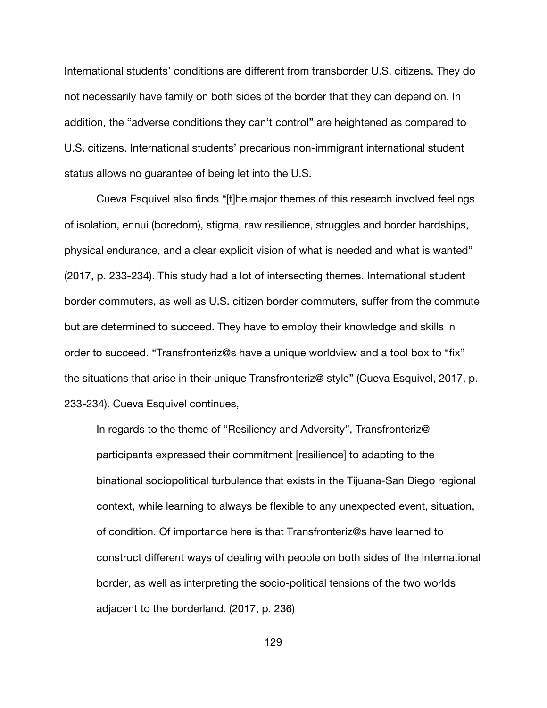International students' conditions are different from transborder U.S. citizens. They do not necessarily have family on both sides of the border that they can depend on. In addition, the "adverse conditions they can't control" are heightened as compared to U.S. citizens. International students' precarious non-immigrant international student status allows no guarantee of being let into the U.S.

Cueva Esquivel also finds "[t]he major themes of this research involved feelings of isolation, ennui (boredom), stigma, raw resilience, struggles and border hardships, physical endurance, and a clear explicit vision of what is needed and what is wanted" (2017, p. 233-234). This study had a lot of intersecting themes. International student border commuters, as well as U.S. citizen border commuters, suffer from the commute but are determined to succeed. They have to employ their knowledge and skills in order to succeed. "Transfronteriz@s have a unique worldview and a tool box to "fix" the situations that arise in their unique Transfronteriz@ style" (Cueva Esquivel, 2017, p. 233-234). Cueva Esquivel continues,

In regards to the theme of "Resiliency and Adversity", Transfronteriz@ participants expressed their commitment [resilience] to adapting to the binational sociopolitical turbulence that exists in the Tijuana-San Diego regional context, while learning to always be flexible to any unexpected event, situation, of condition. Of importance here is that Transfronteriz@s have learned to construct different ways of dealing with people on both sides of the international border, as well as interpreting the socio-political tensions of the two worlds adjacent to the borderland. (2017, p. 236)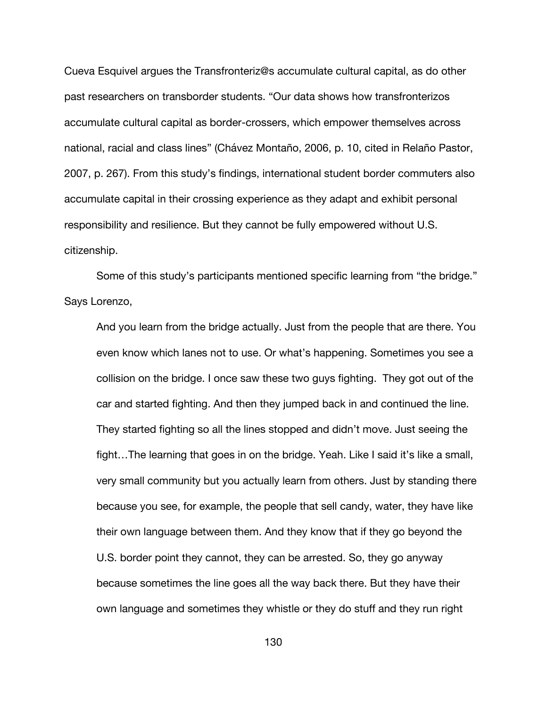Cueva Esquivel argues the Transfronteriz@s accumulate cultural capital, as do other past researchers on transborder students. "Our data shows how transfronterizos accumulate cultural capital as border-crossers, which empower themselves across national, racial and class lines" (Chávez Montaño, 2006, p. 10, cited in Relaño Pastor, 2007, p. 267). From this study's findings, international student border commuters also accumulate capital in their crossing experience as they adapt and exhibit personal responsibility and resilience. But they cannot be fully empowered without U.S. citizenship.

Some of this study's participants mentioned specific learning from "the bridge." Says Lorenzo,

And you learn from the bridge actually. Just from the people that are there. You even know which lanes not to use. Or what's happening. Sometimes you see a collision on the bridge. I once saw these two guys fighting. They got out of the car and started fighting. And then they jumped back in and continued the line. They started fighting so all the lines stopped and didn't move. Just seeing the fight…The learning that goes in on the bridge. Yeah. Like I said it's like a small, very small community but you actually learn from others. Just by standing there because you see, for example, the people that sell candy, water, they have like their own language between them. And they know that if they go beyond the U.S. border point they cannot, they can be arrested. So, they go anyway because sometimes the line goes all the way back there. But they have their own language and sometimes they whistle or they do stuff and they run right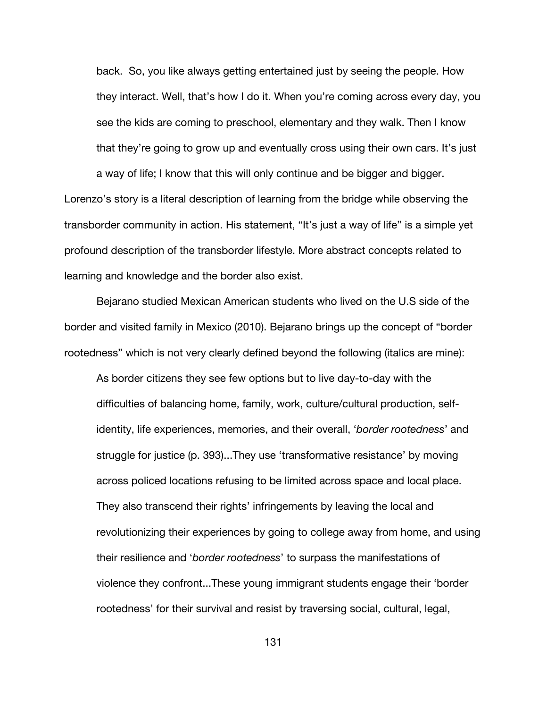back. So, you like always getting entertained just by seeing the people. How they interact. Well, that's how I do it. When you're coming across every day, you see the kids are coming to preschool, elementary and they walk. Then I know that they're going to grow up and eventually cross using their own cars. It's just a way of life; I know that this will only continue and be bigger and bigger.

Lorenzo's story is a literal description of learning from the bridge while observing the transborder community in action. His statement, "It's just a way of life" is a simple yet profound description of the transborder lifestyle. More abstract concepts related to learning and knowledge and the border also exist.

Bejarano studied Mexican American students who lived on the U.S side of the border and visited family in Mexico (2010). Bejarano brings up the concept of "border rootedness" which is not very clearly defined beyond the following (italics are mine):

As border citizens they see few options but to live day-to-day with the difficulties of balancing home, family, work, culture/cultural production, selfidentity, life experiences, memories, and their overall, '*border rootedness*' and struggle for justice (p. 393)...They use 'transformative resistance' by moving across policed locations refusing to be limited across space and local place. They also transcend their rights' infringements by leaving the local and revolutionizing their experiences by going to college away from home, and using their resilience and '*border rootedness*' to surpass the manifestations of violence they confront...These young immigrant students engage their 'border rootedness' for their survival and resist by traversing social, cultural, legal,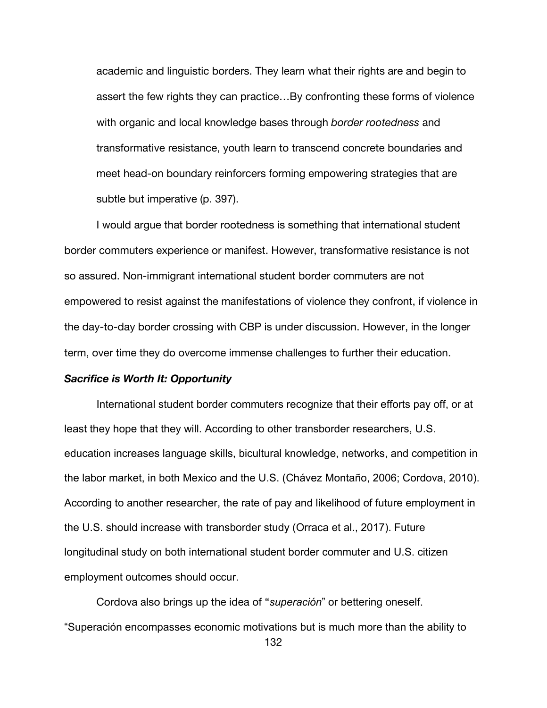academic and linguistic borders. They learn what their rights are and begin to assert the few rights they can practice…By confronting these forms of violence with organic and local knowledge bases through *border rootedness* and transformative resistance, youth learn to transcend concrete boundaries and meet head-on boundary reinforcers forming empowering strategies that are subtle but imperative (p. 397).

I would argue that border rootedness is something that international student border commuters experience or manifest. However, transformative resistance is not so assured. Non-immigrant international student border commuters are not empowered to resist against the manifestations of violence they confront, if violence in the day-to-day border crossing with CBP is under discussion. However, in the longer term, over time they do overcome immense challenges to further their education.

# *Sacrifice is Worth It: Opportunity*

International student border commuters recognize that their efforts pay off, or at least they hope that they will. According to other transborder researchers, U.S. education increases language skills, bicultural knowledge, networks, and competition in the labor market, in both Mexico and the U.S. (Chávez Montaño, 2006; Cordova, 2010). According to another researcher, the rate of pay and likelihood of future employment in the U.S. should increase with transborder study (Orraca et al., 2017). Future longitudinal study on both international student border commuter and U.S. citizen employment outcomes should occur.

Cordova also brings up the idea of "*superación*" or bettering oneself. "Superación encompasses economic motivations but is much more than the ability to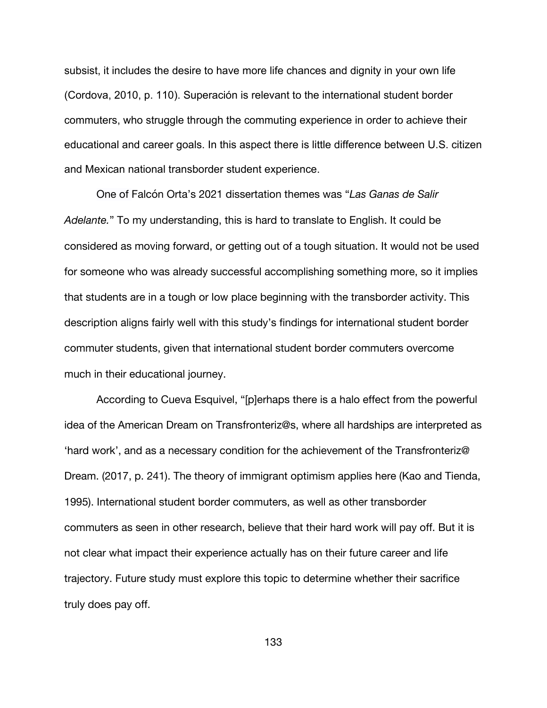subsist, it includes the desire to have more life chances and dignity in your own life (Cordova, 2010, p. 110). Superación is relevant to the international student border commuters, who struggle through the commuting experience in order to achieve their educational and career goals. In this aspect there is little difference between U.S. citizen and Mexican national transborder student experience.

One of Falcón Orta's 2021 dissertation themes was "*Las Ganas de Salir Adelante.*" To my understanding, this is hard to translate to English. It could be considered as moving forward, or getting out of a tough situation. It would not be used for someone who was already successful accomplishing something more, so it implies that students are in a tough or low place beginning with the transborder activity. This description aligns fairly well with this study's findings for international student border commuter students, given that international student border commuters overcome much in their educational journey.

According to Cueva Esquivel, "[p]erhaps there is a halo effect from the powerful idea of the American Dream on Transfronteriz@s, where all hardships are interpreted as 'hard work', and as a necessary condition for the achievement of the Transfronteriz@ Dream. (2017, p. 241). The theory of immigrant optimism applies here (Kao and Tienda, 1995). International student border commuters, as well as other transborder commuters as seen in other research, believe that their hard work will pay off. But it is not clear what impact their experience actually has on their future career and life trajectory. Future study must explore this topic to determine whether their sacrifice truly does pay off.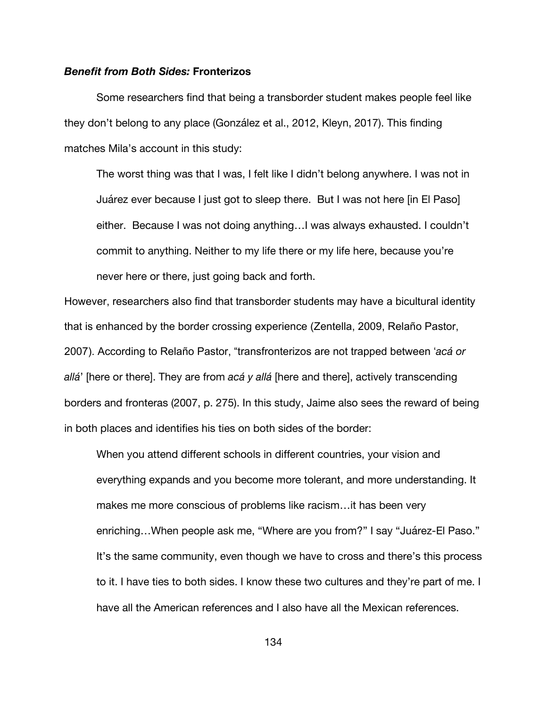### *Benefit from Both Sides:* **Fronterizos**

Some researchers find that being a transborder student makes people feel like they don't belong to any place (González et al., 2012, Kleyn, 2017). This finding matches Mila's account in this study:

The worst thing was that I was, I felt like I didn't belong anywhere. I was not in Juárez ever because I just got to sleep there. But I was not here [in El Paso] either. Because I was not doing anything…I was always exhausted. I couldn't commit to anything. Neither to my life there or my life here, because you're never here or there, just going back and forth.

However, researchers also find that transborder students may have a bicultural identity that is enhanced by the border crossing experience (Zentella, 2009, Relaño Pastor, 2007). According to Relaño Pastor, "transfronterizos are not trapped between '*acá or allá*' [here or there]. They are from *acá y allá* [here and there], actively transcending borders and fronteras (2007, p. 275). In this study, Jaime also sees the reward of being in both places and identifies his ties on both sides of the border:

When you attend different schools in different countries, your vision and everything expands and you become more tolerant, and more understanding. It makes me more conscious of problems like racism…it has been very enriching…When people ask me, "Where are you from?" I say "Juárez-El Paso." It's the same community, even though we have to cross and there's this process to it. I have ties to both sides. I know these two cultures and they're part of me. I have all the American references and I also have all the Mexican references.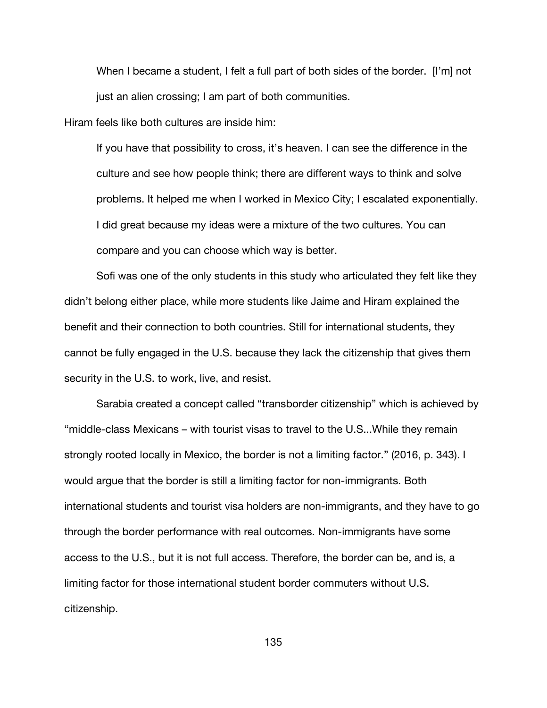When I became a student, I felt a full part of both sides of the border. [I'm] not just an alien crossing; I am part of both communities.

Hiram feels like both cultures are inside him:

If you have that possibility to cross, it's heaven. I can see the difference in the culture and see how people think; there are different ways to think and solve problems. It helped me when I worked in Mexico City; I escalated exponentially. I did great because my ideas were a mixture of the two cultures. You can compare and you can choose which way is better.

Sofi was one of the only students in this study who articulated they felt like they didn't belong either place, while more students like Jaime and Hiram explained the benefit and their connection to both countries. Still for international students, they cannot be fully engaged in the U.S. because they lack the citizenship that gives them security in the U.S. to work, live, and resist.

Sarabia created a concept called "transborder citizenship" which is achieved by "middle-class Mexicans – with tourist visas to travel to the U.S...While they remain strongly rooted locally in Mexico, the border is not a limiting factor." (2016, p. 343). I would argue that the border is still a limiting factor for non-immigrants. Both international students and tourist visa holders are non-immigrants, and they have to go through the border performance with real outcomes. Non-immigrants have some access to the U.S., but it is not full access. Therefore, the border can be, and is, a limiting factor for those international student border commuters without U.S. citizenship.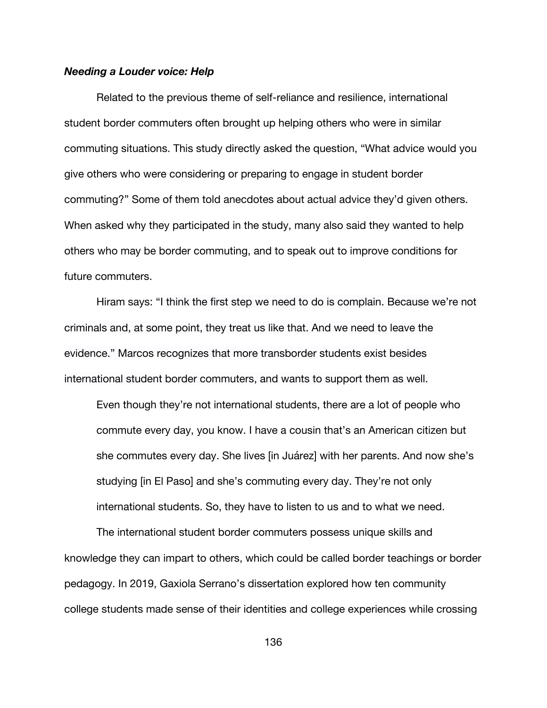### *Needing a Louder voice: Help*

Related to the previous theme of self-reliance and resilience, international student border commuters often brought up helping others who were in similar commuting situations. This study directly asked the question, "What advice would you give others who were considering or preparing to engage in student border commuting?" Some of them told anecdotes about actual advice they'd given others. When asked why they participated in the study, many also said they wanted to help others who may be border commuting, and to speak out to improve conditions for future commuters.

Hiram says: "I think the first step we need to do is complain. Because we're not criminals and, at some point, they treat us like that. And we need to leave the evidence." Marcos recognizes that more transborder students exist besides international student border commuters, and wants to support them as well.

Even though they're not international students, there are a lot of people who commute every day, you know. I have a cousin that's an American citizen but she commutes every day. She lives [in Juárez] with her parents. And now she's studying [in El Paso] and she's commuting every day. They're not only international students. So, they have to listen to us and to what we need.

The international student border commuters possess unique skills and knowledge they can impart to others, which could be called border teachings or border pedagogy. In 2019, Gaxiola Serrano's dissertation explored how ten community college students made sense of their identities and college experiences while crossing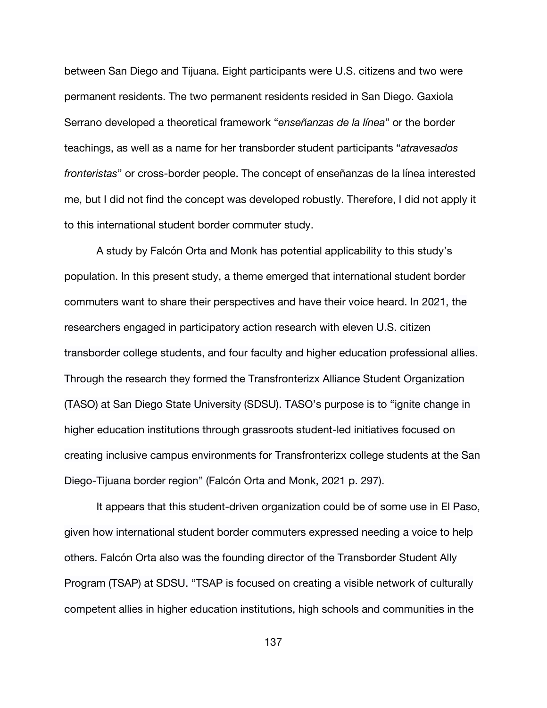between San Diego and Tijuana. Eight participants were U.S. citizens and two were permanent residents. The two permanent residents resided in San Diego. Gaxiola Serrano developed a theoretical framework "*enseñanzas de la línea*" or the border teachings, as well as a name for her transborder student participants "*atravesados fronteristas*" or cross-border people. The concept of enseñanzas de la línea interested me, but I did not find the concept was developed robustly. Therefore, I did not apply it to this international student border commuter study.

A study by Falcón Orta and Monk has potential applicability to this study's population. In this present study, a theme emerged that international student border commuters want to share their perspectives and have their voice heard. In 2021, the researchers engaged in participatory action research with eleven U.S. citizen transborder college students, and four faculty and higher education professional allies. Through the research they formed the Transfronterizx Alliance Student Organization (TASO) at San Diego State University (SDSU). TASO's purpose is to "ignite change in higher education institutions through grassroots student-led initiatives focused on creating inclusive campus environments for Transfronterizx college students at the San Diego-Tijuana border region" (Falcón Orta and Monk, 2021 p. 297).

It appears that this student-driven organization could be of some use in El Paso, given how international student border commuters expressed needing a voice to help others. Falcón Orta also was the founding director of the Transborder Student Ally Program (TSAP) at SDSU. "TSAP is focused on creating a visible network of culturally competent allies in higher education institutions, high schools and communities in the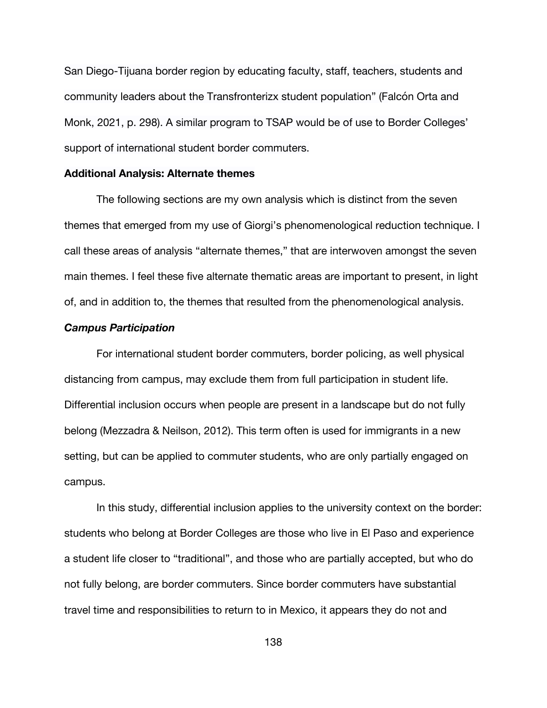San Diego-Tijuana border region by educating faculty, staff, teachers, students and community leaders about the Transfronterizx student population" (Falcón Orta and Monk, 2021, p. 298). A similar program to TSAP would be of use to Border Colleges' support of international student border commuters.

# **Additional Analysis: Alternate themes**

The following sections are my own analysis which is distinct from the seven themes that emerged from my use of Giorgi's phenomenological reduction technique. I call these areas of analysis "alternate themes," that are interwoven amongst the seven main themes. I feel these five alternate thematic areas are important to present, in light of, and in addition to, the themes that resulted from the phenomenological analysis.

# *Campus Participation*

For international student border commuters, border policing, as well physical distancing from campus, may exclude them from full participation in student life. Differential inclusion occurs when people are present in a landscape but do not fully belong (Mezzadra & Neilson, 2012). This term often is used for immigrants in a new setting, but can be applied to commuter students, who are only partially engaged on campus.

In this study, differential inclusion applies to the university context on the border: students who belong at Border Colleges are those who live in El Paso and experience a student life closer to "traditional", and those who are partially accepted, but who do not fully belong, are border commuters. Since border commuters have substantial travel time and responsibilities to return to in Mexico, it appears they do not and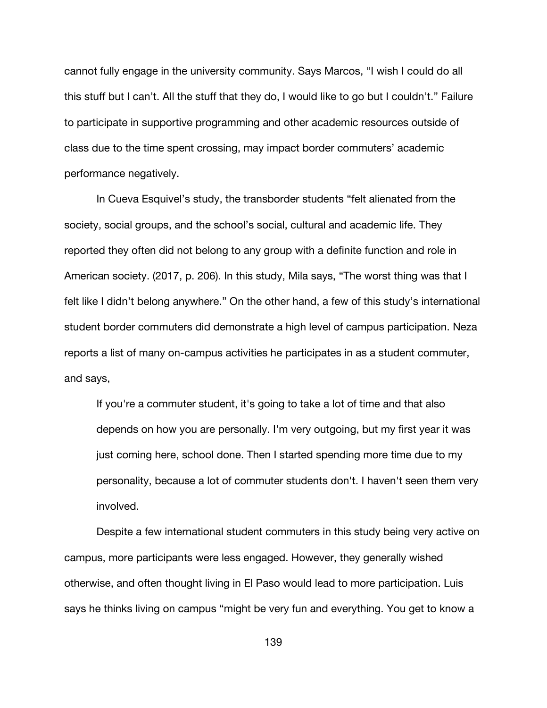cannot fully engage in the university community. Says Marcos, "I wish I could do all this stuff but I can't. All the stuff that they do, I would like to go but I couldn't." Failure to participate in supportive programming and other academic resources outside of class due to the time spent crossing, may impact border commuters' academic performance negatively.

In Cueva Esquivel's study, the transborder students "felt alienated from the society, social groups, and the school's social, cultural and academic life. They reported they often did not belong to any group with a definite function and role in American society. (2017, p. 206). In this study, Mila says, "The worst thing was that I felt like I didn't belong anywhere." On the other hand, a few of this study's international student border commuters did demonstrate a high level of campus participation. Neza reports a list of many on-campus activities he participates in as a student commuter, and says,

If you're a commuter student, it's going to take a lot of time and that also depends on how you are personally. I'm very outgoing, but my first year it was just coming here, school done. Then I started spending more time due to my personality, because a lot of commuter students don't. I haven't seen them very involved.

Despite a few international student commuters in this study being very active on campus, more participants were less engaged. However, they generally wished otherwise, and often thought living in El Paso would lead to more participation. Luis says he thinks living on campus "might be very fun and everything. You get to know a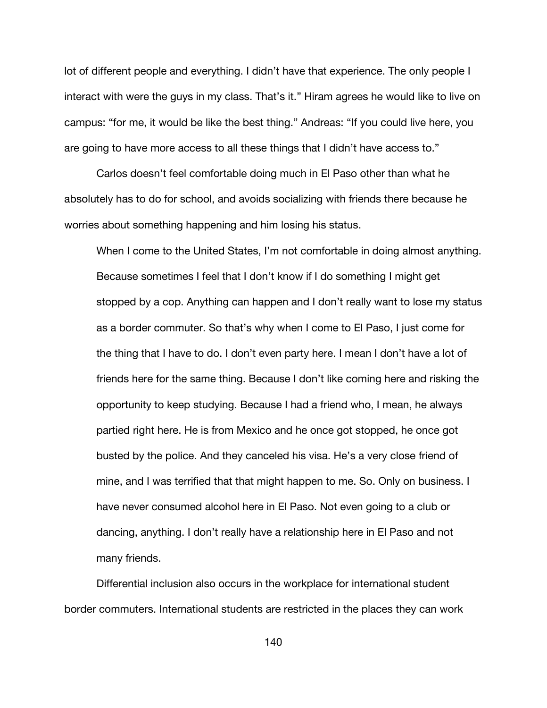lot of different people and everything. I didn't have that experience. The only people I interact with were the guys in my class. That's it." Hiram agrees he would like to live on campus: "for me, it would be like the best thing." Andreas: "If you could live here, you are going to have more access to all these things that I didn't have access to."

Carlos doesn't feel comfortable doing much in El Paso other than what he absolutely has to do for school, and avoids socializing with friends there because he worries about something happening and him losing his status.

When I come to the United States, I'm not comfortable in doing almost anything. Because sometimes I feel that I don't know if I do something I might get stopped by a cop. Anything can happen and I don't really want to lose my status as a border commuter. So that's why when I come to El Paso, I just come for the thing that I have to do. I don't even party here. I mean I don't have a lot of friends here for the same thing. Because I don't like coming here and risking the opportunity to keep studying. Because I had a friend who, I mean, he always partied right here. He is from Mexico and he once got stopped, he once got busted by the police. And they canceled his visa. He's a very close friend of mine, and I was terrified that that might happen to me. So. Only on business. I have never consumed alcohol here in El Paso. Not even going to a club or dancing, anything. I don't really have a relationship here in El Paso and not many friends.

Differential inclusion also occurs in the workplace for international student border commuters. International students are restricted in the places they can work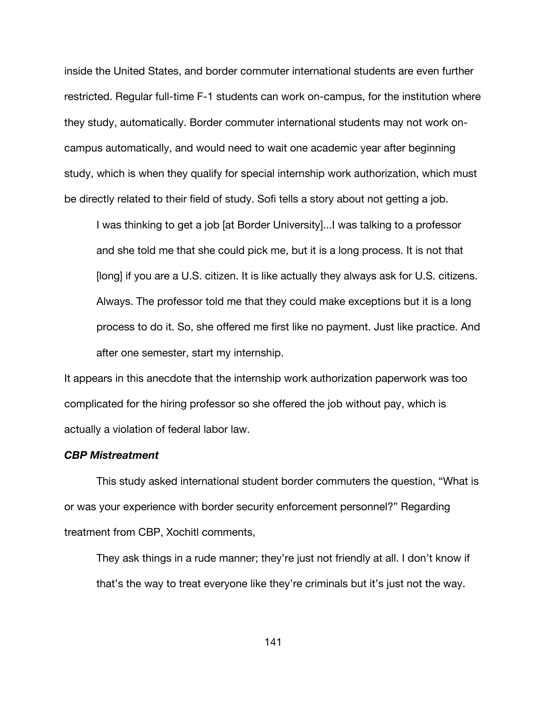inside the United States, and border commuter international students are even further restricted. Regular full-time F-1 students can work on-campus, for the institution where they study, automatically. Border commuter international students may not work oncampus automatically, and would need to wait one academic year after beginning study, which is when they qualify for special internship work authorization, which must be directly related to their field of study. Sofi tells a story about not getting a job.

I was thinking to get a job [at Border University]...I was talking to a professor and she told me that she could pick me, but it is a long process. It is not that [long] if you are a U.S. citizen. It is like actually they always ask for U.S. citizens. Always. The professor told me that they could make exceptions but it is a long process to do it. So, she offered me first like no payment. Just like practice. And after one semester, start my internship.

It appears in this anecdote that the internship work authorization paperwork was too complicated for the hiring professor so she offered the job without pay, which is actually a violation of federal labor law.

# *CBP Mistreatment*

This study asked international student border commuters the question, "What is or was your experience with border security enforcement personnel?" Regarding treatment from CBP, Xochitl comments,

They ask things in a rude manner; they're just not friendly at all. I don't know if that's the way to treat everyone like they're criminals but it's just not the way.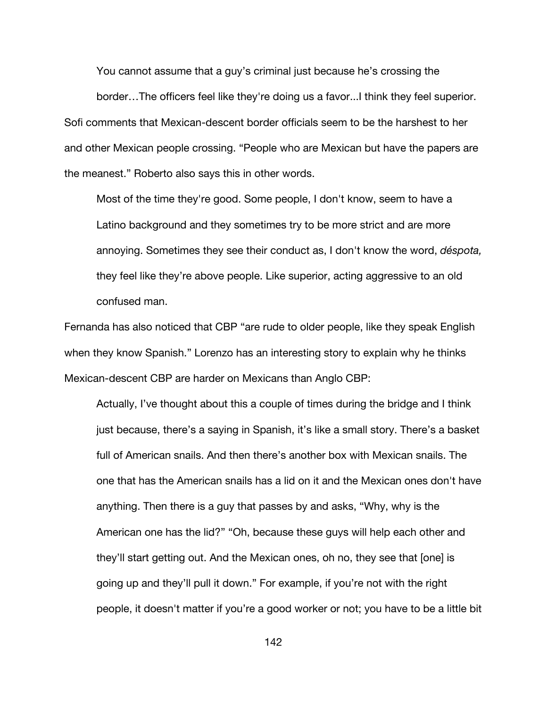You cannot assume that a guy's criminal just because he's crossing the

border…The officers feel like they're doing us a favor...I think they feel superior. Sofi comments that Mexican-descent border officials seem to be the harshest to her and other Mexican people crossing. "People who are Mexican but have the papers are the meanest." Roberto also says this in other words.

Most of the time they're good. Some people, I don't know, seem to have a Latino background and they sometimes try to be more strict and are more annoying. Sometimes they see their conduct as, I don't know the word, *déspota,* they feel like they're above people. Like superior, acting aggressive to an old confused man.

Fernanda has also noticed that CBP "are rude to older people, like they speak English when they know Spanish." Lorenzo has an interesting story to explain why he thinks Mexican-descent CBP are harder on Mexicans than Anglo CBP:

Actually, I've thought about this a couple of times during the bridge and I think just because, there's a saying in Spanish, it's like a small story. There's a basket full of American snails. And then there's another box with Mexican snails. The one that has the American snails has a lid on it and the Mexican ones don't have anything. Then there is a guy that passes by and asks, "Why, why is the American one has the lid?" "Oh, because these guys will help each other and they'll start getting out. And the Mexican ones, oh no, they see that [one] is going up and they'll pull it down." For example, if you're not with the right people, it doesn't matter if you're a good worker or not; you have to be a little bit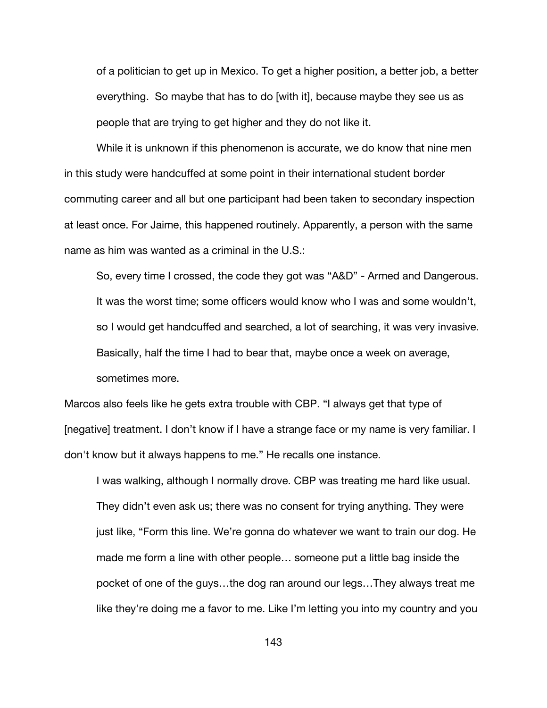of a politician to get up in Mexico. To get a higher position, a better job, a better everything. So maybe that has to do [with it], because maybe they see us as people that are trying to get higher and they do not like it.

While it is unknown if this phenomenon is accurate, we do know that nine men in this study were handcuffed at some point in their international student border commuting career and all but one participant had been taken to secondary inspection at least once. For Jaime, this happened routinely. Apparently, a person with the same name as him was wanted as a criminal in the U.S.:

So, every time I crossed, the code they got was "A&D" - Armed and Dangerous. It was the worst time; some officers would know who I was and some wouldn't, so I would get handcuffed and searched, a lot of searching, it was very invasive. Basically, half the time I had to bear that, maybe once a week on average, sometimes more.

Marcos also feels like he gets extra trouble with CBP. "I always get that type of [negative] treatment. I don't know if I have a strange face or my name is very familiar. I don't know but it always happens to me." He recalls one instance.

I was walking, although I normally drove. CBP was treating me hard like usual. They didn't even ask us; there was no consent for trying anything. They were just like, "Form this line. We're gonna do whatever we want to train our dog. He made me form a line with other people… someone put a little bag inside the pocket of one of the guys…the dog ran around our legs…They always treat me like they're doing me a favor to me. Like I'm letting you into my country and you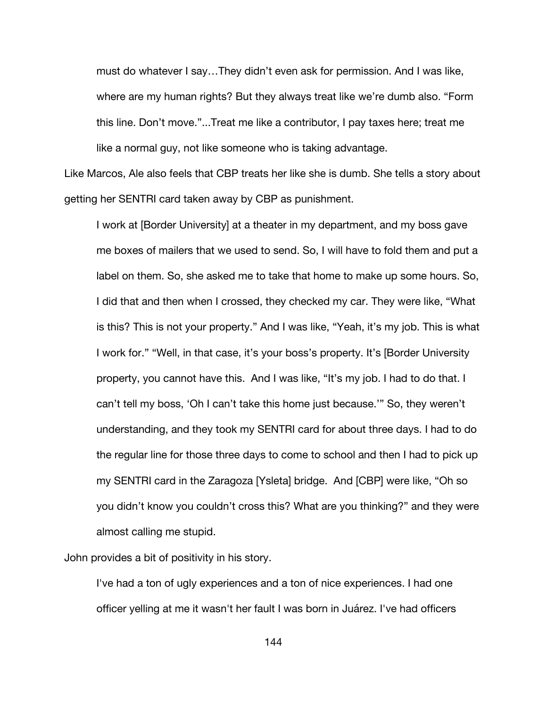must do whatever I say…They didn't even ask for permission. And I was like, where are my human rights? But they always treat like we're dumb also. "Form this line. Don't move."...Treat me like a contributor, I pay taxes here; treat me like a normal guy, not like someone who is taking advantage.

Like Marcos, Ale also feels that CBP treats her like she is dumb. She tells a story about getting her SENTRI card taken away by CBP as punishment.

I work at [Border University] at a theater in my department, and my boss gave me boxes of mailers that we used to send. So, I will have to fold them and put a label on them. So, she asked me to take that home to make up some hours. So, I did that and then when I crossed, they checked my car. They were like, "What is this? This is not your property." And I was like, "Yeah, it's my job. This is what I work for." "Well, in that case, it's your boss's property. It's [Border University property, you cannot have this. And I was like, "It's my job. I had to do that. I can't tell my boss, 'Oh I can't take this home just because.'" So, they weren't understanding, and they took my SENTRI card for about three days. I had to do the regular line for those three days to come to school and then I had to pick up my SENTRI card in the Zaragoza [Ysleta] bridge. And [CBP] were like, "Oh so you didn't know you couldn't cross this? What are you thinking?" and they were almost calling me stupid.

John provides a bit of positivity in his story.

I've had a ton of ugly experiences and a ton of nice experiences. I had one officer yelling at me it wasn't her fault I was born in Juárez. I've had officers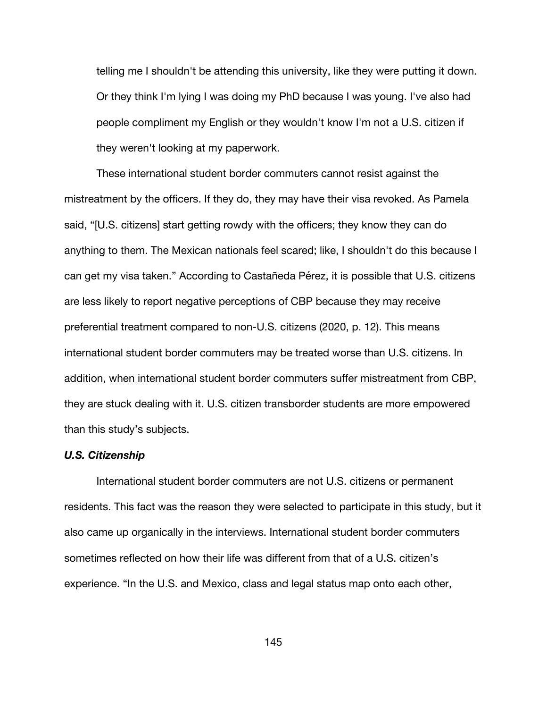telling me I shouldn't be attending this university, like they were putting it down. Or they think I'm lying I was doing my PhD because I was young. I've also had people compliment my English or they wouldn't know I'm not a U.S. citizen if they weren't looking at my paperwork.

These international student border commuters cannot resist against the mistreatment by the officers. If they do, they may have their visa revoked. As Pamela said, "[U.S. citizens] start getting rowdy with the officers; they know they can do anything to them. The Mexican nationals feel scared; like, I shouldn't do this because I can get my visa taken." According to Castañeda Pérez, it is possible that U.S. citizens are less likely to report negative perceptions of CBP because they may receive preferential treatment compared to non-U.S. citizens (2020, p. 12). This means international student border commuters may be treated worse than U.S. citizens. In addition, when international student border commuters suffer mistreatment from CBP, they are stuck dealing with it. U.S. citizen transborder students are more empowered than this study's subjects.

#### *U.S. Citizenship*

International student border commuters are not U.S. citizens or permanent residents. This fact was the reason they were selected to participate in this study, but it also came up organically in the interviews. International student border commuters sometimes reflected on how their life was different from that of a U.S. citizen's experience. "In the U.S. and Mexico, class and legal status map onto each other,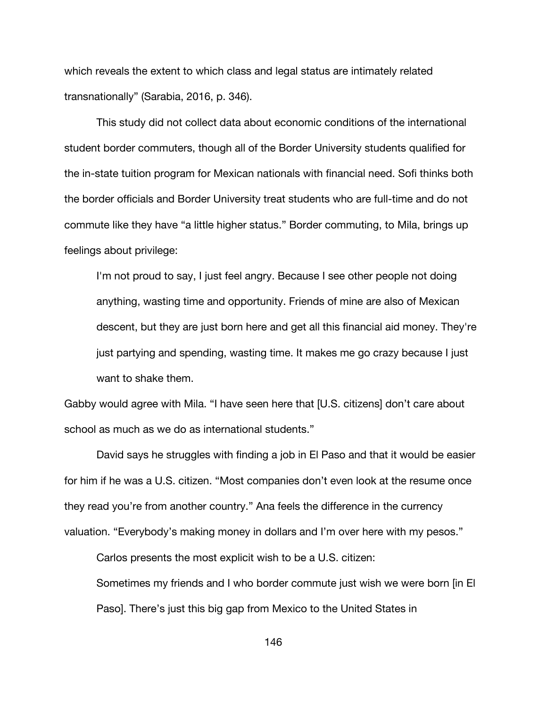which reveals the extent to which class and legal status are intimately related transnationally" (Sarabia, 2016, p. 346).

This study did not collect data about economic conditions of the international student border commuters, though all of the Border University students qualified for the in-state tuition program for Mexican nationals with financial need. Sofi thinks both the border officials and Border University treat students who are full-time and do not commute like they have "a little higher status." Border commuting, to Mila, brings up feelings about privilege:

I'm not proud to say, I just feel angry. Because I see other people not doing anything, wasting time and opportunity. Friends of mine are also of Mexican descent, but they are just born here and get all this financial aid money. They're just partying and spending, wasting time. It makes me go crazy because I just want to shake them.

Gabby would agree with Mila. "I have seen here that [U.S. citizens] don't care about school as much as we do as international students."

David says he struggles with finding a job in El Paso and that it would be easier for him if he was a U.S. citizen. "Most companies don't even look at the resume once they read you're from another country." Ana feels the difference in the currency valuation. "Everybody's making money in dollars and I'm over here with my pesos."

Carlos presents the most explicit wish to be a U.S. citizen:

Sometimes my friends and I who border commute just wish we were born [in El Paso]. There's just this big gap from Mexico to the United States in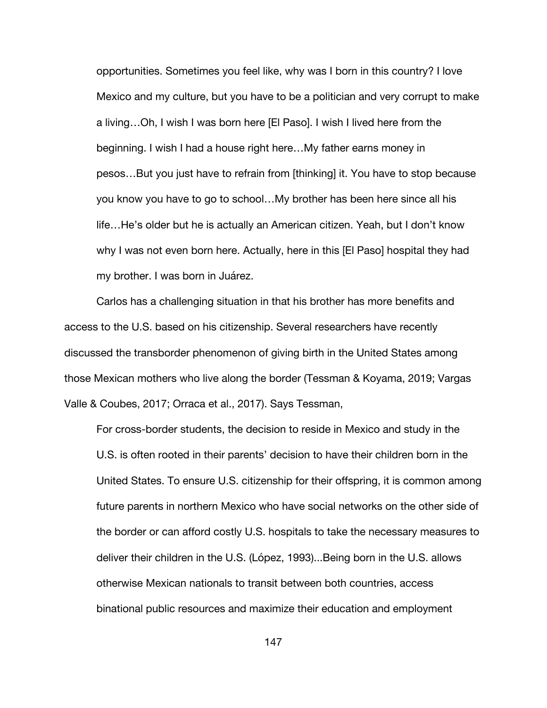opportunities. Sometimes you feel like, why was I born in this country? I love Mexico and my culture, but you have to be a politician and very corrupt to make a living…Oh, I wish I was born here [El Paso]. I wish I lived here from the beginning. I wish I had a house right here…My father earns money in pesos…But you just have to refrain from [thinking] it. You have to stop because you know you have to go to school…My brother has been here since all his life…He's older but he is actually an American citizen. Yeah, but I don't know why I was not even born here. Actually, here in this [El Paso] hospital they had my brother. I was born in Juárez.

Carlos has a challenging situation in that his brother has more benefits and access to the U.S. based on his citizenship. Several researchers have recently discussed the transborder phenomenon of giving birth in the United States among those Mexican mothers who live along the border (Tessman & Koyama, 2019; Vargas Valle & Coubes, 2017; Orraca et al., 2017). Says Tessman,

For cross-border students, the decision to reside in Mexico and study in the U.S. is often rooted in their parents' decision to have their children born in the United States. To ensure U.S. citizenship for their offspring, it is common among future parents in northern Mexico who have social networks on the other side of the border or can afford costly U.S. hospitals to take the necessary measures to deliver their children in the U.S. (López, 1993)...Being born in the U.S. allows otherwise Mexican nationals to transit between both countries, access binational public resources and maximize their education and employment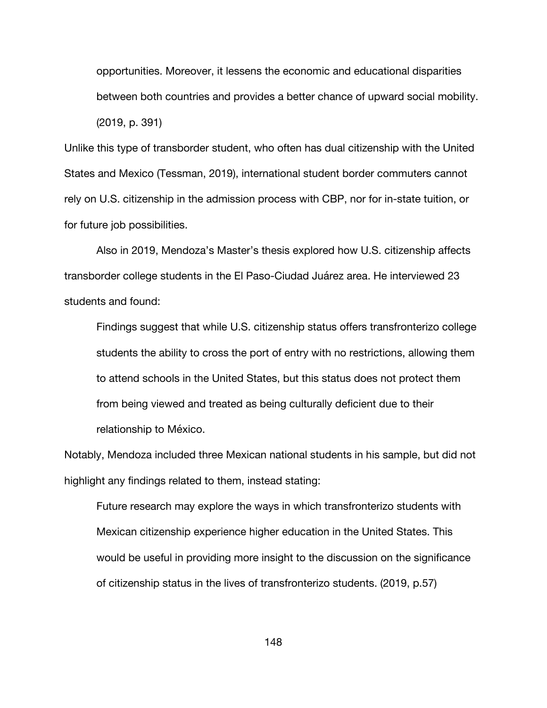opportunities. Moreover, it lessens the economic and educational disparities between both countries and provides a better chance of upward social mobility. (2019, p. 391)

Unlike this type of transborder student, who often has dual citizenship with the United States and Mexico (Tessman, 2019), international student border commuters cannot rely on U.S. citizenship in the admission process with CBP, nor for in-state tuition, or for future job possibilities.

Also in 2019, Mendoza's Master's thesis explored how U.S. citizenship affects transborder college students in the El Paso-Ciudad Juárez area. He interviewed 23 students and found:

Findings suggest that while U.S. citizenship status offers transfronterizo college students the ability to cross the port of entry with no restrictions, allowing them to attend schools in the United States, but this status does not protect them from being viewed and treated as being culturally deficient due to their relationship to México.

Notably, Mendoza included three Mexican national students in his sample, but did not highlight any findings related to them, instead stating:

Future research may explore the ways in which transfronterizo students with Mexican citizenship experience higher education in the United States. This would be useful in providing more insight to the discussion on the significance of citizenship status in the lives of transfronterizo students. (2019, p.57)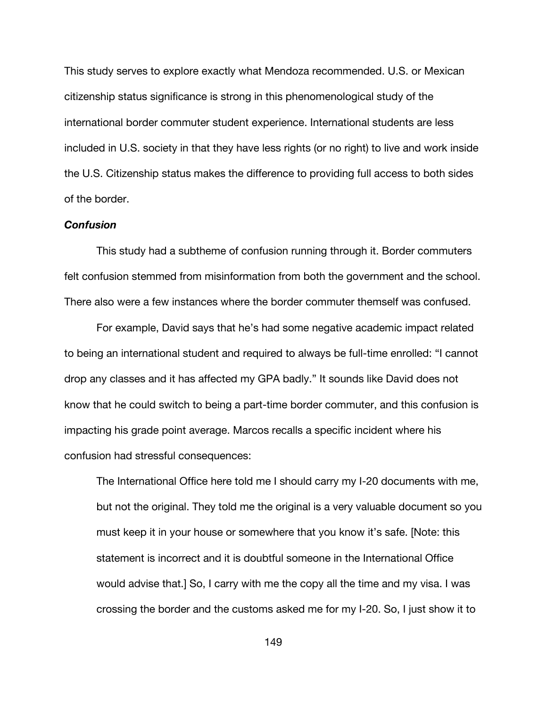This study serves to explore exactly what Mendoza recommended. U.S. or Mexican citizenship status significance is strong in this phenomenological study of the international border commuter student experience. International students are less included in U.S. society in that they have less rights (or no right) to live and work inside the U.S. Citizenship status makes the difference to providing full access to both sides of the border.

### *Confusion*

This study had a subtheme of confusion running through it. Border commuters felt confusion stemmed from misinformation from both the government and the school. There also were a few instances where the border commuter themself was confused.

For example, David says that he's had some negative academic impact related to being an international student and required to always be full-time enrolled: "I cannot drop any classes and it has affected my GPA badly." It sounds like David does not know that he could switch to being a part-time border commuter, and this confusion is impacting his grade point average. Marcos recalls a specific incident where his confusion had stressful consequences:

The International Office here told me I should carry my I-20 documents with me, but not the original. They told me the original is a very valuable document so you must keep it in your house or somewhere that you know it's safe. [Note: this statement is incorrect and it is doubtful someone in the International Office would advise that.] So, I carry with me the copy all the time and my visa. I was crossing the border and the customs asked me for my I-20. So, I just show it to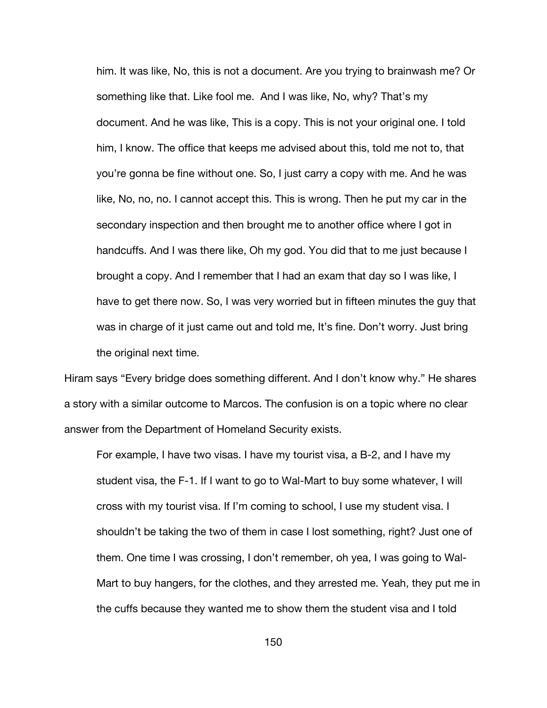him. It was like, No, this is not a document. Are you trying to brainwash me? Or something like that. Like fool me. And I was like, No, why? That's my document. And he was like, This is a copy. This is not your original one. I told him, I know. The office that keeps me advised about this, told me not to, that you're gonna be fine without one. So, I just carry a copy with me. And he was like, No, no, no. I cannot accept this. This is wrong. Then he put my car in the secondary inspection and then brought me to another office where I got in handcuffs. And I was there like, Oh my god. You did that to me just because I brought a copy. And I remember that I had an exam that day so I was like, I have to get there now. So, I was very worried but in fifteen minutes the guy that was in charge of it just came out and told me, It's fine. Don't worry. Just bring the original next time.

Hiram says "Every bridge does something different. And I don't know why." He shares a story with a similar outcome to Marcos. The confusion is on a topic where no clear answer from the Department of Homeland Security exists.

For example, I have two visas. I have my tourist visa, a B-2, and I have my student visa, the F-1. If I want to go to Wal-Mart to buy some whatever, I will cross with my tourist visa. If I'm coming to school, I use my student visa. I shouldn't be taking the two of them in case I lost something, right? Just one of them. One time I was crossing, I don't remember, oh yea, I was going to Wal-Mart to buy hangers, for the clothes, and they arrested me. Yeah, they put me in the cuffs because they wanted me to show them the student visa and I told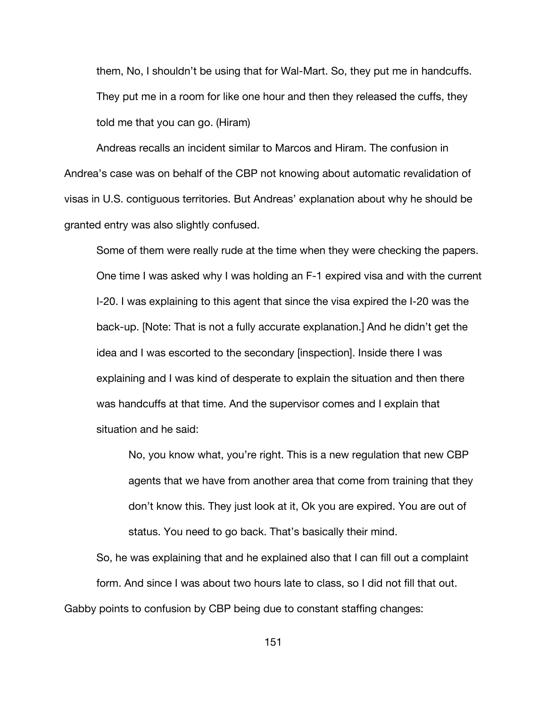them, No, I shouldn't be using that for Wal-Mart. So, they put me in handcuffs. They put me in a room for like one hour and then they released the cuffs, they told me that you can go. (Hiram)

Andreas recalls an incident similar to Marcos and Hiram. The confusion in Andrea's case was on behalf of the CBP not knowing about automatic revalidation of visas in U.S. contiguous territories. But Andreas' explanation about why he should be granted entry was also slightly confused.

Some of them were really rude at the time when they were checking the papers. One time I was asked why I was holding an F-1 expired visa and with the current I-20. I was explaining to this agent that since the visa expired the I-20 was the back-up. [Note: That is not a fully accurate explanation.] And he didn't get the idea and I was escorted to the secondary [inspection]. Inside there I was explaining and I was kind of desperate to explain the situation and then there was handcuffs at that time. And the supervisor comes and I explain that situation and he said:

No, you know what, you're right. This is a new regulation that new CBP agents that we have from another area that come from training that they don't know this. They just look at it, Ok you are expired. You are out of status. You need to go back. That's basically their mind.

So, he was explaining that and he explained also that I can fill out a complaint form. And since I was about two hours late to class, so I did not fill that out. Gabby points to confusion by CBP being due to constant staffing changes: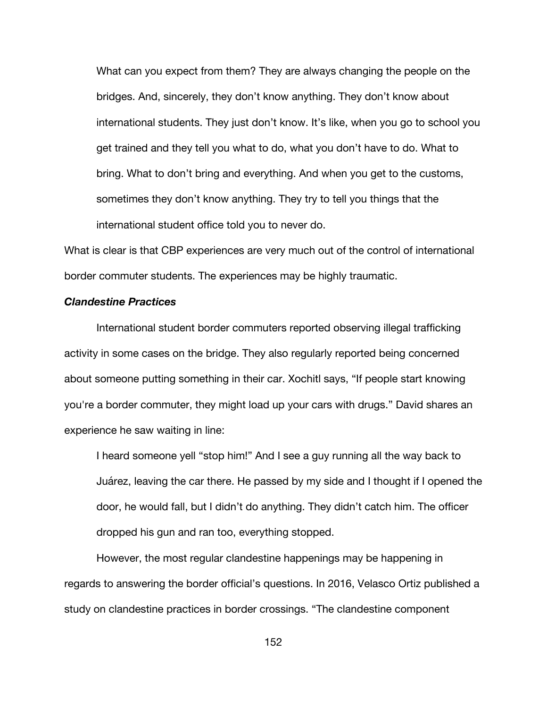What can you expect from them? They are always changing the people on the bridges. And, sincerely, they don't know anything. They don't know about international students. They just don't know. It's like, when you go to school you get trained and they tell you what to do, what you don't have to do. What to bring. What to don't bring and everything. And when you get to the customs, sometimes they don't know anything. They try to tell you things that the international student office told you to never do.

What is clear is that CBP experiences are very much out of the control of international border commuter students. The experiences may be highly traumatic.

# *Clandestine Practices*

International student border commuters reported observing illegal trafficking activity in some cases on the bridge. They also regularly reported being concerned about someone putting something in their car. Xochitl says, "If people start knowing you're a border commuter, they might load up your cars with drugs." David shares an experience he saw waiting in line:

I heard someone yell "stop him!" And I see a guy running all the way back to Juárez, leaving the car there. He passed by my side and I thought if I opened the door, he would fall, but I didn't do anything. They didn't catch him. The officer dropped his gun and ran too, everything stopped.

However, the most regular clandestine happenings may be happening in regards to answering the border official's questions. In 2016, Velasco Ortiz published a study on clandestine practices in border crossings. "The clandestine component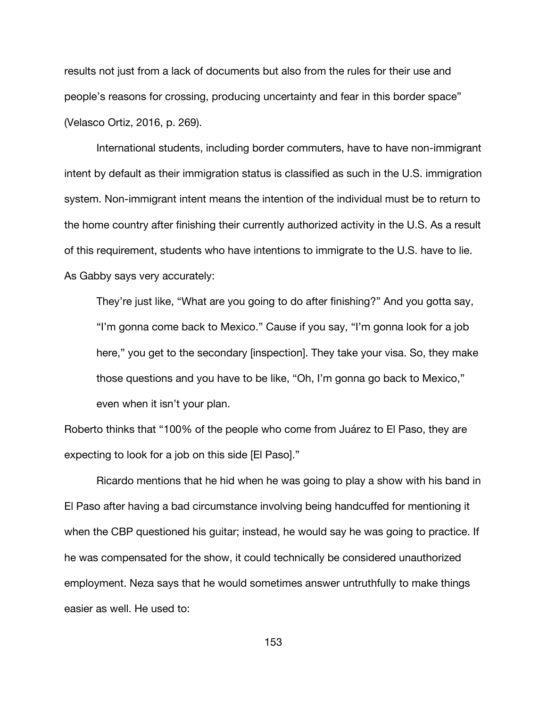results not just from a lack of documents but also from the rules for their use and people's reasons for crossing, producing uncertainty and fear in this border space" (Velasco Ortiz, 2016, p. 269).

International students, including border commuters, have to have non-immigrant intent by default as their immigration status is classified as such in the U.S. immigration system. Non-immigrant intent means the intention of the individual must be to return to the home country after finishing their currently authorized activity in the U.S. As a result of this requirement, students who have intentions to immigrate to the U.S. have to lie. As Gabby says very accurately:

They're just like, "What are you going to do after finishing?" And you gotta say, "I'm gonna come back to Mexico." Cause if you say, "I'm gonna look for a job here," you get to the secondary [inspection]. They take your visa. So, they make those questions and you have to be like, "Oh, I'm gonna go back to Mexico," even when it isn't your plan.

Roberto thinks that "100% of the people who come from Juárez to El Paso, they are expecting to look for a job on this side [El Paso]."

Ricardo mentions that he hid when he was going to play a show with his band in El Paso after having a bad circumstance involving being handcuffed for mentioning it when the CBP questioned his guitar; instead, he would say he was going to practice. If he was compensated for the show, it could technically be considered unauthorized employment. Neza says that he would sometimes answer untruthfully to make things easier as well. He used to: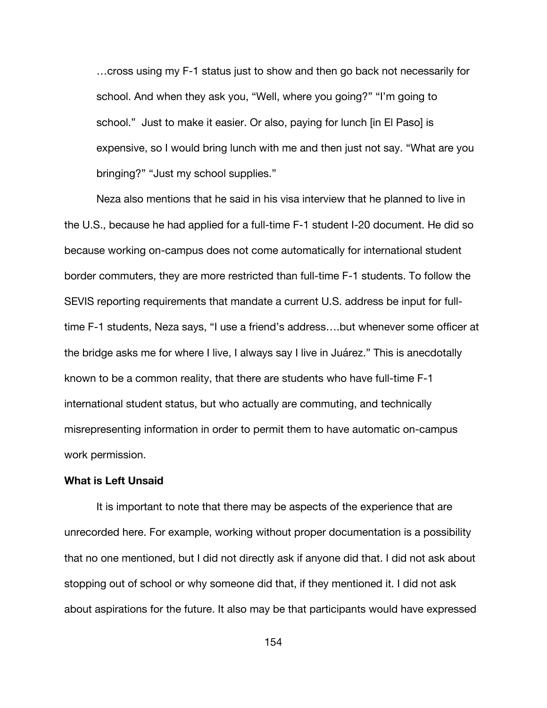…cross using my F-1 status just to show and then go back not necessarily for school. And when they ask you, "Well, where you going?" "I'm going to school." Just to make it easier. Or also, paying for lunch [in El Paso] is expensive, so I would bring lunch with me and then just not say. "What are you bringing?" "Just my school supplies."

Neza also mentions that he said in his visa interview that he planned to live in the U.S., because he had applied for a full-time F-1 student I-20 document. He did so because working on-campus does not come automatically for international student border commuters, they are more restricted than full-time F-1 students. To follow the SEVIS reporting requirements that mandate a current U.S. address be input for fulltime F-1 students, Neza says, "I use a friend's address….but whenever some officer at the bridge asks me for where I live, I always say I live in Juárez." This is anecdotally known to be a common reality, that there are students who have full-time F-1 international student status, but who actually are commuting, and technically misrepresenting information in order to permit them to have automatic on-campus work permission.

#### **What is Left Unsaid**

It is important to note that there may be aspects of the experience that are unrecorded here. For example, working without proper documentation is a possibility that no one mentioned, but I did not directly ask if anyone did that. I did not ask about stopping out of school or why someone did that, if they mentioned it. I did not ask about aspirations for the future. It also may be that participants would have expressed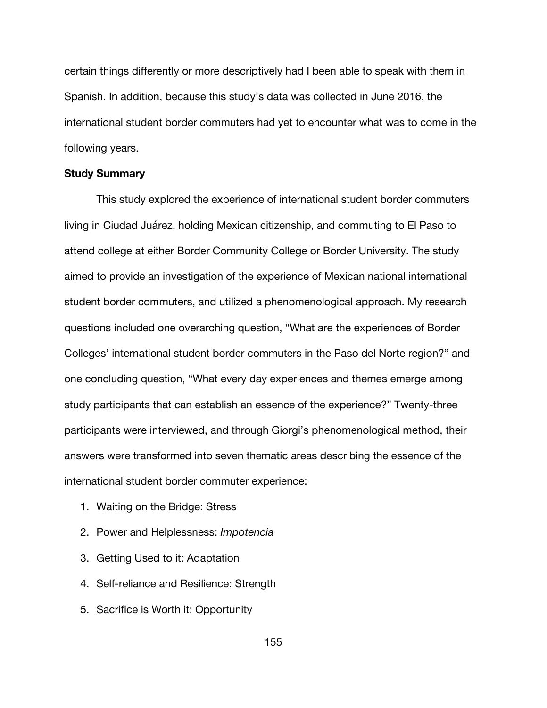certain things differently or more descriptively had I been able to speak with them in Spanish. In addition, because this study's data was collected in June 2016, the international student border commuters had yet to encounter what was to come in the following years.

# **Study Summary**

This study explored the experience of international student border commuters living in Ciudad Juárez, holding Mexican citizenship, and commuting to El Paso to attend college at either Border Community College or Border University. The study aimed to provide an investigation of the experience of Mexican national international student border commuters, and utilized a phenomenological approach. My research questions included one overarching question, "What are the experiences of Border Colleges' international student border commuters in the Paso del Norte region?" and one concluding question, "What every day experiences and themes emerge among study participants that can establish an essence of the experience?" Twenty-three participants were interviewed, and through Giorgi's phenomenological method, their answers were transformed into seven thematic areas describing the essence of the international student border commuter experience:

- 1. Waiting on the Bridge: Stress
- 2. Power and Helplessness: *Impotencia*
- 3. Getting Used to it: Adaptation
- 4. Self-reliance and Resilience: Strength
- 5. Sacrifice is Worth it: Opportunity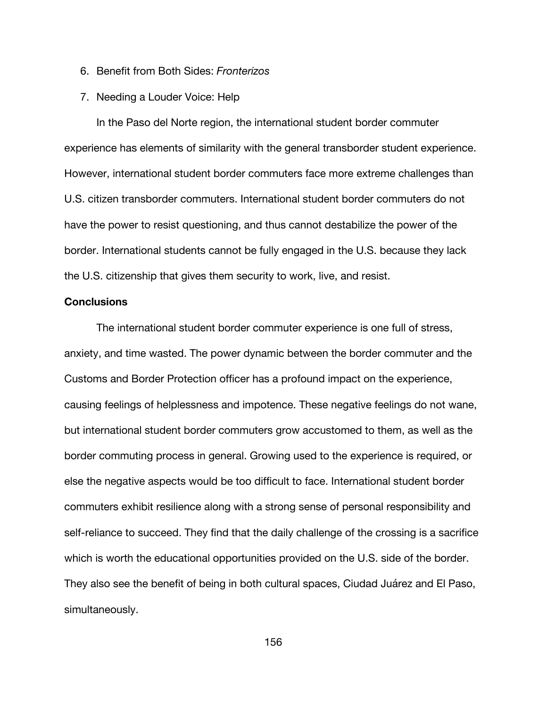- 6. Benefit from Both Sides: *Fronterizos*
- 7. Needing a Louder Voice: Help

In the Paso del Norte region, the international student border commuter experience has elements of similarity with the general transborder student experience. However, international student border commuters face more extreme challenges than U.S. citizen transborder commuters. International student border commuters do not have the power to resist questioning, and thus cannot destabilize the power of the border. International students cannot be fully engaged in the U.S. because they lack the U.S. citizenship that gives them security to work, live, and resist.

### **Conclusions**

The international student border commuter experience is one full of stress, anxiety, and time wasted. The power dynamic between the border commuter and the Customs and Border Protection officer has a profound impact on the experience, causing feelings of helplessness and impotence. These negative feelings do not wane, but international student border commuters grow accustomed to them, as well as the border commuting process in general. Growing used to the experience is required, or else the negative aspects would be too difficult to face. International student border commuters exhibit resilience along with a strong sense of personal responsibility and self-reliance to succeed. They find that the daily challenge of the crossing is a sacrifice which is worth the educational opportunities provided on the U.S. side of the border. They also see the benefit of being in both cultural spaces, Ciudad Juárez and El Paso, simultaneously.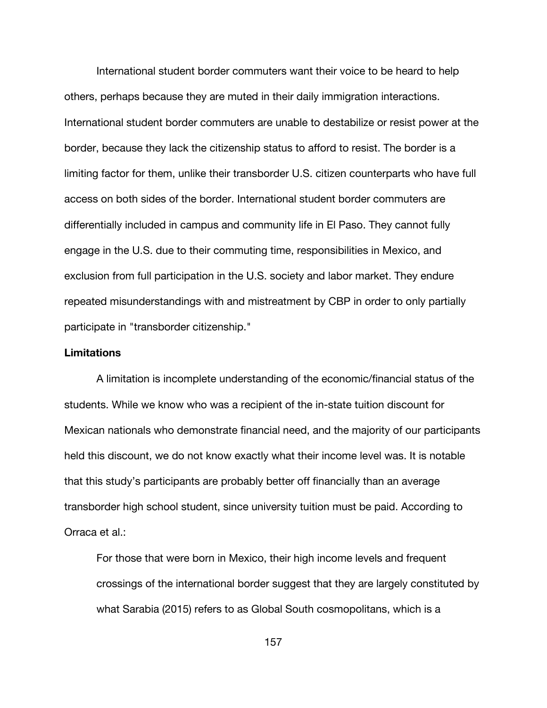International student border commuters want their voice to be heard to help others, perhaps because they are muted in their daily immigration interactions. International student border commuters are unable to destabilize or resist power at the border, because they lack the citizenship status to afford to resist. The border is a limiting factor for them, unlike their transborder U.S. citizen counterparts who have full access on both sides of the border. International student border commuters are differentially included in campus and community life in El Paso. They cannot fully engage in the U.S. due to their commuting time, responsibilities in Mexico, and exclusion from full participation in the U.S. society and labor market. They endure repeated misunderstandings with and mistreatment by CBP in order to only partially participate in "transborder citizenship."

# **Limitations**

A limitation is incomplete understanding of the economic/financial status of the students. While we know who was a recipient of the in-state tuition discount for Mexican nationals who demonstrate financial need, and the majority of our participants held this discount, we do not know exactly what their income level was. It is notable that this study's participants are probably better off financially than an average transborder high school student, since university tuition must be paid. According to Orraca et al.:

For those that were born in Mexico, their high income levels and frequent crossings of the international border suggest that they are largely constituted by what Sarabia (2015) refers to as Global South cosmopolitans, which is a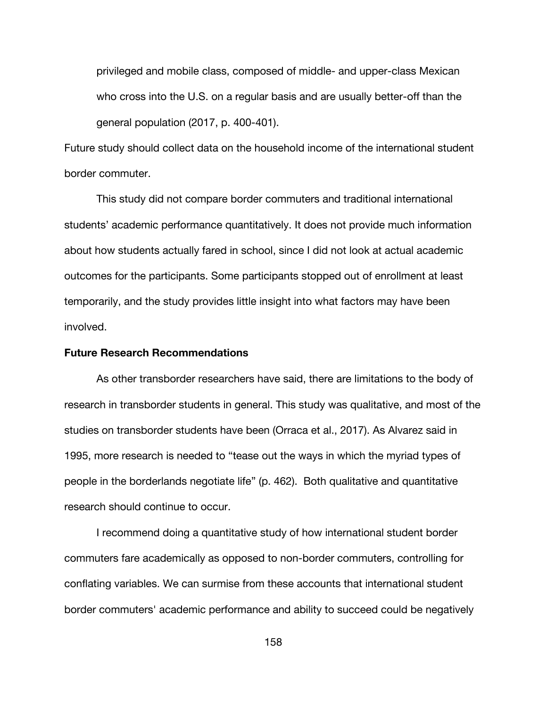privileged and mobile class, composed of middle- and upper-class Mexican who cross into the U.S. on a regular basis and are usually better-off than the general population (2017, p. 400-401).

Future study should collect data on the household income of the international student border commuter.

This study did not compare border commuters and traditional international students' academic performance quantitatively. It does not provide much information about how students actually fared in school, since I did not look at actual academic outcomes for the participants. Some participants stopped out of enrollment at least temporarily, and the study provides little insight into what factors may have been involved.

# **Future Research Recommendations**

As other transborder researchers have said, there are limitations to the body of research in transborder students in general. This study was qualitative, and most of the studies on transborder students have been (Orraca et al., 2017). As Alvarez said in 1995, more research is needed to "tease out the ways in which the myriad types of people in the borderlands negotiate life" (p. 462). Both qualitative and quantitative research should continue to occur.

I recommend doing a quantitative study of how international student border commuters fare academically as opposed to non-border commuters, controlling for conflating variables. We can surmise from these accounts that international student border commuters' academic performance and ability to succeed could be negatively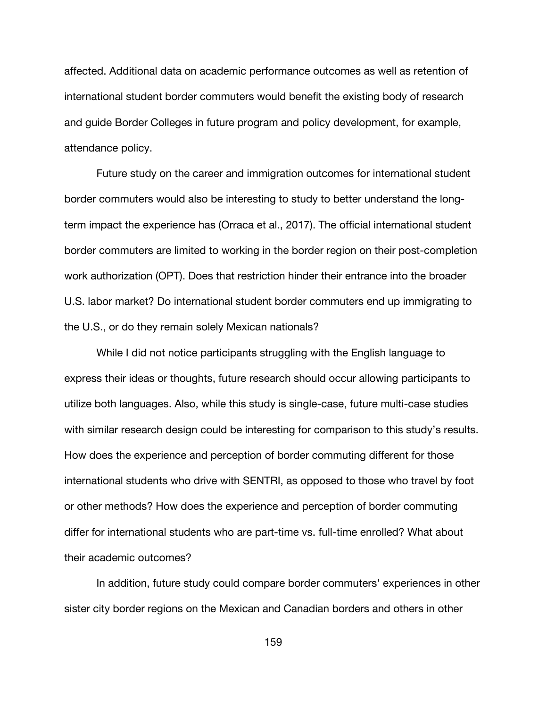affected. Additional data on academic performance outcomes as well as retention of international student border commuters would benefit the existing body of research and guide Border Colleges in future program and policy development, for example, attendance policy.

Future study on the career and immigration outcomes for international student border commuters would also be interesting to study to better understand the longterm impact the experience has (Orraca et al., 2017). The official international student border commuters are limited to working in the border region on their post-completion work authorization (OPT). Does that restriction hinder their entrance into the broader U.S. labor market? Do international student border commuters end up immigrating to the U.S., or do they remain solely Mexican nationals?

While I did not notice participants struggling with the English language to express their ideas or thoughts, future research should occur allowing participants to utilize both languages. Also, while this study is single-case, future multi-case studies with similar research design could be interesting for comparison to this study's results. How does the experience and perception of border commuting different for those international students who drive with SENTRI, as opposed to those who travel by foot or other methods? How does the experience and perception of border commuting differ for international students who are part-time vs. full-time enrolled? What about their academic outcomes?

In addition, future study could compare border commuters' experiences in other sister city border regions on the Mexican and Canadian borders and others in other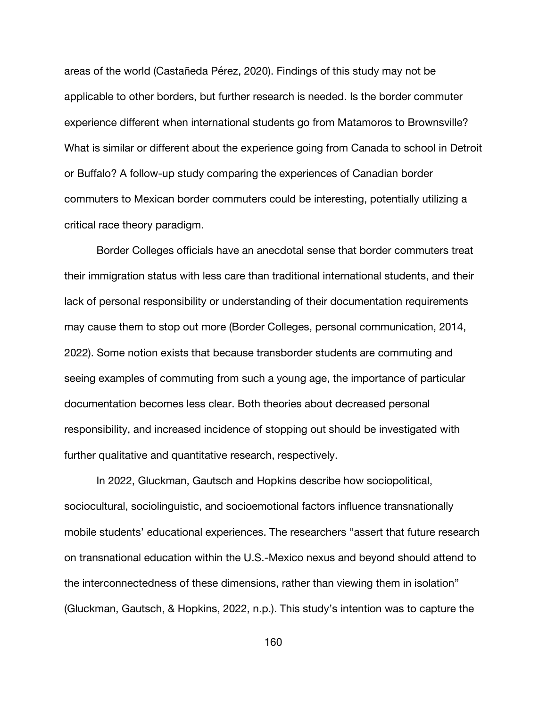areas of the world (Castañeda Pérez, 2020). Findings of this study may not be applicable to other borders, but further research is needed. Is the border commuter experience different when international students go from Matamoros to Brownsville? What is similar or different about the experience going from Canada to school in Detroit or Buffalo? A follow-up study comparing the experiences of Canadian border commuters to Mexican border commuters could be interesting, potentially utilizing a critical race theory paradigm.

Border Colleges officials have an anecdotal sense that border commuters treat their immigration status with less care than traditional international students, and their lack of personal responsibility or understanding of their documentation requirements may cause them to stop out more (Border Colleges, personal communication, 2014, 2022). Some notion exists that because transborder students are commuting and seeing examples of commuting from such a young age, the importance of particular documentation becomes less clear. Both theories about decreased personal responsibility, and increased incidence of stopping out should be investigated with further qualitative and quantitative research, respectively.

In 2022, Gluckman, Gautsch and Hopkins describe how sociopolitical, sociocultural, sociolinguistic, and socioemotional factors influence transnationally mobile students' educational experiences. The researchers "assert that future research on transnational education within the U.S.-Mexico nexus and beyond should attend to the interconnectedness of these dimensions, rather than viewing them in isolation" (Gluckman, Gautsch, & Hopkins, 2022, n.p.). This study's intention was to capture the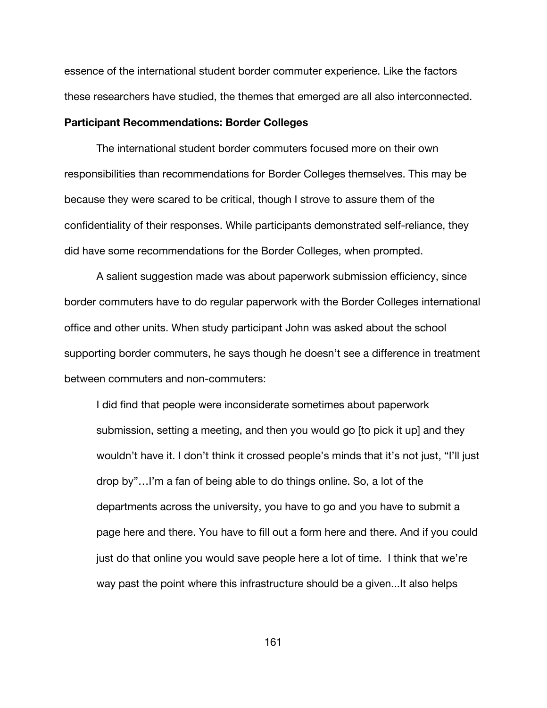essence of the international student border commuter experience. Like the factors these researchers have studied, the themes that emerged are all also interconnected.

### **Participant Recommendations: Border Colleges**

The international student border commuters focused more on their own responsibilities than recommendations for Border Colleges themselves. This may be because they were scared to be critical, though I strove to assure them of the confidentiality of their responses. While participants demonstrated self-reliance, they did have some recommendations for the Border Colleges, when prompted.

A salient suggestion made was about paperwork submission efficiency, since border commuters have to do regular paperwork with the Border Colleges international office and other units. When study participant John was asked about the school supporting border commuters, he says though he doesn't see a difference in treatment between commuters and non-commuters:

I did find that people were inconsiderate sometimes about paperwork submission, setting a meeting, and then you would go [to pick it up] and they wouldn't have it. I don't think it crossed people's minds that it's not just, "I'll just drop by"…I'm a fan of being able to do things online. So, a lot of the departments across the university, you have to go and you have to submit a page here and there. You have to fill out a form here and there. And if you could just do that online you would save people here a lot of time. I think that we're way past the point where this infrastructure should be a given...It also helps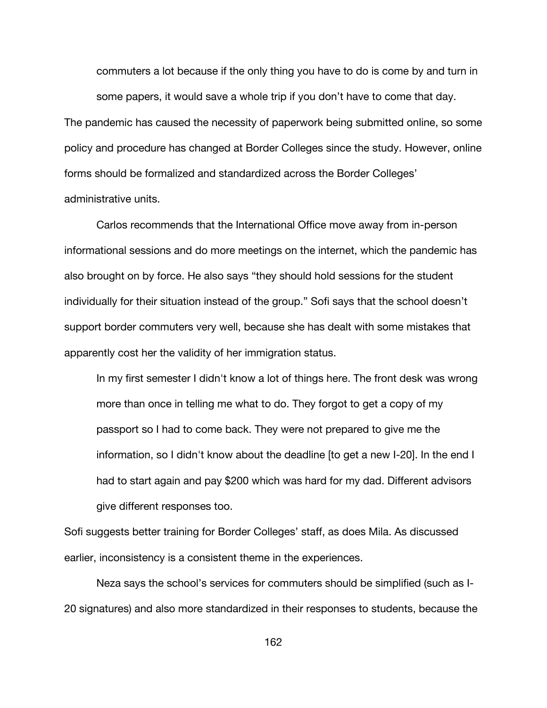commuters a lot because if the only thing you have to do is come by and turn in some papers, it would save a whole trip if you don't have to come that day.

The pandemic has caused the necessity of paperwork being submitted online, so some policy and procedure has changed at Border Colleges since the study. However, online forms should be formalized and standardized across the Border Colleges' administrative units.

Carlos recommends that the International Office move away from in-person informational sessions and do more meetings on the internet, which the pandemic has also brought on by force. He also says "they should hold sessions for the student individually for their situation instead of the group." Sofi says that the school doesn't support border commuters very well, because she has dealt with some mistakes that apparently cost her the validity of her immigration status.

In my first semester I didn't know a lot of things here. The front desk was wrong more than once in telling me what to do. They forgot to get a copy of my passport so I had to come back. They were not prepared to give me the information, so I didn't know about the deadline [to get a new I-20]. In the end I had to start again and pay \$200 which was hard for my dad. Different advisors give different responses too.

Sofi suggests better training for Border Colleges' staff, as does Mila. As discussed earlier, inconsistency is a consistent theme in the experiences.

Neza says the school's services for commuters should be simplified (such as I-20 signatures) and also more standardized in their responses to students, because the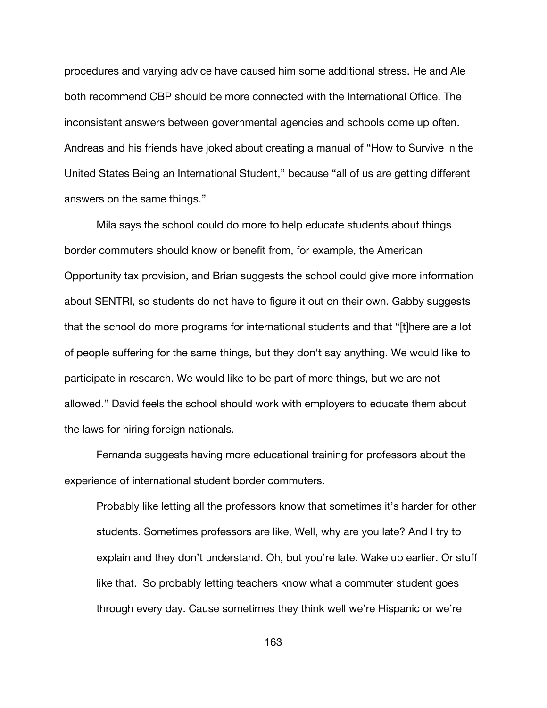procedures and varying advice have caused him some additional stress. He and Ale both recommend CBP should be more connected with the International Office. The inconsistent answers between governmental agencies and schools come up often. Andreas and his friends have joked about creating a manual of "How to Survive in the United States Being an International Student," because "all of us are getting different answers on the same things."

Mila says the school could do more to help educate students about things border commuters should know or benefit from, for example, the American Opportunity tax provision, and Brian suggests the school could give more information about SENTRI, so students do not have to figure it out on their own. Gabby suggests that the school do more programs for international students and that "[t]here are a lot of people suffering for the same things, but they don't say anything. We would like to participate in research. We would like to be part of more things, but we are not allowed." David feels the school should work with employers to educate them about the laws for hiring foreign nationals.

Fernanda suggests having more educational training for professors about the experience of international student border commuters.

Probably like letting all the professors know that sometimes it's harder for other students. Sometimes professors are like, Well, why are you late? And I try to explain and they don't understand. Oh, but you're late. Wake up earlier. Or stuff like that. So probably letting teachers know what a commuter student goes through every day. Cause sometimes they think well we're Hispanic or we're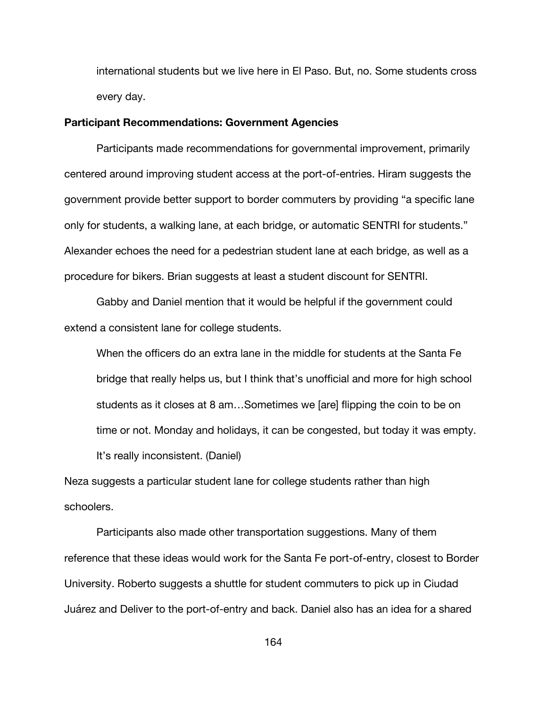international students but we live here in El Paso. But, no. Some students cross every day.

### **Participant Recommendations: Government Agencies**

Participants made recommendations for governmental improvement, primarily centered around improving student access at the port-of-entries. Hiram suggests the government provide better support to border commuters by providing "a specific lane only for students, a walking lane, at each bridge, or automatic SENTRI for students." Alexander echoes the need for a pedestrian student lane at each bridge, as well as a procedure for bikers. Brian suggests at least a student discount for SENTRI.

Gabby and Daniel mention that it would be helpful if the government could extend a consistent lane for college students.

When the officers do an extra lane in the middle for students at the Santa Fe bridge that really helps us, but I think that's unofficial and more for high school students as it closes at 8 am…Sometimes we [are] flipping the coin to be on time or not. Monday and holidays, it can be congested, but today it was empty. It's really inconsistent. (Daniel)

Neza suggests a particular student lane for college students rather than high schoolers.

Participants also made other transportation suggestions. Many of them reference that these ideas would work for the Santa Fe port-of-entry, closest to Border University. Roberto suggests a shuttle for student commuters to pick up in Ciudad Juárez and Deliver to the port-of-entry and back. Daniel also has an idea for a shared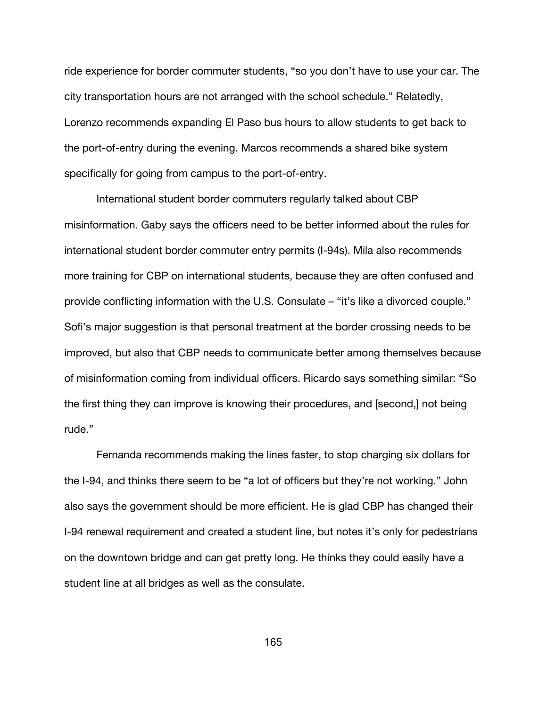ride experience for border commuter students, "so you don't have to use your car. The city transportation hours are not arranged with the school schedule." Relatedly, Lorenzo recommends expanding El Paso bus hours to allow students to get back to the port-of-entry during the evening. Marcos recommends a shared bike system specifically for going from campus to the port-of-entry.

International student border commuters regularly talked about CBP misinformation. Gaby says the officers need to be better informed about the rules for international student border commuter entry permits (I-94s). Mila also recommends more training for CBP on international students, because they are often confused and provide conflicting information with the U.S. Consulate – "it's like a divorced couple." Sofi's major suggestion is that personal treatment at the border crossing needs to be improved, but also that CBP needs to communicate better among themselves because of misinformation coming from individual officers. Ricardo says something similar: "So the first thing they can improve is knowing their procedures, and [second,] not being rude."

Fernanda recommends making the lines faster, to stop charging six dollars for the I-94, and thinks there seem to be "a lot of officers but they're not working." John also says the government should be more efficient. He is glad CBP has changed their I-94 renewal requirement and created a student line, but notes it's only for pedestrians on the downtown bridge and can get pretty long. He thinks they could easily have a student line at all bridges as well as the consulate.

165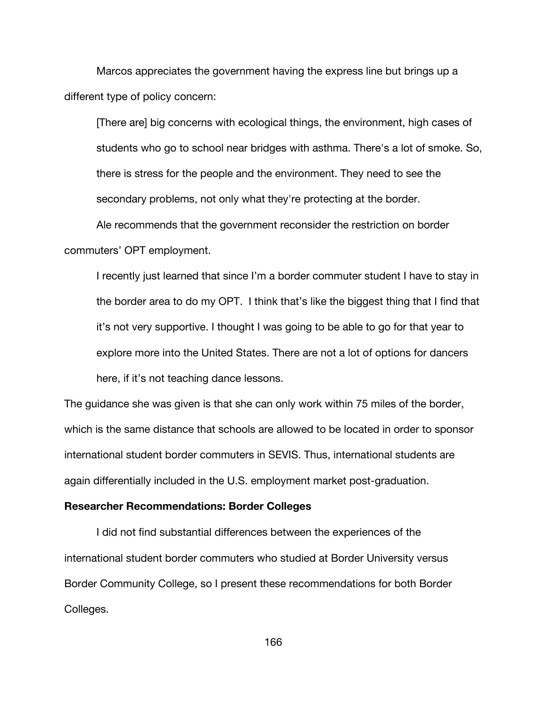Marcos appreciates the government having the express line but brings up a different type of policy concern:

[There are] big concerns with ecological things, the environment, high cases of students who go to school near bridges with asthma. There's a lot of smoke. So, there is stress for the people and the environment. They need to see the secondary problems, not only what they're protecting at the border.

Ale recommends that the government reconsider the restriction on border commuters' OPT employment.

I recently just learned that since I'm a border commuter student I have to stay in the border area to do my OPT. I think that's like the biggest thing that I find that it's not very supportive. I thought I was going to be able to go for that year to explore more into the United States. There are not a lot of options for dancers here, if it's not teaching dance lessons.

The guidance she was given is that she can only work within 75 miles of the border, which is the same distance that schools are allowed to be located in order to sponsor international student border commuters in SEVIS. Thus, international students are again differentially included in the U.S. employment market post-graduation.

### **Researcher Recommendations: Border Colleges**

I did not find substantial differences between the experiences of the international student border commuters who studied at Border University versus Border Community College, so I present these recommendations for both Border Colleges.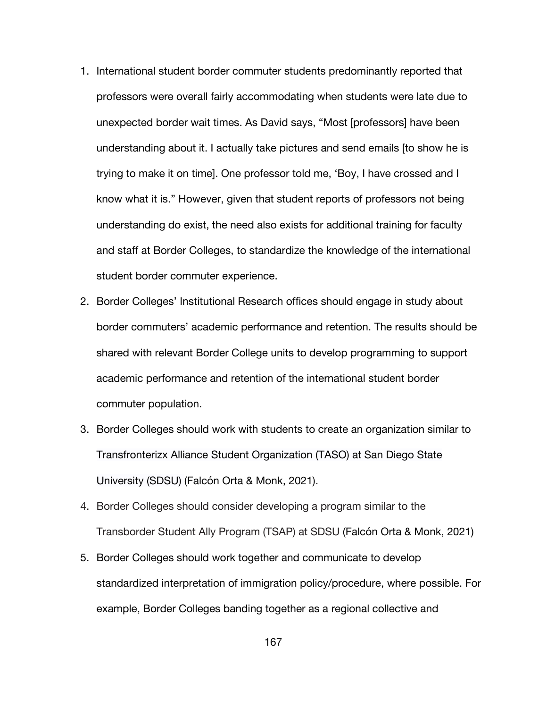- 1. International student border commuter students predominantly reported that professors were overall fairly accommodating when students were late due to unexpected border wait times. As David says, "Most [professors] have been understanding about it. I actually take pictures and send emails [to show he is trying to make it on time]. One professor told me, 'Boy, I have crossed and I know what it is." However, given that student reports of professors not being understanding do exist, the need also exists for additional training for faculty and staff at Border Colleges, to standardize the knowledge of the international student border commuter experience.
- 2. Border Colleges' Institutional Research offices should engage in study about border commuters' academic performance and retention. The results should be shared with relevant Border College units to develop programming to support academic performance and retention of the international student border commuter population.
- 3. Border Colleges should work with students to create an organization similar to Transfronterizx Alliance Student Organization (TASO) at San Diego State University (SDSU) (Falcón Orta & Monk, 2021).
- 4. Border Colleges should consider developing a program similar to the Transborder Student Ally Program (TSAP) at SDSU (Falcón Orta & Monk, 2021)
- 5. Border Colleges should work together and communicate to develop standardized interpretation of immigration policy/procedure, where possible. For example, Border Colleges banding together as a regional collective and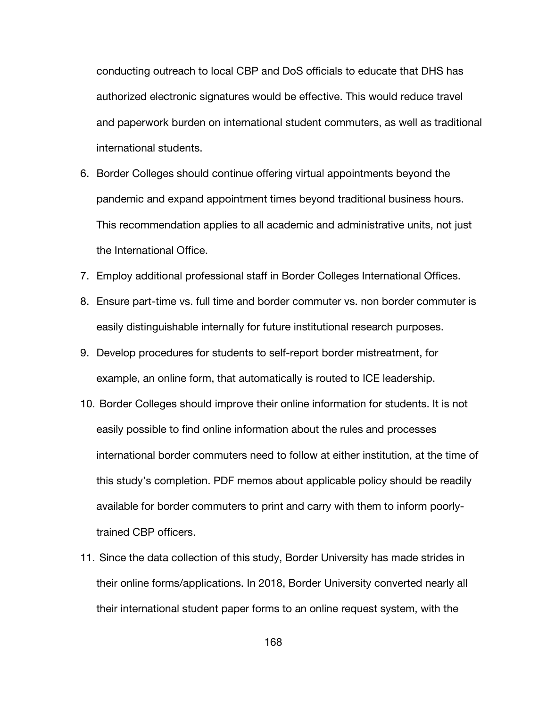conducting outreach to local CBP and DoS officials to educate that DHS has authorized electronic signatures would be effective. This would reduce travel and paperwork burden on international student commuters, as well as traditional international students.

- 6. Border Colleges should continue offering virtual appointments beyond the pandemic and expand appointment times beyond traditional business hours. This recommendation applies to all academic and administrative units, not just the International Office.
- 7. Employ additional professional staff in Border Colleges International Offices.
- 8. Ensure part-time vs. full time and border commuter vs. non border commuter is easily distinguishable internally for future institutional research purposes.
- 9. Develop procedures for students to self-report border mistreatment, for example, an online form, that automatically is routed to ICE leadership.
- 10. Border Colleges should improve their online information for students. It is not easily possible to find online information about the rules and processes international border commuters need to follow at either institution, at the time of this study's completion. PDF memos about applicable policy should be readily available for border commuters to print and carry with them to inform poorlytrained CBP officers.
- 11. Since the data collection of this study, Border University has made strides in their online forms/applications. In 2018, Border University converted nearly all their international student paper forms to an online request system, with the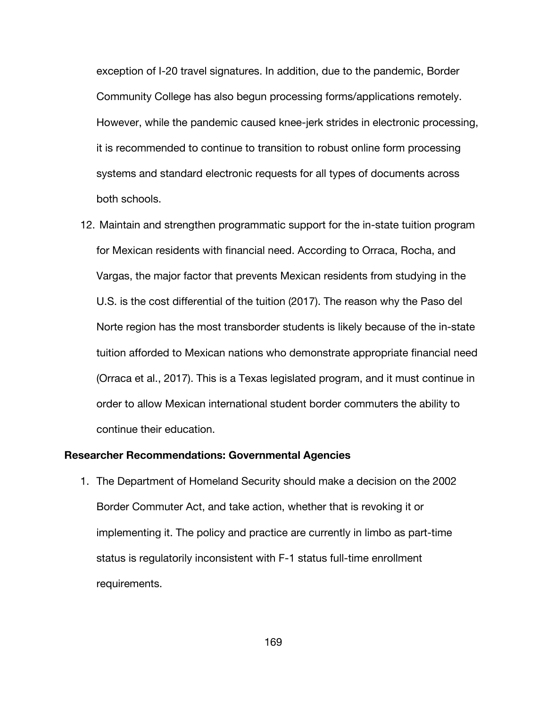exception of I-20 travel signatures. In addition, due to the pandemic, Border Community College has also begun processing forms/applications remotely. However, while the pandemic caused knee-jerk strides in electronic processing, it is recommended to continue to transition to robust online form processing systems and standard electronic requests for all types of documents across both schools.

12. Maintain and strengthen programmatic support for the in-state tuition program for Mexican residents with financial need. According to Orraca, Rocha, and Vargas, the major factor that prevents Mexican residents from studying in the U.S. is the cost differential of the tuition (2017). The reason why the Paso del Norte region has the most transborder students is likely because of the in-state tuition afforded to Mexican nations who demonstrate appropriate financial need (Orraca et al., 2017). This is a Texas legislated program, and it must continue in order to allow Mexican international student border commuters the ability to continue their education.

### **Researcher Recommendations: Governmental Agencies**

1. The Department of Homeland Security should make a decision on the 2002 Border Commuter Act, and take action, whether that is revoking it or implementing it. The policy and practice are currently in limbo as part-time status is regulatorily inconsistent with F-1 status full-time enrollment requirements.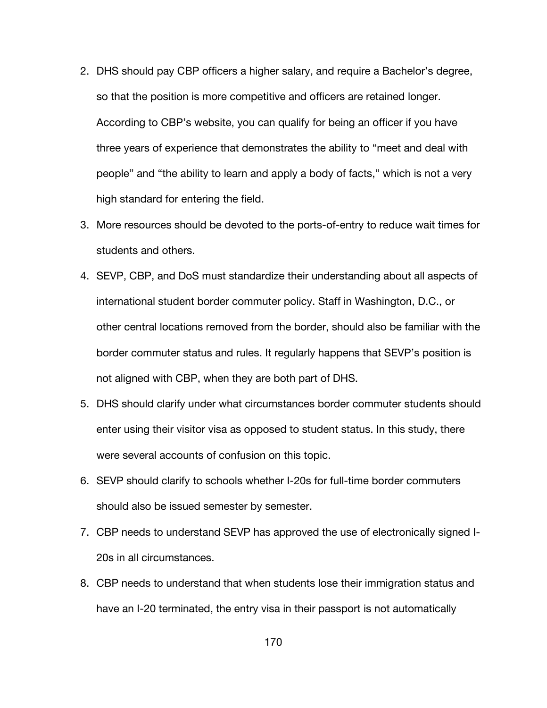- 2. DHS should pay CBP officers a higher salary, and require a Bachelor's degree, so that the position is more competitive and officers are retained longer. According to CBP's website, you can qualify for being an officer if you have three years of experience that demonstrates the ability to "meet and deal with people" and "the ability to learn and apply a body of facts," which is not a very high standard for entering the field.
- 3. More resources should be devoted to the ports-of-entry to reduce wait times for students and others.
- 4. SEVP, CBP, and DoS must standardize their understanding about all aspects of international student border commuter policy. Staff in Washington, D.C., or other central locations removed from the border, should also be familiar with the border commuter status and rules. It regularly happens that SEVP's position is not aligned with CBP, when they are both part of DHS.
- 5. DHS should clarify under what circumstances border commuter students should enter using their visitor visa as opposed to student status. In this study, there were several accounts of confusion on this topic.
- 6. SEVP should clarify to schools whether I-20s for full-time border commuters should also be issued semester by semester.
- 7. CBP needs to understand SEVP has approved the use of electronically signed I-20s in all circumstances.
- 8. CBP needs to understand that when students lose their immigration status and have an I-20 terminated, the entry visa in their passport is not automatically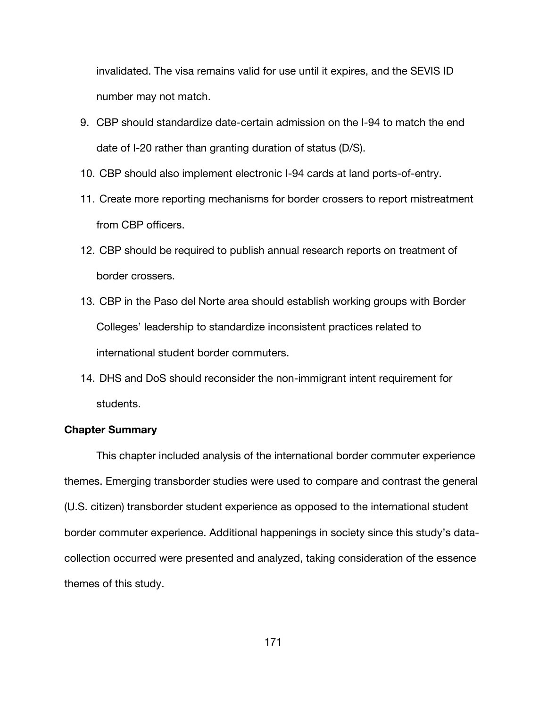invalidated. The visa remains valid for use until it expires, and the SEVIS ID number may not match.

- 9. CBP should standardize date-certain admission on the I-94 to match the end date of I-20 rather than granting duration of status (D/S).
- 10. CBP should also implement electronic I-94 cards at land ports-of-entry.
- 11. Create more reporting mechanisms for border crossers to report mistreatment from CBP officers.
- 12. CBP should be required to publish annual research reports on treatment of border crossers.
- 13. CBP in the Paso del Norte area should establish working groups with Border Colleges' leadership to standardize inconsistent practices related to international student border commuters.
- 14. DHS and DoS should reconsider the non-immigrant intent requirement for students.

## **Chapter Summary**

This chapter included analysis of the international border commuter experience themes. Emerging transborder studies were used to compare and contrast the general (U.S. citizen) transborder student experience as opposed to the international student border commuter experience. Additional happenings in society since this study's datacollection occurred were presented and analyzed, taking consideration of the essence themes of this study.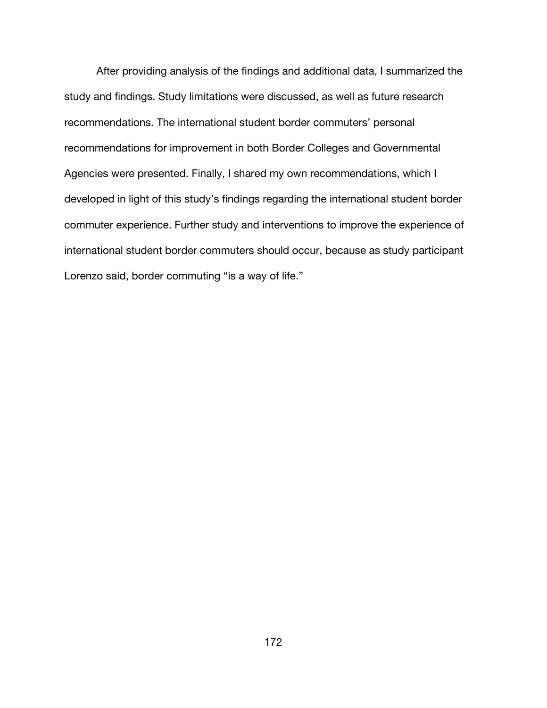After providing analysis of the findings and additional data, I summarized the study and findings. Study limitations were discussed, as well as future research recommendations. The international student border commuters' personal recommendations for improvement in both Border Colleges and Governmental Agencies were presented. Finally, I shared my own recommendations, which I developed in light of this study's findings regarding the international student border commuter experience. Further study and interventions to improve the experience of international student border commuters should occur, because as study participant Lorenzo said, border commuting "is a way of life."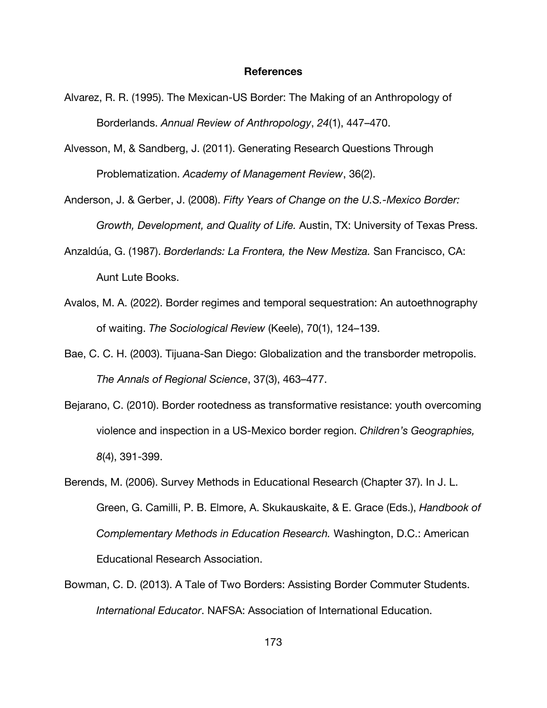#### **References**

- Alvarez, R. R. (1995). The Mexican-US Border: The Making of an Anthropology of Borderlands. *Annual Review of Anthropology*, *24*(1), 447–470.
- Alvesson, M, & Sandberg, J. (2011). Generating Research Questions Through Problematization. *Academy of Management Review*, 36(2).
- Anderson, J. & Gerber, J. (2008). *Fifty Years of Change on the U.S.-Mexico Border: Growth, Development, and Quality of Life.* Austin, TX: University of Texas Press.
- Anzaldúa, G. (1987). *Borderlands: La Frontera, the New Mestiza.* San Francisco, CA: Aunt Lute Books.
- Avalos, M. A. (2022). Border regimes and temporal sequestration: An autoethnography of waiting. *The Sociological Review* (Keele), 70(1), 124–139.
- Bae, C. C. H. (2003). Tijuana-San Diego: Globalization and the transborder metropolis. *The Annals of Regional Science*, 37(3), 463–477.
- Bejarano, C. (2010). Border rootedness as transformative resistance: youth overcoming violence and inspection in a US-Mexico border region. *Children's Geographies, 8*(4), 391-399.
- Berends, M. (2006). Survey Methods in Educational Research (Chapter 37). In J. L. Green, G. Camilli, P. B. Elmore, A. Skukauskaite, & E. Grace (Eds.), *Handbook of Complementary Methods in Education Research.* Washington, D.C.: American Educational Research Association.
- Bowman, C. D. (2013). A Tale of Two Borders: Assisting Border Commuter Students. *International Educator*. NAFSA: Association of International Education.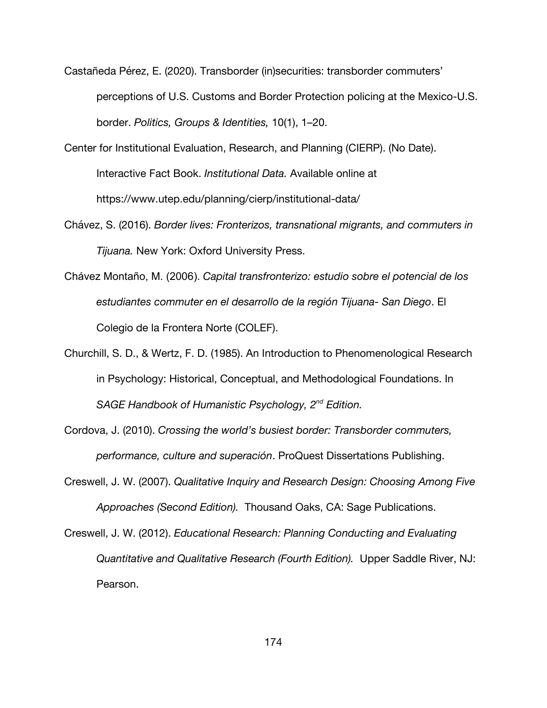Castañeda Pérez, E. (2020). Transborder (in)securities: transborder commuters' perceptions of U.S. Customs and Border Protection policing at the Mexico-U.S. border. *Politics, Groups & Identities,* 10(1), 1–20.

Center for Institutional Evaluation, Research, and Planning (CIERP). (No Date). Interactive Fact Book. *Institutional Data.* Available online at https://www.utep.edu/planning/cierp/institutional-data/

- Chávez, S. (2016). *Border lives: Fronterizos, transnational migrants, and commuters in Tijuana.* New York: Oxford University Press.
- Chávez Montaño, M. (2006). *Capital transfronterizo: estudio sobre el potencial de los estudiantes commuter en el desarrollo de la región Tijuana- San Diego*. El Colegio de la Frontera Norte (COLEF).
- Churchill, S. D., & Wertz, F. D. (1985). An Introduction to Phenomenological Research in Psychology: Historical, Conceptual, and Methodological Foundations. In *SAGE Handbook of Humanistic Psychology, 2nd Edition.*

Cordova, J. (2010). *Crossing the world's busiest border: Transborder commuters, performance, culture and superación*. ProQuest Dissertations Publishing.

- Creswell, J. W. (2007). *Qualitative Inquiry and Research Design: Choosing Among Five Approaches (Second Edition).* Thousand Oaks, CA: Sage Publications.
- Creswell, J. W. (2012). *Educational Research: Planning Conducting and Evaluating Quantitative and Qualitative Research (Fourth Edition).* Upper Saddle River, NJ: Pearson.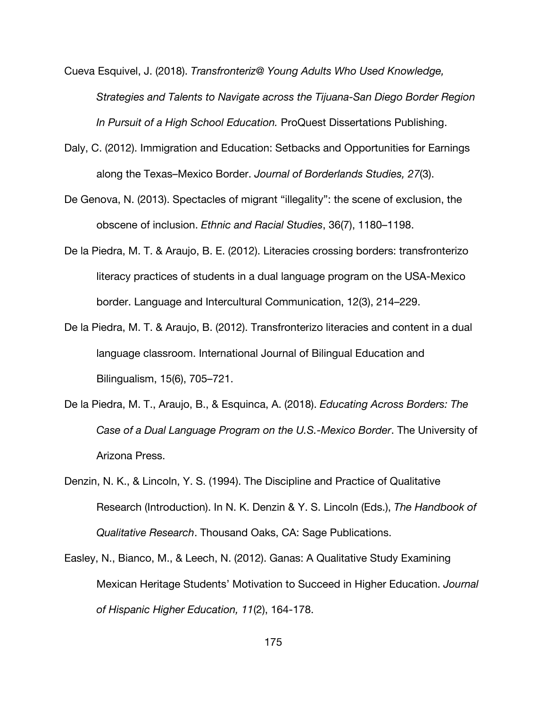- Cueva Esquivel, J. (2018). *Transfronteriz@ Young Adults Who Used Knowledge, Strategies and Talents to Navigate across the Tijuana-San Diego Border Region In Pursuit of a High School Education.* ProQuest Dissertations Publishing.
- Daly, C. (2012). Immigration and Education: Setbacks and Opportunities for Earnings along the Texas–Mexico Border. *Journal of Borderlands Studies, 27*(3).
- De Genova, N. (2013). Spectacles of migrant "illegality": the scene of exclusion, the obscene of inclusion. *Ethnic and Racial Studies*, 36(7), 1180–1198.
- De la Piedra, M. T. & Araujo, B. E. (2012). Literacies crossing borders: transfronterizo literacy practices of students in a dual language program on the USA-Mexico border. Language and Intercultural Communication, 12(3), 214–229.
- De la Piedra, M. T. & Araujo, B. (2012). Transfronterizo literacies and content in a dual language classroom. International Journal of Bilingual Education and Bilingualism, 15(6), 705–721.
- De la Piedra, M. T., Araujo, B., & Esquinca, A. (2018). *Educating Across Borders: The Case of a Dual Language Program on the U.S.-Mexico Border*. The University of Arizona Press.
- Denzin, N. K., & Lincoln, Y. S. (1994). The Discipline and Practice of Qualitative Research (Introduction). In N. K. Denzin & Y. S. Lincoln (Eds.), *The Handbook of Qualitative Research*. Thousand Oaks, CA: Sage Publications.
- Easley, N., Bianco, M., & Leech, N. (2012). Ganas: A Qualitative Study Examining Mexican Heritage Students' Motivation to Succeed in Higher Education. *Journal of Hispanic Higher Education, 11*(2), 164-178.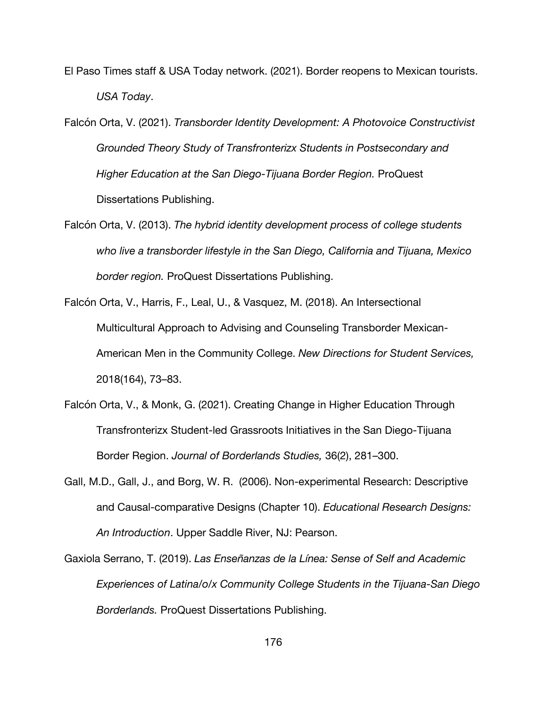- El Paso Times staff & USA Today network. (2021). Border reopens to Mexican tourists. *USA Today*.
- Falcón Orta, V. (2021). *Transborder Identity Development: A Photovoice Constructivist Grounded Theory Study of Transfronterizx Students in Postsecondary and Higher Education at the San Diego-Tijuana Border Region.* ProQuest Dissertations Publishing.
- Falcón Orta, V. (2013). *The hybrid identity development process of college students who live a transborder lifestyle in the San Diego, California and Tijuana, Mexico border region.* ProQuest Dissertations Publishing.
- Falcón Orta, V., Harris, F., Leal, U., & Vasquez, M. (2018). An Intersectional Multicultural Approach to Advising and Counseling Transborder Mexican‐ American Men in the Community College. *New Directions for Student Services,* 2018(164), 73–83.
- Falcón Orta, V., & Monk, G. (2021). Creating Change in Higher Education Through Transfronterizx Student-led Grassroots Initiatives in the San Diego-Tijuana Border Region. *Journal of Borderlands Studies,* 36(2), 281–300.
- Gall, M.D., Gall, J., and Borg, W. R. (2006). Non-experimental Research: Descriptive and Causal-comparative Designs (Chapter 10). *Educational Research Designs: An Introduction*. Upper Saddle River, NJ: Pearson.
- Gaxiola Serrano, T. (2019). *Las Enseñanzas de la Línea: Sense of Self and Academic Experiences of Latina/o/x Community College Students in the Tijuana-San Diego Borderlands.* ProQuest Dissertations Publishing.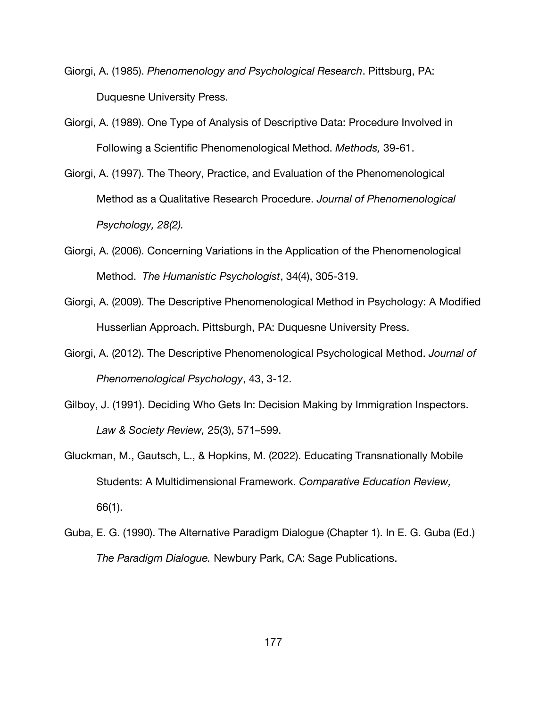- Giorgi, A. (1985). *Phenomenology and Psychological Research*. Pittsburg, PA: Duquesne University Press.
- Giorgi, A. (1989). One Type of Analysis of Descriptive Data: Procedure Involved in Following a Scientific Phenomenological Method. *Methods,* 39-61.
- Giorgi, A. (1997). The Theory, Practice, and Evaluation of the Phenomenological Method as a Qualitative Research Procedure. *Journal of Phenomenological Psychology, 28(2).*
- Giorgi, A. (2006). Concerning Variations in the Application of the Phenomenological Method. *The Humanistic Psychologist*, 34(4), 305-319.
- Giorgi, A. (2009). The Descriptive Phenomenological Method in Psychology: A Modified Husserlian Approach. Pittsburgh, PA: Duquesne University Press.
- Giorgi, A. (2012). The Descriptive Phenomenological Psychological Method. *Journal of Phenomenological Psychology*, 43, 3-12.
- Gilboy, J. (1991). Deciding Who Gets In: Decision Making by Immigration Inspectors. *Law & Society Review,* 25(3), 571–599.
- Gluckman, M., Gautsch, L., & Hopkins, M. (2022). Educating Transnationally Mobile Students: A Multidimensional Framework. *Comparative Education Review,*  66(1).
- Guba, E. G. (1990). The Alternative Paradigm Dialogue (Chapter 1). In E. G. Guba (Ed.) *The Paradigm Dialogue.* Newbury Park, CA: Sage Publications.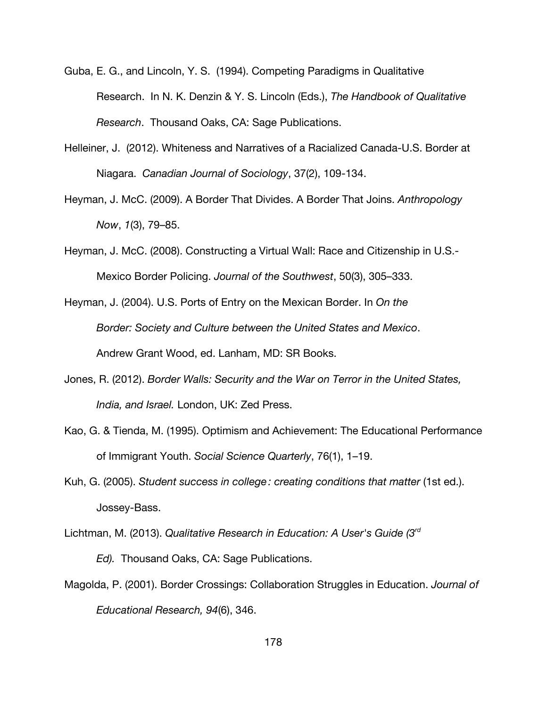- Guba, E. G., and Lincoln, Y. S. (1994). Competing Paradigms in Qualitative Research. In N. K. Denzin & Y. S. Lincoln (Eds.), *The Handbook of Qualitative Research*. Thousand Oaks, CA: Sage Publications.
- Helleiner, J. (2012). Whiteness and Narratives of a Racialized Canada-U.S. Border at Niagara. *Canadian Journal of Sociology*, 37(2), 109-134.
- Heyman, J. McC. (2009). A Border That Divides. A Border That Joins. *Anthropology Now*, *1*(3), 79–85.
- Heyman, J. McC. (2008). Constructing a Virtual Wall: Race and Citizenship in U.S.- Mexico Border Policing. *Journal of the Southwest*, 50(3), 305–333.
- Heyman, J. (2004). U.S. Ports of Entry on the Mexican Border. In *On the Border: Society and Culture between the United States and Mexico*. Andrew Grant Wood, ed. Lanham, MD: SR Books.
- Jones, R. (2012). *Border Walls: Security and the War on Terror in the United States, India, and Israel.* London, UK: Zed Press.
- Kao, G. & Tienda, M. (1995). Optimism and Achievement: The Educational Performance of Immigrant Youth. *Social Science Quarterly*, 76(1), 1–19.
- Kuh, G. (2005). *Student success in college : creating conditions that matter* (1st ed.). Jossey-Bass.
- Lichtman, M. (2013). *Qualitative Research in Education: A User's Guide (3rd Ed).* Thousand Oaks, CA: Sage Publications.
- Magolda, P. (2001). Border Crossings: Collaboration Struggles in Education. *Journal of Educational Research, 94*(6), 346.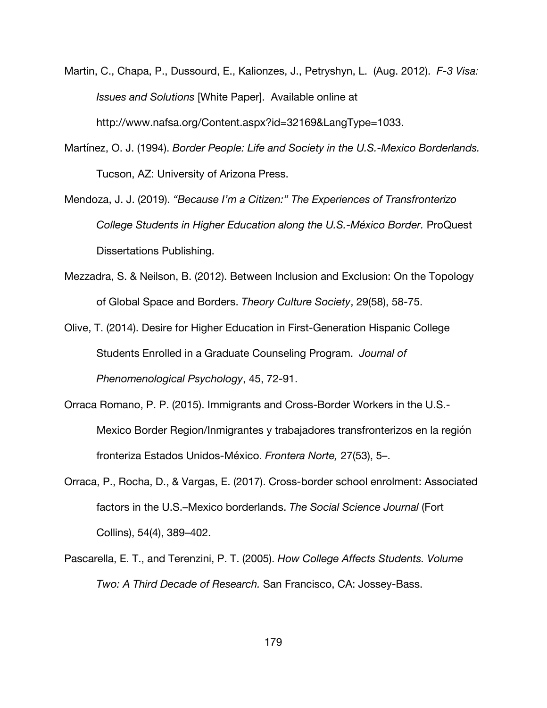- Martin, C., Chapa, P., Dussourd, E., Kalionzes, J., Petryshyn, L. (Aug. 2012). *F-3 Visa: Issues and Solutions* [White Paper]. Available online at http://www.nafsa.org/Content.aspx?id=32169&LangType=1033.
- Martínez, O. J. (1994). *Border People: Life and Society in the U.S.-Mexico Borderlands.* Tucson, AZ: University of Arizona Press.
- Mendoza, J. J. (2019). *"Because I'm a Citizen:" The Experiences of Transfronterizo College Students in Higher Education along the U.S.-México Border.* ProQuest Dissertations Publishing.
- Mezzadra, S. & Neilson, B. (2012). Between Inclusion and Exclusion: On the Topology of Global Space and Borders. *Theory Culture Society*, 29(58), 58-75.
- Olive, T. (2014). Desire for Higher Education in First-Generation Hispanic College Students Enrolled in a Graduate Counseling Program. *Journal of Phenomenological Psychology*, 45, 72-91.
- Orraca Romano, P. P. (2015). Immigrants and Cross-Border Workers in the U.S.- Mexico Border Region/Inmigrantes y trabajadores transfronterizos en la región fronteriza Estados Unidos-México. *Frontera Norte,* 27(53), 5–.
- Orraca, P., Rocha, D., & Vargas, E. (2017). Cross-border school enrolment: Associated factors in the U.S.–Mexico borderlands. *The Social Science Journal* (Fort Collins), 54(4), 389–402.
- Pascarella, E. T., and Terenzini, P. T. (2005). *How College Affects Students. Volume Two: A Third Decade of Research.* San Francisco, CA: Jossey-Bass.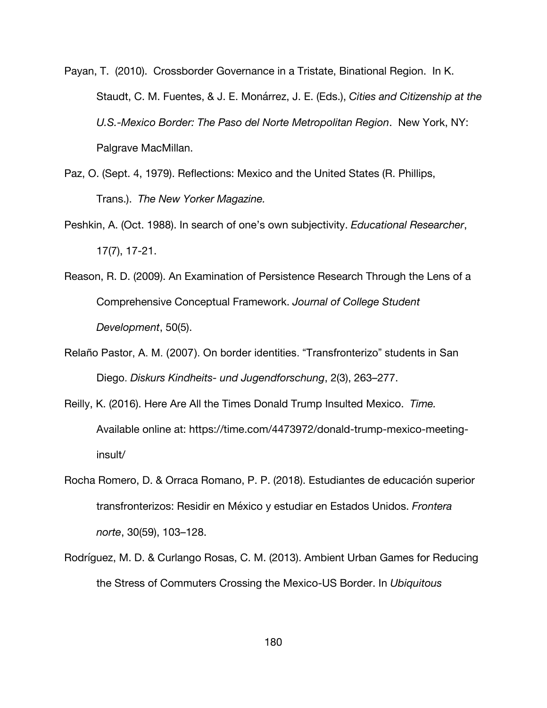- Payan, T. (2010). Crossborder Governance in a Tristate, Binational Region. In K. Staudt, C. M. Fuentes, & J. E. Monárrez, J. E. (Eds.), *Cities and Citizenship at the U.S.-Mexico Border: The Paso del Norte Metropolitan Region*. New York, NY: Palgrave MacMillan.
- Paz, O. (Sept. 4, 1979). Reflections: Mexico and the United States (R. Phillips, Trans.). *The New Yorker Magazine.*
- Peshkin, A. (Oct. 1988). In search of one's own subjectivity. *Educational Researcher*, 17(7), 17-21.
- Reason, R. D. (2009). An Examination of Persistence Research Through the Lens of a Comprehensive Conceptual Framework. *Journal of College Student Development*, 50(5).
- Relaño Pastor, A. M. (2007). On border identities. "Transfronterizo" students in San Diego. *Diskurs Kindheits- und Jugendforschung*, 2(3), 263–277.
- Reilly, K. (2016). Here Are All the Times Donald Trump Insulted Mexico. *Time.* Available online at: https://time.com/4473972/donald-trump-mexico-meetinginsult/
- Rocha Romero, D. & Orraca Romano, P. P. (2018). Estudiantes de educación superior transfronterizos: Residir en México y estudiar en Estados Unidos. *Frontera norte*, 30(59), 103–128.
- Rodríguez, M. D. & Curlango Rosas, C. M. (2013). Ambient Urban Games for Reducing the Stress of Commuters Crossing the Mexico-US Border. In *Ubiquitous*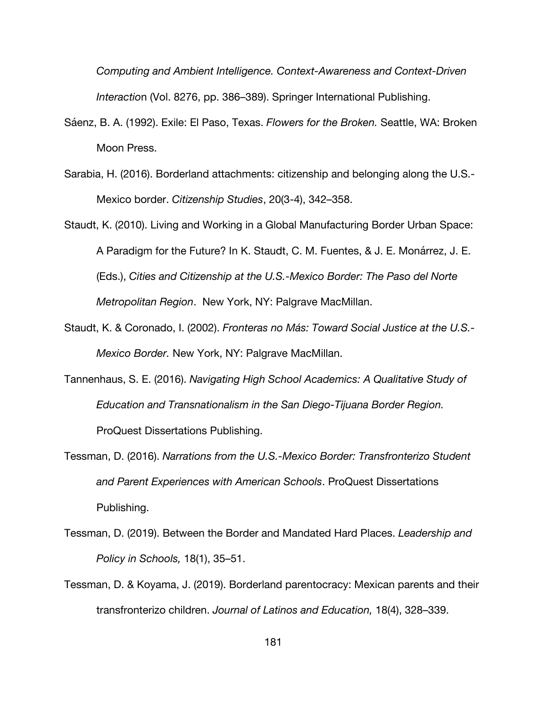*Computing and Ambient Intelligence. Context-Awareness and Context-Driven Interactio*n (Vol. 8276, pp. 386–389). Springer International Publishing.

- Sáenz, B. A. (1992). Exile: El Paso, Texas. *Flowers for the Broken.* Seattle, WA: Broken Moon Press.
- Sarabia, H. (2016). Borderland attachments: citizenship and belonging along the U.S.- Mexico border. *Citizenship Studies*, 20(3-4), 342–358.
- Staudt, K. (2010). Living and Working in a Global Manufacturing Border Urban Space: A Paradigm for the Future? In K. Staudt, C. M. Fuentes, & J. E. Monárrez, J. E. (Eds.), *Cities and Citizenship at the U.S.-Mexico Border: The Paso del Norte Metropolitan Region*. New York, NY: Palgrave MacMillan.
- Staudt, K. & Coronado, I. (2002). *Fronteras no Más: Toward Social Justice at the U.S.- Mexico Border.* New York, NY: Palgrave MacMillan.
- Tannenhaus, S. E. (2016). *Navigating High School Academics: A Qualitative Study of Education and Transnationalism in the San Diego-Tijuana Border Region.*  ProQuest Dissertations Publishing.
- Tessman, D. (2016). *Narrations from the U.S.-Mexico Border: Transfronterizo Student and Parent Experiences with American Schools*. ProQuest Dissertations Publishing.
- Tessman, D. (2019). Between the Border and Mandated Hard Places. *Leadership and Policy in Schools,* 18(1), 35–51.
- Tessman, D. & Koyama, J. (2019). Borderland parentocracy: Mexican parents and their transfronterizo children. *Journal of Latinos and Education,* 18(4), 328–339.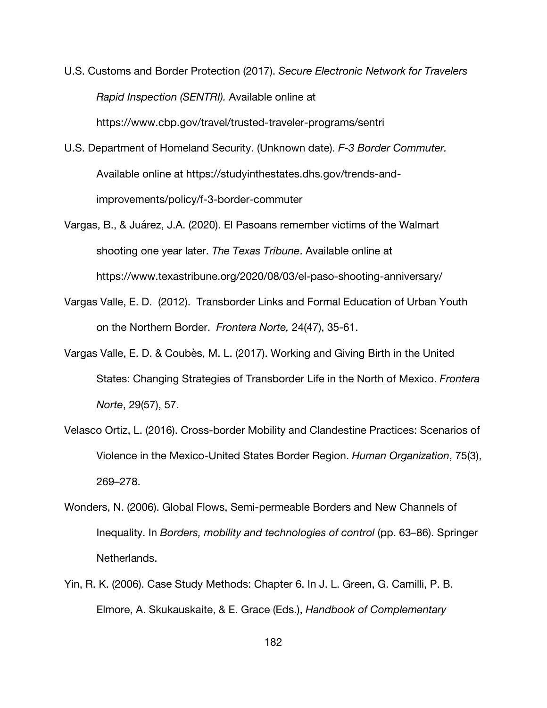- U.S. Customs and Border Protection (2017). *Secure Electronic Network for Travelers Rapid Inspection (SENTRI).* Available online at https://www.cbp.gov/travel/trusted-traveler-programs/sentri
- U.S. Department of Homeland Security. (Unknown date). *F-3 Border Commuter.*  Available online at https://studyinthestates.dhs.gov/trends-andimprovements/policy/f-3-border-commuter
- Vargas, B., & Juárez, J.A. (2020). El Pasoans remember victims of the Walmart shooting one year later. *The Texas Tribune*. Available online at https://www.texastribune.org/2020/08/03/el-paso-shooting-anniversary/
- Vargas Valle, E. D. (2012). Transborder Links and Formal Education of Urban Youth on the Northern Border. *Frontera Norte,* 24(47), 35-61.
- Vargas Valle, E. D. & Coubès, M. L. (2017). Working and Giving Birth in the United States: Changing Strategies of Transborder Life in the North of Mexico. *Frontera Norte*, 29(57), 57.
- Velasco Ortiz, L. (2016). Cross-border Mobility and Clandestine Practices: Scenarios of Violence in the Mexico-United States Border Region. *Human Organization*, 75(3), 269–278.
- Wonders, N. (2006). Global Flows, Semi-permeable Borders and New Channels of Inequality. In *Borders, mobility and technologies of control* (pp. 63–86). Springer Netherlands.
- Yin, R. K. (2006). Case Study Methods: Chapter 6. In J. L. Green, G. Camilli, P. B. Elmore, A. Skukauskaite, & E. Grace (Eds.), *Handbook of Complementary*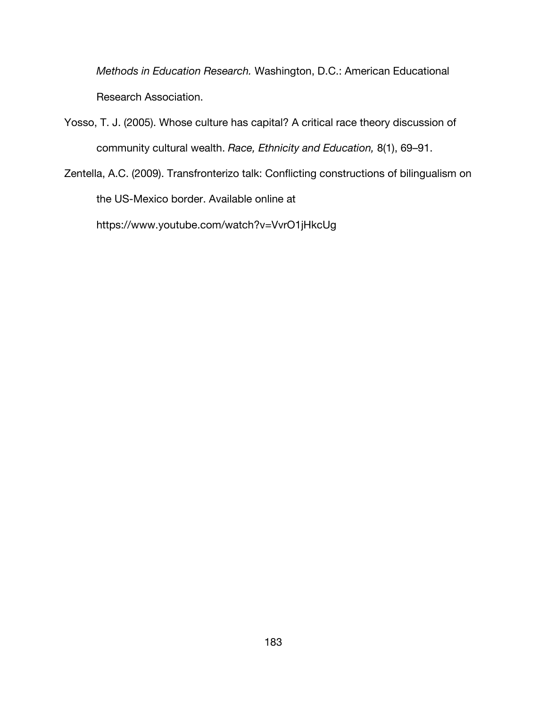*Methods in Education Research.* Washington, D.C.: American Educational Research Association.

- Yosso, T. J. (2005). Whose culture has capital? A critical race theory discussion of community cultural wealth. *Race, Ethnicity and Education,* 8(1), 69–91.
- Zentella, A.C. (2009). Transfronterizo talk: Conflicting constructions of bilingualism on the US-Mexico border. Available online at https://www.youtube.com/watch?v=VvrO1jHkcUg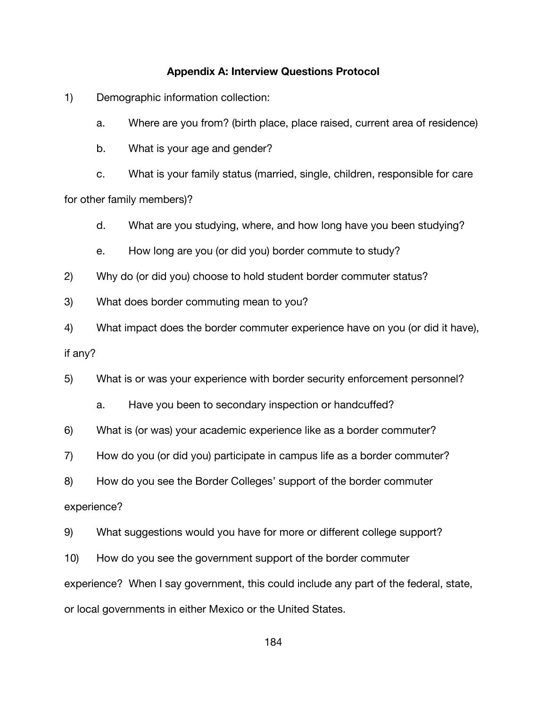## **Appendix A: Interview Questions Protocol**

1) Demographic information collection:

a. Where are you from? (birth place, place raised, current area of residence)

b. What is your age and gender?

c. What is your family status (married, single, children, responsible for care for other family members)?

d. What are you studying, where, and how long have you been studying?

e. How long are you (or did you) border commute to study?

2) Why do (or did you) choose to hold student border commuter status?

3) What does border commuting mean to you?

4) What impact does the border commuter experience have on you (or did it have), if any?

5) What is or was your experience with border security enforcement personnel?

a. Have you been to secondary inspection or handcuffed?

6) What is (or was) your academic experience like as a border commuter?

7) How do you (or did you) participate in campus life as a border commuter?

8) How do you see the Border Colleges' support of the border commuter

experience?

9) What suggestions would you have for more or different college support?

10) How do you see the government support of the border commuter

experience? When I say government, this could include any part of the federal, state,

or local governments in either Mexico or the United States.

184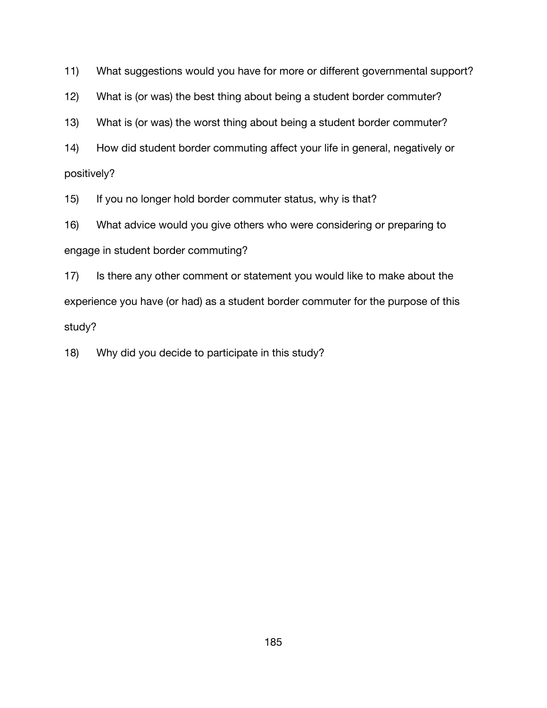11) What suggestions would you have for more or different governmental support?

12) What is (or was) the best thing about being a student border commuter?

13) What is (or was) the worst thing about being a student border commuter?

14) How did student border commuting affect your life in general, negatively or positively?

15) If you no longer hold border commuter status, why is that?

16) What advice would you give others who were considering or preparing to engage in student border commuting?

17) Is there any other comment or statement you would like to make about the experience you have (or had) as a student border commuter for the purpose of this study?

18) Why did you decide to participate in this study?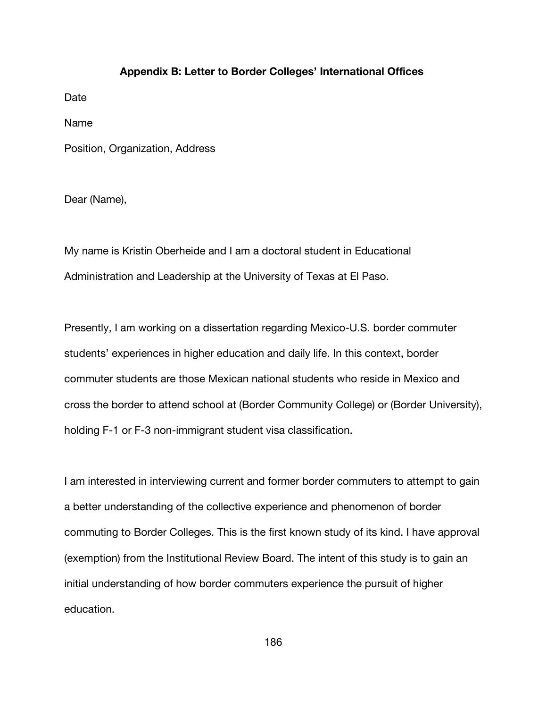### **Appendix B: Letter to Border Colleges' International Offices**

Date

Name

Position, Organization, Address

Dear (Name),

My name is Kristin Oberheide and I am a doctoral student in Educational Administration and Leadership at the University of Texas at El Paso.

Presently, I am working on a dissertation regarding Mexico-U.S. border commuter students' experiences in higher education and daily life. In this context, border commuter students are those Mexican national students who reside in Mexico and cross the border to attend school at (Border Community College) or (Border University), holding F-1 or F-3 non-immigrant student visa classification.

I am interested in interviewing current and former border commuters to attempt to gain a better understanding of the collective experience and phenomenon of border commuting to Border Colleges. This is the first known study of its kind. I have approval (exemption) from the Institutional Review Board. The intent of this study is to gain an initial understanding of how border commuters experience the pursuit of higher education.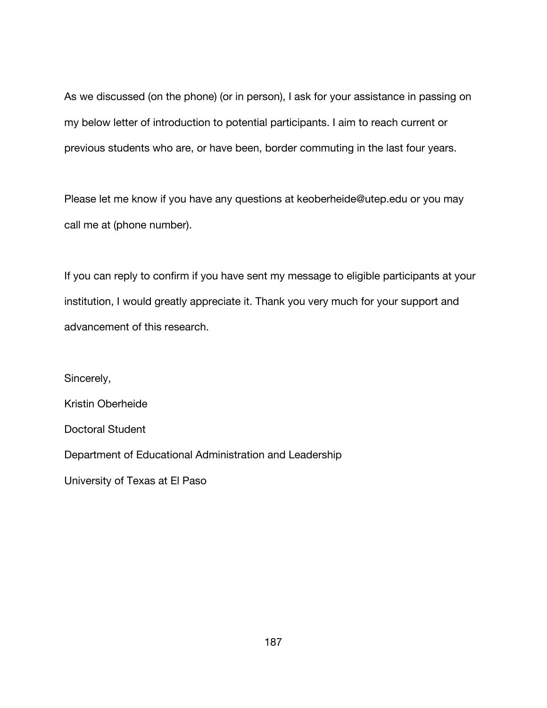As we discussed (on the phone) (or in person), I ask for your assistance in passing on my below letter of introduction to potential participants. I aim to reach current or previous students who are, or have been, border commuting in the last four years.

Please let me know if you have any questions at keoberheide@utep.edu or you may call me at (phone number).

If you can reply to confirm if you have sent my message to eligible participants at your institution, I would greatly appreciate it. Thank you very much for your support and advancement of this research.

Sincerely, Kristin Oberheide Doctoral Student Department of Educational Administration and Leadership University of Texas at El Paso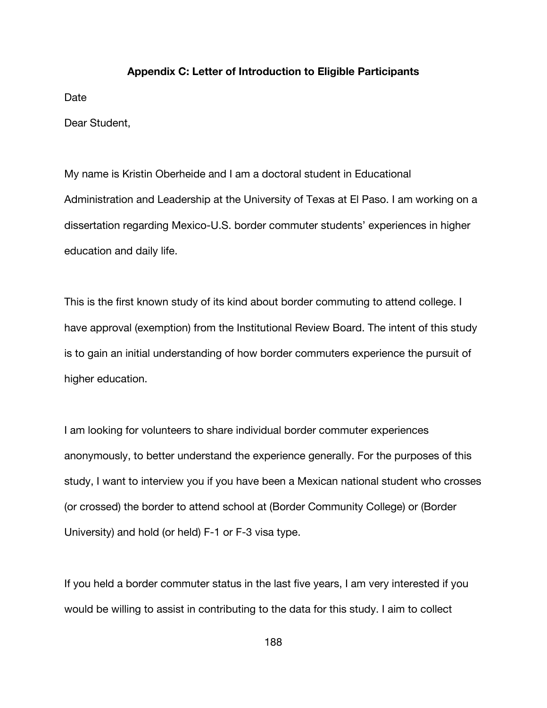### **Appendix C: Letter of Introduction to Eligible Participants**

Date

Dear Student,

My name is Kristin Oberheide and I am a doctoral student in Educational Administration and Leadership at the University of Texas at El Paso. I am working on a dissertation regarding Mexico-U.S. border commuter students' experiences in higher education and daily life.

This is the first known study of its kind about border commuting to attend college. I have approval (exemption) from the Institutional Review Board. The intent of this study is to gain an initial understanding of how border commuters experience the pursuit of higher education.

I am looking for volunteers to share individual border commuter experiences anonymously, to better understand the experience generally. For the purposes of this study, I want to interview you if you have been a Mexican national student who crosses (or crossed) the border to attend school at (Border Community College) or (Border University) and hold (or held) F-1 or F-3 visa type.

If you held a border commuter status in the last five years, I am very interested if you would be willing to assist in contributing to the data for this study. I aim to collect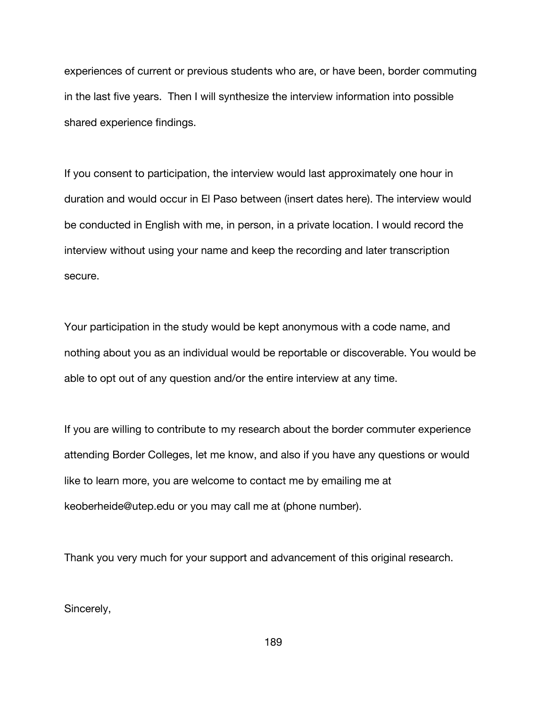experiences of current or previous students who are, or have been, border commuting in the last five years. Then I will synthesize the interview information into possible shared experience findings.

If you consent to participation, the interview would last approximately one hour in duration and would occur in El Paso between (insert dates here). The interview would be conducted in English with me, in person, in a private location. I would record the interview without using your name and keep the recording and later transcription secure.

Your participation in the study would be kept anonymous with a code name, and nothing about you as an individual would be reportable or discoverable. You would be able to opt out of any question and/or the entire interview at any time.

If you are willing to contribute to my research about the border commuter experience attending Border Colleges, let me know, and also if you have any questions or would like to learn more, you are welcome to contact me by emailing me at keoberheide@utep.edu or you may call me at (phone number).

Thank you very much for your support and advancement of this original research.

Sincerely,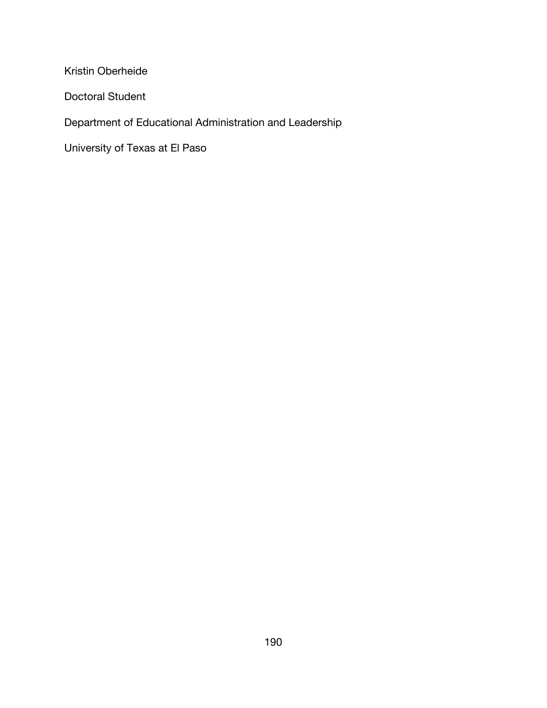Kristin Oberheide

Doctoral Student

Department of Educational Administration and Leadership

University of Texas at El Paso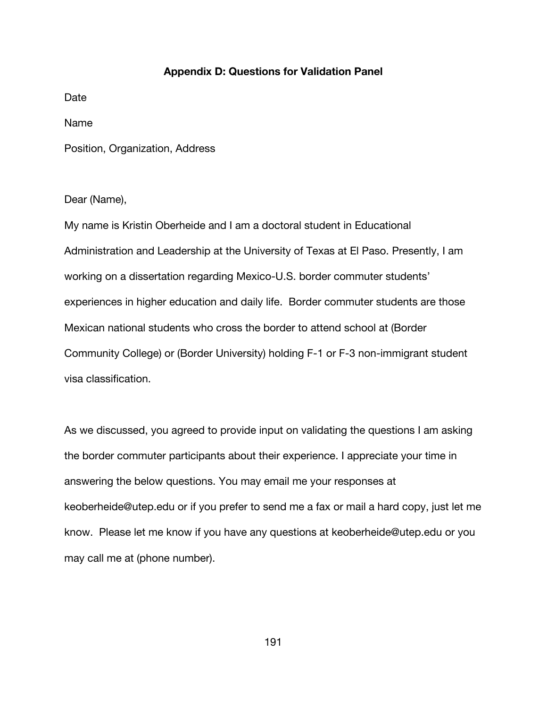### **Appendix D: Questions for Validation Panel**

Date

Name

Position, Organization, Address

### Dear (Name),

My name is Kristin Oberheide and I am a doctoral student in Educational Administration and Leadership at the University of Texas at El Paso. Presently, I am working on a dissertation regarding Mexico-U.S. border commuter students' experiences in higher education and daily life. Border commuter students are those Mexican national students who cross the border to attend school at (Border Community College) or (Border University) holding F-1 or F-3 non-immigrant student visa classification.

As we discussed, you agreed to provide input on validating the questions I am asking the border commuter participants about their experience. I appreciate your time in answering the below questions. You may email me your responses at keoberheide@utep.edu or if you prefer to send me a fax or mail a hard copy, just let me know. Please let me know if you have any questions at keoberheide@utep.edu or you may call me at (phone number).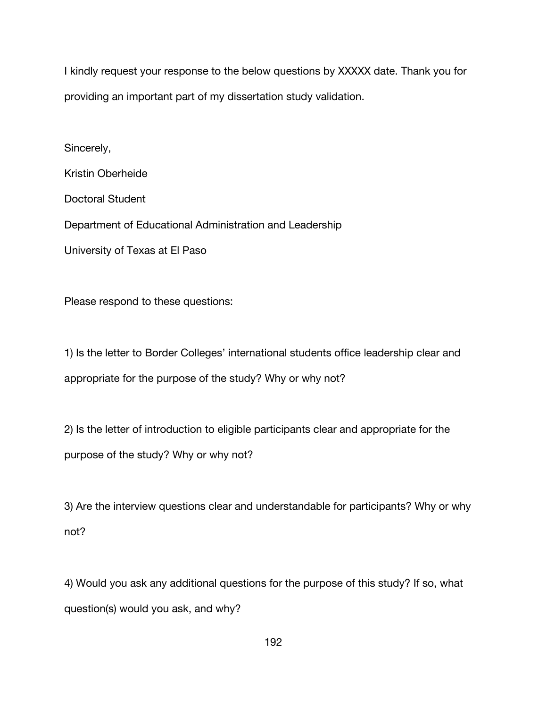I kindly request your response to the below questions by XXXXX date. Thank you for providing an important part of my dissertation study validation.

Sincerely,

Kristin Oberheide

Doctoral Student

Department of Educational Administration and Leadership

University of Texas at El Paso

Please respond to these questions:

1) Is the letter to Border Colleges' international students office leadership clear and appropriate for the purpose of the study? Why or why not?

2) Is the letter of introduction to eligible participants clear and appropriate for the purpose of the study? Why or why not?

3) Are the interview questions clear and understandable for participants? Why or why not?

4) Would you ask any additional questions for the purpose of this study? If so, what question(s) would you ask, and why?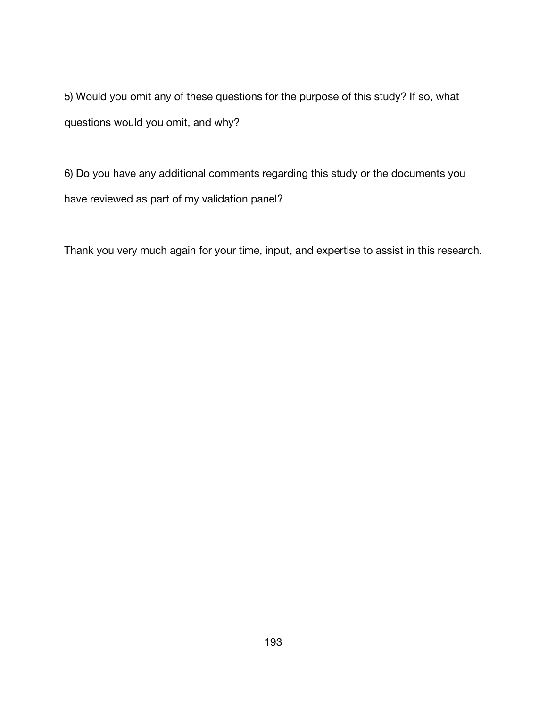5) Would you omit any of these questions for the purpose of this study? If so, what questions would you omit, and why?

6) Do you have any additional comments regarding this study or the documents you have reviewed as part of my validation panel?

Thank you very much again for your time, input, and expertise to assist in this research.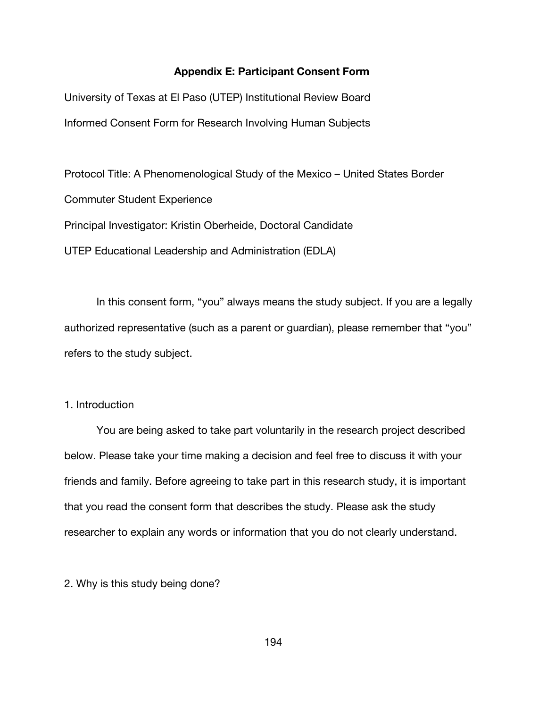### **Appendix E: Participant Consent Form**

University of Texas at El Paso (UTEP) Institutional Review Board Informed Consent Form for Research Involving Human Subjects

Protocol Title: A Phenomenological Study of the Mexico – United States Border Commuter Student Experience Principal Investigator: Kristin Oberheide, Doctoral Candidate UTEP Educational Leadership and Administration (EDLA)

In this consent form, "you" always means the study subject. If you are a legally authorized representative (such as a parent or guardian), please remember that "you" refers to the study subject.

# 1. Introduction

You are being asked to take part voluntarily in the research project described below. Please take your time making a decision and feel free to discuss it with your friends and family. Before agreeing to take part in this research study, it is important that you read the consent form that describes the study. Please ask the study researcher to explain any words or information that you do not clearly understand.

2. Why is this study being done?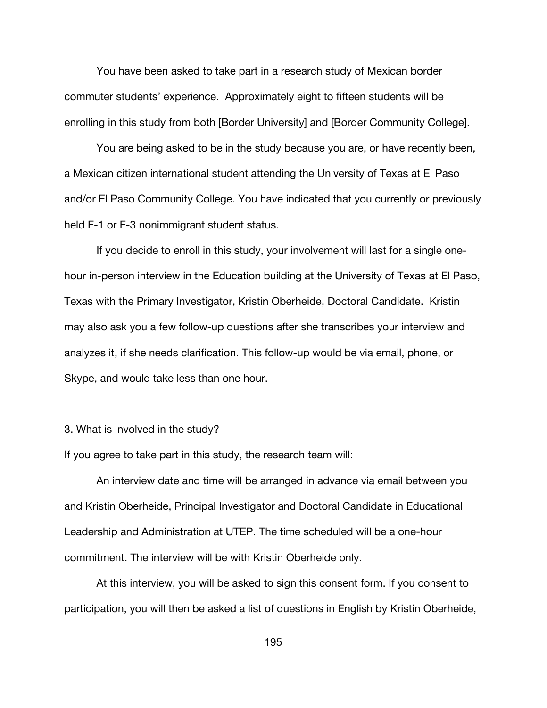You have been asked to take part in a research study of Mexican border commuter students' experience. Approximately eight to fifteen students will be enrolling in this study from both [Border University] and [Border Community College].

You are being asked to be in the study because you are, or have recently been, a Mexican citizen international student attending the University of Texas at El Paso and/or El Paso Community College. You have indicated that you currently or previously held F-1 or F-3 nonimmigrant student status.

If you decide to enroll in this study, your involvement will last for a single onehour in-person interview in the Education building at the University of Texas at El Paso, Texas with the Primary Investigator, Kristin Oberheide, Doctoral Candidate. Kristin may also ask you a few follow-up questions after she transcribes your interview and analyzes it, if she needs clarification. This follow-up would be via email, phone, or Skype, and would take less than one hour.

### 3. What is involved in the study?

If you agree to take part in this study, the research team will:

An interview date and time will be arranged in advance via email between you and Kristin Oberheide, Principal Investigator and Doctoral Candidate in Educational Leadership and Administration at UTEP. The time scheduled will be a one-hour commitment. The interview will be with Kristin Oberheide only.

At this interview, you will be asked to sign this consent form. If you consent to participation, you will then be asked a list of questions in English by Kristin Oberheide,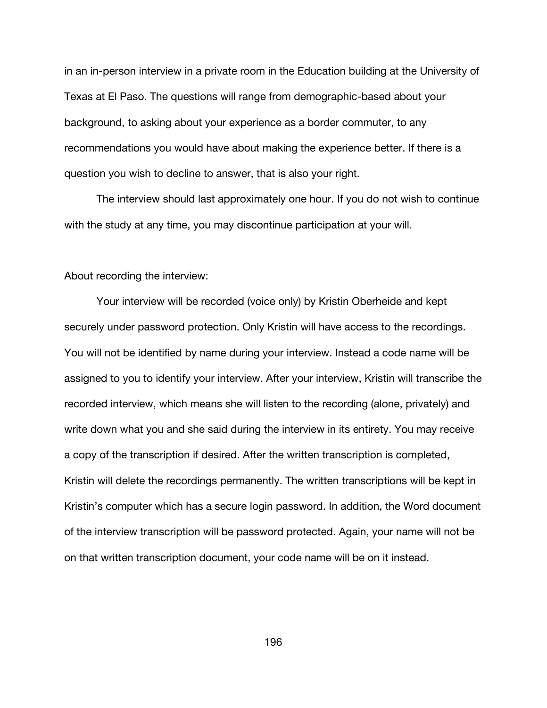in an in-person interview in a private room in the Education building at the University of Texas at El Paso. The questions will range from demographic-based about your background, to asking about your experience as a border commuter, to any recommendations you would have about making the experience better. If there is a question you wish to decline to answer, that is also your right.

The interview should last approximately one hour. If you do not wish to continue with the study at any time, you may discontinue participation at your will.

#### About recording the interview:

Your interview will be recorded (voice only) by Kristin Oberheide and kept securely under password protection. Only Kristin will have access to the recordings. You will not be identified by name during your interview. Instead a code name will be assigned to you to identify your interview. After your interview, Kristin will transcribe the recorded interview, which means she will listen to the recording (alone, privately) and write down what you and she said during the interview in its entirety. You may receive a copy of the transcription if desired. After the written transcription is completed, Kristin will delete the recordings permanently. The written transcriptions will be kept in Kristin's computer which has a secure login password. In addition, the Word document of the interview transcription will be password protected. Again, your name will not be on that written transcription document, your code name will be on it instead.

196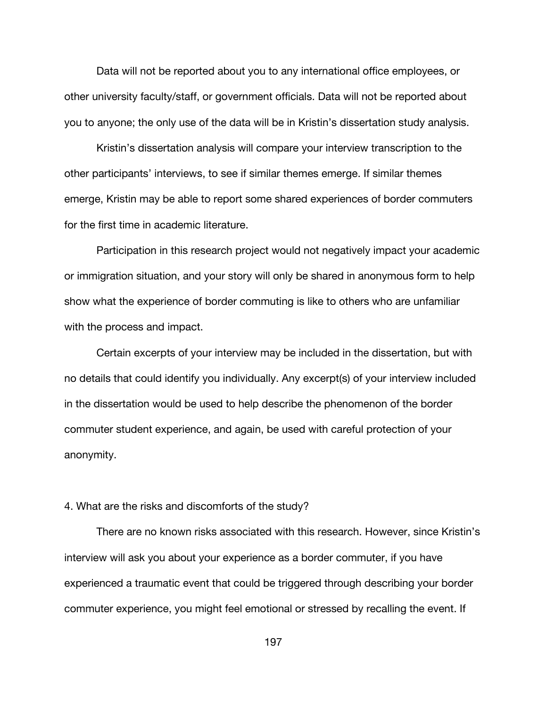Data will not be reported about you to any international office employees, or other university faculty/staff, or government officials. Data will not be reported about you to anyone; the only use of the data will be in Kristin's dissertation study analysis.

Kristin's dissertation analysis will compare your interview transcription to the other participants' interviews, to see if similar themes emerge. If similar themes emerge, Kristin may be able to report some shared experiences of border commuters for the first time in academic literature.

Participation in this research project would not negatively impact your academic or immigration situation, and your story will only be shared in anonymous form to help show what the experience of border commuting is like to others who are unfamiliar with the process and impact.

Certain excerpts of your interview may be included in the dissertation, but with no details that could identify you individually. Any excerpt(s) of your interview included in the dissertation would be used to help describe the phenomenon of the border commuter student experience, and again, be used with careful protection of your anonymity.

# 4. What are the risks and discomforts of the study?

There are no known risks associated with this research. However, since Kristin's interview will ask you about your experience as a border commuter, if you have experienced a traumatic event that could be triggered through describing your border commuter experience, you might feel emotional or stressed by recalling the event. If

197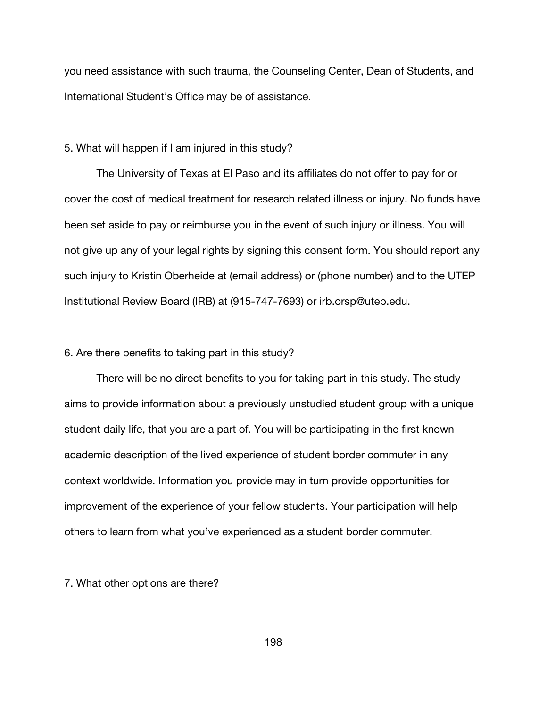you need assistance with such trauma, the Counseling Center, Dean of Students, and International Student's Office may be of assistance.

## 5. What will happen if I am injured in this study?

The University of Texas at El Paso and its affiliates do not offer to pay for or cover the cost of medical treatment for research related illness or injury. No funds have been set aside to pay or reimburse you in the event of such injury or illness. You will not give up any of your legal rights by signing this consent form. You should report any such injury to Kristin Oberheide at (email address) or (phone number) and to the UTEP Institutional Review Board (IRB) at (915-747-7693) or irb.orsp@utep.edu.

### 6. Are there benefits to taking part in this study?

There will be no direct benefits to you for taking part in this study. The study aims to provide information about a previously unstudied student group with a unique student daily life, that you are a part of. You will be participating in the first known academic description of the lived experience of student border commuter in any context worldwide. Information you provide may in turn provide opportunities for improvement of the experience of your fellow students. Your participation will help others to learn from what you've experienced as a student border commuter.

7. What other options are there?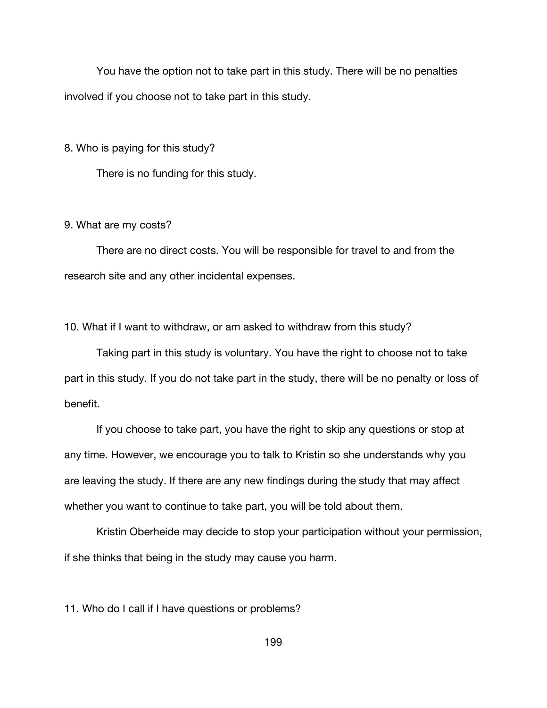You have the option not to take part in this study. There will be no penalties involved if you choose not to take part in this study.

8. Who is paying for this study?

There is no funding for this study.

### 9. What are my costs?

There are no direct costs. You will be responsible for travel to and from the research site and any other incidental expenses.

10. What if I want to withdraw, or am asked to withdraw from this study?

Taking part in this study is voluntary. You have the right to choose not to take part in this study. If you do not take part in the study, there will be no penalty or loss of benefit.

If you choose to take part, you have the right to skip any questions or stop at any time. However, we encourage you to talk to Kristin so she understands why you are leaving the study. If there are any new findings during the study that may affect whether you want to continue to take part, you will be told about them.

Kristin Oberheide may decide to stop your participation without your permission, if she thinks that being in the study may cause you harm.

11. Who do I call if I have questions or problems?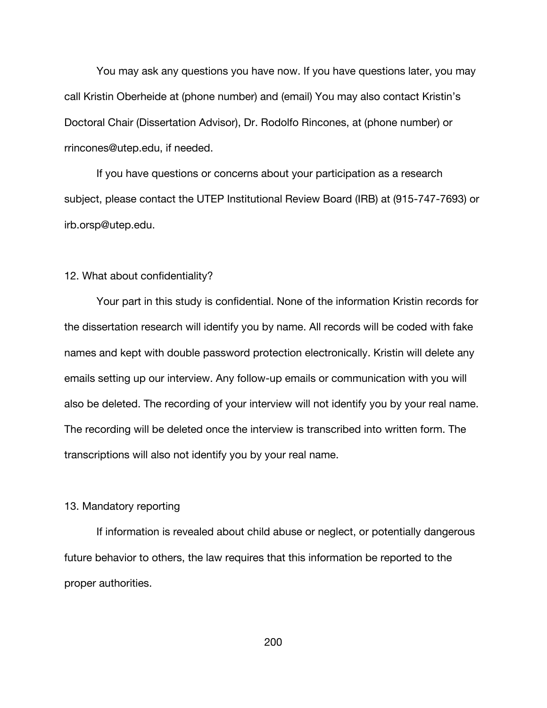You may ask any questions you have now. If you have questions later, you may call Kristin Oberheide at (phone number) and (email) You may also contact Kristin's Doctoral Chair (Dissertation Advisor), Dr. Rodolfo Rincones, at (phone number) or rrincones@utep.edu, if needed.

If you have questions or concerns about your participation as a research subject, please contact the UTEP Institutional Review Board (IRB) at (915-747-7693) or irb.orsp@utep.edu.

### 12. What about confidentiality?

Your part in this study is confidential. None of the information Kristin records for the dissertation research will identify you by name. All records will be coded with fake names and kept with double password protection electronically. Kristin will delete any emails setting up our interview. Any follow-up emails or communication with you will also be deleted. The recording of your interview will not identify you by your real name. The recording will be deleted once the interview is transcribed into written form. The transcriptions will also not identify you by your real name.

### 13. Mandatory reporting

If information is revealed about child abuse or neglect, or potentially dangerous future behavior to others, the law requires that this information be reported to the proper authorities.

200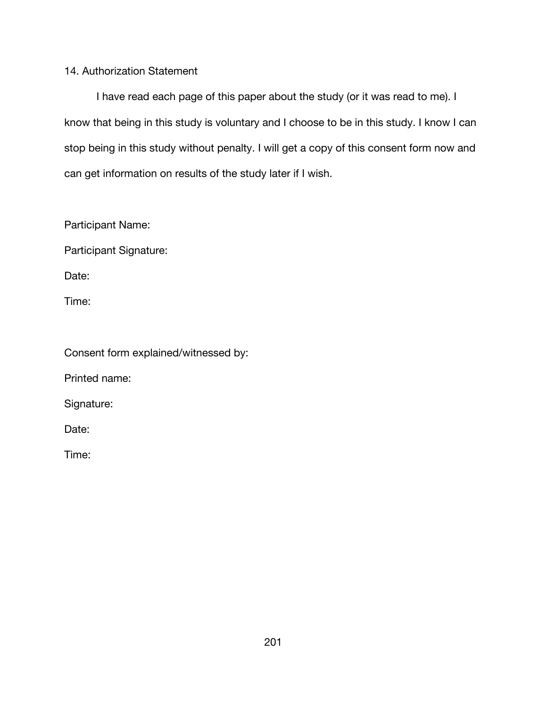## 14. Authorization Statement

I have read each page of this paper about the study (or it was read to me). I know that being in this study is voluntary and I choose to be in this study. I know I can stop being in this study without penalty. I will get a copy of this consent form now and can get information on results of the study later if I wish.

Participant Name:

Participant Signature:

Date:

Time:

Consent form explained/witnessed by:

Printed name:

Signature:

Date:

Time: